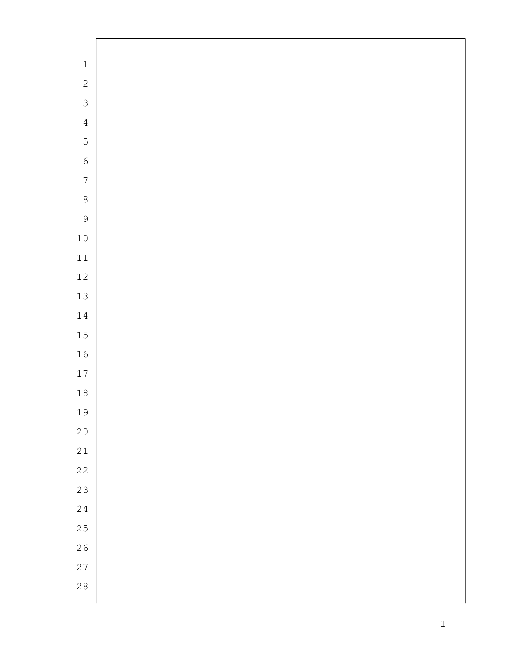| $\mathbf 1$    |
|----------------|
| $\overline{c}$ |
| $\mathfrak{Z}$ |
| $\overline{4}$ |
| $\overline{5}$ |
| $\sqrt{6}$     |
| $\overline{7}$ |
| $\,8\,$        |
| $\mathcal{G}$  |
| 10             |
| 11             |
| 12             |
|                |
| 13             |
| 14             |
| 15             |
| 16             |
| 17             |
| 18             |
| 19             |
| 20             |
| 21             |
| 22             |
| 23             |
| 24             |
| 25             |
| 26             |
| 27             |
| 28             |
|                |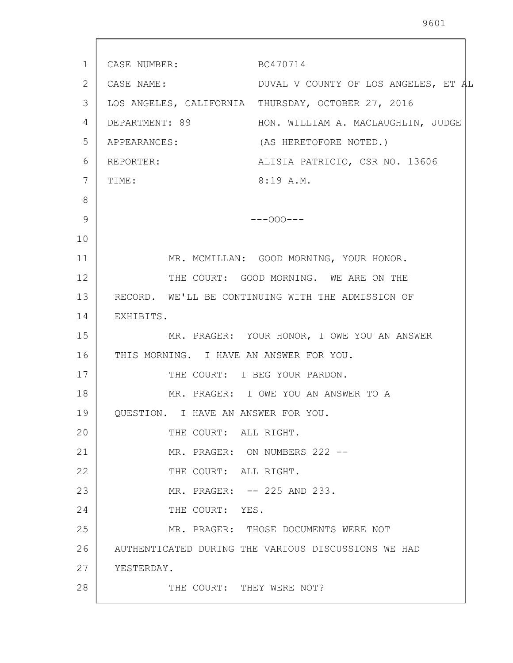1 2 3 4 5 6 7 8 9 10 11 12 13 14 15 16 17 18 19 20 21 22 23 24 25 26 27 28 CASE NUMBER: BC470714 CASE NAME: DUVAL V COUNTY OF LOS ANGELES, ET AL LOS ANGELES, CALIFORNIA THURSDAY, OCTOBER 27, 2016 DEPARTMENT: 89 HON. WILLIAM A. MACLAUGHLIN, JUDGE APPEARANCES: (AS HERETOFORE NOTED.) REPORTER: ALISIA PATRICIO, CSR NO. 13606 TIME: 8:19 A.M.  $---OOO---$ MR. MCMILLAN: GOOD MORNING, YOUR HONOR. THE COURT: GOOD MORNING. WE ARE ON THE RECORD. WE'LL BE CONTINUING WITH THE ADMISSION OF EXHIBITS. MR. PRAGER: YOUR HONOR, I OWE YOU AN ANSWER THIS MORNING. I HAVE AN ANSWER FOR YOU. THE COURT: I BEG YOUR PARDON. MR. PRAGER: I OWE YOU AN ANSWER TO A QUESTION. I HAVE AN ANSWER FOR YOU. THE COURT: ALL RIGHT. MR. PRAGER: ON NUMBERS 222 --THE COURT: ALL RIGHT. MR. PRAGER: -- 225 AND 233. THE COURT: YES. MR. PRAGER: THOSE DOCUMENTS WERE NOT AUTHENTICATED DURING THE VARIOUS DISCUSSIONS WE HAD YESTERDAY. THE COURT: THEY WERE NOT?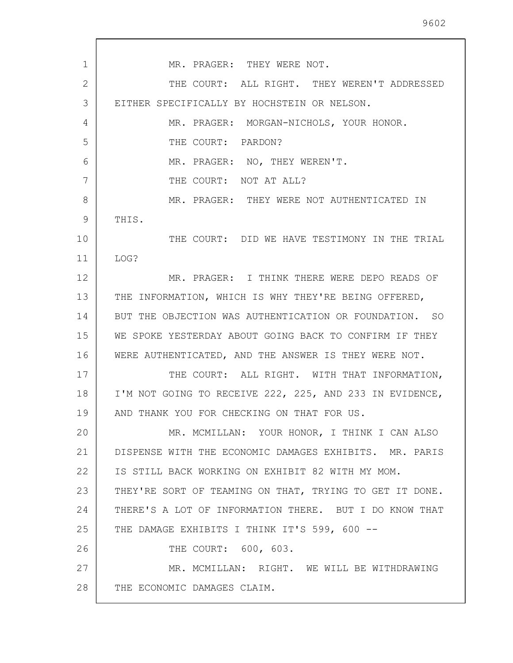1 2 3 4 5 6 7 8 9 10 11 12 13 14 15 16 17 18 19 20 21 22 23 24 25 26 27 28 MR. PRAGER: THEY WERE NOT. THE COURT: ALL RIGHT. THEY WEREN'T ADDRESSED EITHER SPECIFICALLY BY HOCHSTEIN OR NELSON. MR. PRAGER: MORGAN-NICHOLS, YOUR HONOR. THE COURT: PARDON? MR. PRAGER: NO, THEY WEREN'T. THE COURT: NOT AT ALL? MR. PRAGER: THEY WERE NOT AUTHENTICATED IN THIS. THE COURT: DID WE HAVE TESTIMONY IN THE TRIAL LOG? MR. PRAGER: I THINK THERE WERE DEPO READS OF THE INFORMATION, WHICH IS WHY THEY'RE BEING OFFERED, BUT THE OBJECTION WAS AUTHENTICATION OR FOUNDATION. SO WE SPOKE YESTERDAY ABOUT GOING BACK TO CONFIRM IF THEY WERE AUTHENTICATED, AND THE ANSWER IS THEY WERE NOT. THE COURT: ALL RIGHT. WITH THAT INFORMATION, I'M NOT GOING TO RECEIVE 222, 225, AND 233 IN EVIDENCE, AND THANK YOU FOR CHECKING ON THAT FOR US. MR. MCMILLAN: YOUR HONOR, I THINK I CAN ALSO DISPENSE WITH THE ECONOMIC DAMAGES EXHIBITS. MR. PARIS IS STILL BACK WORKING ON EXHIBIT 82 WITH MY MOM. THEY'RE SORT OF TEAMING ON THAT, TRYING TO GET IT DONE. THERE'S A LOT OF INFORMATION THERE. BUT I DO KNOW THAT THE DAMAGE EXHIBITS I THINK IT'S 599, 600 --THE COURT: 600, 603. MR. MCMILLAN: RIGHT. WE WILL BE WITHDRAWING THE ECONOMIC DAMAGES CLAIM.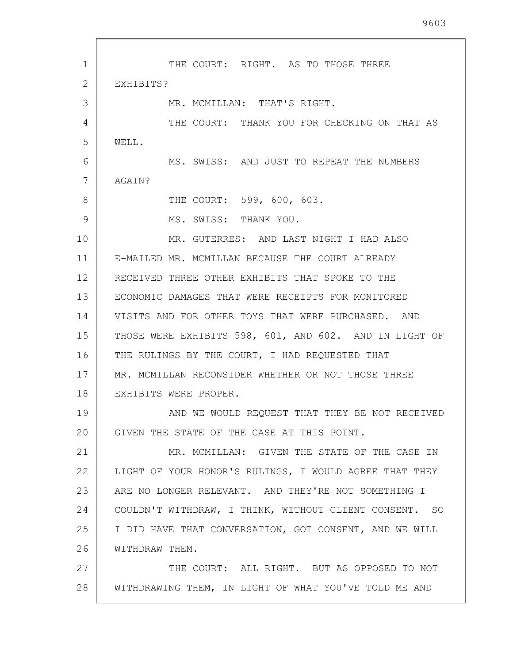1 2 3 4 5 6 7 8 9 10 11 12 13 14 15 16 17 18 19 20 21 22 23 24 25 26 27 28 THE COURT: RIGHT. AS TO THOSE THREE EXHIBITS? MR. MCMILLAN: THAT'S RIGHT. THE COURT: THANK YOU FOR CHECKING ON THAT AS WELL. MS. SWISS: AND JUST TO REPEAT THE NUMBERS AGAIN? THE COURT: 599, 600, 603. MS. SWISS: THANK YOU. MR. GUTERRES: AND LAST NIGHT I HAD ALSO E-MAILED MR. MCMILLAN BECAUSE THE COURT ALREADY RECEIVED THREE OTHER EXHIBITS THAT SPOKE TO THE ECONOMIC DAMAGES THAT WERE RECEIPTS FOR MONITORED VISITS AND FOR OTHER TOYS THAT WERE PURCHASED. AND THOSE WERE EXHIBITS 598, 601, AND 602. AND IN LIGHT OF THE RULINGS BY THE COURT, I HAD REQUESTED THAT MR. MCMILLAN RECONSIDER WHETHER OR NOT THOSE THREE EXHIBITS WERE PROPER. AND WE WOULD REQUEST THAT THEY BE NOT RECEIVED GIVEN THE STATE OF THE CASE AT THIS POINT. MR. MCMILLAN: GIVEN THE STATE OF THE CASE IN LIGHT OF YOUR HONOR'S RULINGS, I WOULD AGREE THAT THEY ARE NO LONGER RELEVANT. AND THEY'RE NOT SOMETHING I COULDN'T WITHDRAW, I THINK, WITHOUT CLIENT CONSENT. SO I DID HAVE THAT CONVERSATION, GOT CONSENT, AND WE WILL WITHDRAW THEM. THE COURT: ALL RIGHT. BUT AS OPPOSED TO NOT WITHDRAWING THEM, IN LIGHT OF WHAT YOU'VE TOLD ME AND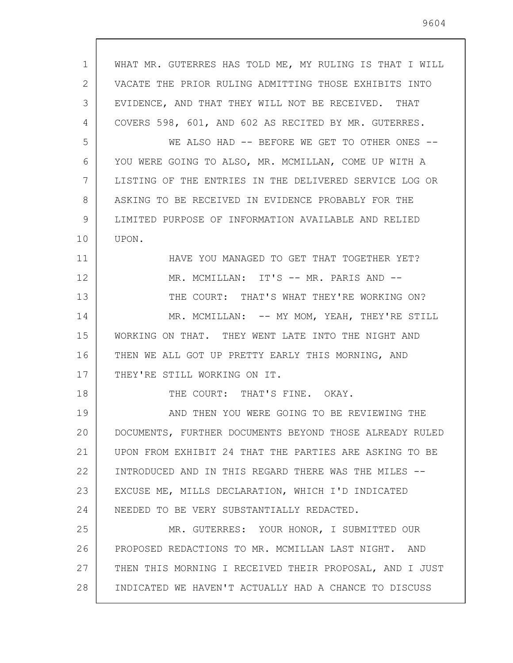| $\mathbf{1}$   | WHAT MR. GUTERRES HAS TOLD ME, MY RULING IS THAT I WILL |
|----------------|---------------------------------------------------------|
| $\overline{2}$ | VACATE THE PRIOR RULING ADMITTING THOSE EXHIBITS INTO   |
| 3              | EVIDENCE, AND THAT THEY WILL NOT BE RECEIVED. THAT      |
| 4              | COVERS 598, 601, AND 602 AS RECITED BY MR. GUTERRES.    |
| 5              | WE ALSO HAD -- BEFORE WE GET TO OTHER ONES --           |
| 6              | YOU WERE GOING TO ALSO, MR. MCMILLAN, COME UP WITH A    |
| 7              | LISTING OF THE ENTRIES IN THE DELIVERED SERVICE LOG OR  |
| 8              | ASKING TO BE RECEIVED IN EVIDENCE PROBABLY FOR THE      |
| 9              | LIMITED PURPOSE OF INFORMATION AVAILABLE AND RELIED     |
| 10             | UPON.                                                   |
| 11             | HAVE YOU MANAGED TO GET THAT TOGETHER YET?              |
| 12             | MR. MCMILLAN: IT'S -- MR. PARIS AND --                  |
| 13             | THE COURT: THAT'S WHAT THEY'RE WORKING ON?              |
| 14             | MR. MCMILLAN: -- MY MOM, YEAH, THEY'RE STILL            |
| 15             | WORKING ON THAT. THEY WENT LATE INTO THE NIGHT AND      |
| 16             | THEN WE ALL GOT UP PRETTY EARLY THIS MORNING, AND       |
| 17             | THEY'RE STILL WORKING ON IT.                            |
| 18             | THE COURT: THAT'S FINE. OKAY.                           |
| 19             | AND THEN YOU WERE GOING TO BE REVIEWING THE             |
| 20             | DOCUMENTS, FURTHER DOCUMENTS BEYOND THOSE ALREADY RULED |
| 21             | UPON FROM EXHIBIT 24 THAT THE PARTIES ARE ASKING TO BE  |
| 22             | INTRODUCED AND IN THIS REGARD THERE WAS THE MILES --    |
| 23             | EXCUSE ME, MILLS DECLARATION, WHICH I'D INDICATED       |
| 24             | NEEDED TO BE VERY SUBSTANTIALLY REDACTED.               |
| 25             | MR. GUTERRES: YOUR HONOR, I SUBMITTED OUR               |
| 26             | PROPOSED REDACTIONS TO MR. MCMILLAN LAST NIGHT. AND     |
| 27             | THEN THIS MORNING I RECEIVED THEIR PROPOSAL, AND I JUST |
| 28             | INDICATED WE HAVEN'T ACTUALLY HAD A CHANCE TO DISCUSS   |
|                |                                                         |

 $\mathsf{l}$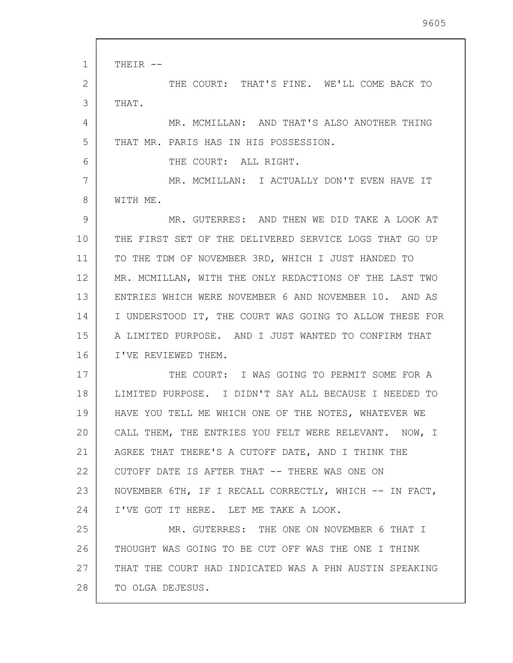1 2 3 4 5 6 7 8 9 10 11 12 13 14 15 16 17 18 19 20 21 22 23 24 25 26 27 28 THEIR -- THE COURT: THAT'S FINE. WE'LL COME BACK TO THAT. MR. MCMILLAN: AND THAT'S ALSO ANOTHER THING THAT MR. PARIS HAS IN HIS POSSESSION. THE COURT: ALL RIGHT. MR. MCMILLAN: I ACTUALLY DON'T EVEN HAVE IT WITH ME. MR. GUTERRES: AND THEN WE DID TAKE A LOOK AT THE FIRST SET OF THE DELIVERED SERVICE LOGS THAT GO UP TO THE TDM OF NOVEMBER 3RD, WHICH I JUST HANDED TO MR. MCMILLAN, WITH THE ONLY REDACTIONS OF THE LAST TWO ENTRIES WHICH WERE NOVEMBER 6 AND NOVEMBER 10. AND AS I UNDERSTOOD IT, THE COURT WAS GOING TO ALLOW THESE FOR A LIMITED PURPOSE. AND I JUST WANTED TO CONFIRM THAT I'VE REVIEWED THEM. THE COURT: I WAS GOING TO PERMIT SOME FOR A LIMITED PURPOSE. I DIDN'T SAY ALL BECAUSE I NEEDED TO HAVE YOU TELL ME WHICH ONE OF THE NOTES, WHATEVER WE CALL THEM, THE ENTRIES YOU FELT WERE RELEVANT. NOW, I AGREE THAT THERE'S A CUTOFF DATE, AND I THINK THE CUTOFF DATE IS AFTER THAT -- THERE WAS ONE ON NOVEMBER 6TH, IF I RECALL CORRECTLY, WHICH -- IN FACT, I'VE GOT IT HERE. LET ME TAKE A LOOK. MR. GUTERRES: THE ONE ON NOVEMBER 6 THAT I THOUGHT WAS GOING TO BE CUT OFF WAS THE ONE I THINK THAT THE COURT HAD INDICATED WAS A PHN AUSTIN SPEAKING TO OLGA DEJESUS.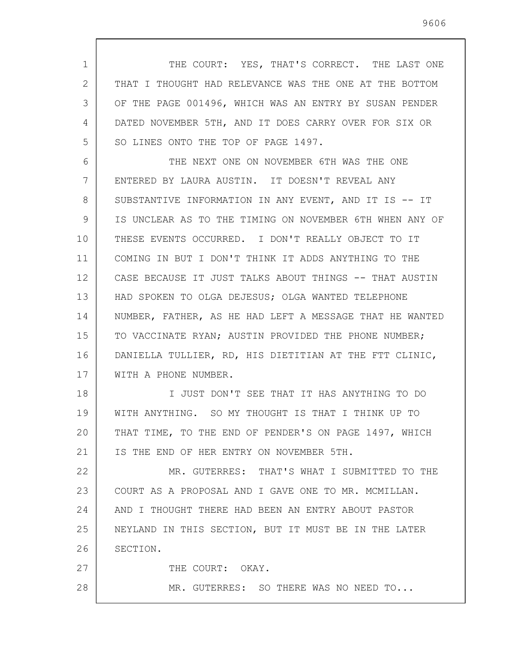1 2 3 4 5 THE COURT: YES, THAT'S CORRECT. THE LAST ONE THAT I THOUGHT HAD RELEVANCE WAS THE ONE AT THE BOTTOM OF THE PAGE 001496, WHICH WAS AN ENTRY BY SUSAN PENDER DATED NOVEMBER 5TH, AND IT DOES CARRY OVER FOR SIX OR SO LINES ONTO THE TOP OF PAGE 1497.

6 7 8 9 10 11 12 13 14 15 16 17 THE NEXT ONE ON NOVEMBER 6TH WAS THE ONE ENTERED BY LAURA AUSTIN. IT DOESN'T REVEAL ANY SUBSTANTIVE INFORMATION IN ANY EVENT, AND IT IS -- IT IS UNCLEAR AS TO THE TIMING ON NOVEMBER 6TH WHEN ANY OF THESE EVENTS OCCURRED. I DON'T REALLY OBJECT TO IT COMING IN BUT I DON'T THINK IT ADDS ANYTHING TO THE CASE BECAUSE IT JUST TALKS ABOUT THINGS -- THAT AUSTIN HAD SPOKEN TO OLGA DEJESUS; OLGA WANTED TELEPHONE NUMBER, FATHER, AS HE HAD LEFT A MESSAGE THAT HE WANTED TO VACCINATE RYAN; AUSTIN PROVIDED THE PHONE NUMBER; DANIELLA TULLIER, RD, HIS DIETITIAN AT THE FTT CLINIC, WITH A PHONE NUMBER.

18 19 20 21 I JUST DON'T SEE THAT IT HAS ANYTHING TO DO WITH ANYTHING. SO MY THOUGHT IS THAT I THINK UP TO THAT TIME, TO THE END OF PENDER'S ON PAGE 1497, WHICH IS THE END OF HER ENTRY ON NOVEMBER 5TH.

22 23 24 25 26 27 MR. GUTERRES: THAT'S WHAT I SUBMITTED TO THE COURT AS A PROPOSAL AND I GAVE ONE TO MR. MCMILLAN. AND I THOUGHT THERE HAD BEEN AN ENTRY ABOUT PASTOR NEYLAND IN THIS SECTION, BUT IT MUST BE IN THE LATER SECTION.

THE COURT: OKAY.

28

MR. GUTERRES: SO THERE WAS NO NEED TO...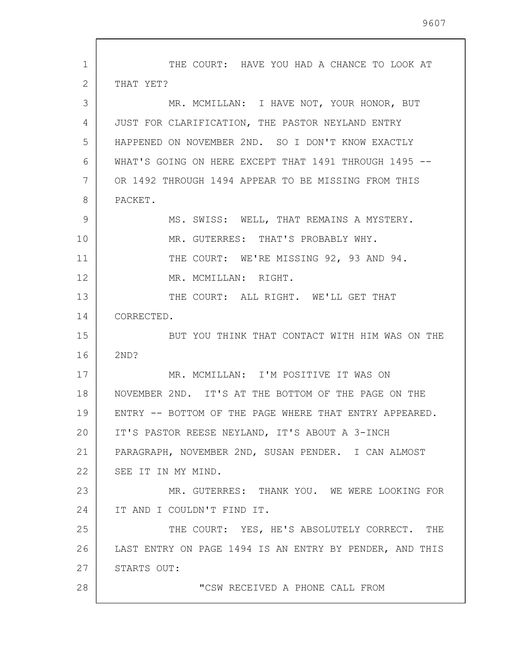1 2 3 4 5 6 7 8 9 10 11 12 13 14 15 16 17 18 19 20 21 22 23 24 25 26 27 28 THE COURT: HAVE YOU HAD A CHANCE TO LOOK AT THAT YET? MR. MCMILLAN: I HAVE NOT, YOUR HONOR, BUT JUST FOR CLARIFICATION, THE PASTOR NEYLAND ENTRY HAPPENED ON NOVEMBER 2ND. SO I DON'T KNOW EXACTLY WHAT'S GOING ON HERE EXCEPT THAT 1491 THROUGH 1495 -- OR 1492 THROUGH 1494 APPEAR TO BE MISSING FROM THIS PACKET. MS. SWISS: WELL, THAT REMAINS A MYSTERY. MR. GUTERRES: THAT'S PROBABLY WHY. THE COURT: WE'RE MISSING 92, 93 AND 94. MR. MCMILLAN: RIGHT. THE COURT: ALL RIGHT. WE'LL GET THAT CORRECTED. BUT YOU THINK THAT CONTACT WITH HIM WAS ON THE 2ND? MR. MCMILLAN: I'M POSITIVE IT WAS ON NOVEMBER 2ND. IT'S AT THE BOTTOM OF THE PAGE ON THE ENTRY -- BOTTOM OF THE PAGE WHERE THAT ENTRY APPEARED. IT'S PASTOR REESE NEYLAND, IT'S ABOUT A 3-INCH PARAGRAPH, NOVEMBER 2ND, SUSAN PENDER. I CAN ALMOST SEE IT IN MY MIND. MR. GUTERRES: THANK YOU. WE WERE LOOKING FOR IT AND I COULDN'T FIND IT. THE COURT: YES, HE'S ABSOLUTELY CORRECT. THE LAST ENTRY ON PAGE 1494 IS AN ENTRY BY PENDER, AND THIS STARTS OUT: "CSW RECEIVED A PHONE CALL FROM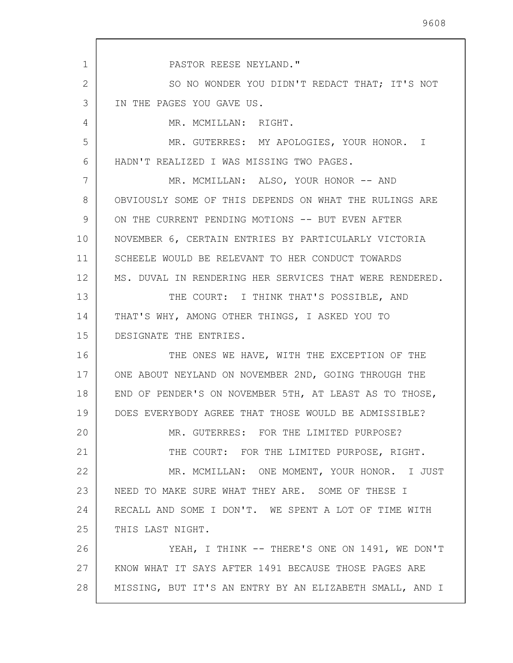1 2 3 4 5 6 7 8 9 10 11 12 13 14 15 16 17 18 19 20 21 22 23 24 25 26 27 28 PASTOR REESE NEYLAND." SO NO WONDER YOU DIDN'T REDACT THAT; IT'S NOT IN THE PAGES YOU GAVE US. MR. MCMILLAN: RIGHT. MR. GUTERRES: MY APOLOGIES, YOUR HONOR. I HADN'T REALIZED I WAS MISSING TWO PAGES. MR. MCMILLAN: ALSO, YOUR HONOR -- AND OBVIOUSLY SOME OF THIS DEPENDS ON WHAT THE RULINGS ARE ON THE CURRENT PENDING MOTIONS -- BUT EVEN AFTER NOVEMBER 6, CERTAIN ENTRIES BY PARTICULARLY VICTORIA SCHEELE WOULD BE RELEVANT TO HER CONDUCT TOWARDS MS. DUVAL IN RENDERING HER SERVICES THAT WERE RENDERED. THE COURT: I THINK THAT'S POSSIBLE, AND THAT'S WHY, AMONG OTHER THINGS, I ASKED YOU TO DESIGNATE THE ENTRIES. THE ONES WE HAVE, WITH THE EXCEPTION OF THE ONE ABOUT NEYLAND ON NOVEMBER 2ND, GOING THROUGH THE END OF PENDER'S ON NOVEMBER 5TH, AT LEAST AS TO THOSE, DOES EVERYBODY AGREE THAT THOSE WOULD BE ADMISSIBLE? MR. GUTERRES: FOR THE LIMITED PURPOSE? THE COURT: FOR THE LIMITED PURPOSE, RIGHT. MR. MCMILLAN: ONE MOMENT, YOUR HONOR. I JUST NEED TO MAKE SURE WHAT THEY ARE. SOME OF THESE I RECALL AND SOME I DON'T. WE SPENT A LOT OF TIME WITH THIS LAST NIGHT. YEAH, I THINK -- THERE'S ONE ON 1491, WE DON'T KNOW WHAT IT SAYS AFTER 1491 BECAUSE THOSE PAGES ARE MISSING, BUT IT'S AN ENTRY BY AN ELIZABETH SMALL, AND I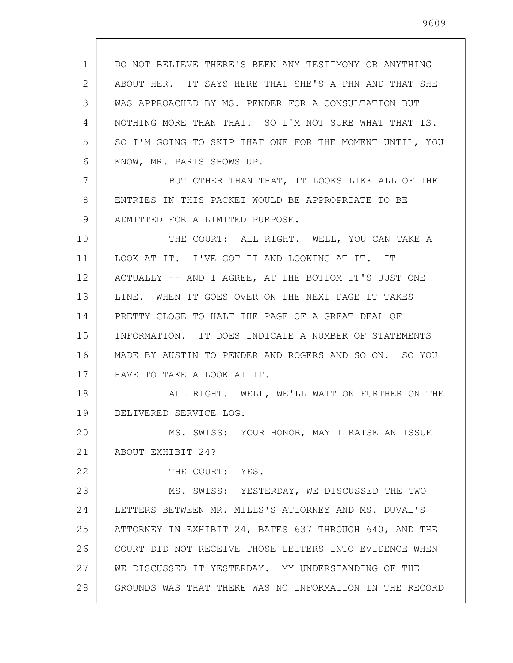1 2 3 4 5 6 7 8 9 10 11 12 13 14 15 16 17 18 19 20 21 22 23 24 25 26 27 28 DO NOT BELIEVE THERE'S BEEN ANY TESTIMONY OR ANYTHING ABOUT HER. IT SAYS HERE THAT SHE'S A PHN AND THAT SHE WAS APPROACHED BY MS. PENDER FOR A CONSULTATION BUT NOTHING MORE THAN THAT. SO I'M NOT SURE WHAT THAT IS. SO I'M GOING TO SKIP THAT ONE FOR THE MOMENT UNTIL, YOU KNOW, MR. PARIS SHOWS UP. BUT OTHER THAN THAT, IT LOOKS LIKE ALL OF THE ENTRIES IN THIS PACKET WOULD BE APPROPRIATE TO BE ADMITTED FOR A LIMITED PURPOSE. THE COURT: ALL RIGHT. WELL, YOU CAN TAKE A LOOK AT IT. I'VE GOT IT AND LOOKING AT IT. IT ACTUALLY -- AND I AGREE, AT THE BOTTOM IT'S JUST ONE LINE. WHEN IT GOES OVER ON THE NEXT PAGE IT TAKES PRETTY CLOSE TO HALF THE PAGE OF A GREAT DEAL OF INFORMATION. IT DOES INDICATE A NUMBER OF STATEMENTS MADE BY AUSTIN TO PENDER AND ROGERS AND SO ON. SO YOU HAVE TO TAKE A LOOK AT IT. ALL RIGHT. WELL, WE'LL WAIT ON FURTHER ON THE DELIVERED SERVICE LOG. MS. SWISS: YOUR HONOR, MAY I RAISE AN ISSUE ABOUT EXHIBIT 24? THE COURT: YES. MS. SWISS: YESTERDAY, WE DISCUSSED THE TWO LETTERS BETWEEN MR. MILLS'S ATTORNEY AND MS. DUVAL'S ATTORNEY IN EXHIBIT 24, BATES 637 THROUGH 640, AND THE COURT DID NOT RECEIVE THOSE LETTERS INTO EVIDENCE WHEN WE DISCUSSED IT YESTERDAY. MY UNDERSTANDING OF THE GROUNDS WAS THAT THERE WAS NO INFORMATION IN THE RECORD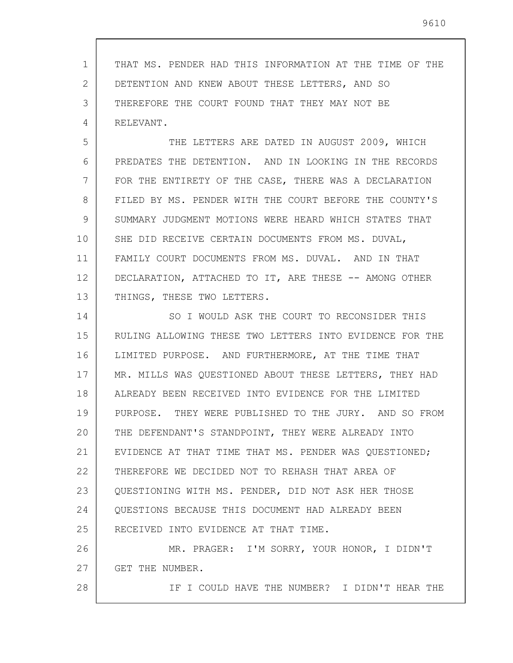1 2 3 4 THAT MS. PENDER HAD THIS INFORMATION AT THE TIME OF THE DETENTION AND KNEW ABOUT THESE LETTERS, AND SO THEREFORE THE COURT FOUND THAT THEY MAY NOT BE RELEVANT.

5 6 7 8 9 10 11 12 13 THE LETTERS ARE DATED IN AUGUST 2009, WHICH PREDATES THE DETENTION. AND IN LOOKING IN THE RECORDS FOR THE ENTIRETY OF THE CASE, THERE WAS A DECLARATION FILED BY MS. PENDER WITH THE COURT BEFORE THE COUNTY'S SUMMARY JUDGMENT MOTIONS WERE HEARD WHICH STATES THAT SHE DID RECEIVE CERTAIN DOCUMENTS FROM MS. DUVAL, FAMILY COURT DOCUMENTS FROM MS. DUVAL. AND IN THAT DECLARATION, ATTACHED TO IT, ARE THESE -- AMONG OTHER THINGS, THESE TWO LETTERS.

14 15 16 17 18 19 20 21 22 23 24 25 SO I WOULD ASK THE COURT TO RECONSIDER THIS RULING ALLOWING THESE TWO LETTERS INTO EVIDENCE FOR THE LIMITED PURPOSE. AND FURTHERMORE, AT THE TIME THAT MR. MILLS WAS QUESTIONED ABOUT THESE LETTERS, THEY HAD ALREADY BEEN RECEIVED INTO EVIDENCE FOR THE LIMITED PURPOSE. THEY WERE PUBLISHED TO THE JURY. AND SO FROM THE DEFENDANT'S STANDPOINT, THEY WERE ALREADY INTO EVIDENCE AT THAT TIME THAT MS. PENDER WAS QUESTIONED; THEREFORE WE DECIDED NOT TO REHASH THAT AREA OF QUESTIONING WITH MS. PENDER, DID NOT ASK HER THOSE QUESTIONS BECAUSE THIS DOCUMENT HAD ALREADY BEEN RECEIVED INTO EVIDENCE AT THAT TIME.

26 27 MR. PRAGER: I'M SORRY, YOUR HONOR, I DIDN'T GET THE NUMBER.

28

IF I COULD HAVE THE NUMBER? I DIDN'T HEAR THE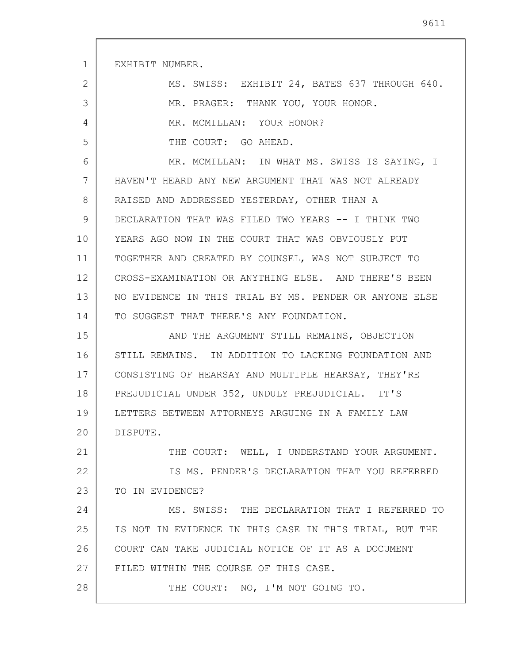EXHIBIT NUMBER.

1

| <b>T</b> | LAHILDII INUMBRI                                       |
|----------|--------------------------------------------------------|
| 2        | MS. SWISS: EXHIBIT 24, BATES 637 THROUGH 640.          |
| 3        | MR. PRAGER: THANK YOU, YOUR HONOR.                     |
| 4        | MR. MCMILLAN: YOUR HONOR?                              |
| 5        | THE COURT: GO AHEAD.                                   |
| 6        | MR. MCMILLAN: IN WHAT MS. SWISS IS SAYING, I           |
| 7        | HAVEN'T HEARD ANY NEW ARGUMENT THAT WAS NOT ALREADY    |
| 8        | RAISED AND ADDRESSED YESTERDAY, OTHER THAN A           |
| 9        | DECLARATION THAT WAS FILED TWO YEARS -- I THINK TWO    |
| 10       | YEARS AGO NOW IN THE COURT THAT WAS OBVIOUSLY PUT      |
| 11       | TOGETHER AND CREATED BY COUNSEL, WAS NOT SUBJECT TO    |
| 12       | CROSS-EXAMINATION OR ANYTHING ELSE. AND THERE'S BEEN   |
| 13       | NO EVIDENCE IN THIS TRIAL BY MS. PENDER OR ANYONE ELSE |
| 14       | TO SUGGEST THAT THERE'S ANY FOUNDATION.                |
| 15       | AND THE ARGUMENT STILL REMAINS, OBJECTION              |
| 16       | STILL REMAINS. IN ADDITION TO LACKING FOUNDATION AND   |
| 17       | CONSISTING OF HEARSAY AND MULTIPLE HEARSAY, THEY'RE    |
| 18       | PREJUDICIAL UNDER 352, UNDULY PREJUDICIAL. IT'S        |
| 19       | LETTERS BETWEEN ATTORNEYS ARGUING IN A FAMILY LAW      |
| 20       | DISPUTE.                                               |
| 21       | THE COURT: WELL, I UNDERSTAND YOUR ARGUMENT.           |
| 22       | IS MS. PENDER'S DECLARATION THAT YOU REFERRED          |
| 23       | TO IN EVIDENCE?                                        |
| 24       | MS. SWISS: THE DECLARATION THAT I REFERRED TO          |
| 25       | IS NOT IN EVIDENCE IN THIS CASE IN THIS TRIAL, BUT THE |
| 26       | COURT CAN TAKE JUDICIAL NOTICE OF IT AS A DOCUMENT     |
| 27       | FILED WITHIN THE COURSE OF THIS CASE.                  |
| 28       | THE COURT: NO, I'M NOT GOING TO.                       |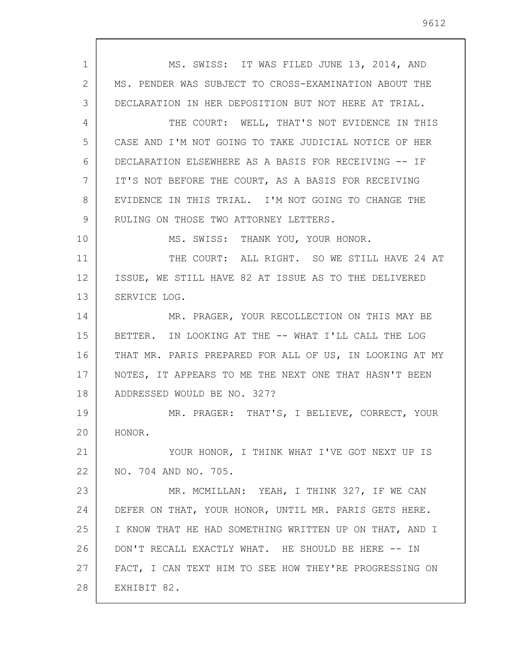1 2 3 4 5 6 7 8 9 10 11 12 13 14 15 16 17 18 19 20 21 22 23 24 25 26 27 28 MS. SWISS: IT WAS FILED JUNE 13, 2014, AND MS. PENDER WAS SUBJECT TO CROSS-EXAMINATION ABOUT THE DECLARATION IN HER DEPOSITION BUT NOT HERE AT TRIAL. THE COURT: WELL, THAT'S NOT EVIDENCE IN THIS CASE AND I'M NOT GOING TO TAKE JUDICIAL NOTICE OF HER DECLARATION ELSEWHERE AS A BASIS FOR RECEIVING -- IF IT'S NOT BEFORE THE COURT, AS A BASIS FOR RECEIVING EVIDENCE IN THIS TRIAL. I'M NOT GOING TO CHANGE THE RULING ON THOSE TWO ATTORNEY LETTERS. MS. SWISS: THANK YOU, YOUR HONOR. THE COURT: ALL RIGHT. SO WE STILL HAVE 24 AT ISSUE, WE STILL HAVE 82 AT ISSUE AS TO THE DELIVERED SERVICE LOG. MR. PRAGER, YOUR RECOLLECTION ON THIS MAY BE BETTER. IN LOOKING AT THE -- WHAT I'LL CALL THE LOG THAT MR. PARIS PREPARED FOR ALL OF US, IN LOOKING AT MY NOTES, IT APPEARS TO ME THE NEXT ONE THAT HASN'T BEEN ADDRESSED WOULD BE NO. 327? MR. PRAGER: THAT'S, I BELIEVE, CORRECT, YOUR HONOR. YOUR HONOR, I THINK WHAT I'VE GOT NEXT UP IS NO. 704 AND NO. 705. MR. MCMILLAN: YEAH, I THINK 327, IF WE CAN DEFER ON THAT, YOUR HONOR, UNTIL MR. PARIS GETS HERE. I KNOW THAT HE HAD SOMETHING WRITTEN UP ON THAT, AND I DON'T RECALL EXACTLY WHAT. HE SHOULD BE HERE -- IN FACT, I CAN TEXT HIM TO SEE HOW THEY'RE PROGRESSING ON EXHIBIT 82.

9612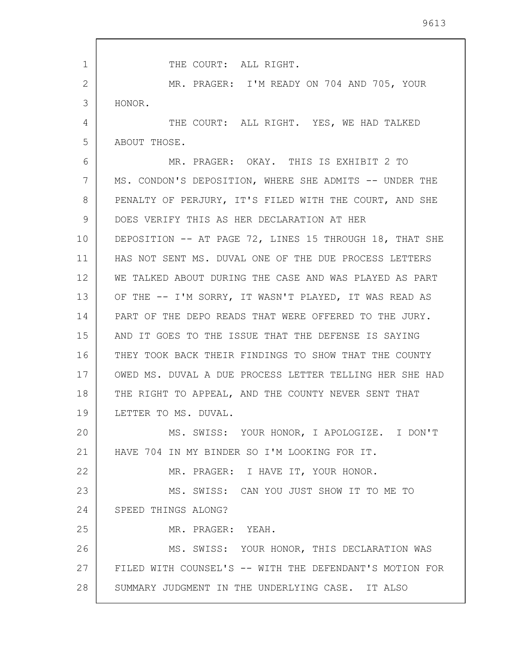1 2 3 4 5 6 7 8 9 10 11 12 13 14 15 16 17 18 19 20 21 22 23 24 25 26 27 28 THE COURT: ALL RIGHT. MR. PRAGER: I'M READY ON 704 AND 705, YOUR HONOR. THE COURT: ALL RIGHT. YES, WE HAD TALKED ABOUT THOSE. MR. PRAGER: OKAY. THIS IS EXHIBIT 2 TO MS. CONDON'S DEPOSITION, WHERE SHE ADMITS -- UNDER THE PENALTY OF PERJURY, IT'S FILED WITH THE COURT, AND SHE DOES VERIFY THIS AS HER DECLARATION AT HER DEPOSITION -- AT PAGE 72, LINES 15 THROUGH 18, THAT SHE HAS NOT SENT MS. DUVAL ONE OF THE DUE PROCESS LETTERS WE TALKED ABOUT DURING THE CASE AND WAS PLAYED AS PART OF THE -- I'M SORRY, IT WASN'T PLAYED, IT WAS READ AS PART OF THE DEPO READS THAT WERE OFFERED TO THE JURY. AND IT GOES TO THE ISSUE THAT THE DEFENSE IS SAYING THEY TOOK BACK THEIR FINDINGS TO SHOW THAT THE COUNTY OWED MS. DUVAL A DUE PROCESS LETTER TELLING HER SHE HAD THE RIGHT TO APPEAL, AND THE COUNTY NEVER SENT THAT LETTER TO MS. DUVAL. MS. SWISS: YOUR HONOR, I APOLOGIZE. I DON'T HAVE 704 IN MY BINDER SO I'M LOOKING FOR IT. MR. PRAGER: I HAVE IT, YOUR HONOR. MS. SWISS: CAN YOU JUST SHOW IT TO ME TO SPEED THINGS ALONG? MR. PRAGER: YEAH. MS. SWISS: YOUR HONOR, THIS DECLARATION WAS FILED WITH COUNSEL'S -- WITH THE DEFENDANT'S MOTION FOR SUMMARY JUDGMENT IN THE UNDERLYING CASE. IT ALSO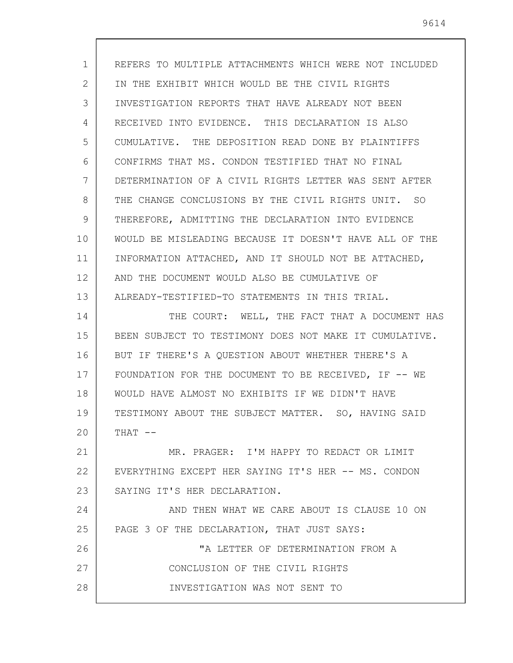1 2 3 4 5 6 7 8 9 10 11 12 13 14 15 16 17 18 19 20 21 22 23 24 25 26 27 28 REFERS TO MULTIPLE ATTACHMENTS WHICH WERE NOT INCLUDED IN THE EXHIBIT WHICH WOULD BE THE CIVIL RIGHTS INVESTIGATION REPORTS THAT HAVE ALREADY NOT BEEN RECEIVED INTO EVIDENCE. THIS DECLARATION IS ALSO CUMULATIVE. THE DEPOSITION READ DONE BY PLAINTIFFS CONFIRMS THAT MS. CONDON TESTIFIED THAT NO FINAL DETERMINATION OF A CIVIL RIGHTS LETTER WAS SENT AFTER THE CHANGE CONCLUSIONS BY THE CIVIL RIGHTS UNIT. SO THEREFORE, ADMITTING THE DECLARATION INTO EVIDENCE WOULD BE MISLEADING BECAUSE IT DOESN'T HAVE ALL OF THE INFORMATION ATTACHED, AND IT SHOULD NOT BE ATTACHED, AND THE DOCUMENT WOULD ALSO BE CUMULATIVE OF ALREADY-TESTIFIED-TO STATEMENTS IN THIS TRIAL. THE COURT: WELL, THE FACT THAT A DOCUMENT HAS BEEN SUBJECT TO TESTIMONY DOES NOT MAKE IT CUMULATIVE. BUT IF THERE'S A QUESTION ABOUT WHETHER THERE'S A FOUNDATION FOR THE DOCUMENT TO BE RECEIVED, IF -- WE WOULD HAVE ALMOST NO EXHIBITS IF WE DIDN'T HAVE TESTIMONY ABOUT THE SUBJECT MATTER. SO, HAVING SAID  $THAT$   $--$ MR. PRAGER: I'M HAPPY TO REDACT OR LIMIT EVERYTHING EXCEPT HER SAYING IT'S HER -- MS. CONDON SAYING IT'S HER DECLARATION. AND THEN WHAT WE CARE ABOUT IS CLAUSE 10 ON PAGE 3 OF THE DECLARATION, THAT JUST SAYS: "A LETTER OF DETERMINATION FROM A CONCLUSION OF THE CIVIL RIGHTS INVESTIGATION WAS NOT SENT TO

9614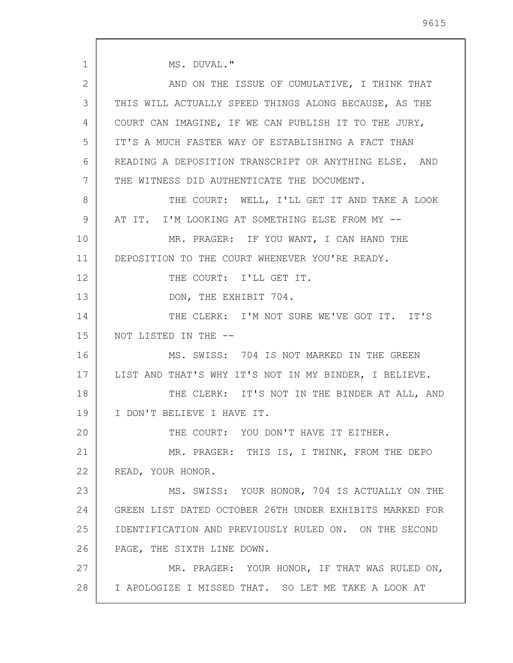| 1  | MS. DUVAL."                                             |
|----|---------------------------------------------------------|
| 2  | AND ON THE ISSUE OF CUMULATIVE, I THINK THAT            |
| 3  | THIS WILL ACTUALLY SPEED THINGS ALONG BECAUSE, AS THE   |
| 4  | COURT CAN IMAGINE, IF WE CAN PUBLISH IT TO THE JURY,    |
| 5  | IT'S A MUCH FASTER WAY OF ESTABLISHING A FACT THAN      |
| 6  | READING A DEPOSITION TRANSCRIPT OR ANYTHING ELSE. AND   |
| 7  | THE WITNESS DID AUTHENTICATE THE DOCUMENT.              |
| 8  | THE COURT: WELL, I'LL GET IT AND TAKE A LOOK            |
| 9  | AT IT. I'M LOOKING AT SOMETHING ELSE FROM MY --         |
| 10 | MR. PRAGER: IF YOU WANT, I CAN HAND THE                 |
| 11 | DEPOSITION TO THE COURT WHENEVER YOU'RE READY.          |
| 12 | THE COURT: I'LL GET IT.                                 |
| 13 | DON, THE EXHIBIT 704.                                   |
| 14 | THE CLERK: I'M NOT SURE WE'VE GOT IT. IT'S              |
| 15 | NOT LISTED IN THE --                                    |
| 16 | MS. SWISS: 704 IS NOT MARKED IN THE GREEN               |
| 17 | LIST AND THAT'S WHY IT'S NOT IN MY BINDER, I BELIEVE.   |
| 18 | THE CLERK: IT'S NOT IN THE BINDER AT ALL, AND           |
| 19 | I DON'T BELIEVE I HAVE IT.                              |
| 20 | THE COURT: YOU DON'T HAVE IT EITHER.                    |
| 21 | MR. PRAGER: THIS IS, I THINK, FROM THE DEPO             |
| 22 | READ, YOUR HONOR.                                       |
| 23 | MS. SWISS: YOUR HONOR, 704 IS ACTUALLY ON THE           |
| 24 | GREEN LIST DATED OCTOBER 26TH UNDER EXHIBITS MARKED FOR |
| 25 | IDENTIFICATION AND PREVIOUSLY RULED ON. ON THE SECOND   |
| 26 | PAGE, THE SIXTH LINE DOWN.                              |
| 27 | MR. PRAGER: YOUR HONOR, IF THAT WAS RULED ON,           |
| 28 | I APOLOGIZE I MISSED THAT. SO LET ME TAKE A LOOK AT     |
|    |                                                         |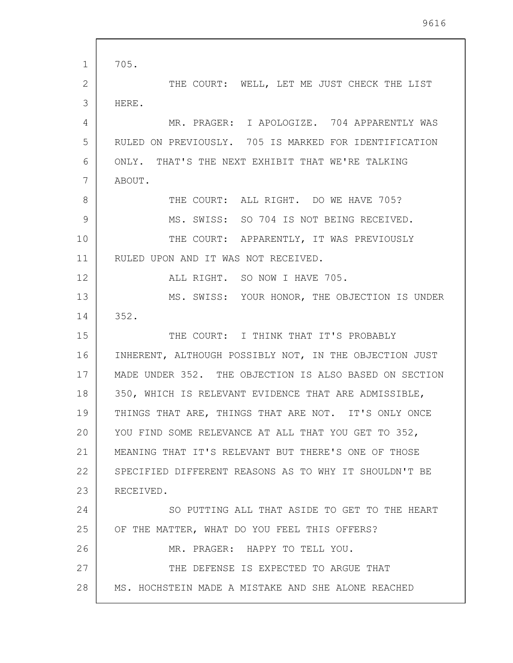| $\mathbf{1}$ | 705.                                                   |
|--------------|--------------------------------------------------------|
| 2            | THE COURT: WELL, LET ME JUST CHECK THE LIST            |
| 3            | HERE.                                                  |
| 4            | MR. PRAGER: I APOLOGIZE. 704 APPARENTLY WAS            |
| 5            | RULED ON PREVIOUSLY. 705 IS MARKED FOR IDENTIFICATION  |
| 6            | ONLY. THAT'S THE NEXT EXHIBIT THAT WE'RE TALKING       |
| 7            | ABOUT.                                                 |
| 8            | THE COURT: ALL RIGHT. DO WE HAVE 705?                  |
| 9            | MS. SWISS: SO 704 IS NOT BEING RECEIVED.               |
| 10           | THE COURT: APPARENTLY, IT WAS PREVIOUSLY               |
| 11           | RULED UPON AND IT WAS NOT RECEIVED.                    |
| 12           | ALL RIGHT. SO NOW I HAVE 705.                          |
| 13           | MS. SWISS: YOUR HONOR, THE OBJECTION IS UNDER          |
| 14           | 352.                                                   |
| 15           | THE COURT: I THINK THAT IT'S PROBABLY                  |
| 16           | INHERENT, ALTHOUGH POSSIBLY NOT, IN THE OBJECTION JUST |
| 17           | MADE UNDER 352. THE OBJECTION IS ALSO BASED ON SECTION |
| 18           | 350, WHICH IS RELEVANT EVIDENCE THAT ARE ADMISSIBLE,   |
| 19           | THINGS THAT ARE, THINGS THAT ARE NOT. IT'S ONLY ONCE   |
| 20           | YOU FIND SOME RELEVANCE AT ALL THAT YOU GET TO 352,    |
| 21           | MEANING THAT IT'S RELEVANT BUT THERE'S ONE OF THOSE    |
| 22           | SPECIFIED DIFFERENT REASONS AS TO WHY IT SHOULDN'T BE  |
| 23           | RECEIVED.                                              |
| 24           | SO PUTTING ALL THAT ASIDE TO GET TO THE HEART          |
| 25           | OF THE MATTER, WHAT DO YOU FEEL THIS OFFERS?           |
| 26           | MR. PRAGER: HAPPY TO TELL YOU.                         |
| 27           | THE DEFENSE IS EXPECTED TO ARGUE THAT                  |
| 28           | MS. HOCHSTEIN MADE A MISTAKE AND SHE ALONE REACHED     |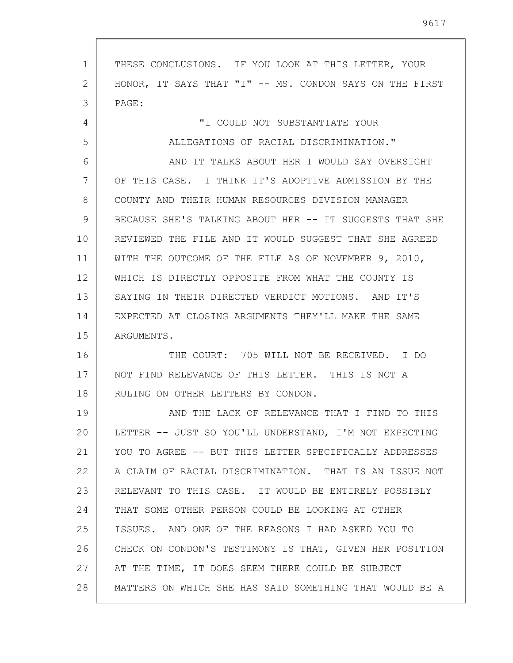THESE CONCLUSIONS. IF YOU LOOK AT THIS LETTER, YOUR HONOR, IT SAYS THAT "I" -- MS. CONDON SAYS ON THE FIRST PAGE: "I COULD NOT SUBSTANTIATE YOUR ALLEGATIONS OF RACIAL DISCRIMINATION." AND IT TALKS ABOUT HER I WOULD SAY OVERSIGHT OF THIS CASE. I THINK IT'S ADOPTIVE ADMISSION BY THE COUNTY AND THEIR HUMAN RESOURCES DIVISION MANAGER BECAUSE SHE'S TALKING ABOUT HER -- IT SUGGESTS THAT SHE REVIEWED THE FILE AND IT WOULD SUGGEST THAT SHE AGREED WITH THE OUTCOME OF THE FILE AS OF NOVEMBER 9, 2010, WHICH IS DIRECTLY OPPOSITE FROM WHAT THE COUNTY IS SAYING IN THEIR DIRECTED VERDICT MOTIONS. AND IT'S EXPECTED AT CLOSING ARGUMENTS THEY'LL MAKE THE SAME ARGUMENTS. THE COURT: 705 WILL NOT BE RECEIVED. I DO NOT FIND RELEVANCE OF THIS LETTER. THIS IS NOT A RULING ON OTHER LETTERS BY CONDON.

1

2

3

4

5

6

7

8

9

10

11

12

13

14

15

16

17

18

19 20 21 22 23 24 25 26 27 28 AND THE LACK OF RELEVANCE THAT I FIND TO THIS LETTER -- JUST SO YOU'LL UNDERSTAND, I'M NOT EXPECTING YOU TO AGREE -- BUT THIS LETTER SPECIFICALLY ADDRESSES A CLAIM OF RACIAL DISCRIMINATION. THAT IS AN ISSUE NOT RELEVANT TO THIS CASE. IT WOULD BE ENTIRELY POSSIBLY THAT SOME OTHER PERSON COULD BE LOOKING AT OTHER ISSUES. AND ONE OF THE REASONS I HAD ASKED YOU TO CHECK ON CONDON'S TESTIMONY IS THAT, GIVEN HER POSITION AT THE TIME, IT DOES SEEM THERE COULD BE SUBJECT MATTERS ON WHICH SHE HAS SAID SOMETHING THAT WOULD BE A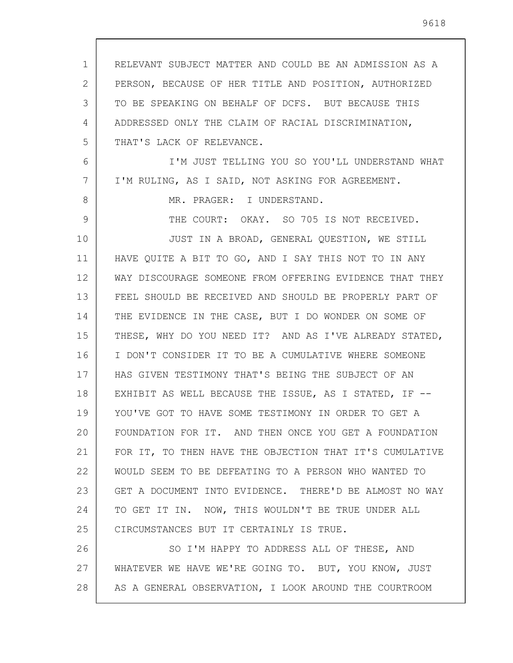1 2 3 4 5 6 7 8 9 10 11 12 13 14 15 16 17 18 19 20 21 22 23 24 25 26 27 28 RELEVANT SUBJECT MATTER AND COULD BE AN ADMISSION AS A PERSON, BECAUSE OF HER TITLE AND POSITION, AUTHORIZED TO BE SPEAKING ON BEHALF OF DCFS. BUT BECAUSE THIS ADDRESSED ONLY THE CLAIM OF RACIAL DISCRIMINATION, THAT'S LACK OF RELEVANCE. I'M JUST TELLING YOU SO YOU'LL UNDERSTAND WHAT I'M RULING, AS I SAID, NOT ASKING FOR AGREEMENT. MR. PRAGER: I UNDERSTAND. THE COURT: OKAY. SO 705 IS NOT RECEIVED. JUST IN A BROAD, GENERAL QUESTION, WE STILL HAVE QUITE A BIT TO GO, AND I SAY THIS NOT TO IN ANY WAY DISCOURAGE SOMEONE FROM OFFERING EVIDENCE THAT THEY FEEL SHOULD BE RECEIVED AND SHOULD BE PROPERLY PART OF THE EVIDENCE IN THE CASE, BUT I DO WONDER ON SOME OF THESE, WHY DO YOU NEED IT? AND AS I'VE ALREADY STATED, I DON'T CONSIDER IT TO BE A CUMULATIVE WHERE SOMEONE HAS GIVEN TESTIMONY THAT'S BEING THE SUBJECT OF AN EXHIBIT AS WELL BECAUSE THE ISSUE, AS I STATED, IF -- YOU'VE GOT TO HAVE SOME TESTIMONY IN ORDER TO GET A FOUNDATION FOR IT. AND THEN ONCE YOU GET A FOUNDATION FOR IT, TO THEN HAVE THE OBJECTION THAT IT'S CUMULATIVE WOULD SEEM TO BE DEFEATING TO A PERSON WHO WANTED TO GET A DOCUMENT INTO EVIDENCE. THERE'D BE ALMOST NO WAY TO GET IT IN. NOW, THIS WOULDN'T BE TRUE UNDER ALL CIRCUMSTANCES BUT IT CERTAINLY IS TRUE. SO I'M HAPPY TO ADDRESS ALL OF THESE, AND WHATEVER WE HAVE WE'RE GOING TO. BUT, YOU KNOW, JUST AS A GENERAL OBSERVATION, I LOOK AROUND THE COURTROOM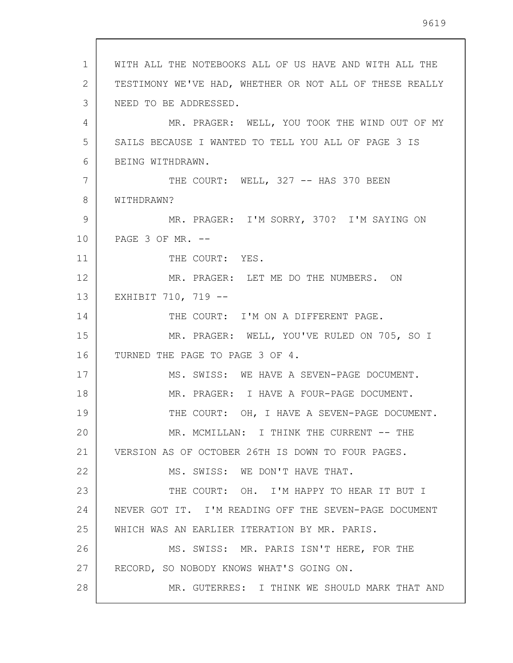| $\mathbf{1}$   | WITH ALL THE NOTEBOOKS ALL OF US HAVE AND WITH ALL THE  |
|----------------|---------------------------------------------------------|
| $\overline{2}$ | TESTIMONY WE'VE HAD, WHETHER OR NOT ALL OF THESE REALLY |
| 3              | NEED TO BE ADDRESSED.                                   |
| 4              | MR. PRAGER: WELL, YOU TOOK THE WIND OUT OF MY           |
| 5              | SAILS BECAUSE I WANTED TO TELL YOU ALL OF PAGE 3 IS     |
| 6              | BEING WITHDRAWN.                                        |
| 7              | THE COURT: WELL, 327 -- HAS 370 BEEN                    |
| 8              | WITHDRAWN?                                              |
| 9              | MR. PRAGER: I'M SORRY, 370? I'M SAYING ON               |
| 10             | PAGE 3 OF MR. $--$                                      |
| 11             | THE COURT: YES.                                         |
| 12             | MR. PRAGER: LET ME DO THE NUMBERS. ON                   |
| 13             | EXHIBIT 710, 719 --                                     |
| 14             | THE COURT: I'M ON A DIFFERENT PAGE.                     |
| 15             | MR. PRAGER: WELL, YOU'VE RULED ON 705, SO I             |
| 16             | TURNED THE PAGE TO PAGE 3 OF 4.                         |
| 17             | MS. SWISS: WE HAVE A SEVEN-PAGE DOCUMENT.               |
| 18             | MR. PRAGER: I HAVE A FOUR-PAGE DOCUMENT.                |
| 19             | THE COURT: OH, I HAVE A SEVEN-PAGE DOCUMENT.            |
| 20             | MR. MCMILLAN: I THINK THE CURRENT -- THE                |
| 21             | VERSION AS OF OCTOBER 26TH IS DOWN TO FOUR PAGES.       |
| 22             | MS. SWISS: WE DON'T HAVE THAT.                          |
| 23             | THE COURT: OH. I'M HAPPY TO HEAR IT BUT I               |
| 24             | NEVER GOT IT. I'M READING OFF THE SEVEN-PAGE DOCUMENT   |
| 25             | WHICH WAS AN EARLIER ITERATION BY MR. PARIS.            |
| 26             | MS. SWISS: MR. PARIS ISN'T HERE, FOR THE                |
| 27             | RECORD, SO NOBODY KNOWS WHAT'S GOING ON.                |
| 28             | MR. GUTERRES: I THINK WE SHOULD MARK THAT AND           |
|                |                                                         |

 $\sqrt{ }$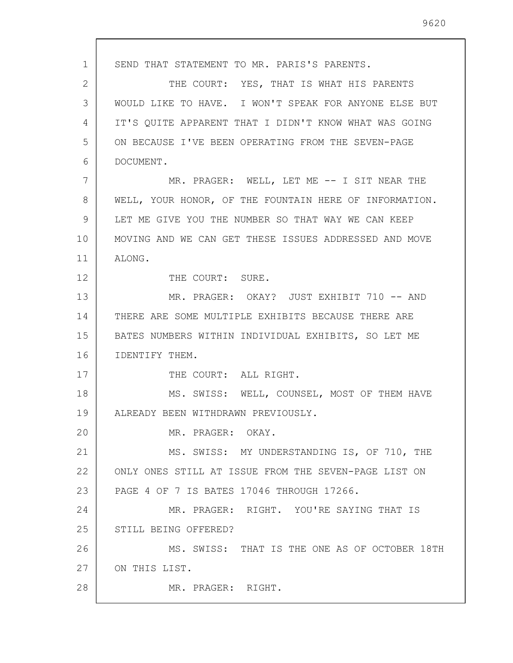1 2 3 4 5 6 7 8 9 10 11 12 13 14 15 16 17 18 19 20 21 22 23 24 25 26 27 28 SEND THAT STATEMENT TO MR. PARIS'S PARENTS. THE COURT: YES, THAT IS WHAT HIS PARENTS WOULD LIKE TO HAVE. I WON'T SPEAK FOR ANYONE ELSE BUT IT'S QUITE APPARENT THAT I DIDN'T KNOW WHAT WAS GOING ON BECAUSE I'VE BEEN OPERATING FROM THE SEVEN-PAGE DOCUMENT. MR. PRAGER: WELL, LET ME -- I SIT NEAR THE WELL, YOUR HONOR, OF THE FOUNTAIN HERE OF INFORMATION. LET ME GIVE YOU THE NUMBER SO THAT WAY WE CAN KEEP MOVING AND WE CAN GET THESE ISSUES ADDRESSED AND MOVE ALONG. THE COURT: SURE. MR. PRAGER: OKAY? JUST EXHIBIT 710 -- AND THERE ARE SOME MULTIPLE EXHIBITS BECAUSE THERE ARE BATES NUMBERS WITHIN INDIVIDUAL EXHIBITS, SO LET ME IDENTIFY THEM. THE COURT: ALL RIGHT. MS. SWISS: WELL, COUNSEL, MOST OF THEM HAVE ALREADY BEEN WITHDRAWN PREVIOUSLY. MR. PRAGER: OKAY. MS. SWISS: MY UNDERSTANDING IS, OF 710, THE ONLY ONES STILL AT ISSUE FROM THE SEVEN-PAGE LIST ON PAGE 4 OF 7 IS BATES 17046 THROUGH 17266. MR. PRAGER: RIGHT. YOU'RE SAYING THAT IS STILL BEING OFFERED? MS. SWISS: THAT IS THE ONE AS OF OCTOBER 18TH ON THIS LIST. MR. PRAGER: RIGHT.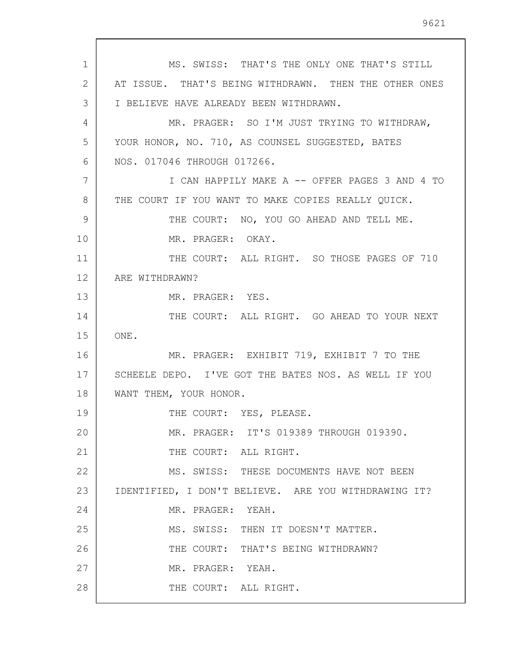1 2 3 4 5 6 7 8 9 10 11 12 13 14 15 16 17 18 19 20 21 22 23 24 25 26 27 28 MS. SWISS: THAT'S THE ONLY ONE THAT'S STILL AT ISSUE. THAT'S BEING WITHDRAWN. THEN THE OTHER ONES I BELIEVE HAVE ALREADY BEEN WITHDRAWN. MR. PRAGER: SO I'M JUST TRYING TO WITHDRAW, YOUR HONOR, NO. 710, AS COUNSEL SUGGESTED, BATES NOS. 017046 THROUGH 017266. I CAN HAPPILY MAKE A -- OFFER PAGES 3 AND 4 TO THE COURT IF YOU WANT TO MAKE COPIES REALLY QUICK. THE COURT: NO, YOU GO AHEAD AND TELL ME. MR. PRAGER: OKAY. THE COURT: ALL RIGHT. SO THOSE PAGES OF 710 ARE WITHDRAWN? MR. PRAGER: YES. THE COURT: ALL RIGHT. GO AHEAD TO YOUR NEXT ONE. MR. PRAGER: EXHIBIT 719, EXHIBIT 7 TO THE SCHEELE DEPO. I'VE GOT THE BATES NOS. AS WELL IF YOU WANT THEM, YOUR HONOR. THE COURT: YES, PLEASE. MR. PRAGER: IT'S 019389 THROUGH 019390. THE COURT: ALL RIGHT. MS. SWISS: THESE DOCUMENTS HAVE NOT BEEN IDENTIFIED, I DON'T BELIEVE. ARE YOU WITHDRAWING IT? MR. PRAGER: YEAH. MS. SWISS: THEN IT DOESN'T MATTER. THE COURT: THAT'S BEING WITHDRAWN? MR. PRAGER: YEAH. THE COURT: ALL RIGHT.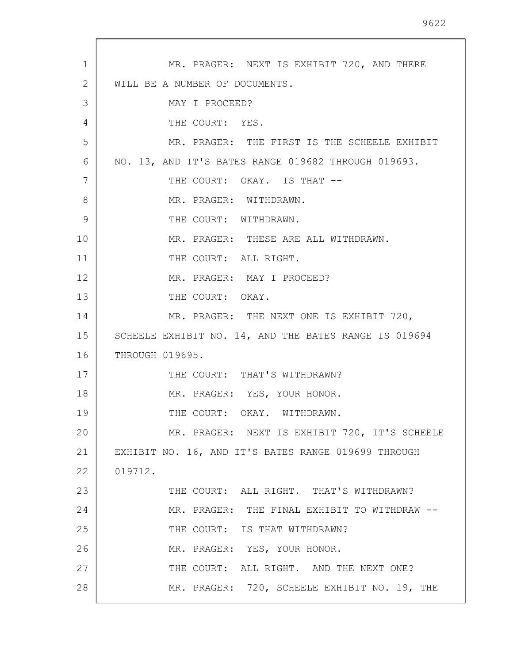| $\mathbf{1}$ | MR. PRAGER: NEXT IS EXHIBIT 720, AND THERE            |
|--------------|-------------------------------------------------------|
| 2            | WILL BE A NUMBER OF DOCUMENTS.                        |
| 3            | MAY I PROCEED?                                        |
| 4            | THE COURT: YES.                                       |
| 5            | MR. PRAGER: THE FIRST IS THE SCHEELE EXHIBIT          |
| 6            | NO. 13, AND IT'S BATES RANGE 019682 THROUGH 019693.   |
| 7            | THE COURT: OKAY. IS THAT --                           |
| 8            | MR. PRAGER: WITHDRAWN.                                |
| 9            | THE COURT: WITHDRAWN.                                 |
| 10           | MR. PRAGER: THESE ARE ALL WITHDRAWN.                  |
| 11           | THE COURT: ALL RIGHT.                                 |
| 12           | MR. PRAGER: MAY I PROCEED?                            |
| 13           | THE COURT: OKAY.                                      |
| 14           | MR. PRAGER: THE NEXT ONE IS EXHIBIT 720,              |
| 15           | SCHEELE EXHIBIT NO. 14, AND THE BATES RANGE IS 019694 |
| 16           | THROUGH 019695.                                       |
| 17           | THE COURT: THAT'S WITHDRAWN?                          |
| 18           | MR. PRAGER: YES, YOUR HONOR.                          |
| 19           | THE COURT: OKAY. WITHDRAWN.                           |
| 20           | MR. PRAGER: NEXT IS EXHIBIT 720, IT'S SCHEELE         |
| 21           | EXHIBIT NO. 16, AND IT'S BATES RANGE 019699 THROUGH   |
| 22           | 019712.                                               |
| 23           | THE COURT: ALL RIGHT. THAT'S WITHDRAWN?               |
| 24           | MR. PRAGER: THE FINAL EXHIBIT TO WITHDRAW --          |
| 25           | THE COURT: IS THAT WITHDRAWN?                         |
| 26           | MR. PRAGER: YES, YOUR HONOR.                          |
| 27           | THE COURT: ALL RIGHT. AND THE NEXT ONE?               |
| 28           | MR. PRAGER: 720, SCHEELE EXHIBIT NO. 19, THE          |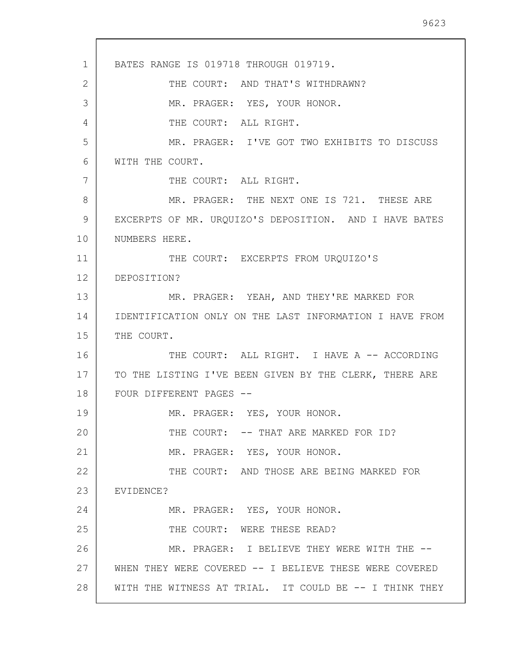1 2 3 4 5 6 7 8 9 10 11 12 13 14 15 16 17 18 19 20 21 22 23 24 25 26 27 28 BATES RANGE IS 019718 THROUGH 019719. THE COURT: AND THAT'S WITHDRAWN? MR. PRAGER: YES, YOUR HONOR. THE COURT: ALL RIGHT. MR. PRAGER: I'VE GOT TWO EXHIBITS TO DISCUSS WITH THE COURT. THE COURT: ALL RIGHT. MR. PRAGER: THE NEXT ONE IS 721. THESE ARE EXCERPTS OF MR. URQUIZO'S DEPOSITION. AND I HAVE BATES NUMBERS HERE. THE COURT: EXCERPTS FROM URQUIZO'S DEPOSITION? MR. PRAGER: YEAH, AND THEY'RE MARKED FOR IDENTIFICATION ONLY ON THE LAST INFORMATION I HAVE FROM THE COURT. THE COURT: ALL RIGHT. I HAVE A -- ACCORDING TO THE LISTING I'VE BEEN GIVEN BY THE CLERK, THERE ARE FOUR DIFFERENT PAGES -- MR. PRAGER: YES, YOUR HONOR. THE COURT: -- THAT ARE MARKED FOR ID? MR. PRAGER: YES, YOUR HONOR. THE COURT: AND THOSE ARE BEING MARKED FOR EVIDENCE? MR. PRAGER: YES, YOUR HONOR. THE COURT: WERE THESE READ? MR. PRAGER: I BELIEVE THEY WERE WITH THE --WHEN THEY WERE COVERED -- I BELIEVE THESE WERE COVERED WITH THE WITNESS AT TRIAL. IT COULD BE -- I THINK THEY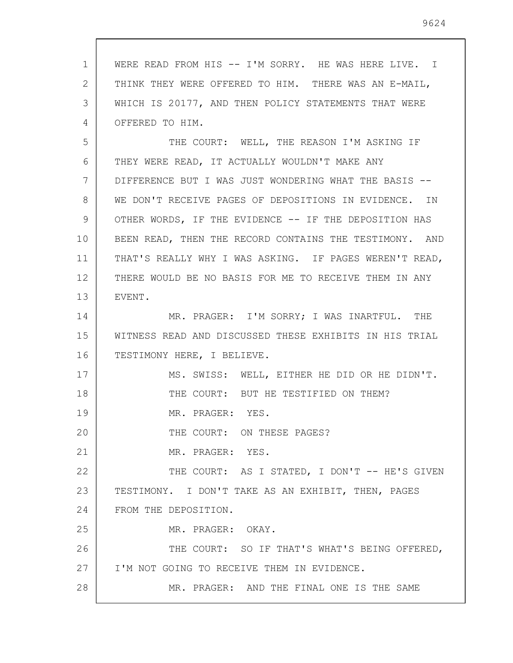| $\mathbf{1}$ | WERE READ FROM HIS -- I'M SORRY. HE WAS HERE LIVE. I   |
|--------------|--------------------------------------------------------|
| 2            | THINK THEY WERE OFFERED TO HIM. THERE WAS AN E-MAIL,   |
| 3            | WHICH IS 20177, AND THEN POLICY STATEMENTS THAT WERE   |
| 4            | OFFERED TO HIM.                                        |
| 5            | THE COURT: WELL, THE REASON I'M ASKING IF              |
| 6            | THEY WERE READ, IT ACTUALLY WOULDN'T MAKE ANY          |
| 7            | DIFFERENCE BUT I WAS JUST WONDERING WHAT THE BASIS --  |
| 8            | WE DON'T RECEIVE PAGES OF DEPOSITIONS IN EVIDENCE. IN  |
| 9            | OTHER WORDS, IF THE EVIDENCE -- IF THE DEPOSITION HAS  |
| 10           | BEEN READ, THEN THE RECORD CONTAINS THE TESTIMONY. AND |
| 11           | THAT'S REALLY WHY I WAS ASKING. IF PAGES WEREN'T READ, |
| 12           | THERE WOULD BE NO BASIS FOR ME TO RECEIVE THEM IN ANY  |
| 13           | EVENT.                                                 |
| 14           | MR. PRAGER: I'M SORRY; I WAS INARTFUL. THE             |
| 15           | WITNESS READ AND DISCUSSED THESE EXHIBITS IN HIS TRIAL |
| 16           | TESTIMONY HERE, I BELIEVE.                             |
| 17           | MS. SWISS: WELL, EITHER HE DID OR HE DIDN'T.           |
| 18           | THE COURT: BUT HE TESTIFIED ON THEM?                   |
| 19           | MR. PRAGER: YES.                                       |
| 20           | THE COURT: ON THESE PAGES?                             |
| 21           | MR. PRAGER: YES.                                       |
| 22           | THE COURT: AS I STATED, I DON'T -- HE'S GIVEN          |
| 23           | TESTIMONY. I DON'T TAKE AS AN EXHIBIT, THEN, PAGES     |
| 24           | FROM THE DEPOSITION.                                   |
| 25           | MR. PRAGER: OKAY.                                      |
| 26           | THE COURT: SO IF THAT'S WHAT'S BEING OFFERED,          |
| 27           | I'M NOT GOING TO RECEIVE THEM IN EVIDENCE.             |
| 28           | MR. PRAGER: AND THE FINAL ONE IS THE SAME              |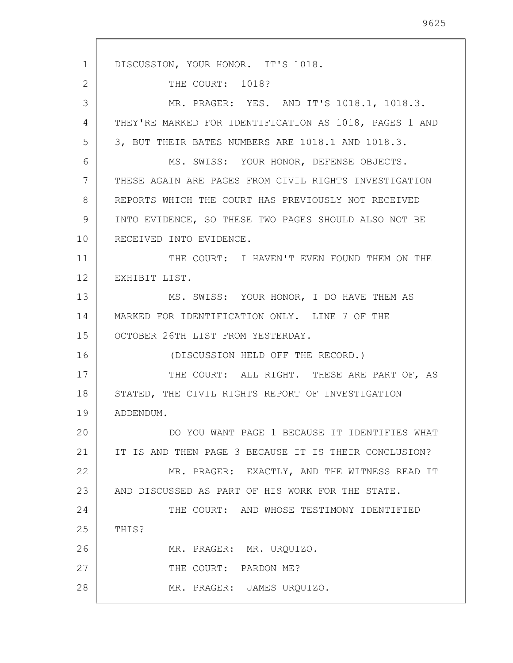1 2 3 4 5 6 7 8 9 10 11 12 13 14 15 16 17 18 19 20 21 22 23 24 25 26 27 28 DISCUSSION, YOUR HONOR. IT'S 1018. THE COURT: 1018? MR. PRAGER: YES. AND IT'S 1018.1, 1018.3. THEY'RE MARKED FOR IDENTIFICATION AS 1018, PAGES 1 AND 3, BUT THEIR BATES NUMBERS ARE 1018.1 AND 1018.3. MS. SWISS: YOUR HONOR, DEFENSE OBJECTS. THESE AGAIN ARE PAGES FROM CIVIL RIGHTS INVESTIGATION REPORTS WHICH THE COURT HAS PREVIOUSLY NOT RECEIVED INTO EVIDENCE, SO THESE TWO PAGES SHOULD ALSO NOT BE RECEIVED INTO EVIDENCE. THE COURT: I HAVEN'T EVEN FOUND THEM ON THE EXHIBIT LIST. MS. SWISS: YOUR HONOR, I DO HAVE THEM AS MARKED FOR IDENTIFICATION ONLY. LINE 7 OF THE OCTOBER 26TH LIST FROM YESTERDAY. (DISCUSSION HELD OFF THE RECORD.) THE COURT: ALL RIGHT. THESE ARE PART OF, AS STATED, THE CIVIL RIGHTS REPORT OF INVESTIGATION ADDENDUM. DO YOU WANT PAGE 1 BECAUSE IT IDENTIFIES WHAT IT IS AND THEN PAGE 3 BECAUSE IT IS THEIR CONCLUSION? MR. PRAGER: EXACTLY, AND THE WITNESS READ IT AND DISCUSSED AS PART OF HIS WORK FOR THE STATE. THE COURT: AND WHOSE TESTIMONY IDENTIFIED THIS? MR. PRAGER: MR. URQUIZO. THE COURT: PARDON ME? MR. PRAGER: JAMES URQUIZO.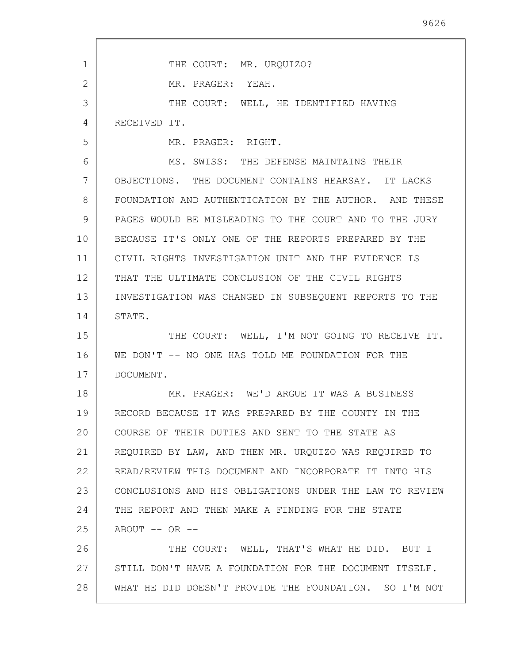1 2 3 4 5 6 7 8 9 10 11 12 13 14 15 16 17 18 19 20 21 22 23 24 25 26 27 28 THE COURT: MR. URQUIZO? MR. PRAGER: YEAH. THE COURT: WELL, HE IDENTIFIED HAVING RECEIVED IT. MR. PRAGER: RIGHT. MS. SWISS: THE DEFENSE MAINTAINS THEIR OBJECTIONS. THE DOCUMENT CONTAINS HEARSAY. IT LACKS FOUNDATION AND AUTHENTICATION BY THE AUTHOR. AND THESE PAGES WOULD BE MISLEADING TO THE COURT AND TO THE JURY BECAUSE IT'S ONLY ONE OF THE REPORTS PREPARED BY THE CIVIL RIGHTS INVESTIGATION UNIT AND THE EVIDENCE IS THAT THE ULTIMATE CONCLUSION OF THE CIVIL RIGHTS INVESTIGATION WAS CHANGED IN SUBSEQUENT REPORTS TO THE STATE. THE COURT: WELL, I'M NOT GOING TO RECEIVE IT. WE DON'T -- NO ONE HAS TOLD ME FOUNDATION FOR THE DOCUMENT. MR. PRAGER: WE'D ARGUE IT WAS A BUSINESS RECORD BECAUSE IT WAS PREPARED BY THE COUNTY IN THE COURSE OF THEIR DUTIES AND SENT TO THE STATE AS REQUIRED BY LAW, AND THEN MR. URQUIZO WAS REQUIRED TO READ/REVIEW THIS DOCUMENT AND INCORPORATE IT INTO HIS CONCLUSIONS AND HIS OBLIGATIONS UNDER THE LAW TO REVIEW THE REPORT AND THEN MAKE A FINDING FOR THE STATE  $ABOUT$  --  $OR$  --THE COURT: WELL, THAT'S WHAT HE DID. BUT I STILL DON'T HAVE A FOUNDATION FOR THE DOCUMENT ITSELF. WHAT HE DID DOESN'T PROVIDE THE FOUNDATION. SO I'M NOT

9626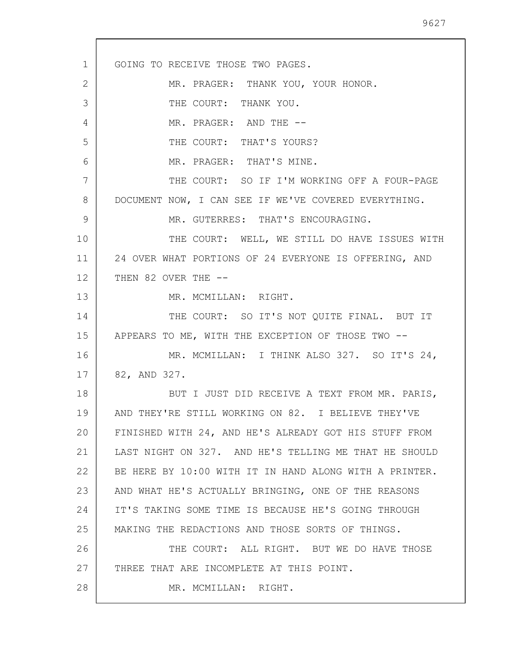1 2 3 4 5 6 7 8 9 10 11 12 13 14 15 16 17 18 19 20 21 22 23 24 25 26 27 28 GOING TO RECEIVE THOSE TWO PAGES. MR. PRAGER: THANK YOU, YOUR HONOR. THE COURT: THANK YOU. MR. PRAGER: AND THE --THE COURT: THAT'S YOURS? MR. PRAGER: THAT'S MINE. THE COURT: SO IF I'M WORKING OFF A FOUR-PAGE DOCUMENT NOW, I CAN SEE IF WE'VE COVERED EVERYTHING. MR. GUTERRES: THAT'S ENCOURAGING. THE COURT: WELL, WE STILL DO HAVE ISSUES WITH 24 OVER WHAT PORTIONS OF 24 EVERYONE IS OFFERING, AND THEN 82 OVER THE  $--$ MR. MCMILLAN: RIGHT. THE COURT: SO IT'S NOT QUITE FINAL. BUT IT APPEARS TO ME, WITH THE EXCEPTION OF THOSE TWO -- MR. MCMILLAN: I THINK ALSO 327. SO IT'S 24, 82, AND 327. BUT I JUST DID RECEIVE A TEXT FROM MR. PARIS, AND THEY'RE STILL WORKING ON 82. I BELIEVE THEY'VE FINISHED WITH 24, AND HE'S ALREADY GOT HIS STUFF FROM LAST NIGHT ON 327. AND HE'S TELLING ME THAT HE SHOULD BE HERE BY 10:00 WITH IT IN HAND ALONG WITH A PRINTER. AND WHAT HE'S ACTUALLY BRINGING, ONE OF THE REASONS IT'S TAKING SOME TIME IS BECAUSE HE'S GOING THROUGH MAKING THE REDACTIONS AND THOSE SORTS OF THINGS. THE COURT: ALL RIGHT. BUT WE DO HAVE THOSE THREE THAT ARE INCOMPLETE AT THIS POINT. MR. MCMILLAN: RIGHT.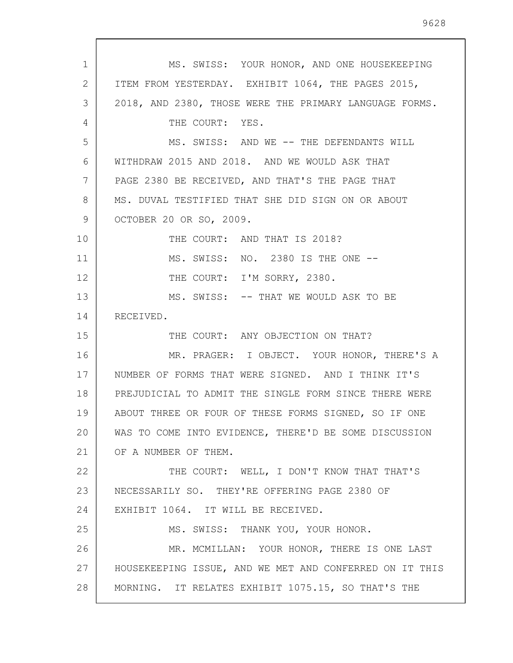1 2 3 4 5 6 7 8 9 10 11 12 13 14 15 16 17 18 19 20 21 22 23 24 25 26 27 28 MS. SWISS: YOUR HONOR, AND ONE HOUSEKEEPING ITEM FROM YESTERDAY. EXHIBIT 1064, THE PAGES 2015, 2018, AND 2380, THOSE WERE THE PRIMARY LANGUAGE FORMS. THE COURT: YES. MS. SWISS: AND WE -- THE DEFENDANTS WILL WITHDRAW 2015 AND 2018. AND WE WOULD ASK THAT PAGE 2380 BE RECEIVED, AND THAT'S THE PAGE THAT MS. DUVAL TESTIFIED THAT SHE DID SIGN ON OR ABOUT OCTOBER 20 OR SO, 2009. THE COURT: AND THAT IS 2018? MS. SWISS: NO. 2380 IS THE ONE -- THE COURT: I'M SORRY, 2380. MS. SWISS: -- THAT WE WOULD ASK TO BE RECEIVED. THE COURT: ANY OBJECTION ON THAT? MR. PRAGER: I OBJECT. YOUR HONOR, THERE'S A NUMBER OF FORMS THAT WERE SIGNED. AND I THINK IT'S PREJUDICIAL TO ADMIT THE SINGLE FORM SINCE THERE WERE ABOUT THREE OR FOUR OF THESE FORMS SIGNED, SO IF ONE WAS TO COME INTO EVIDENCE, THERE'D BE SOME DISCUSSION OF A NUMBER OF THEM. THE COURT: WELL, I DON'T KNOW THAT THAT'S NECESSARILY SO. THEY'RE OFFERING PAGE 2380 OF EXHIBIT 1064. IT WILL BE RECEIVED. MS. SWISS: THANK YOU, YOUR HONOR. MR. MCMILLAN: YOUR HONOR, THERE IS ONE LAST HOUSEKEEPING ISSUE, AND WE MET AND CONFERRED ON IT THIS MORNING. IT RELATES EXHIBIT 1075.15, SO THAT'S THE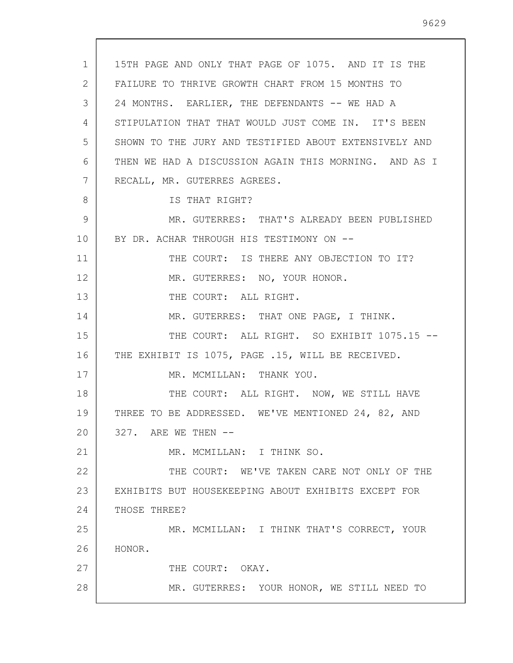15TH PAGE AND ONLY THAT PAGE OF 1075. AND IT IS THE FAILURE TO THRIVE GROWTH CHART FROM 15 MONTHS TO 24 MONTHS. EARLIER, THE DEFENDANTS -- WE HAD A STIPULATION THAT THAT WOULD JUST COME IN. IT'S BEEN SHOWN TO THE JURY AND TESTIFIED ABOUT EXTENSIVELY AND THEN WE HAD A DISCUSSION AGAIN THIS MORNING. AND AS I RECALL, MR. GUTERRES AGREES. MR. GUTERRES: THAT'S ALREADY BEEN PUBLISHED

IS THAT RIGHT?

1

2

3

4

5

6

7

8

9 10 11 12 13 14 15 16 17 18 19 20 21 22 23 24 25 26 27 28 BY DR. ACHAR THROUGH HIS TESTIMONY ON -- THE COURT: IS THERE ANY OBJECTION TO IT? MR. GUTERRES: NO, YOUR HONOR. THE COURT: ALL RIGHT. MR. GUTERRES: THAT ONE PAGE, I THINK. THE COURT: ALL RIGHT. SO EXHIBIT 1075.15 --THE EXHIBIT IS 1075, PAGE .15, WILL BE RECEIVED. MR. MCMILLAN: THANK YOU. THE COURT: ALL RIGHT. NOW, WE STILL HAVE THREE TO BE ADDRESSED. WE'VE MENTIONED 24, 82, AND 327. ARE WE THEN -- MR. MCMILLAN: I THINK SO. THE COURT: WE'VE TAKEN CARE NOT ONLY OF THE EXHIBITS BUT HOUSEKEEPING ABOUT EXHIBITS EXCEPT FOR THOSE THREE? MR. MCMILLAN: I THINK THAT'S CORRECT, YOUR HONOR. THE COURT: OKAY. MR. GUTERRES: YOUR HONOR, WE STILL NEED TO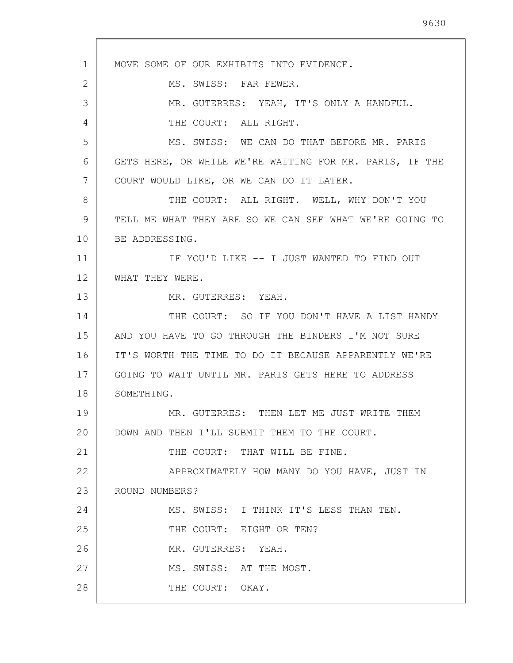1 2 3 4 5 6 7 8 9 10 11 12 13 14 15 16 17 18 19 20 21 22 23 24 25 26 27 28 MOVE SOME OF OUR EXHIBITS INTO EVIDENCE. MS. SWISS: FAR FEWER. MR. GUTERRES: YEAH, IT'S ONLY A HANDFUL. THE COURT: ALL RIGHT. MS. SWISS: WE CAN DO THAT BEFORE MR. PARIS GETS HERE, OR WHILE WE'RE WAITING FOR MR. PARIS, IF THE COURT WOULD LIKE, OR WE CAN DO IT LATER. THE COURT: ALL RIGHT. WELL, WHY DON'T YOU TELL ME WHAT THEY ARE SO WE CAN SEE WHAT WE'RE GOING TO BE ADDRESSING. IF YOU'D LIKE -- I JUST WANTED TO FIND OUT WHAT THEY WERE. MR. GUTERRES: YEAH. THE COURT: SO IF YOU DON'T HAVE A LIST HANDY AND YOU HAVE TO GO THROUGH THE BINDERS I'M NOT SURE IT'S WORTH THE TIME TO DO IT BECAUSE APPARENTLY WE'RE GOING TO WAIT UNTIL MR. PARIS GETS HERE TO ADDRESS SOMETHING. MR. GUTERRES: THEN LET ME JUST WRITE THEM DOWN AND THEN I'LL SUBMIT THEM TO THE COURT. THE COURT: THAT WILL BE FINE. APPROXIMATELY HOW MANY DO YOU HAVE, JUST IN ROUND NUMBERS? MS. SWISS: I THINK IT'S LESS THAN TEN. THE COURT: EIGHT OR TEN? MR. GUTERRES: YEAH. MS. SWISS: AT THE MOST. THE COURT: OKAY.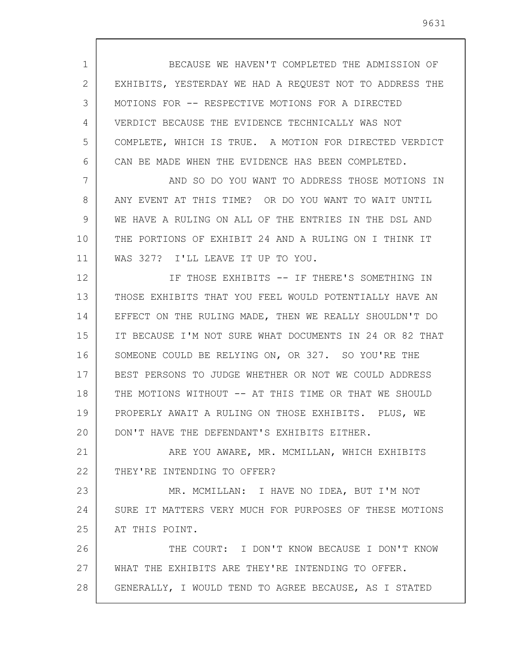1 2 3 4 5 6 BECAUSE WE HAVEN'T COMPLETED THE ADMISSION OF EXHIBITS, YESTERDAY WE HAD A REQUEST NOT TO ADDRESS THE MOTIONS FOR -- RESPECTIVE MOTIONS FOR A DIRECTED VERDICT BECAUSE THE EVIDENCE TECHNICALLY WAS NOT COMPLETE, WHICH IS TRUE. A MOTION FOR DIRECTED VERDICT CAN BE MADE WHEN THE EVIDENCE HAS BEEN COMPLETED.

7 8 9 10 11 AND SO DO YOU WANT TO ADDRESS THOSE MOTIONS IN ANY EVENT AT THIS TIME? OR DO YOU WANT TO WAIT UNTIL WE HAVE A RULING ON ALL OF THE ENTRIES IN THE DSL AND THE PORTIONS OF EXHIBIT 24 AND A RULING ON I THINK IT WAS 327? I'LL LEAVE IT UP TO YOU.

12 13 14 15 16 17 18 19 20 IF THOSE EXHIBITS -- IF THERE'S SOMETHING IN THOSE EXHIBITS THAT YOU FEEL WOULD POTENTIALLY HAVE AN EFFECT ON THE RULING MADE, THEN WE REALLY SHOULDN'T DO IT BECAUSE I'M NOT SURE WHAT DOCUMENTS IN 24 OR 82 THAT SOMEONE COULD BE RELYING ON, OR 327. SO YOU'RE THE BEST PERSONS TO JUDGE WHETHER OR NOT WE COULD ADDRESS THE MOTIONS WITHOUT -- AT THIS TIME OR THAT WE SHOULD PROPERLY AWAIT A RULING ON THOSE EXHIBITS. PLUS, WE DON'T HAVE THE DEFENDANT'S EXHIBITS EITHER.

21 22 ARE YOU AWARE, MR. MCMILLAN, WHICH EXHIBITS THEY'RE INTENDING TO OFFER?

23 24 25 MR. MCMILLAN: I HAVE NO IDEA, BUT I'M NOT SURE IT MATTERS VERY MUCH FOR PURPOSES OF THESE MOTIONS AT THIS POINT.

26 27 28 THE COURT: I DON'T KNOW BECAUSE I DON'T KNOW WHAT THE EXHIBITS ARE THEY'RE INTENDING TO OFFER. GENERALLY, I WOULD TEND TO AGREE BECAUSE, AS I STATED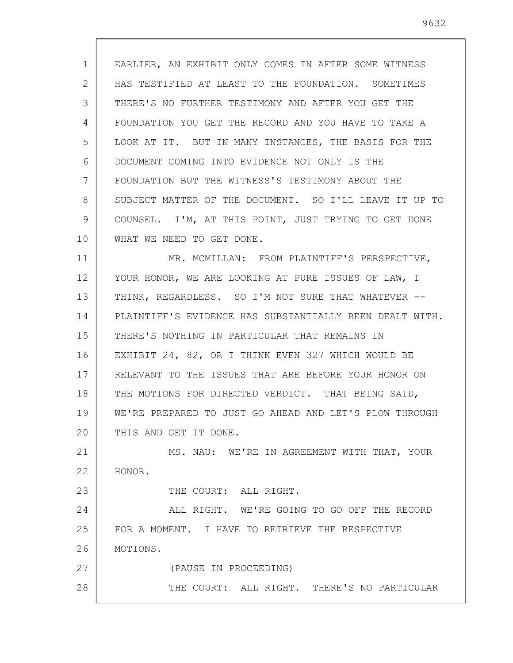1 2 3 4 5 6 7 8 9 10 11 12 13 14 15 16 17 18 19 20 21 22 23 24 25 26 27 28 EARLIER, AN EXHIBIT ONLY COMES IN AFTER SOME WITNESS HAS TESTIFIED AT LEAST TO THE FOUNDATION. SOMETIMES THERE'S NO FURTHER TESTIMONY AND AFTER YOU GET THE FOUNDATION YOU GET THE RECORD AND YOU HAVE TO TAKE A LOOK AT IT. BUT IN MANY INSTANCES, THE BASIS FOR THE DOCUMENT COMING INTO EVIDENCE NOT ONLY IS THE FOUNDATION BUT THE WITNESS'S TESTIMONY ABOUT THE SUBJECT MATTER OF THE DOCUMENT. SO I'LL LEAVE IT UP TO COUNSEL. I'M, AT THIS POINT, JUST TRYING TO GET DONE WHAT WE NEED TO GET DONE. MR. MCMILLAN: FROM PLAINTIFF'S PERSPECTIVE, YOUR HONOR, WE ARE LOOKING AT PURE ISSUES OF LAW, I THINK, REGARDLESS. SO I'M NOT SURE THAT WHATEVER -- PLAINTIFF'S EVIDENCE HAS SUBSTANTIALLY BEEN DEALT WITH. THERE'S NOTHING IN PARTICULAR THAT REMAINS IN EXHIBIT 24, 82, OR I THINK EVEN 327 WHICH WOULD BE RELEVANT TO THE ISSUES THAT ARE BEFORE YOUR HONOR ON THE MOTIONS FOR DIRECTED VERDICT. THAT BEING SAID, WE'RE PREPARED TO JUST GO AHEAD AND LET'S PLOW THROUGH THIS AND GET IT DONE. MS. NAU: WE'RE IN AGREEMENT WITH THAT, YOUR HONOR. THE COURT: ALL RIGHT. ALL RIGHT. WE'RE GOING TO GO OFF THE RECORD FOR A MOMENT. I HAVE TO RETRIEVE THE RESPECTIVE MOTIONS. (PAUSE IN PROCEEDING) THE COURT: ALL RIGHT. THERE'S NO PARTICULAR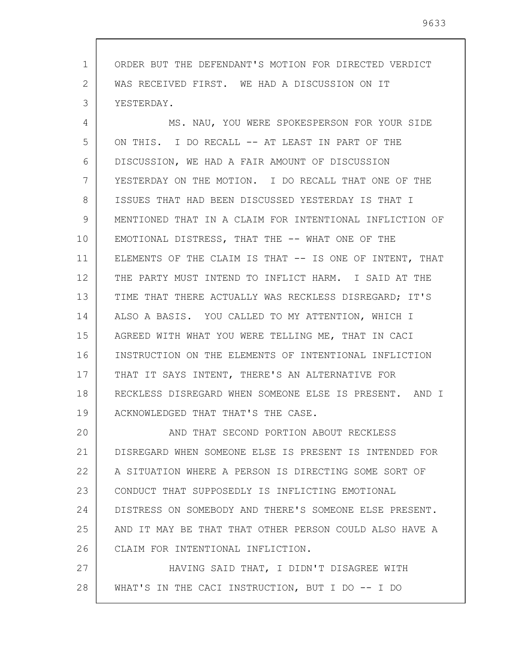1 2 3 ORDER BUT THE DEFENDANT'S MOTION FOR DIRECTED VERDICT WAS RECEIVED FIRST. WE HAD A DISCUSSION ON IT YESTERDAY.

4 5 6 7 8 9 10 11 12 13 14 15 16 17 18 19 MS. NAU, YOU WERE SPOKESPERSON FOR YOUR SIDE ON THIS. I DO RECALL -- AT LEAST IN PART OF THE DISCUSSION, WE HAD A FAIR AMOUNT OF DISCUSSION YESTERDAY ON THE MOTION. I DO RECALL THAT ONE OF THE ISSUES THAT HAD BEEN DISCUSSED YESTERDAY IS THAT I MENTIONED THAT IN A CLAIM FOR INTENTIONAL INFLICTION OF EMOTIONAL DISTRESS, THAT THE -- WHAT ONE OF THE ELEMENTS OF THE CLAIM IS THAT -- IS ONE OF INTENT, THAT THE PARTY MUST INTEND TO INFLICT HARM. I SAID AT THE TIME THAT THERE ACTUALLY WAS RECKLESS DISREGARD; IT'S ALSO A BASIS. YOU CALLED TO MY ATTENTION, WHICH I AGREED WITH WHAT YOU WERE TELLING ME, THAT IN CACI INSTRUCTION ON THE ELEMENTS OF INTENTIONAL INFLICTION THAT IT SAYS INTENT, THERE'S AN ALTERNATIVE FOR RECKLESS DISREGARD WHEN SOMEONE ELSE IS PRESENT. AND I ACKNOWLEDGED THAT THAT'S THE CASE.

20 21 22 23 24 25 26 27 AND THAT SECOND PORTION ABOUT RECKLESS DISREGARD WHEN SOMEONE ELSE IS PRESENT IS INTENDED FOR A SITUATION WHERE A PERSON IS DIRECTING SOME SORT OF CONDUCT THAT SUPPOSEDLY IS INFLICTING EMOTIONAL DISTRESS ON SOMEBODY AND THERE'S SOMEONE ELSE PRESENT. AND IT MAY BE THAT THAT OTHER PERSON COULD ALSO HAVE A CLAIM FOR INTENTIONAL INFLICTION. HAVING SAID THAT, I DIDN'T DISAGREE WITH

28 WHAT'S IN THE CACI INSTRUCTION, BUT I DO -- I DO 9633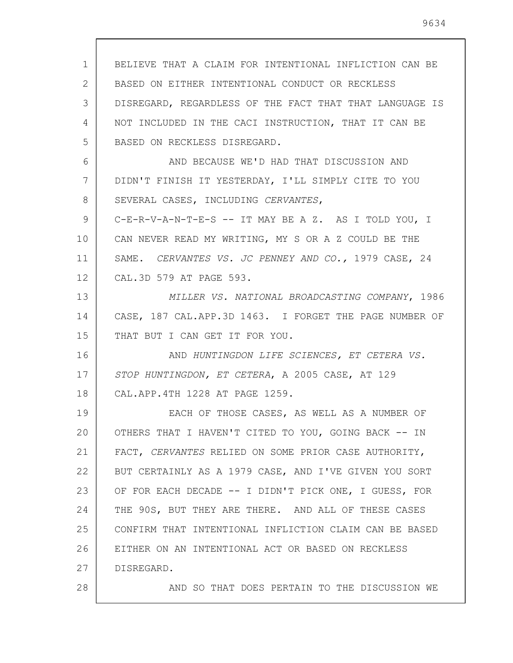| $\mathbf 1$    | BELIEVE THAT A CLAIM FOR INTENTIONAL INFLICTION CAN BE  |
|----------------|---------------------------------------------------------|
| $\overline{2}$ | BASED ON EITHER INTENTIONAL CONDUCT OR RECKLESS         |
| 3              | DISREGARD, REGARDLESS OF THE FACT THAT THAT LANGUAGE IS |
| 4              | NOT INCLUDED IN THE CACI INSTRUCTION, THAT IT CAN BE    |
| 5              | BASED ON RECKLESS DISREGARD.                            |
| 6              | AND BECAUSE WE'D HAD THAT DISCUSSION AND                |
| 7              | DIDN'T FINISH IT YESTERDAY, I'LL SIMPLY CITE TO YOU     |
| 8              | SEVERAL CASES, INCLUDING CERVANTES,                     |
| 9              | C-E-R-V-A-N-T-E-S -- IT MAY BE A Z. AS I TOLD YOU, I    |
| 10             | CAN NEVER READ MY WRITING, MY S OR A Z COULD BE THE     |
| 11             | SAME. CERVANTES VS. JC PENNEY AND CO., 1979 CASE, 24    |
| 12             | CAL.3D 579 AT PAGE 593.                                 |
| 13             | MILLER VS. NATIONAL BROADCASTING COMPANY, 1986          |
| 14             | CASE, 187 CAL.APP.3D 1463. I FORGET THE PAGE NUMBER OF  |
| 15             | THAT BUT I CAN GET IT FOR YOU.                          |
| 16             | AND HUNTINGDON LIFE SCIENCES, ET CETERA VS.             |
| 17             | STOP HUNTINGDON, ET CETERA, A 2005 CASE, AT 129         |
| 18             | CAL. APP. 4TH 1228 AT PAGE 1259.                        |
| 19             | EACH OF THOSE CASES, AS WELL AS A NUMBER OF             |
| 20             | OTHERS THAT I HAVEN'T CITED TO YOU, GOING BACK -- IN    |
| 21             | FACT, CERVANTES RELIED ON SOME PRIOR CASE AUTHORITY,    |
| 22             | BUT CERTAINLY AS A 1979 CASE, AND I'VE GIVEN YOU SORT   |
| 23             | OF FOR EACH DECADE -- I DIDN'T PICK ONE, I GUESS, FOR   |
| 24             | THE 90S, BUT THEY ARE THERE. AND ALL OF THESE CASES     |
| 25             | CONFIRM THAT INTENTIONAL INFLICTION CLAIM CAN BE BASED  |
| 26             | EITHER ON AN INTENTIONAL ACT OR BASED ON RECKLESS       |
| 27             | DISREGARD.                                              |
| 28             | AND SO THAT DOES PERTAIN TO THE DISCUSSION WE           |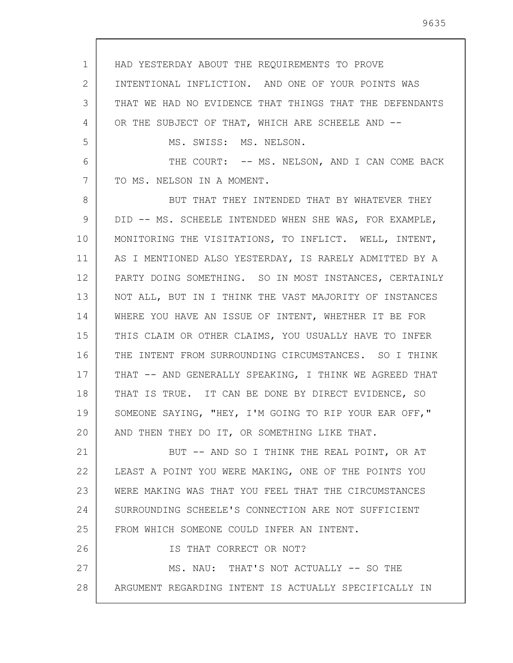1 2 3 4 5 6 7 8 9 10 11 12 13 14 15 16 17 18 19 20 21 22 23 24 25 26 27 28 HAD YESTERDAY ABOUT THE REQUIREMENTS TO PROVE INTENTIONAL INFLICTION. AND ONE OF YOUR POINTS WAS THAT WE HAD NO EVIDENCE THAT THINGS THAT THE DEFENDANTS OR THE SUBJECT OF THAT, WHICH ARE SCHEELE AND --MS. SWISS: MS. NELSON. THE COURT: -- MS. NELSON, AND I CAN COME BACK TO MS. NELSON IN A MOMENT. BUT THAT THEY INTENDED THAT BY WHATEVER THEY DID -- MS. SCHEELE INTENDED WHEN SHE WAS, FOR EXAMPLE, MONITORING THE VISITATIONS, TO INFLICT. WELL, INTENT, AS I MENTIONED ALSO YESTERDAY, IS RARELY ADMITTED BY A PARTY DOING SOMETHING. SO IN MOST INSTANCES, CERTAINLY NOT ALL, BUT IN I THINK THE VAST MAJORITY OF INSTANCES WHERE YOU HAVE AN ISSUE OF INTENT, WHETHER IT BE FOR THIS CLAIM OR OTHER CLAIMS, YOU USUALLY HAVE TO INFER THE INTENT FROM SURROUNDING CIRCUMSTANCES. SO I THINK THAT -- AND GENERALLY SPEAKING, I THINK WE AGREED THAT THAT IS TRUE. IT CAN BE DONE BY DIRECT EVIDENCE, SO SOMEONE SAYING, "HEY, I'M GOING TO RIP YOUR EAR OFF," AND THEN THEY DO IT, OR SOMETHING LIKE THAT. BUT -- AND SO I THINK THE REAL POINT, OR AT LEAST A POINT YOU WERE MAKING, ONE OF THE POINTS YOU WERE MAKING WAS THAT YOU FEEL THAT THE CIRCUMSTANCES SURROUNDING SCHEELE'S CONNECTION ARE NOT SUFFICIENT FROM WHICH SOMEONE COULD INFER AN INTENT. IS THAT CORRECT OR NOT? MS. NAU: THAT'S NOT ACTUALLY -- SO THE ARGUMENT REGARDING INTENT IS ACTUALLY SPECIFICALLY IN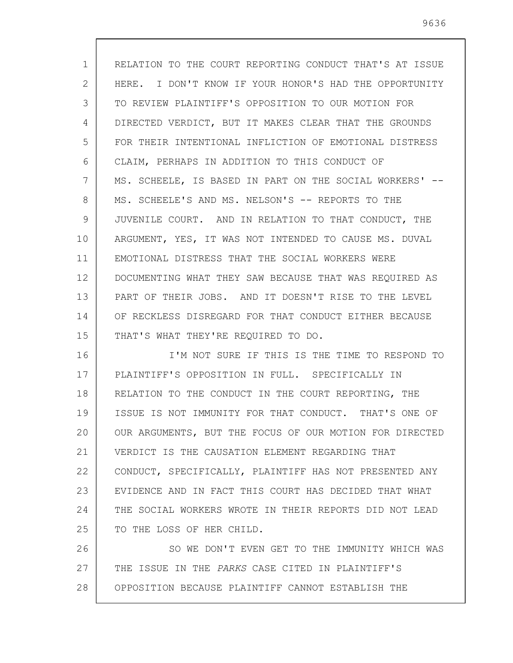1 2 3 4 5 6 7 8 9 10 11 12 13 14 15 16 17 18 19 20 21 RELATION TO THE COURT REPORTING CONDUCT THAT'S AT ISSUE HERE. I DON'T KNOW IF YOUR HONOR'S HAD THE OPPORTUNITY TO REVIEW PLAINTIFF'S OPPOSITION TO OUR MOTION FOR DIRECTED VERDICT, BUT IT MAKES CLEAR THAT THE GROUNDS FOR THEIR INTENTIONAL INFLICTION OF EMOTIONAL DISTRESS CLAIM, PERHAPS IN ADDITION TO THIS CONDUCT OF MS. SCHEELE, IS BASED IN PART ON THE SOCIAL WORKERS' -- MS. SCHEELE'S AND MS. NELSON'S -- REPORTS TO THE JUVENILE COURT. AND IN RELATION TO THAT CONDUCT, THE ARGUMENT, YES, IT WAS NOT INTENDED TO CAUSE MS. DUVAL EMOTIONAL DISTRESS THAT THE SOCIAL WORKERS WERE DOCUMENTING WHAT THEY SAW BECAUSE THAT WAS REQUIRED AS PART OF THEIR JOBS. AND IT DOESN'T RISE TO THE LEVEL OF RECKLESS DISREGARD FOR THAT CONDUCT EITHER BECAUSE THAT'S WHAT THEY'RE REQUIRED TO DO. I'M NOT SURE IF THIS IS THE TIME TO RESPOND TO PLAINTIFF'S OPPOSITION IN FULL. SPECIFICALLY IN RELATION TO THE CONDUCT IN THE COURT REPORTING, THE ISSUE IS NOT IMMUNITY FOR THAT CONDUCT. THAT'S ONE OF OUR ARGUMENTS, BUT THE FOCUS OF OUR MOTION FOR DIRECTED VERDICT IS THE CAUSATION ELEMENT REGARDING THAT

22 23 24 25 CONDUCT, SPECIFICALLY, PLAINTIFF HAS NOT PRESENTED ANY EVIDENCE AND IN FACT THIS COURT HAS DECIDED THAT WHAT THE SOCIAL WORKERS WROTE IN THEIR REPORTS DID NOT LEAD TO THE LOSS OF HER CHILD.

26 27 28 SO WE DON'T EVEN GET TO THE IMMUNITY WHICH WAS THE ISSUE IN THE PARKS CASE CITED IN PLAINTIFF'S OPPOSITION BECAUSE PLAINTIFF CANNOT ESTABLISH THE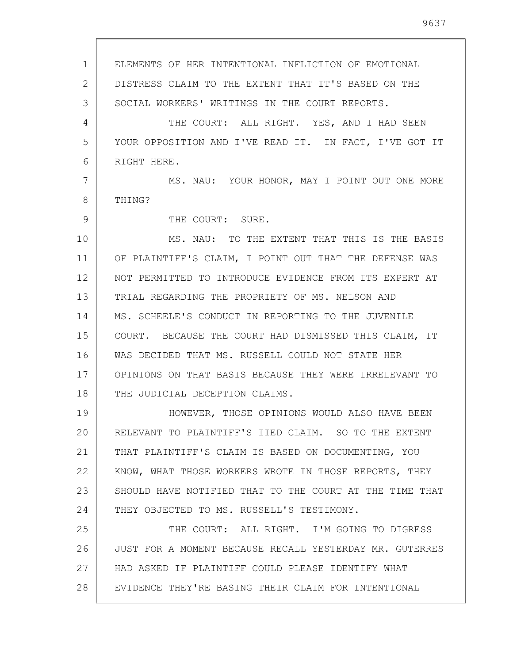1 2 3 4 5 6 7 8 9 10 11 12 13 14 15 16 17 18 19 20 21 22 23 24 25 26 27 28 ELEMENTS OF HER INTENTIONAL INFLICTION OF EMOTIONAL DISTRESS CLAIM TO THE EXTENT THAT IT'S BASED ON THE SOCIAL WORKERS' WRITINGS IN THE COURT REPORTS. THE COURT: ALL RIGHT. YES, AND I HAD SEEN YOUR OPPOSITION AND I'VE READ IT. IN FACT, I'VE GOT IT RIGHT HERE. MS. NAU: YOUR HONOR, MAY I POINT OUT ONE MORE THING? THE COURT: SURE. MS. NAU: TO THE EXTENT THAT THIS IS THE BASIS OF PLAINTIFF'S CLAIM, I POINT OUT THAT THE DEFENSE WAS NOT PERMITTED TO INTRODUCE EVIDENCE FROM ITS EXPERT AT TRIAL REGARDING THE PROPRIETY OF MS. NELSON AND MS. SCHEELE'S CONDUCT IN REPORTING TO THE JUVENILE COURT. BECAUSE THE COURT HAD DISMISSED THIS CLAIM, IT WAS DECIDED THAT MS. RUSSELL COULD NOT STATE HER OPINIONS ON THAT BASIS BECAUSE THEY WERE IRRELEVANT TO THE JUDICIAL DECEPTION CLAIMS. HOWEVER, THOSE OPINIONS WOULD ALSO HAVE BEEN RELEVANT TO PLAINTIFF'S IIED CLAIM. SO TO THE EXTENT THAT PLAINTIFF'S CLAIM IS BASED ON DOCUMENTING, YOU KNOW, WHAT THOSE WORKERS WROTE IN THOSE REPORTS, THEY SHOULD HAVE NOTIFIED THAT TO THE COURT AT THE TIME THAT THEY OBJECTED TO MS. RUSSELL'S TESTIMONY. THE COURT: ALL RIGHT. I'M GOING TO DIGRESS JUST FOR A MOMENT BECAUSE RECALL YESTERDAY MR. GUTERRES HAD ASKED IF PLAINTIFF COULD PLEASE IDENTIFY WHAT EVIDENCE THEY'RE BASING THEIR CLAIM FOR INTENTIONAL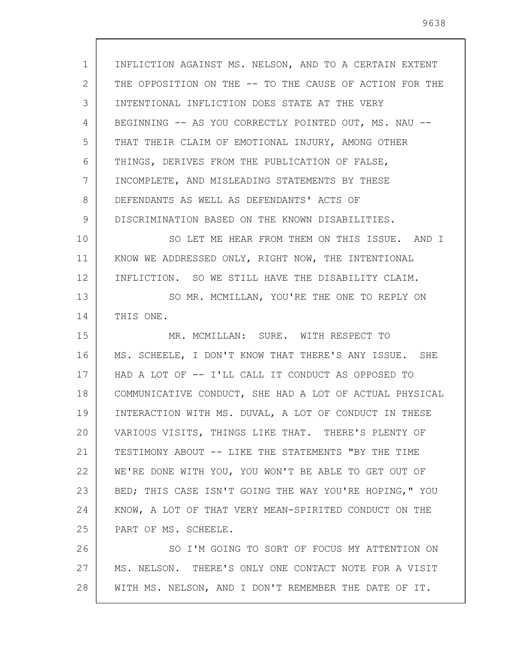1 2 3 4 5 6 7 8 9 10 11 12 13 14 15 16 17 18 19 20 21 22 23 24 25 26 27 28 INFLICTION AGAINST MS. NELSON, AND TO A CERTAIN EXTENT THE OPPOSITION ON THE -- TO THE CAUSE OF ACTION FOR THE INTENTIONAL INFLICTION DOES STATE AT THE VERY BEGINNING -- AS YOU CORRECTLY POINTED OUT, MS. NAU -- THAT THEIR CLAIM OF EMOTIONAL INJURY, AMONG OTHER THINGS, DERIVES FROM THE PUBLICATION OF FALSE, INCOMPLETE, AND MISLEADING STATEMENTS BY THESE DEFENDANTS AS WELL AS DEFENDANTS' ACTS OF DISCRIMINATION BASED ON THE KNOWN DISABILITIES. SO LET ME HEAR FROM THEM ON THIS ISSUE. AND I KNOW WE ADDRESSED ONLY, RIGHT NOW, THE INTENTIONAL INFLICTION. SO WE STILL HAVE THE DISABILITY CLAIM. SO MR. MCMILLAN, YOU'RE THE ONE TO REPLY ON THIS ONE. MR. MCMILLAN: SURE. WITH RESPECT TO MS. SCHEELE, I DON'T KNOW THAT THERE'S ANY ISSUE. SHE HAD A LOT OF -- I'LL CALL IT CONDUCT AS OPPOSED TO COMMUNICATIVE CONDUCT, SHE HAD A LOT OF ACTUAL PHYSICAL INTERACTION WITH MS. DUVAL, A LOT OF CONDUCT IN THESE VARIOUS VISITS, THINGS LIKE THAT. THERE'S PLENTY OF TESTIMONY ABOUT -- LIKE THE STATEMENTS "BY THE TIME WE'RE DONE WITH YOU, YOU WON'T BE ABLE TO GET OUT OF BED; THIS CASE ISN'T GOING THE WAY YOU'RE HOPING," YOU KNOW, A LOT OF THAT VERY MEAN-SPIRITED CONDUCT ON THE PART OF MS. SCHEELE. SO I'M GOING TO SORT OF FOCUS MY ATTENTION ON MS. NELSON. THERE'S ONLY ONE CONTACT NOTE FOR A VISIT WITH MS. NELSON, AND I DON'T REMEMBER THE DATE OF IT.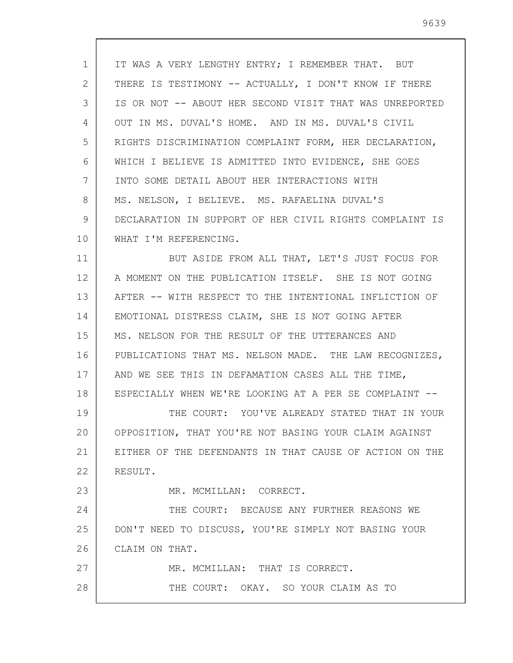1 2 3 4 5 6 7 8 9 10 IT WAS A VERY LENGTHY ENTRY; I REMEMBER THAT. BUT THERE IS TESTIMONY -- ACTUALLY, I DON'T KNOW IF THERE IS OR NOT -- ABOUT HER SECOND VISIT THAT WAS UNREPORTED OUT IN MS. DUVAL'S HOME. AND IN MS. DUVAL'S CIVIL RIGHTS DISCRIMINATION COMPLAINT FORM, HER DECLARATION, WHICH I BELIEVE IS ADMITTED INTO EVIDENCE, SHE GOES INTO SOME DETAIL ABOUT HER INTERACTIONS WITH MS. NELSON, I BELIEVE. MS. RAFAELINA DUVAL'S DECLARATION IN SUPPORT OF HER CIVIL RIGHTS COMPLAINT IS WHAT I'M REFERENCING.

11 12 13 14 15 16 17 18 BUT ASIDE FROM ALL THAT, LET'S JUST FOCUS FOR A MOMENT ON THE PUBLICATION ITSELF. SHE IS NOT GOING AFTER -- WITH RESPECT TO THE INTENTIONAL INFLICTION OF EMOTIONAL DISTRESS CLAIM, SHE IS NOT GOING AFTER MS. NELSON FOR THE RESULT OF THE UTTERANCES AND PUBLICATIONS THAT MS. NELSON MADE. THE LAW RECOGNIZES, AND WE SEE THIS IN DEFAMATION CASES ALL THE TIME, ESPECIALLY WHEN WE'RE LOOKING AT A PER SE COMPLAINT --

19 20 21 22 THE COURT: YOU'VE ALREADY STATED THAT IN YOUR OPPOSITION, THAT YOU'RE NOT BASING YOUR CLAIM AGAINST EITHER OF THE DEFENDANTS IN THAT CAUSE OF ACTION ON THE RESULT.

MR. MCMILLAN: CORRECT.

23

24 25 26 THE COURT: BECAUSE ANY FURTHER REASONS WE DON'T NEED TO DISCUSS, YOU'RE SIMPLY NOT BASING YOUR CLAIM ON THAT.

27 28 MR. MCMILLAN: THAT IS CORRECT. THE COURT: OKAY. SO YOUR CLAIM AS TO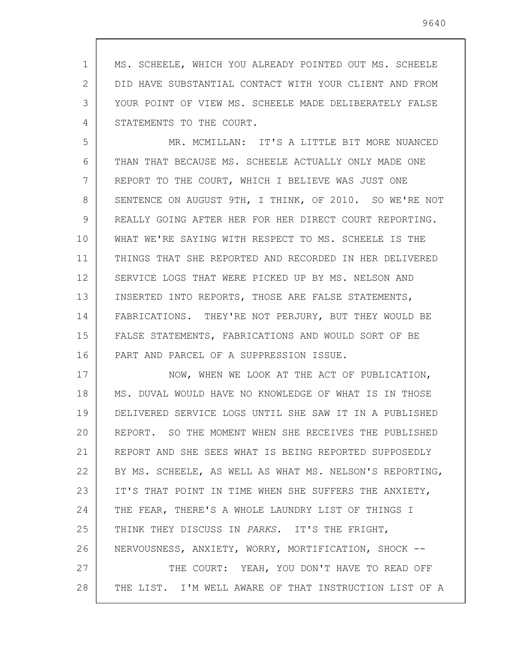1 2 3 4 MS. SCHEELE, WHICH YOU ALREADY POINTED OUT MS. SCHEELE DID HAVE SUBSTANTIAL CONTACT WITH YOUR CLIENT AND FROM YOUR POINT OF VIEW MS. SCHEELE MADE DELIBERATELY FALSE STATEMENTS TO THE COURT.

5 6 7 8 9 10 11 12 13 14 15 16 MR. MCMILLAN: IT'S A LITTLE BIT MORE NUANCED THAN THAT BECAUSE MS. SCHEELE ACTUALLY ONLY MADE ONE REPORT TO THE COURT, WHICH I BELIEVE WAS JUST ONE SENTENCE ON AUGUST 9TH, I THINK, OF 2010. SO WE'RE NOT REALLY GOING AFTER HER FOR HER DIRECT COURT REPORTING. WHAT WE'RE SAYING WITH RESPECT TO MS. SCHEELE IS THE THINGS THAT SHE REPORTED AND RECORDED IN HER DELIVERED SERVICE LOGS THAT WERE PICKED UP BY MS. NELSON AND INSERTED INTO REPORTS, THOSE ARE FALSE STATEMENTS, FABRICATIONS. THEY'RE NOT PERJURY, BUT THEY WOULD BE FALSE STATEMENTS, FABRICATIONS AND WOULD SORT OF BE PART AND PARCEL OF A SUPPRESSION ISSUE.

17 18 19 20 21 22 23 24 25 26 27 28 NOW, WHEN WE LOOK AT THE ACT OF PUBLICATION, MS. DUVAL WOULD HAVE NO KNOWLEDGE OF WHAT IS IN THOSE DELIVERED SERVICE LOGS UNTIL SHE SAW IT IN A PUBLISHED REPORT. SO THE MOMENT WHEN SHE RECEIVES THE PUBLISHED REPORT AND SHE SEES WHAT IS BEING REPORTED SUPPOSEDLY BY MS. SCHEELE, AS WELL AS WHAT MS. NELSON'S REPORTING, IT'S THAT POINT IN TIME WHEN SHE SUFFERS THE ANXIETY, THE FEAR, THERE'S A WHOLE LAUNDRY LIST OF THINGS I THINK THEY DISCUSS IN PARKS. IT'S THE FRIGHT, NERVOUSNESS, ANXIETY, WORRY, MORTIFICATION, SHOCK -- THE COURT: YEAH, YOU DON'T HAVE TO READ OFF THE LIST. I'M WELL AWARE OF THAT INSTRUCTION LIST OF A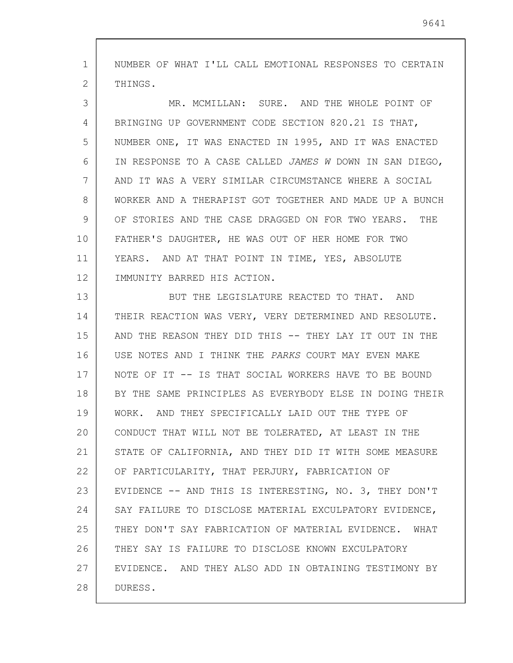1 2 NUMBER OF WHAT I'LL CALL EMOTIONAL RESPONSES TO CERTAIN THINGS.

3 4 5 6 7 8 9 10 11 12 MR. MCMILLAN: SURE. AND THE WHOLE POINT OF BRINGING UP GOVERNMENT CODE SECTION 820.21 IS THAT, NUMBER ONE, IT WAS ENACTED IN 1995, AND IT WAS ENACTED IN RESPONSE TO A CASE CALLED JAMES W DOWN IN SAN DIEGO, AND IT WAS A VERY SIMILAR CIRCUMSTANCE WHERE A SOCIAL WORKER AND A THERAPIST GOT TOGETHER AND MADE UP A BUNCH OF STORIES AND THE CASE DRAGGED ON FOR TWO YEARS. THE FATHER'S DAUGHTER, HE WAS OUT OF HER HOME FOR TWO YEARS. AND AT THAT POINT IN TIME, YES, ABSOLUTE IMMUNITY BARRED HIS ACTION.

13 14 15 16 17 18 19 20 21 22 23 24 25 26 27 28 BUT THE LEGISLATURE REACTED TO THAT. AND THEIR REACTION WAS VERY, VERY DETERMINED AND RESOLUTE. AND THE REASON THEY DID THIS -- THEY LAY IT OUT IN THE USE NOTES AND I THINK THE PARKS COURT MAY EVEN MAKE NOTE OF IT -- IS THAT SOCIAL WORKERS HAVE TO BE BOUND BY THE SAME PRINCIPLES AS EVERYBODY ELSE IN DOING THEIR WORK. AND THEY SPECIFICALLY LAID OUT THE TYPE OF CONDUCT THAT WILL NOT BE TOLERATED, AT LEAST IN THE STATE OF CALIFORNIA, AND THEY DID IT WITH SOME MEASURE OF PARTICULARITY, THAT PERJURY, FABRICATION OF EVIDENCE -- AND THIS IS INTERESTING, NO. 3, THEY DON'T SAY FAILURE TO DISCLOSE MATERIAL EXCULPATORY EVIDENCE, THEY DON'T SAY FABRICATION OF MATERIAL EVIDENCE. WHAT THEY SAY IS FAILURE TO DISCLOSE KNOWN EXCULPATORY EVIDENCE. AND THEY ALSO ADD IN OBTAINING TESTIMONY BY DURESS.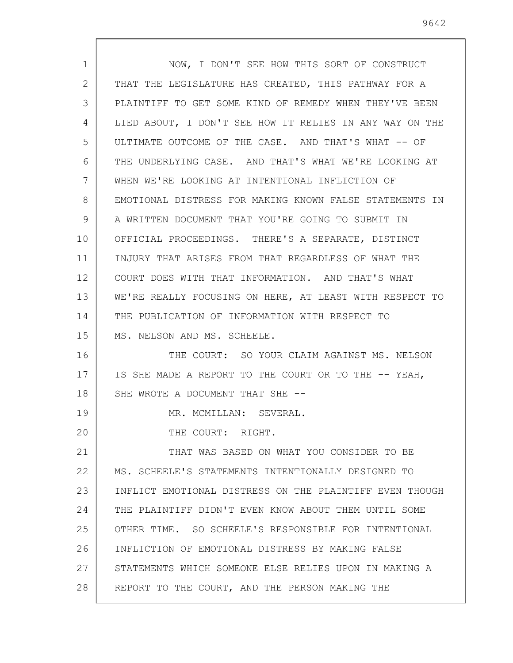| $\mathbf{1}$ | NOW, I DON'T SEE HOW THIS SORT OF CONSTRUCT             |
|--------------|---------------------------------------------------------|
| 2            | THAT THE LEGISLATURE HAS CREATED, THIS PATHWAY FOR A    |
| 3            | PLAINTIFF TO GET SOME KIND OF REMEDY WHEN THEY'VE BEEN  |
| 4            | LIED ABOUT, I DON'T SEE HOW IT RELIES IN ANY WAY ON THE |
| 5            | ULTIMATE OUTCOME OF THE CASE. AND THAT'S WHAT -- OF     |
| 6            | THE UNDERLYING CASE. AND THAT'S WHAT WE'RE LOOKING AT   |
| 7            | WHEN WE'RE LOOKING AT INTENTIONAL INFLICTION OF         |
| 8            | EMOTIONAL DISTRESS FOR MAKING KNOWN FALSE STATEMENTS IN |
| 9            | A WRITTEN DOCUMENT THAT YOU'RE GOING TO SUBMIT IN       |
| 10           | OFFICIAL PROCEEDINGS. THERE'S A SEPARATE, DISTINCT      |
| 11           | INJURY THAT ARISES FROM THAT REGARDLESS OF WHAT THE     |
| 12           | COURT DOES WITH THAT INFORMATION. AND THAT'S WHAT       |
| 13           | WE'RE REALLY FOCUSING ON HERE, AT LEAST WITH RESPECT TO |
| 14           | THE PUBLICATION OF INFORMATION WITH RESPECT TO          |
| 15           | MS. NELSON AND MS. SCHEELE.                             |
| 16           | THE COURT: SO YOUR CLAIM AGAINST MS. NELSON             |
| 17           | IS SHE MADE A REPORT TO THE COURT OR TO THE -- YEAH,    |
| 18           | SHE WROTE A DOCUMENT THAT SHE --                        |
| 19           | MR. MCMILLAN: SEVERAL.                                  |
| 20           | THE COURT: RIGHT.                                       |
| 21           | THAT WAS BASED ON WHAT YOU CONSIDER TO BE               |
| 22           | MS. SCHEELE'S STATEMENTS INTENTIONALLY DESIGNED TO      |
| 23           | INFLICT EMOTIONAL DISTRESS ON THE PLAINTIFF EVEN THOUGH |
| 24           | THE PLAINTIFF DIDN'T EVEN KNOW ABOUT THEM UNTIL SOME    |
| 25           | OTHER TIME. SO SCHEELE'S RESPONSIBLE FOR INTENTIONAL    |
| 26           | INFLICTION OF EMOTIONAL DISTRESS BY MAKING FALSE        |
| 27           | STATEMENTS WHICH SOMEONE ELSE RELIES UPON IN MAKING A   |
| 28           | REPORT TO THE COURT, AND THE PERSON MAKING THE          |

 $\sqrt{ }$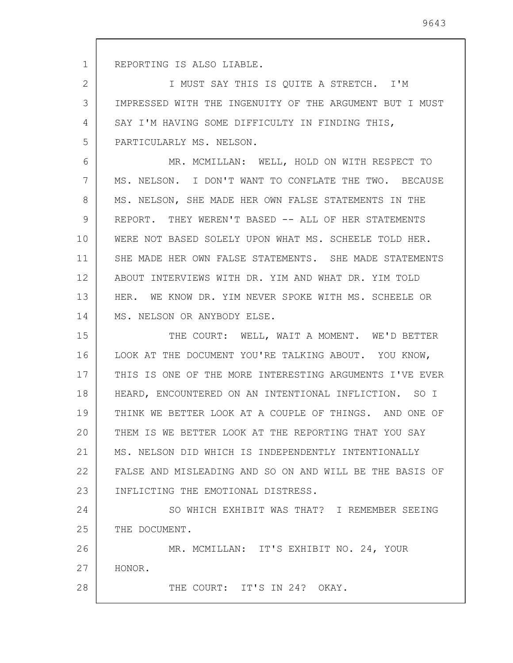1 REPORTING IS ALSO LIABLE.

2 3 4 5 I MUST SAY THIS IS QUITE A STRETCH. I'M IMPRESSED WITH THE INGENUITY OF THE ARGUMENT BUT I MUST SAY I'M HAVING SOME DIFFICULTY IN FINDING THIS, PARTICULARLY MS. NELSON.

6 7 8 9 10 11 12 13 14 MR. MCMILLAN: WELL, HOLD ON WITH RESPECT TO MS. NELSON. I DON'T WANT TO CONFLATE THE TWO. BECAUSE MS. NELSON, SHE MADE HER OWN FALSE STATEMENTS IN THE REPORT. THEY WEREN'T BASED -- ALL OF HER STATEMENTS WERE NOT BASED SOLELY UPON WHAT MS. SCHEELE TOLD HER. SHE MADE HER OWN FALSE STATEMENTS. SHE MADE STATEMENTS ABOUT INTERVIEWS WITH DR. YIM AND WHAT DR. YIM TOLD HER. WE KNOW DR. YIM NEVER SPOKE WITH MS. SCHEELE OR MS. NELSON OR ANYBODY ELSE.

15 16 17 18 19 20 21 22 23 THE COURT: WELL, WAIT A MOMENT. WE'D BETTER LOOK AT THE DOCUMENT YOU'RE TALKING ABOUT. YOU KNOW, THIS IS ONE OF THE MORE INTERESTING ARGUMENTS I'VE EVER HEARD, ENCOUNTERED ON AN INTENTIONAL INFLICTION. SO I THINK WE BETTER LOOK AT A COUPLE OF THINGS. AND ONE OF THEM IS WE BETTER LOOK AT THE REPORTING THAT YOU SAY MS. NELSON DID WHICH IS INDEPENDENTLY INTENTIONALLY FALSE AND MISLEADING AND SO ON AND WILL BE THE BASIS OF INFLICTING THE EMOTIONAL DISTRESS.

24 25 SO WHICH EXHIBIT WAS THAT? I REMEMBER SEEING THE DOCUMENT.

26 27 MR. MCMILLAN: IT'S EXHIBIT NO. 24, YOUR HONOR.

28

THE COURT: IT'S IN 24? OKAY.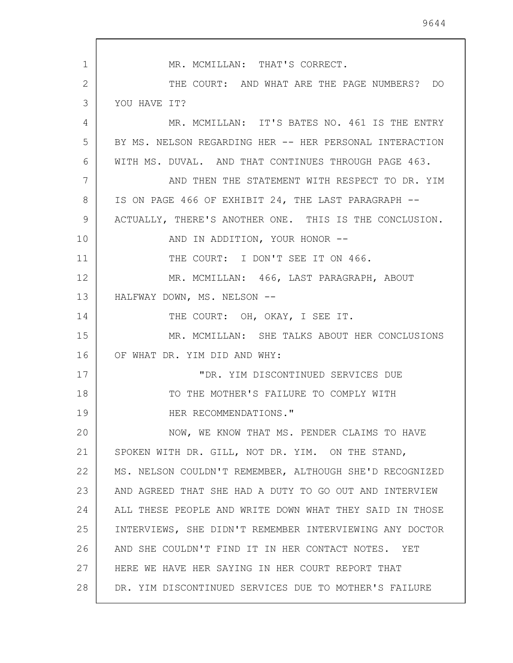1 2 3 4 5 6 7 8 9 10 11 12 13 14 15 16 17 18 19 20 21 22 23 24 25 26 27 28 MR. MCMILLAN: THAT'S CORRECT. THE COURT: AND WHAT ARE THE PAGE NUMBERS? DO YOU HAVE IT? MR. MCMILLAN: IT'S BATES NO. 461 IS THE ENTRY BY MS. NELSON REGARDING HER -- HER PERSONAL INTERACTION WITH MS. DUVAL. AND THAT CONTINUES THROUGH PAGE 463. AND THEN THE STATEMENT WITH RESPECT TO DR. YIM IS ON PAGE 466 OF EXHIBIT 24, THE LAST PARAGRAPH --ACTUALLY, THERE'S ANOTHER ONE. THIS IS THE CONCLUSION. AND IN ADDITION, YOUR HONOR -- THE COURT: I DON'T SEE IT ON 466. MR. MCMILLAN: 466, LAST PARAGRAPH, ABOUT HALFWAY DOWN, MS. NELSON -- THE COURT: OH, OKAY, I SEE IT. MR. MCMILLAN: SHE TALKS ABOUT HER CONCLUSIONS OF WHAT DR. YIM DID AND WHY: "DR. YIM DISCONTINUED SERVICES DUE TO THE MOTHER'S FAILURE TO COMPLY WITH HER RECOMMENDATIONS." NOW, WE KNOW THAT MS. PENDER CLAIMS TO HAVE SPOKEN WITH DR. GILL, NOT DR. YIM. ON THE STAND, MS. NELSON COULDN'T REMEMBER, ALTHOUGH SHE'D RECOGNIZED AND AGREED THAT SHE HAD A DUTY TO GO OUT AND INTERVIEW ALL THESE PEOPLE AND WRITE DOWN WHAT THEY SAID IN THOSE INTERVIEWS, SHE DIDN'T REMEMBER INTERVIEWING ANY DOCTOR AND SHE COULDN'T FIND IT IN HER CONTACT NOTES. YET HERE WE HAVE HER SAYING IN HER COURT REPORT THAT DR. YIM DISCONTINUED SERVICES DUE TO MOTHER'S FAILURE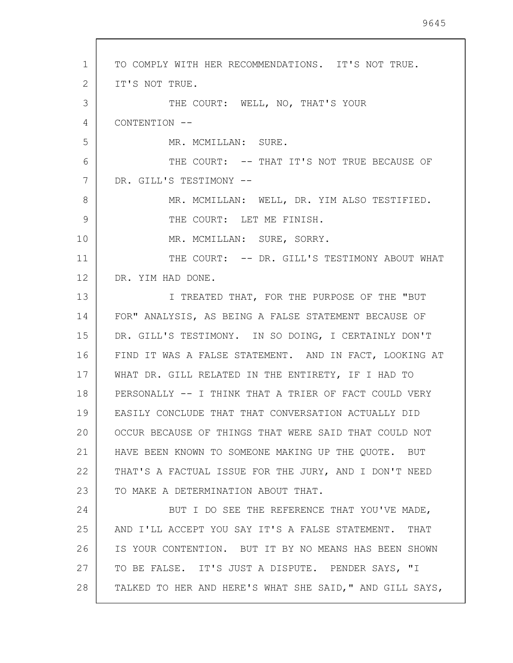1 2 3 4 5 6 7 8 9 10 11 12 13 14 15 16 17 18 19 20 21 22 23 24 25 26 27 28 TO COMPLY WITH HER RECOMMENDATIONS. IT'S NOT TRUE. IT'S NOT TRUE. THE COURT: WELL, NO, THAT'S YOUR CONTENTION -- MR. MCMILLAN: SURE. THE COURT: -- THAT IT'S NOT TRUE BECAUSE OF DR. GILL'S TESTIMONY -- MR. MCMILLAN: WELL, DR. YIM ALSO TESTIFIED. THE COURT: LET ME FINISH. MR. MCMILLAN: SURE, SORRY. THE COURT: -- DR. GILL'S TESTIMONY ABOUT WHAT DR. YIM HAD DONE. I TREATED THAT, FOR THE PURPOSE OF THE "BUT FOR" ANALYSIS, AS BEING A FALSE STATEMENT BECAUSE OF DR. GILL'S TESTIMONY. IN SO DOING, I CERTAINLY DON'T FIND IT WAS A FALSE STATEMENT. AND IN FACT, LOOKING AT WHAT DR. GILL RELATED IN THE ENTIRETY, IF I HAD TO PERSONALLY -- I THINK THAT A TRIER OF FACT COULD VERY EASILY CONCLUDE THAT THAT CONVERSATION ACTUALLY DID OCCUR BECAUSE OF THINGS THAT WERE SAID THAT COULD NOT HAVE BEEN KNOWN TO SOMEONE MAKING UP THE QUOTE. BUT THAT'S A FACTUAL ISSUE FOR THE JURY, AND I DON'T NEED TO MAKE A DETERMINATION ABOUT THAT. BUT I DO SEE THE REFERENCE THAT YOU'VE MADE, AND I'LL ACCEPT YOU SAY IT'S A FALSE STATEMENT. THAT IS YOUR CONTENTION. BUT IT BY NO MEANS HAS BEEN SHOWN TO BE FALSE. IT'S JUST A DISPUTE. PENDER SAYS, "I TALKED TO HER AND HERE'S WHAT SHE SAID," AND GILL SAYS,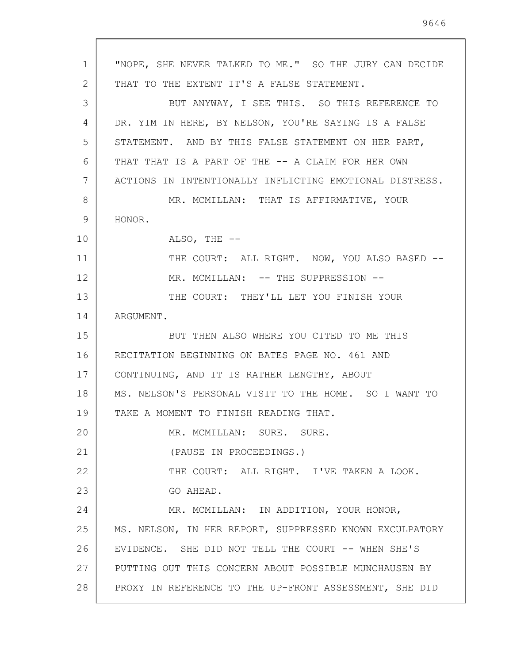1 2 3 4 5 6 7 8 9 10 11 12 13 14 15 16 17 18 19 20 21 22 23 24 25 26 27 28 "NOPE, SHE NEVER TALKED TO ME." SO THE JURY CAN DECIDE THAT TO THE EXTENT IT'S A FALSE STATEMENT. BUT ANYWAY, I SEE THIS. SO THIS REFERENCE TO DR. YIM IN HERE, BY NELSON, YOU'RE SAYING IS A FALSE STATEMENT. AND BY THIS FALSE STATEMENT ON HER PART, THAT THAT IS A PART OF THE -- A CLAIM FOR HER OWN ACTIONS IN INTENTIONALLY INFLICTING EMOTIONAL DISTRESS. MR. MCMILLAN: THAT IS AFFIRMATIVE, YOUR HONOR. ALSO, THE -- THE COURT: ALL RIGHT. NOW, YOU ALSO BASED --MR. MCMILLAN: -- THE SUPPRESSION --THE COURT: THEY'LL LET YOU FINISH YOUR ARGUMENT. BUT THEN ALSO WHERE YOU CITED TO ME THIS RECITATION BEGINNING ON BATES PAGE NO. 461 AND CONTINUING, AND IT IS RATHER LENGTHY, ABOUT MS. NELSON'S PERSONAL VISIT TO THE HOME. SO I WANT TO TAKE A MOMENT TO FINISH READING THAT. MR. MCMILLAN: SURE. SURE. (PAUSE IN PROCEEDINGS.) THE COURT: ALL RIGHT. I'VE TAKEN A LOOK. GO AHEAD. MR. MCMILLAN: IN ADDITION, YOUR HONOR, MS. NELSON, IN HER REPORT, SUPPRESSED KNOWN EXCULPATORY EVIDENCE. SHE DID NOT TELL THE COURT -- WHEN SHE'S PUTTING OUT THIS CONCERN ABOUT POSSIBLE MUNCHAUSEN BY PROXY IN REFERENCE TO THE UP-FRONT ASSESSMENT, SHE DID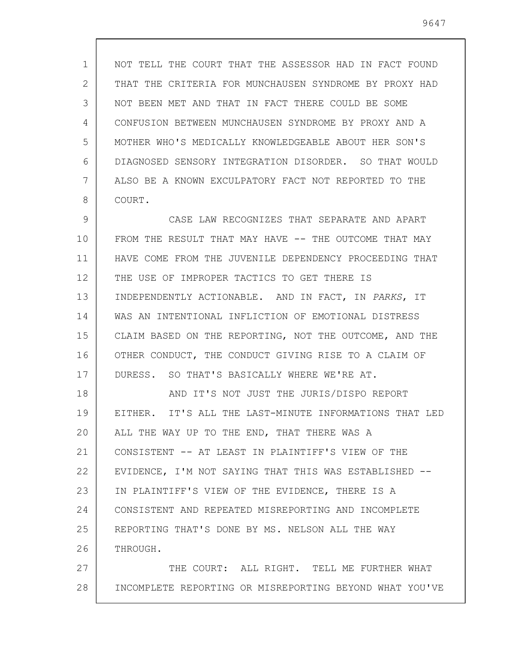| $\mathbf{1}$ | NOT TELL THE COURT THAT THE ASSESSOR HAD IN FACT FOUND  |
|--------------|---------------------------------------------------------|
| 2            | THAT THE CRITERIA FOR MUNCHAUSEN SYNDROME BY PROXY HAD  |
| 3            | NOT BEEN MET AND THAT IN FACT THERE COULD BE SOME       |
| 4            | CONFUSION BETWEEN MUNCHAUSEN SYNDROME BY PROXY AND A    |
| 5            | MOTHER WHO'S MEDICALLY KNOWLEDGEABLE ABOUT HER SON'S    |
| 6            | DIAGNOSED SENSORY INTEGRATION DISORDER. SO THAT WOULD   |
| 7            | ALSO BE A KNOWN EXCULPATORY FACT NOT REPORTED TO THE    |
| 8            | COURT.                                                  |
| 9            | CASE LAW RECOGNIZES THAT SEPARATE AND APART             |
| 10           | FROM THE RESULT THAT MAY HAVE -- THE OUTCOME THAT MAY   |
| 11           | HAVE COME FROM THE JUVENILE DEPENDENCY PROCEEDING THAT  |
| 12           | THE USE OF IMPROPER TACTICS TO GET THERE IS             |
| 13           | INDEPENDENTLY ACTIONABLE. AND IN FACT, IN PARKS, IT     |
| 14           | WAS AN INTENTIONAL INFLICTION OF EMOTIONAL DISTRESS     |
| 15           | CLAIM BASED ON THE REPORTING, NOT THE OUTCOME, AND THE  |
| 16           | OTHER CONDUCT, THE CONDUCT GIVING RISE TO A CLAIM OF    |
| 17           | DURESS. SO THAT'S BASICALLY WHERE WE'RE AT.             |
| 18           | AND IT'S NOT JUST THE JURIS/DISPO REPORT                |
| 19           | EITHER. IT'S ALL THE LAST-MINUTE INFORMATIONS THAT LED  |
| 20           | ALL THE WAY UP TO THE END, THAT THERE WAS A             |
| 21           | CONSISTENT -- AT LEAST IN PLAINTIFF'S VIEW OF THE       |
| 22           | EVIDENCE, I'M NOT SAYING THAT THIS WAS ESTABLISHED --   |
| 23           | IN PLAINTIFF'S VIEW OF THE EVIDENCE, THERE IS A         |
| 24           | CONSISTENT AND REPEATED MISREPORTING AND INCOMPLETE     |
| 25           | REPORTING THAT'S DONE BY MS. NELSON ALL THE WAY         |
| 26           | THROUGH.                                                |
| 27           | THE COURT: ALL RIGHT. TELL ME FURTHER WHAT              |
| 28           | INCOMPLETE REPORTING OR MISREPORTING BEYOND WHAT YOU'VE |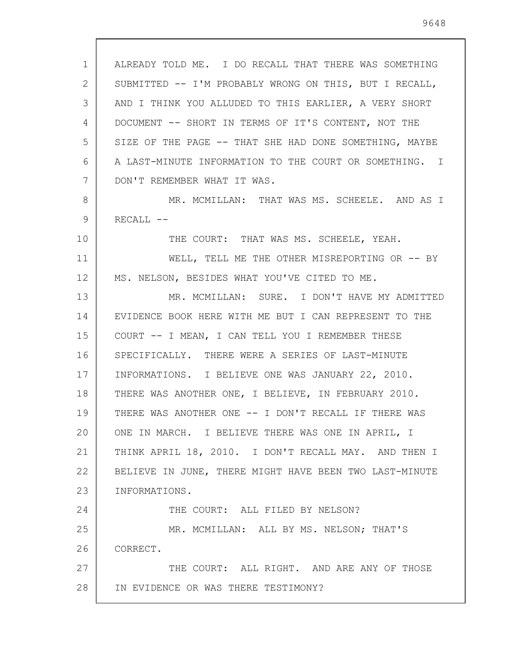| $\mathbf 1$ | ALREADY TOLD ME. I DO RECALL THAT THERE WAS SOMETHING  |
|-------------|--------------------------------------------------------|
| 2           | SUBMITTED -- I'M PROBABLY WRONG ON THIS, BUT I RECALL, |
| 3           | AND I THINK YOU ALLUDED TO THIS EARLIER, A VERY SHORT  |
| 4           | DOCUMENT -- SHORT IN TERMS OF IT'S CONTENT, NOT THE    |
| 5           | SIZE OF THE PAGE -- THAT SHE HAD DONE SOMETHING, MAYBE |
| 6           | A LAST-MINUTE INFORMATION TO THE COURT OR SOMETHING. I |
| 7           | DON'T REMEMBER WHAT IT WAS.                            |
| 8           | MR. MCMILLAN: THAT WAS MS. SCHEELE. AND AS I           |
| 9           | $RECALL$ --                                            |
| 10          | THE COURT: THAT WAS MS. SCHEELE, YEAH.                 |
| 11          | WELL, TELL ME THE OTHER MISREPORTING OR -- BY          |
| 12          | MS. NELSON, BESIDES WHAT YOU'VE CITED TO ME.           |
| 13          | MR. MCMILLAN: SURE. I DON'T HAVE MY ADMITTED           |
| 14          | EVIDENCE BOOK HERE WITH ME BUT I CAN REPRESENT TO THE  |
| 15          | COURT -- I MEAN, I CAN TELL YOU I REMEMBER THESE       |
| 16          | SPECIFICALLY. THERE WERE A SERIES OF LAST-MINUTE       |
| 17          | INFORMATIONS. I BELIEVE ONE WAS JANUARY 22, 2010.      |
| 18          | THERE WAS ANOTHER ONE, I BELIEVE, IN FEBRUARY 2010.    |
| 19          | THERE WAS ANOTHER ONE -- I DON'T RECALL IF THERE WAS   |
| 20          | ONE IN MARCH. I BELIEVE THERE WAS ONE IN APRIL, I      |
| 21          | THINK APRIL 18, 2010. I DON'T RECALL MAY. AND THEN I   |
| 22          | BELIEVE IN JUNE, THERE MIGHT HAVE BEEN TWO LAST-MINUTE |
| 23          | INFORMATIONS.                                          |
| 24          | THE COURT: ALL FILED BY NELSON?                        |
| 25          | MR. MCMILLAN: ALL BY MS. NELSON; THAT'S                |
| 26          | CORRECT.                                               |
| 27          | THE COURT: ALL RIGHT. AND ARE ANY OF THOSE             |
| 28          | IN EVIDENCE OR WAS THERE TESTIMONY?                    |

 $\overline{\phantom{a}}$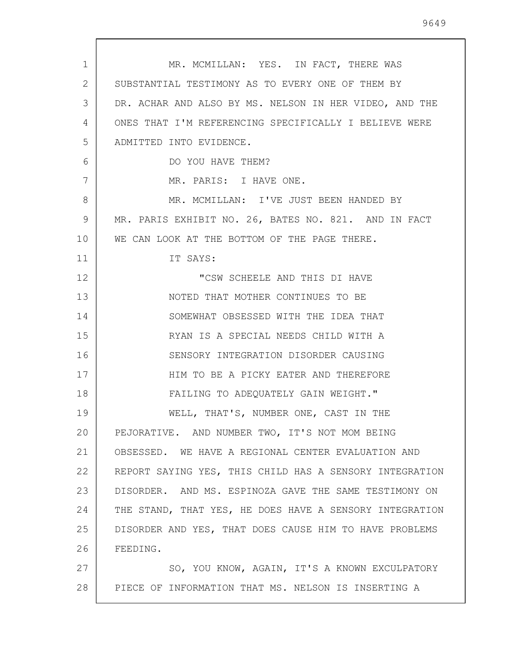1 2 3 4 5 6 7 8 9 10 11 12 13 14 15 16 17 18 19 20 21 22 23 24 25 26 27 28 MR. MCMILLAN: YES. IN FACT, THERE WAS SUBSTANTIAL TESTIMONY AS TO EVERY ONE OF THEM BY DR. ACHAR AND ALSO BY MS. NELSON IN HER VIDEO, AND THE ONES THAT I'M REFERENCING SPECIFICALLY I BELIEVE WERE ADMITTED INTO EVIDENCE. DO YOU HAVE THEM? MR. PARIS: I HAVE ONE. MR. MCMILLAN: I'VE JUST BEEN HANDED BY MR. PARIS EXHIBIT NO. 26, BATES NO. 821. AND IN FACT WE CAN LOOK AT THE BOTTOM OF THE PAGE THERE. IT SAYS: "CSW SCHEELE AND THIS DI HAVE NOTED THAT MOTHER CONTINUES TO BE SOMEWHAT OBSESSED WITH THE IDEA THAT RYAN IS A SPECIAL NEEDS CHILD WITH A SENSORY INTEGRATION DISORDER CAUSING HIM TO BE A PICKY EATER AND THEREFORE FAILING TO ADEQUATELY GAIN WEIGHT." WELL, THAT'S, NUMBER ONE, CAST IN THE PEJORATIVE. AND NUMBER TWO, IT'S NOT MOM BEING OBSESSED. WE HAVE A REGIONAL CENTER EVALUATION AND REPORT SAYING YES, THIS CHILD HAS A SENSORY INTEGRATION DISORDER. AND MS. ESPINOZA GAVE THE SAME TESTIMONY ON THE STAND, THAT YES, HE DOES HAVE A SENSORY INTEGRATION DISORDER AND YES, THAT DOES CAUSE HIM TO HAVE PROBLEMS FEEDING. SO, YOU KNOW, AGAIN, IT'S A KNOWN EXCULPATORY PIECE OF INFORMATION THAT MS. NELSON IS INSERTING A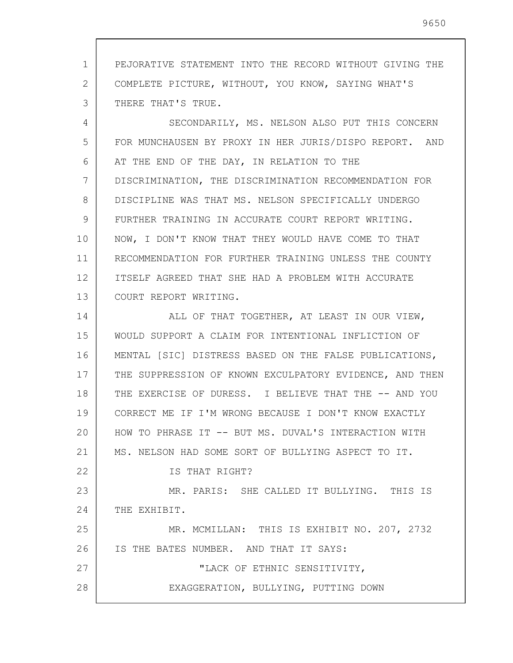1 2 3 PEJORATIVE STATEMENT INTO THE RECORD WITHOUT GIVING THE COMPLETE PICTURE, WITHOUT, YOU KNOW, SAYING WHAT'S THERE THAT'S TRUE.

4 5 6 7 8 9 10 11 12 13 SECONDARILY, MS. NELSON ALSO PUT THIS CONCERN FOR MUNCHAUSEN BY PROXY IN HER JURIS/DISPO REPORT. AND AT THE END OF THE DAY, IN RELATION TO THE DISCRIMINATION, THE DISCRIMINATION RECOMMENDATION FOR DISCIPLINE WAS THAT MS. NELSON SPECIFICALLY UNDERGO FURTHER TRAINING IN ACCURATE COURT REPORT WRITING. NOW, I DON'T KNOW THAT THEY WOULD HAVE COME TO THAT RECOMMENDATION FOR FURTHER TRAINING UNLESS THE COUNTY ITSELF AGREED THAT SHE HAD A PROBLEM WITH ACCURATE COURT REPORT WRITING.

14 15 16 17 18 19 20 21 22 23 ALL OF THAT TOGETHER, AT LEAST IN OUR VIEW, WOULD SUPPORT A CLAIM FOR INTENTIONAL INFLICTION OF MENTAL [SIC] DISTRESS BASED ON THE FALSE PUBLICATIONS, THE SUPPRESSION OF KNOWN EXCULPATORY EVIDENCE, AND THEN THE EXERCISE OF DURESS. I BELIEVE THAT THE -- AND YOU CORRECT ME IF I'M WRONG BECAUSE I DON'T KNOW EXACTLY HOW TO PHRASE IT -- BUT MS. DUVAL'S INTERACTION WITH MS. NELSON HAD SOME SORT OF BULLYING ASPECT TO IT. IS THAT RIGHT? MR. PARIS: SHE CALLED IT BULLYING. THIS IS

24 25 THE EXHIBIT. MR. MCMILLAN: THIS IS EXHIBIT NO. 207, 2732

26 IS THE BATES NUMBER. AND THAT IT SAYS:

27

28

"LACK OF ETHNIC SENSITIVITY,

EXAGGERATION, BULLYING, PUTTING DOWN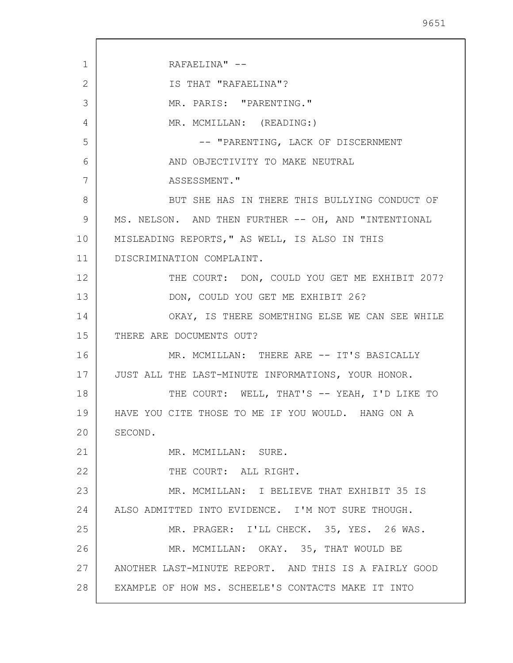1 2 3 4 5 6 7 8 9 10 11 12 13 14 15 16 17 18 19 20 21 22 23 24 25 26 27 28 RAFAELINA" --IS THAT "RAFAELINA"? MR. PARIS: "PARENTING." MR. MCMILLAN: (READING:) -- "PARENTING, LACK OF DISCERNMENT AND OBJECTIVITY TO MAKE NEUTRAL ASSESSMENT." BUT SHE HAS IN THERE THIS BULLYING CONDUCT OF MS. NELSON. AND THEN FURTHER -- OH, AND "INTENTIONAL MISLEADING REPORTS," AS WELL, IS ALSO IN THIS DISCRIMINATION COMPLAINT. THE COURT: DON, COULD YOU GET ME EXHIBIT 207? DON, COULD YOU GET ME EXHIBIT 26? OKAY, IS THERE SOMETHING ELSE WE CAN SEE WHILE THERE ARE DOCUMENTS OUT? MR. MCMILLAN: THERE ARE -- IT'S BASICALLY JUST ALL THE LAST-MINUTE INFORMATIONS, YOUR HONOR. THE COURT: WELL, THAT'S -- YEAH, I'D LIKE TO HAVE YOU CITE THOSE TO ME IF YOU WOULD. HANG ON A SECOND. MR. MCMILLAN: SURE. THE COURT: ALL RIGHT. MR. MCMILLAN: I BELIEVE THAT EXHIBIT 35 IS ALSO ADMITTED INTO EVIDENCE. I'M NOT SURE THOUGH. MR. PRAGER: I'LL CHECK. 35, YES. 26 WAS. MR. MCMILLAN: OKAY. 35, THAT WOULD BE ANOTHER LAST-MINUTE REPORT. AND THIS IS A FAIRLY GOOD EXAMPLE OF HOW MS. SCHEELE'S CONTACTS MAKE IT INTO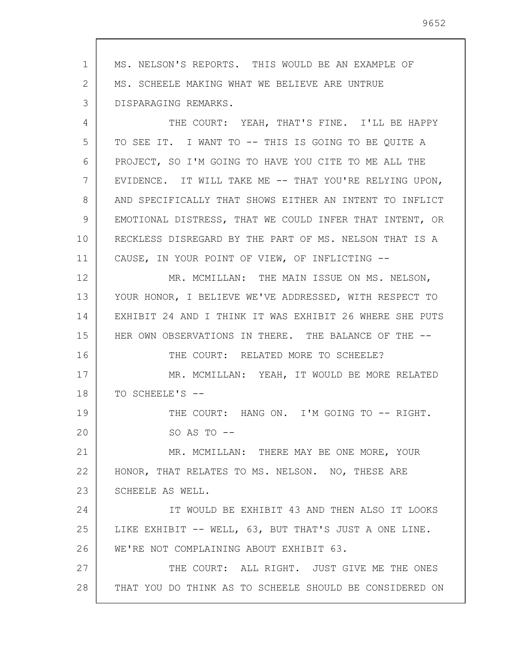1 2 3 4 5 6 7 8 9 10 11 12 13 14 15 16 17 18 19 20 21 22 23 24 25 26 27 28 MS. NELSON'S REPORTS. THIS WOULD BE AN EXAMPLE OF MS. SCHEELE MAKING WHAT WE BELIEVE ARE UNTRUE DISPARAGING REMARKS. THE COURT: YEAH, THAT'S FINE. I'LL BE HAPPY TO SEE IT. I WANT TO -- THIS IS GOING TO BE QUITE A PROJECT, SO I'M GOING TO HAVE YOU CITE TO ME ALL THE EVIDENCE. IT WILL TAKE ME -- THAT YOU'RE RELYING UPON, AND SPECIFICALLY THAT SHOWS EITHER AN INTENT TO INFLICT EMOTIONAL DISTRESS, THAT WE COULD INFER THAT INTENT, OR RECKLESS DISREGARD BY THE PART OF MS. NELSON THAT IS A CAUSE, IN YOUR POINT OF VIEW, OF INFLICTING -- MR. MCMILLAN: THE MAIN ISSUE ON MS. NELSON, YOUR HONOR, I BELIEVE WE'VE ADDRESSED, WITH RESPECT TO EXHIBIT 24 AND I THINK IT WAS EXHIBIT 26 WHERE SHE PUTS HER OWN OBSERVATIONS IN THERE. THE BALANCE OF THE --THE COURT: RELATED MORE TO SCHEELE? MR. MCMILLAN: YEAH, IT WOULD BE MORE RELATED TO SCHEELE'S --THE COURT: HANG ON. I'M GOING TO -- RIGHT. SO AS TO  $--$ MR. MCMILLAN: THERE MAY BE ONE MORE, YOUR HONOR, THAT RELATES TO MS. NELSON. NO, THESE ARE SCHEELE AS WELL. IT WOULD BE EXHIBIT 43 AND THEN ALSO IT LOOKS LIKE EXHIBIT -- WELL, 63, BUT THAT'S JUST A ONE LINE. WE'RE NOT COMPLAINING ABOUT EXHIBIT 63. THE COURT: ALL RIGHT. JUST GIVE ME THE ONES THAT YOU DO THINK AS TO SCHEELE SHOULD BE CONSIDERED ON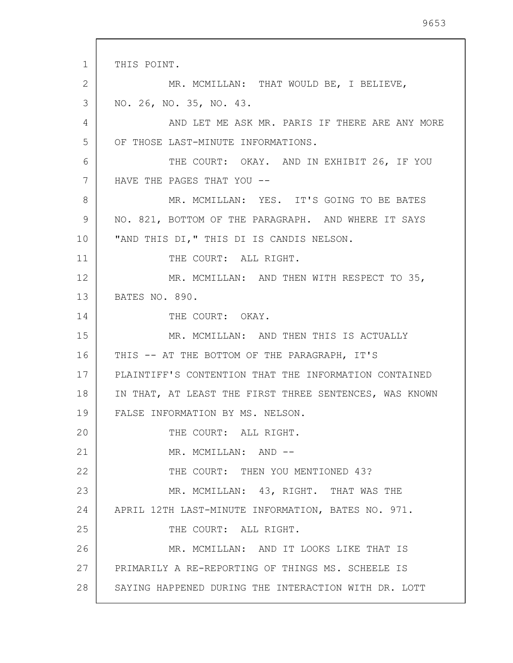1 2 3 4 5 6 7 8 9 10 11 12 13 14 15 16 17 18 19 20 21 22 23 24 25 26 27 28 THIS POINT. MR. MCMILLAN: THAT WOULD BE, I BELIEVE, NO. 26, NO. 35, NO. 43. AND LET ME ASK MR. PARIS IF THERE ARE ANY MORE OF THOSE LAST-MINUTE INFORMATIONS. THE COURT: OKAY. AND IN EXHIBIT 26, IF YOU HAVE THE PAGES THAT YOU -- MR. MCMILLAN: YES. IT'S GOING TO BE BATES NO. 821, BOTTOM OF THE PARAGRAPH. AND WHERE IT SAYS "AND THIS DI," THIS DI IS CANDIS NELSON. THE COURT: ALL RIGHT. MR. MCMILLAN: AND THEN WITH RESPECT TO 35, BATES NO. 890. THE COURT: OKAY. MR. MCMILLAN: AND THEN THIS IS ACTUALLY THIS -- AT THE BOTTOM OF THE PARAGRAPH, IT'S PLAINTIFF'S CONTENTION THAT THE INFORMATION CONTAINED IN THAT, AT LEAST THE FIRST THREE SENTENCES, WAS KNOWN FALSE INFORMATION BY MS. NELSON. THE COURT: ALL RIGHT. MR. MCMILLAN: AND --THE COURT: THEN YOU MENTIONED 43? MR. MCMILLAN: 43, RIGHT. THAT WAS THE APRIL 12TH LAST-MINUTE INFORMATION, BATES NO. 971. THE COURT: ALL RIGHT. MR. MCMILLAN: AND IT LOOKS LIKE THAT IS PRIMARILY A RE-REPORTING OF THINGS MS. SCHEELE IS SAYING HAPPENED DURING THE INTERACTION WITH DR. LOTT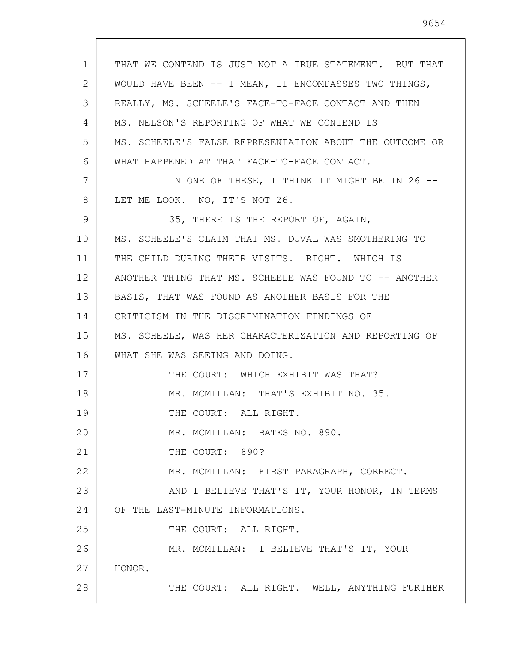| $\mathbf{1}$ | THAT WE CONTEND IS JUST NOT A TRUE STATEMENT. BUT THAT  |
|--------------|---------------------------------------------------------|
| 2            | WOULD HAVE BEEN -- I MEAN, IT ENCOMPASSES TWO THINGS,   |
| 3            | REALLY, MS. SCHEELE'S FACE-TO-FACE CONTACT AND THEN     |
| 4            | MS. NELSON'S REPORTING OF WHAT WE CONTEND IS            |
| 5            | MS. SCHEELE'S FALSE REPRESENTATION ABOUT THE OUTCOME OR |
| 6            | WHAT HAPPENED AT THAT FACE-TO-FACE CONTACT.             |
| 7            | IN ONE OF THESE, I THINK IT MIGHT BE IN 26 --           |
| 8            | LET ME LOOK. NO, IT'S NOT 26.                           |
| 9            | 35, THERE IS THE REPORT OF, AGAIN,                      |
| 10           | MS. SCHEELE'S CLAIM THAT MS. DUVAL WAS SMOTHERING TO    |
| 11           | THE CHILD DURING THEIR VISITS. RIGHT. WHICH IS          |
| 12           | ANOTHER THING THAT MS. SCHEELE WAS FOUND TO -- ANOTHER  |
| 13           | BASIS, THAT WAS FOUND AS ANOTHER BASIS FOR THE          |
| 14           | CRITICISM IN THE DISCRIMINATION FINDINGS OF             |
| 15           | MS. SCHEELE, WAS HER CHARACTERIZATION AND REPORTING OF  |
| 16           | WHAT SHE WAS SEEING AND DOING.                          |
| 17           | THE COURT: WHICH EXHIBIT WAS THAT?                      |
| 18           | MR. MCMILLAN: THAT'S EXHIBIT NO. 35.                    |
| 19           | THE COURT: ALL RIGHT.                                   |
| 20           | MR. MCMILLAN: BATES NO. 890.                            |
| 21           | THE COURT: 890?                                         |
| 22           | MR. MCMILLAN: FIRST PARAGRAPH, CORRECT.                 |
| 23           | AND I BELIEVE THAT'S IT, YOUR HONOR, IN TERMS           |
| 24           | OF THE LAST-MINUTE INFORMATIONS.                        |
| 25           | THE COURT: ALL RIGHT.                                   |
| 26           | MR. MCMILLAN: I BELIEVE THAT'S IT, YOUR                 |
| 27           | HONOR.                                                  |
| 28           | THE COURT: ALL RIGHT. WELL, ANYTHING FURTHER            |

 $\sqrt{ }$ 

 $\overline{\phantom{a}}$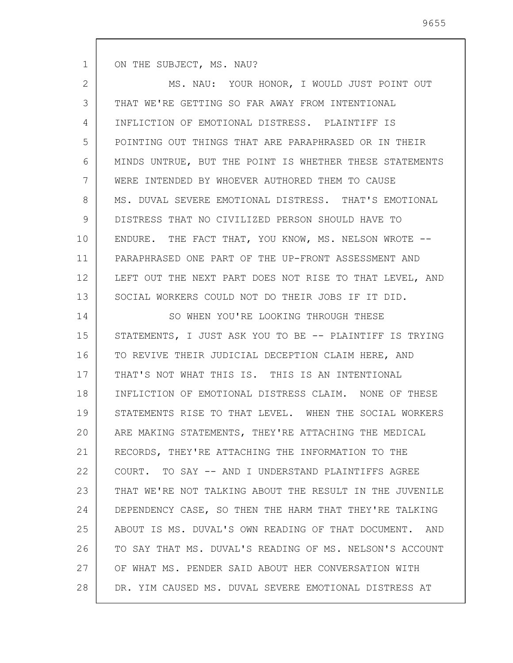ON THE SUBJECT, MS. NAU?

1

2 3 4 5 6 7 8 9 10 11 12 13 14 15 16 17 18 19 20 21 22 23 24 25 26 27 MS. NAU: YOUR HONOR, I WOULD JUST POINT OUT THAT WE'RE GETTING SO FAR AWAY FROM INTENTIONAL INFLICTION OF EMOTIONAL DISTRESS. PLAINTIFF IS POINTING OUT THINGS THAT ARE PARAPHRASED OR IN THEIR MINDS UNTRUE, BUT THE POINT IS WHETHER THESE STATEMENTS WERE INTENDED BY WHOEVER AUTHORED THEM TO CAUSE MS. DUVAL SEVERE EMOTIONAL DISTRESS. THAT'S EMOTIONAL DISTRESS THAT NO CIVILIZED PERSON SHOULD HAVE TO ENDURE. THE FACT THAT, YOU KNOW, MS. NELSON WROTE -- PARAPHRASED ONE PART OF THE UP-FRONT ASSESSMENT AND LEFT OUT THE NEXT PART DOES NOT RISE TO THAT LEVEL, AND SOCIAL WORKERS COULD NOT DO THEIR JOBS IF IT DID. SO WHEN YOU'RE LOOKING THROUGH THESE STATEMENTS, I JUST ASK YOU TO BE -- PLAINTIFF IS TRYING TO REVIVE THEIR JUDICIAL DECEPTION CLAIM HERE, AND THAT'S NOT WHAT THIS IS. THIS IS AN INTENTIONAL INFLICTION OF EMOTIONAL DISTRESS CLAIM. NONE OF THESE STATEMENTS RISE TO THAT LEVEL. WHEN THE SOCIAL WORKERS ARE MAKING STATEMENTS, THEY'RE ATTACHING THE MEDICAL RECORDS, THEY'RE ATTACHING THE INFORMATION TO THE COURT. TO SAY -- AND I UNDERSTAND PLAINTIFFS AGREE THAT WE'RE NOT TALKING ABOUT THE RESULT IN THE JUVENILE DEPENDENCY CASE, SO THEN THE HARM THAT THEY'RE TALKING ABOUT IS MS. DUVAL'S OWN READING OF THAT DOCUMENT. AND TO SAY THAT MS. DUVAL'S READING OF MS. NELSON'S ACCOUNT OF WHAT MS. PENDER SAID ABOUT HER CONVERSATION WITH

28 DR. YIM CAUSED MS. DUVAL SEVERE EMOTIONAL DISTRESS AT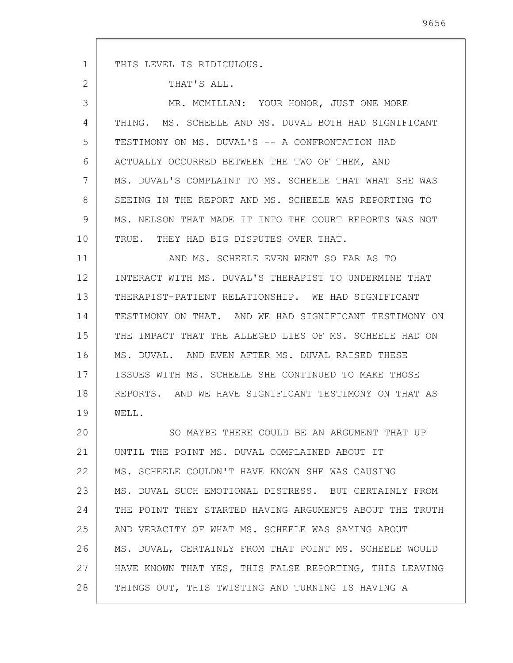THIS LEVEL IS RIDICULOUS.

1

2

THAT'S ALL.

3 4 5 6 7 8 9 10 MR. MCMILLAN: YOUR HONOR, JUST ONE MORE THING. MS. SCHEELE AND MS. DUVAL BOTH HAD SIGNIFICANT TESTIMONY ON MS. DUVAL'S -- A CONFRONTATION HAD ACTUALLY OCCURRED BETWEEN THE TWO OF THEM, AND MS. DUVAL'S COMPLAINT TO MS. SCHEELE THAT WHAT SHE WAS SEEING IN THE REPORT AND MS. SCHEELE WAS REPORTING TO MS. NELSON THAT MADE IT INTO THE COURT REPORTS WAS NOT TRUE. THEY HAD BIG DISPUTES OVER THAT.

11 12 13 14 15 16 17 18 19 AND MS. SCHEELE EVEN WENT SO FAR AS TO INTERACT WITH MS. DUVAL'S THERAPIST TO UNDERMINE THAT THERAPIST-PATIENT RELATIONSHIP. WE HAD SIGNIFICANT TESTIMONY ON THAT. AND WE HAD SIGNIFICANT TESTIMONY ON THE IMPACT THAT THE ALLEGED LIES OF MS. SCHEELE HAD ON MS. DUVAL. AND EVEN AFTER MS. DUVAL RAISED THESE ISSUES WITH MS. SCHEELE SHE CONTINUED TO MAKE THOSE REPORTS. AND WE HAVE SIGNIFICANT TESTIMONY ON THAT AS WELL.

20 21 22 23 24 25 26 27 28 SO MAYBE THERE COULD BE AN ARGUMENT THAT UP UNTIL THE POINT MS. DUVAL COMPLAINED ABOUT IT MS. SCHEELE COULDN'T HAVE KNOWN SHE WAS CAUSING MS. DUVAL SUCH EMOTIONAL DISTRESS. BUT CERTAINLY FROM THE POINT THEY STARTED HAVING ARGUMENTS ABOUT THE TRUTH AND VERACITY OF WHAT MS. SCHEELE WAS SAYING ABOUT MS. DUVAL, CERTAINLY FROM THAT POINT MS. SCHEELE WOULD HAVE KNOWN THAT YES, THIS FALSE REPORTING, THIS LEAVING THINGS OUT, THIS TWISTING AND TURNING IS HAVING A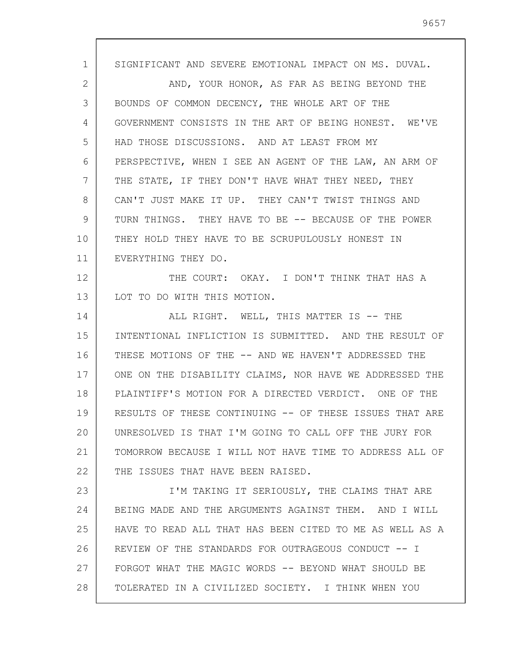1 2 3 4 5 6 7 8 9 10 11 12 13 14 15 16 17 18 19 20 21 22 23 24 25 26 27 28 SIGNIFICANT AND SEVERE EMOTIONAL IMPACT ON MS. DUVAL. AND, YOUR HONOR, AS FAR AS BEING BEYOND THE BOUNDS OF COMMON DECENCY, THE WHOLE ART OF THE GOVERNMENT CONSISTS IN THE ART OF BEING HONEST. WE'VE HAD THOSE DISCUSSIONS. AND AT LEAST FROM MY PERSPECTIVE, WHEN I SEE AN AGENT OF THE LAW, AN ARM OF THE STATE, IF THEY DON'T HAVE WHAT THEY NEED, THEY CAN'T JUST MAKE IT UP. THEY CAN'T TWIST THINGS AND TURN THINGS. THEY HAVE TO BE -- BECAUSE OF THE POWER THEY HOLD THEY HAVE TO BE SCRUPULOUSLY HONEST IN EVERYTHING THEY DO. THE COURT: OKAY. I DON'T THINK THAT HAS A LOT TO DO WITH THIS MOTION. ALL RIGHT. WELL, THIS MATTER IS -- THE INTENTIONAL INFLICTION IS SUBMITTED. AND THE RESULT OF THESE MOTIONS OF THE -- AND WE HAVEN'T ADDRESSED THE ONE ON THE DISABILITY CLAIMS, NOR HAVE WE ADDRESSED THE PLAINTIFF'S MOTION FOR A DIRECTED VERDICT. ONE OF THE RESULTS OF THESE CONTINUING -- OF THESE ISSUES THAT ARE UNRESOLVED IS THAT I'M GOING TO CALL OFF THE JURY FOR TOMORROW BECAUSE I WILL NOT HAVE TIME TO ADDRESS ALL OF THE ISSUES THAT HAVE BEEN RAISED. I'M TAKING IT SERIOUSLY, THE CLAIMS THAT ARE BEING MADE AND THE ARGUMENTS AGAINST THEM. AND I WILL HAVE TO READ ALL THAT HAS BEEN CITED TO ME AS WELL AS A REVIEW OF THE STANDARDS FOR OUTRAGEOUS CONDUCT -- I FORGOT WHAT THE MAGIC WORDS -- BEYOND WHAT SHOULD BE TOLERATED IN A CIVILIZED SOCIETY. I THINK WHEN YOU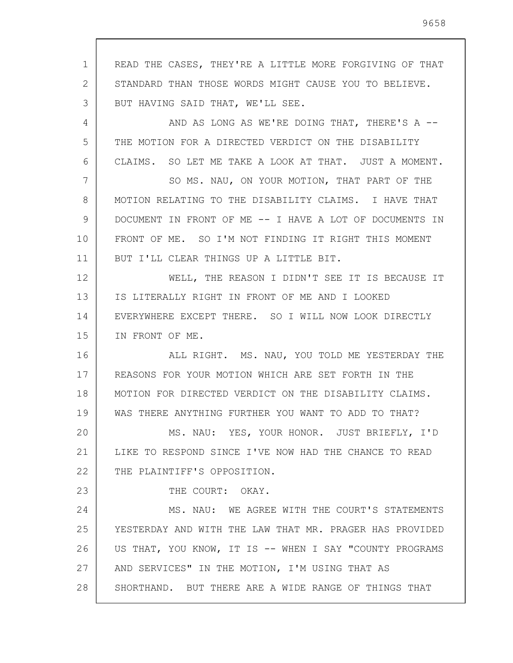1 2 3 4 5 6 7 8 9 10 11 12 13 14 15 16 17 18 19 20 21 22 23 24 25 26 27 28 READ THE CASES, THEY'RE A LITTLE MORE FORGIVING OF THAT STANDARD THAN THOSE WORDS MIGHT CAUSE YOU TO BELIEVE. BUT HAVING SAID THAT, WE'LL SEE. AND AS LONG AS WE'RE DOING THAT, THERE'S A --THE MOTION FOR A DIRECTED VERDICT ON THE DISABILITY CLAIMS. SO LET ME TAKE A LOOK AT THAT. JUST A MOMENT. SO MS. NAU, ON YOUR MOTION, THAT PART OF THE MOTION RELATING TO THE DISABILITY CLAIMS. I HAVE THAT DOCUMENT IN FRONT OF ME -- I HAVE A LOT OF DOCUMENTS IN FRONT OF ME. SO I'M NOT FINDING IT RIGHT THIS MOMENT BUT I'LL CLEAR THINGS UP A LITTLE BIT. WELL, THE REASON I DIDN'T SEE IT IS BECAUSE IT IS LITERALLY RIGHT IN FRONT OF ME AND I LOOKED EVERYWHERE EXCEPT THERE. SO I WILL NOW LOOK DIRECTLY IN FRONT OF ME. ALL RIGHT. MS. NAU, YOU TOLD ME YESTERDAY THE REASONS FOR YOUR MOTION WHICH ARE SET FORTH IN THE MOTION FOR DIRECTED VERDICT ON THE DISABILITY CLAIMS. WAS THERE ANYTHING FURTHER YOU WANT TO ADD TO THAT? MS. NAU: YES, YOUR HONOR. JUST BRIEFLY, I'D LIKE TO RESPOND SINCE I'VE NOW HAD THE CHANCE TO READ THE PLAINTIFF'S OPPOSITION. THE COURT: OKAY. MS. NAU: WE AGREE WITH THE COURT'S STATEMENTS YESTERDAY AND WITH THE LAW THAT MR. PRAGER HAS PROVIDED US THAT, YOU KNOW, IT IS -- WHEN I SAY "COUNTY PROGRAMS AND SERVICES" IN THE MOTION, I'M USING THAT AS SHORTHAND. BUT THERE ARE A WIDE RANGE OF THINGS THAT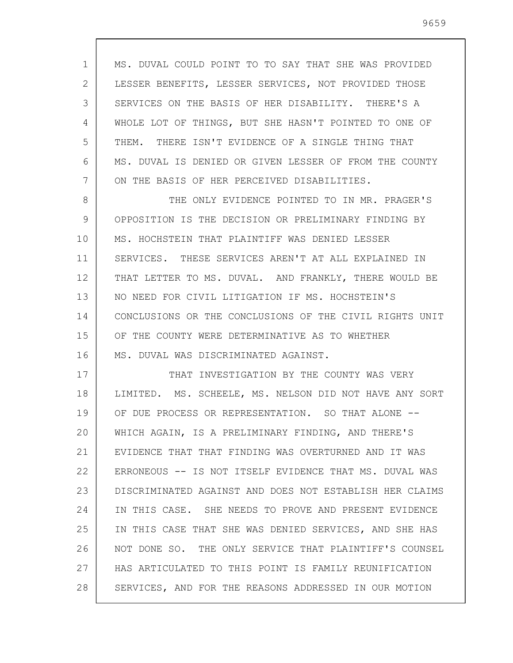1 2 3 4 5 6 7 MS. DUVAL COULD POINT TO TO SAY THAT SHE WAS PROVIDED LESSER BENEFITS, LESSER SERVICES, NOT PROVIDED THOSE SERVICES ON THE BASIS OF HER DISABILITY. THERE'S A WHOLE LOT OF THINGS, BUT SHE HASN'T POINTED TO ONE OF THEM. THERE ISN'T EVIDENCE OF A SINGLE THING THAT MS. DUVAL IS DENIED OR GIVEN LESSER OF FROM THE COUNTY ON THE BASIS OF HER PERCEIVED DISABILITIES.

8 9 10 11 12 13 14 15 16 THE ONLY EVIDENCE POINTED TO IN MR. PRAGER'S OPPOSITION IS THE DECISION OR PRELIMINARY FINDING BY MS. HOCHSTEIN THAT PLAINTIFF WAS DENIED LESSER SERVICES. THESE SERVICES AREN'T AT ALL EXPLAINED IN THAT LETTER TO MS. DUVAL. AND FRANKLY, THERE WOULD BE NO NEED FOR CIVIL LITIGATION IF MS. HOCHSTEIN'S CONCLUSIONS OR THE CONCLUSIONS OF THE CIVIL RIGHTS UNIT OF THE COUNTY WERE DETERMINATIVE AS TO WHETHER MS. DUVAL WAS DISCRIMINATED AGAINST.

17 18 19 20 21 22 23 24 25 26 27 28 THAT INVESTIGATION BY THE COUNTY WAS VERY LIMITED. MS. SCHEELE, MS. NELSON DID NOT HAVE ANY SORT OF DUE PROCESS OR REPRESENTATION. SO THAT ALONE -- WHICH AGAIN, IS A PRELIMINARY FINDING, AND THERE'S EVIDENCE THAT THAT FINDING WAS OVERTURNED AND IT WAS ERRONEOUS -- IS NOT ITSELF EVIDENCE THAT MS. DUVAL WAS DISCRIMINATED AGAINST AND DOES NOT ESTABLISH HER CLAIMS IN THIS CASE. SHE NEEDS TO PROVE AND PRESENT EVIDENCE IN THIS CASE THAT SHE WAS DENIED SERVICES, AND SHE HAS NOT DONE SO. THE ONLY SERVICE THAT PLAINTIFF'S COUNSEL HAS ARTICULATED TO THIS POINT IS FAMILY REUNIFICATION SERVICES, AND FOR THE REASONS ADDRESSED IN OUR MOTION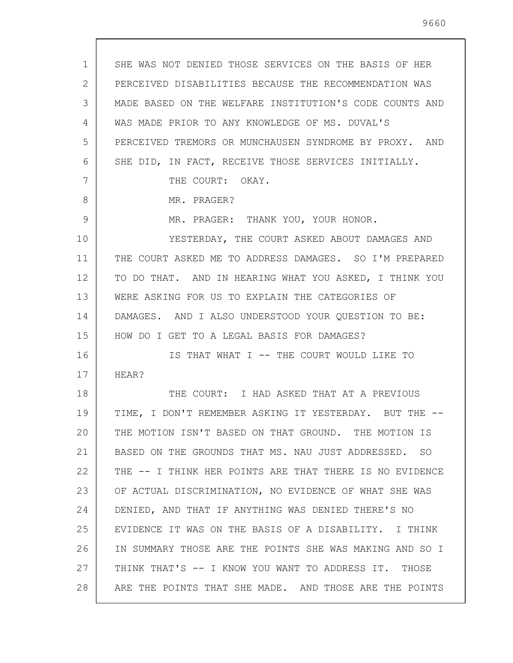1 2 3 4 5 6 7 8 9 10 11 12 13 14 15 16 17 18 19 20 21 22 23 24 25 26 27 SHE WAS NOT DENIED THOSE SERVICES ON THE BASIS OF HER PERCEIVED DISABILITIES BECAUSE THE RECOMMENDATION WAS MADE BASED ON THE WELFARE INSTITUTION'S CODE COUNTS AND WAS MADE PRIOR TO ANY KNOWLEDGE OF MS. DUVAL'S PERCEIVED TREMORS OR MUNCHAUSEN SYNDROME BY PROXY. AND SHE DID, IN FACT, RECEIVE THOSE SERVICES INITIALLY. THE COURT: OKAY. MR. PRAGER? MR. PRAGER: THANK YOU, YOUR HONOR. YESTERDAY, THE COURT ASKED ABOUT DAMAGES AND THE COURT ASKED ME TO ADDRESS DAMAGES. SO I'M PREPARED TO DO THAT. AND IN HEARING WHAT YOU ASKED, I THINK YOU WERE ASKING FOR US TO EXPLAIN THE CATEGORIES OF DAMAGES. AND I ALSO UNDERSTOOD YOUR QUESTION TO BE: HOW DO I GET TO A LEGAL BASIS FOR DAMAGES? IS THAT WHAT I -- THE COURT WOULD LIKE TO HEAR? THE COURT: I HAD ASKED THAT AT A PREVIOUS TIME, I DON'T REMEMBER ASKING IT YESTERDAY. BUT THE -- THE MOTION ISN'T BASED ON THAT GROUND. THE MOTION IS BASED ON THE GROUNDS THAT MS. NAU JUST ADDRESSED. SO THE -- I THINK HER POINTS ARE THAT THERE IS NO EVIDENCE OF ACTUAL DISCRIMINATION, NO EVIDENCE OF WHAT SHE WAS DENIED, AND THAT IF ANYTHING WAS DENIED THERE'S NO EVIDENCE IT WAS ON THE BASIS OF A DISABILITY. I THINK IN SUMMARY THOSE ARE THE POINTS SHE WAS MAKING AND SO I THINK THAT'S -- I KNOW YOU WANT TO ADDRESS IT. THOSE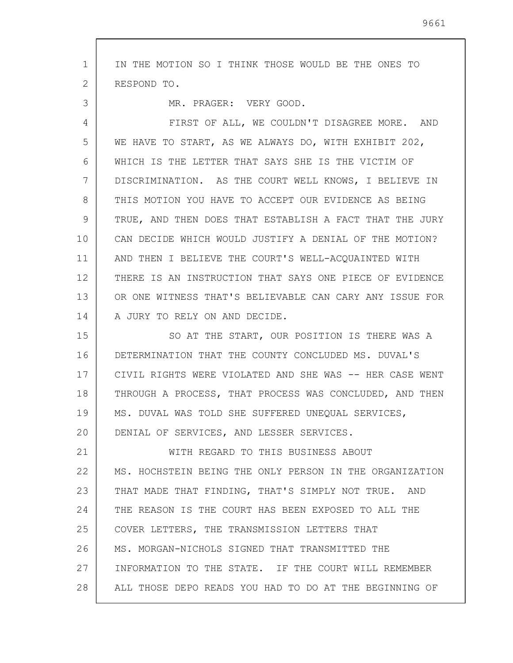1 2 3 4 5 6 7 8 9 10 11 12 13 14 15 16 17 18 19 20 21 22 23 24 25 26 27 28 IN THE MOTION SO I THINK THOSE WOULD BE THE ONES TO RESPOND TO. MR. PRAGER: VERY GOOD. FIRST OF ALL, WE COULDN'T DISAGREE MORE. AND WE HAVE TO START, AS WE ALWAYS DO, WITH EXHIBIT 202, WHICH IS THE LETTER THAT SAYS SHE IS THE VICTIM OF DISCRIMINATION. AS THE COURT WELL KNOWS, I BELIEVE IN THIS MOTION YOU HAVE TO ACCEPT OUR EVIDENCE AS BEING TRUE, AND THEN DOES THAT ESTABLISH A FACT THAT THE JURY CAN DECIDE WHICH WOULD JUSTIFY A DENIAL OF THE MOTION? AND THEN I BELIEVE THE COURT'S WELL-ACQUAINTED WITH THERE IS AN INSTRUCTION THAT SAYS ONE PIECE OF EVIDENCE OR ONE WITNESS THAT'S BELIEVABLE CAN CARY ANY ISSUE FOR A JURY TO RELY ON AND DECIDE. SO AT THE START, OUR POSITION IS THERE WAS A DETERMINATION THAT THE COUNTY CONCLUDED MS. DUVAL'S CIVIL RIGHTS WERE VIOLATED AND SHE WAS -- HER CASE WENT THROUGH A PROCESS, THAT PROCESS WAS CONCLUDED, AND THEN MS. DUVAL WAS TOLD SHE SUFFERED UNEQUAL SERVICES, DENIAL OF SERVICES, AND LESSER SERVICES. WITH REGARD TO THIS BUSINESS ABOUT MS. HOCHSTEIN BEING THE ONLY PERSON IN THE ORGANIZATION THAT MADE THAT FINDING, THAT'S SIMPLY NOT TRUE. AND THE REASON IS THE COURT HAS BEEN EXPOSED TO ALL THE COVER LETTERS, THE TRANSMISSION LETTERS THAT MS. MORGAN-NICHOLS SIGNED THAT TRANSMITTED THE INFORMATION TO THE STATE. IF THE COURT WILL REMEMBER ALL THOSE DEPO READS YOU HAD TO DO AT THE BEGINNING OF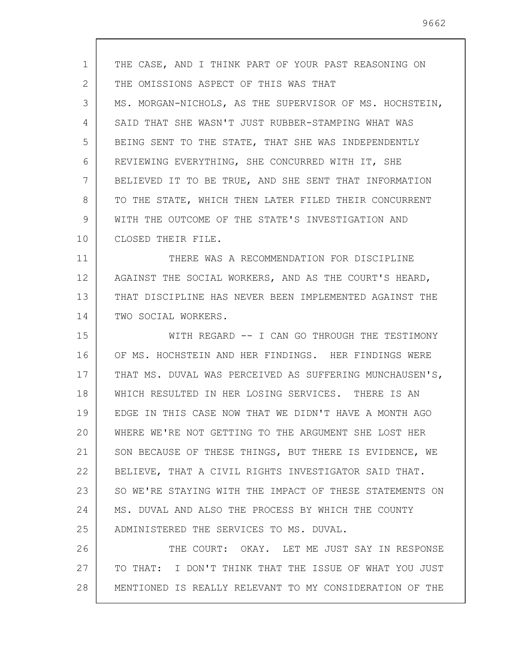1 2 3 4 5 6 7 8 9 10 11 THE CASE, AND I THINK PART OF YOUR PAST REASONING ON THE OMISSIONS ASPECT OF THIS WAS THAT MS. MORGAN-NICHOLS, AS THE SUPERVISOR OF MS. HOCHSTEIN, SAID THAT SHE WASN'T JUST RUBBER-STAMPING WHAT WAS BEING SENT TO THE STATE, THAT SHE WAS INDEPENDENTLY REVIEWING EVERYTHING, SHE CONCURRED WITH IT, SHE BELIEVED IT TO BE TRUE, AND SHE SENT THAT INFORMATION TO THE STATE, WHICH THEN LATER FILED THEIR CONCURRENT WITH THE OUTCOME OF THE STATE'S INVESTIGATION AND CLOSED THEIR FILE. THERE WAS A RECOMMENDATION FOR DISCIPLINE

12 13 14 AGAINST THE SOCIAL WORKERS, AND AS THE COURT'S HEARD, THAT DISCIPLINE HAS NEVER BEEN IMPLEMENTED AGAINST THE TWO SOCIAL WORKERS.

15 16 17 18 19 20 21 22 23 24 25 WITH REGARD -- I CAN GO THROUGH THE TESTIMONY OF MS. HOCHSTEIN AND HER FINDINGS. HER FINDINGS WERE THAT MS. DUVAL WAS PERCEIVED AS SUFFERING MUNCHAUSEN'S, WHICH RESULTED IN HER LOSING SERVICES. THERE IS AN EDGE IN THIS CASE NOW THAT WE DIDN'T HAVE A MONTH AGO WHERE WE'RE NOT GETTING TO THE ARGUMENT SHE LOST HER SON BECAUSE OF THESE THINGS, BUT THERE IS EVIDENCE, WE BELIEVE, THAT A CIVIL RIGHTS INVESTIGATOR SAID THAT. SO WE'RE STAYING WITH THE IMPACT OF THESE STATEMENTS ON MS. DUVAL AND ALSO THE PROCESS BY WHICH THE COUNTY ADMINISTERED THE SERVICES TO MS. DUVAL.

26 27 28 THE COURT: OKAY. LET ME JUST SAY IN RESPONSE TO THAT: I DON'T THINK THAT THE ISSUE OF WHAT YOU JUST MENTIONED IS REALLY RELEVANT TO MY CONSIDERATION OF THE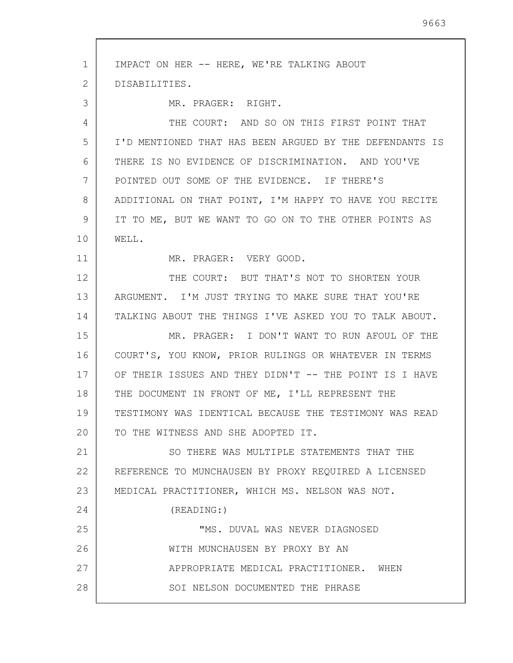1 2 3 4 5 6 7 8 9 10 11 12 13 14 15 16 17 18 19 20 21 22 23 24 25 26 27 28 IMPACT ON HER -- HERE, WE'RE TALKING ABOUT DISABILITIES. MR. PRAGER: RIGHT. THE COURT: AND SO ON THIS FIRST POINT THAT I'D MENTIONED THAT HAS BEEN ARGUED BY THE DEFENDANTS IS THERE IS NO EVIDENCE OF DISCRIMINATION. AND YOU'VE POINTED OUT SOME OF THE EVIDENCE. IF THERE'S ADDITIONAL ON THAT POINT, I'M HAPPY TO HAVE YOU RECITE IT TO ME, BUT WE WANT TO GO ON TO THE OTHER POINTS AS WELL. MR. PRAGER: VERY GOOD. THE COURT: BUT THAT'S NOT TO SHORTEN YOUR ARGUMENT. I'M JUST TRYING TO MAKE SURE THAT YOU'RE TALKING ABOUT THE THINGS I'VE ASKED YOU TO TALK ABOUT. MR. PRAGER: I DON'T WANT TO RUN AFOUL OF THE COURT'S, YOU KNOW, PRIOR RULINGS OR WHATEVER IN TERMS OF THEIR ISSUES AND THEY DIDN'T -- THE POINT IS I HAVE THE DOCUMENT IN FRONT OF ME, I'LL REPRESENT THE TESTIMONY WAS IDENTICAL BECAUSE THE TESTIMONY WAS READ TO THE WITNESS AND SHE ADOPTED IT. SO THERE WAS MULTIPLE STATEMENTS THAT THE REFERENCE TO MUNCHAUSEN BY PROXY REQUIRED A LICENSED MEDICAL PRACTITIONER, WHICH MS. NELSON WAS NOT. (READING:) "MS. DUVAL WAS NEVER DIAGNOSED WITH MUNCHAUSEN BY PROXY BY AN APPROPRIATE MEDICAL PRACTITIONER. WHEN SOI NELSON DOCUMENTED THE PHRASE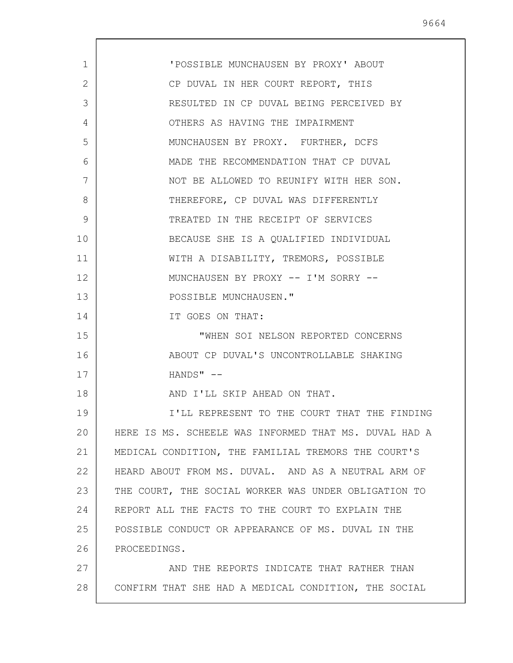| 1  | 'POSSIBLE MUNCHAUSEN BY PROXY' ABOUT                  |
|----|-------------------------------------------------------|
| 2  | CP DUVAL IN HER COURT REPORT, THIS                    |
| 3  | RESULTED IN CP DUVAL BEING PERCEIVED BY               |
| 4  | OTHERS AS HAVING THE IMPAIRMENT                       |
| 5  | MUNCHAUSEN BY PROXY. FURTHER, DCFS                    |
| 6  | MADE THE RECOMMENDATION THAT CP DUVAL                 |
| 7  | NOT BE ALLOWED TO REUNIFY WITH HER SON.               |
| 8  | THEREFORE, CP DUVAL WAS DIFFERENTLY                   |
| 9  | TREATED IN THE RECEIPT OF SERVICES                    |
| 10 | BECAUSE SHE IS A QUALIFIED INDIVIDUAL                 |
| 11 | WITH A DISABILITY, TREMORS, POSSIBLE                  |
| 12 | MUNCHAUSEN BY PROXY -- I'M SORRY --                   |
| 13 | POSSIBLE MUNCHAUSEN."                                 |
| 14 | IT GOES ON THAT:                                      |
| 15 | "WHEN SOI NELSON REPORTED CONCERNS                    |
| 16 | ABOUT CP DUVAL'S UNCONTROLLABLE SHAKING               |
| 17 | HANDS" --                                             |
| 18 | AND I'LL SKIP AHEAD ON THAT.                          |
| 19 | I'LL REPRESENT TO THE COURT THAT THE FINDING          |
| 20 | HERE IS MS. SCHEELE WAS INFORMED THAT MS. DUVAL HAD A |
| 21 | MEDICAL CONDITION, THE FAMILIAL TREMORS THE COURT'S   |
| 22 | HEARD ABOUT FROM MS. DUVAL. AND AS A NEUTRAL ARM OF   |
| 23 | THE COURT, THE SOCIAL WORKER WAS UNDER OBLIGATION TO  |
| 24 | REPORT ALL THE FACTS TO THE COURT TO EXPLAIN THE      |
| 25 | POSSIBLE CONDUCT OR APPEARANCE OF MS. DUVAL IN THE    |
| 26 | PROCEEDINGS.                                          |
| 27 | AND THE REPORTS INDICATE THAT RATHER THAN             |
| 28 | CONFIRM THAT SHE HAD A MEDICAL CONDITION, THE SOCIAL  |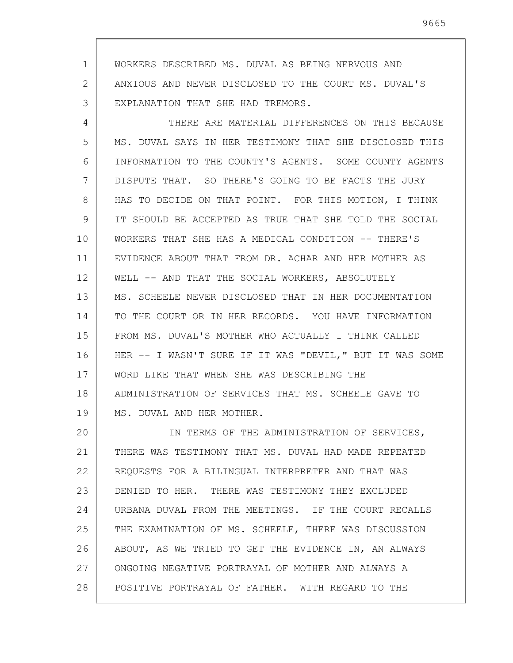1 2 3 WORKERS DESCRIBED MS. DUVAL AS BEING NERVOUS AND ANXIOUS AND NEVER DISCLOSED TO THE COURT MS. DUVAL'S EXPLANATION THAT SHE HAD TREMORS.

4 5 6 7 8 9 10 11 12 13 14 15 16 17 18 19 THERE ARE MATERIAL DIFFERENCES ON THIS BECAUSE MS. DUVAL SAYS IN HER TESTIMONY THAT SHE DISCLOSED THIS INFORMATION TO THE COUNTY'S AGENTS. SOME COUNTY AGENTS DISPUTE THAT. SO THERE'S GOING TO BE FACTS THE JURY HAS TO DECIDE ON THAT POINT. FOR THIS MOTION, I THINK IT SHOULD BE ACCEPTED AS TRUE THAT SHE TOLD THE SOCIAL WORKERS THAT SHE HAS A MEDICAL CONDITION -- THERE'S EVIDENCE ABOUT THAT FROM DR. ACHAR AND HER MOTHER AS WELL -- AND THAT THE SOCIAL WORKERS, ABSOLUTELY MS. SCHEELE NEVER DISCLOSED THAT IN HER DOCUMENTATION TO THE COURT OR IN HER RECORDS. YOU HAVE INFORMATION FROM MS. DUVAL'S MOTHER WHO ACTUALLY I THINK CALLED HER -- I WASN'T SURE IF IT WAS "DEVIL," BUT IT WAS SOME WORD LIKE THAT WHEN SHE WAS DESCRIBING THE ADMINISTRATION OF SERVICES THAT MS. SCHEELE GAVE TO MS. DUVAL AND HER MOTHER.

20 21 22 23 24 25 26 27 28 IN TERMS OF THE ADMINISTRATION OF SERVICES, THERE WAS TESTIMONY THAT MS. DUVAL HAD MADE REPEATED REQUESTS FOR A BILINGUAL INTERPRETER AND THAT WAS DENIED TO HER. THERE WAS TESTIMONY THEY EXCLUDED URBANA DUVAL FROM THE MEETINGS. IF THE COURT RECALLS THE EXAMINATION OF MS. SCHEELE, THERE WAS DISCUSSION ABOUT, AS WE TRIED TO GET THE EVIDENCE IN, AN ALWAYS ONGOING NEGATIVE PORTRAYAL OF MOTHER AND ALWAYS A POSITIVE PORTRAYAL OF FATHER. WITH REGARD TO THE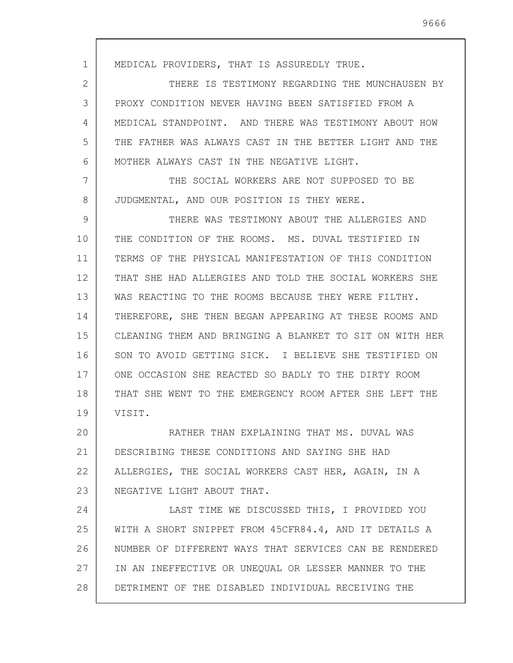1 2 3 4 5 6 7 8 9 10 11 12 13 14 15 16 17 18 19 20 21 22 23 24 25 26 27 28 MEDICAL PROVIDERS, THAT IS ASSUREDLY TRUE. THERE IS TESTIMONY REGARDING THE MUNCHAUSEN BY PROXY CONDITION NEVER HAVING BEEN SATISFIED FROM A MEDICAL STANDPOINT. AND THERE WAS TESTIMONY ABOUT HOW THE FATHER WAS ALWAYS CAST IN THE BETTER LIGHT AND THE MOTHER ALWAYS CAST IN THE NEGATIVE LIGHT. THE SOCIAL WORKERS ARE NOT SUPPOSED TO BE JUDGMENTAL, AND OUR POSITION IS THEY WERE. THERE WAS TESTIMONY ABOUT THE ALLERGIES AND THE CONDITION OF THE ROOMS. MS. DUVAL TESTIFIED IN TERMS OF THE PHYSICAL MANIFESTATION OF THIS CONDITION THAT SHE HAD ALLERGIES AND TOLD THE SOCIAL WORKERS SHE WAS REACTING TO THE ROOMS BECAUSE THEY WERE FILTHY. THEREFORE, SHE THEN BEGAN APPEARING AT THESE ROOMS AND CLEANING THEM AND BRINGING A BLANKET TO SIT ON WITH HER SON TO AVOID GETTING SICK. I BELIEVE SHE TESTIFIED ON ONE OCCASION SHE REACTED SO BADLY TO THE DIRTY ROOM THAT SHE WENT TO THE EMERGENCY ROOM AFTER SHE LEFT THE VISIT. RATHER THAN EXPLAINING THAT MS. DUVAL WAS DESCRIBING THESE CONDITIONS AND SAYING SHE HAD ALLERGIES, THE SOCIAL WORKERS CAST HER, AGAIN, IN A NEGATIVE LIGHT ABOUT THAT. LAST TIME WE DISCUSSED THIS, I PROVIDED YOU WITH A SHORT SNIPPET FROM 45CFR84.4, AND IT DETAILS A NUMBER OF DIFFERENT WAYS THAT SERVICES CAN BE RENDERED IN AN INEFFECTIVE OR UNEQUAL OR LESSER MANNER TO THE DETRIMENT OF THE DISABLED INDIVIDUAL RECEIVING THE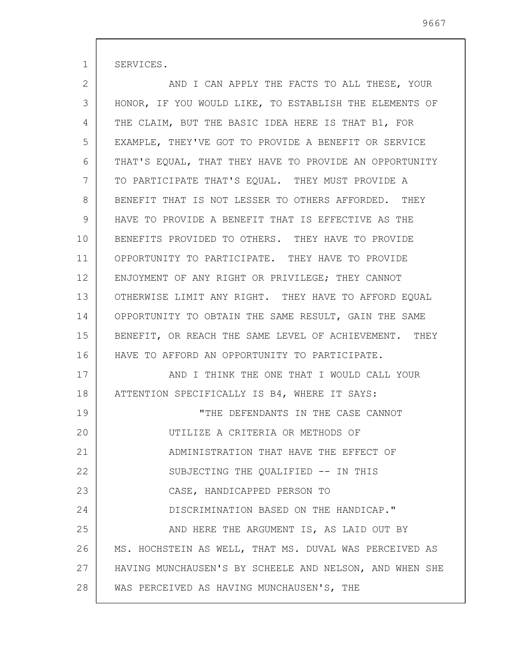AND I CAN APPLY THE FACTS TO ALL THESE, YOUR

3 4 5 6 7 8 9 10 11 12 13 14 15 16 17 18 HONOR, IF YOU WOULD LIKE, TO ESTABLISH THE ELEMENTS OF THE CLAIM, BUT THE BASIC IDEA HERE IS THAT B1, FOR EXAMPLE, THEY'VE GOT TO PROVIDE A BENEFIT OR SERVICE THAT'S EQUAL, THAT THEY HAVE TO PROVIDE AN OPPORTUNITY TO PARTICIPATE THAT'S EQUAL. THEY MUST PROVIDE A BENEFIT THAT IS NOT LESSER TO OTHERS AFFORDED. THEY HAVE TO PROVIDE A BENEFIT THAT IS EFFECTIVE AS THE BENEFITS PROVIDED TO OTHERS. THEY HAVE TO PROVIDE OPPORTUNITY TO PARTICIPATE. THEY HAVE TO PROVIDE ENJOYMENT OF ANY RIGHT OR PRIVILEGE; THEY CANNOT OTHERWISE LIMIT ANY RIGHT. THEY HAVE TO AFFORD EQUAL OPPORTUNITY TO OBTAIN THE SAME RESULT, GAIN THE SAME BENEFIT, OR REACH THE SAME LEVEL OF ACHIEVEMENT. THEY HAVE TO AFFORD AN OPPORTUNITY TO PARTICIPATE. AND I THINK THE ONE THAT I WOULD CALL YOUR ATTENTION SPECIFICALLY IS B4, WHERE IT SAYS:

1

SERVICES.

2

19 20 21 22 23 24 25 26 27 28 "THE DEFENDANTS IN THE CASE CANNOT UTILIZE A CRITERIA OR METHODS OF ADMINISTRATION THAT HAVE THE EFFECT OF SUBJECTING THE QUALIFIED -- IN THIS CASE, HANDICAPPED PERSON TO DISCRIMINATION BASED ON THE HANDICAP." AND HERE THE ARGUMENT IS, AS LAID OUT BY MS. HOCHSTEIN AS WELL, THAT MS. DUVAL WAS PERCEIVED AS HAVING MUNCHAUSEN'S BY SCHEELE AND NELSON, AND WHEN SHE WAS PERCEIVED AS HAVING MUNCHAUSEN'S, THE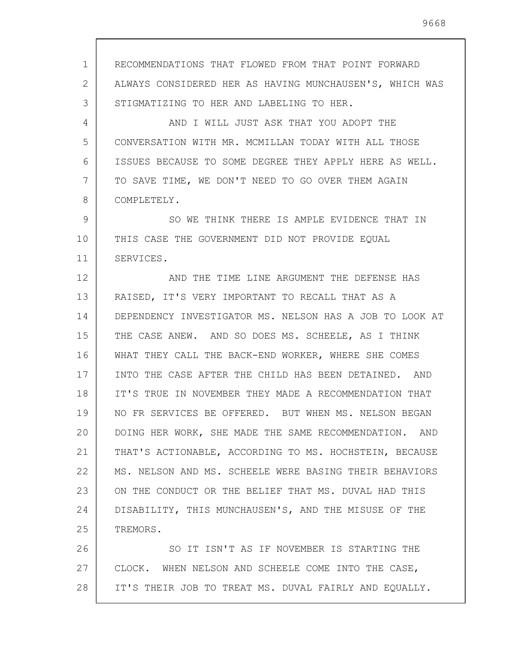1 2 3 4 5 6 7 8 9 10 11 12 13 14 15 16 17 18 19 20 21 22 23 24 25 26 27 28 RECOMMENDATIONS THAT FLOWED FROM THAT POINT FORWARD ALWAYS CONSIDERED HER AS HAVING MUNCHAUSEN'S, WHICH WAS STIGMATIZING TO HER AND LABELING TO HER. AND I WILL JUST ASK THAT YOU ADOPT THE CONVERSATION WITH MR. MCMILLAN TODAY WITH ALL THOSE ISSUES BECAUSE TO SOME DEGREE THEY APPLY HERE AS WELL. TO SAVE TIME, WE DON'T NEED TO GO OVER THEM AGAIN COMPLETELY. SO WE THINK THERE IS AMPLE EVIDENCE THAT IN THIS CASE THE GOVERNMENT DID NOT PROVIDE EOUAL SERVICES. AND THE TIME LINE ARGUMENT THE DEFENSE HAS RAISED, IT'S VERY IMPORTANT TO RECALL THAT AS A DEPENDENCY INVESTIGATOR MS. NELSON HAS A JOB TO LOOK AT THE CASE ANEW. AND SO DOES MS. SCHEELE, AS I THINK WHAT THEY CALL THE BACK-END WORKER, WHERE SHE COMES INTO THE CASE AFTER THE CHILD HAS BEEN DETAINED. AND IT'S TRUE IN NOVEMBER THEY MADE A RECOMMENDATION THAT NO FR SERVICES BE OFFERED. BUT WHEN MS. NELSON BEGAN DOING HER WORK, SHE MADE THE SAME RECOMMENDATION. AND THAT'S ACTIONABLE, ACCORDING TO MS. HOCHSTEIN, BECAUSE MS. NELSON AND MS. SCHEELE WERE BASING THEIR BEHAVIORS ON THE CONDUCT OR THE BELIEF THAT MS. DUVAL HAD THIS DISABILITY, THIS MUNCHAUSEN'S, AND THE MISUSE OF THE TREMORS. SO IT ISN'T AS IF NOVEMBER IS STARTING THE CLOCK. WHEN NELSON AND SCHEELE COME INTO THE CASE, IT'S THEIR JOB TO TREAT MS. DUVAL FAIRLY AND EQUALLY.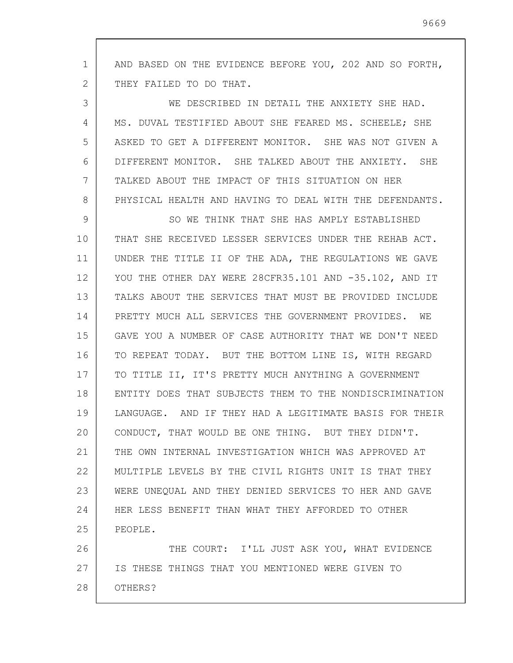1 2 AND BASED ON THE EVIDENCE BEFORE YOU, 202 AND SO FORTH, THEY FAILED TO DO THAT.

3 4 5 6 7 8 WE DESCRIBED IN DETAIL THE ANXIETY SHE HAD. MS. DUVAL TESTIFIED ABOUT SHE FEARED MS. SCHEELE; SHE ASKED TO GET A DIFFERENT MONITOR. SHE WAS NOT GIVEN A DIFFERENT MONITOR. SHE TALKED ABOUT THE ANXIETY. SHE TALKED ABOUT THE IMPACT OF THIS SITUATION ON HER PHYSICAL HEALTH AND HAVING TO DEAL WITH THE DEFENDANTS.

9 10 11 12 13 14 15 16 17 18 19 20 21 22 23 24 25 SO WE THINK THAT SHE HAS AMPLY ESTABLISHED THAT SHE RECEIVED LESSER SERVICES UNDER THE REHAB ACT. UNDER THE TITLE II OF THE ADA, THE REGULATIONS WE GAVE YOU THE OTHER DAY WERE 28CFR35.101 AND -35.102, AND IT TALKS ABOUT THE SERVICES THAT MUST BE PROVIDED INCLUDE PRETTY MUCH ALL SERVICES THE GOVERNMENT PROVIDES. WE GAVE YOU A NUMBER OF CASE AUTHORITY THAT WE DON'T NEED TO REPEAT TODAY. BUT THE BOTTOM LINE IS, WITH REGARD TO TITLE II, IT'S PRETTY MUCH ANYTHING A GOVERNMENT ENTITY DOES THAT SUBJECTS THEM TO THE NONDISCRIMINATION LANGUAGE. AND IF THEY HAD A LEGITIMATE BASIS FOR THEIR CONDUCT, THAT WOULD BE ONE THING. BUT THEY DIDN'T. THE OWN INTERNAL INVESTIGATION WHICH WAS APPROVED AT MULTIPLE LEVELS BY THE CIVIL RIGHTS UNIT IS THAT THEY WERE UNEQUAL AND THEY DENIED SERVICES TO HER AND GAVE HER LESS BENEFIT THAN WHAT THEY AFFORDED TO OTHER PEOPLE.

26 27 28 THE COURT: I'LL JUST ASK YOU, WHAT EVIDENCE IS THESE THINGS THAT YOU MENTIONED WERE GIVEN TO OTHERS?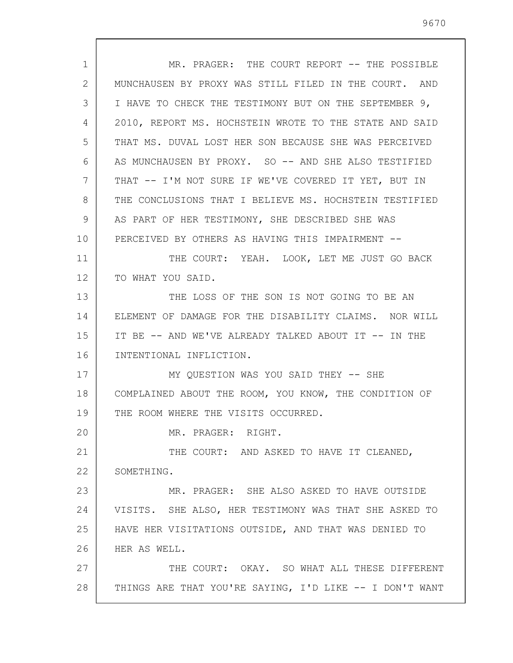MR. PRAGER: THE COURT REPORT -- THE POSSIBLE MUNCHAUSEN BY PROXY WAS STILL FILED IN THE COURT. AND I HAVE TO CHECK THE TESTIMONY BUT ON THE SEPTEMBER 9, 2010, REPORT MS. HOCHSTEIN WROTE TO THE STATE AND SAID THAT MS. DUVAL LOST HER SON BECAUSE SHE WAS PERCEIVED AS MUNCHAUSEN BY PROXY. SO -- AND SHE ALSO TESTIFIED THAT -- I'M NOT SURE IF WE'VE COVERED IT YET, BUT IN THE CONCLUSIONS THAT I BELIEVE MS. HOCHSTEIN TESTIFIED AS PART OF HER TESTIMONY, SHE DESCRIBED SHE WAS PERCEIVED BY OTHERS AS HAVING THIS IMPAIRMENT -- THE COURT: YEAH. LOOK, LET ME JUST GO BACK

12 TO WHAT YOU SAID.

1

2

3

4

5

6

7

8

9

10

11

20

13 14 15 16 THE LOSS OF THE SON IS NOT GOING TO BE AN ELEMENT OF DAMAGE FOR THE DISABILITY CLAIMS. NOR WILL IT BE -- AND WE'VE ALREADY TALKED ABOUT IT -- IN THE INTENTIONAL INFLICTION.

17 18 19 MY QUESTION WAS YOU SAID THEY -- SHE COMPLAINED ABOUT THE ROOM, YOU KNOW, THE CONDITION OF THE ROOM WHERE THE VISITS OCCURRED.

MR. PRAGER: RIGHT.

21 22 THE COURT: AND ASKED TO HAVE IT CLEANED, SOMETHING.

23 24 25 26 MR. PRAGER: SHE ALSO ASKED TO HAVE OUTSIDE VISITS. SHE ALSO, HER TESTIMONY WAS THAT SHE ASKED TO HAVE HER VISITATIONS OUTSIDE, AND THAT WAS DENIED TO HER AS WELL.

27 28 THE COURT: OKAY. SO WHAT ALL THESE DIFFERENT THINGS ARE THAT YOU'RE SAYING, I'D LIKE -- I DON'T WANT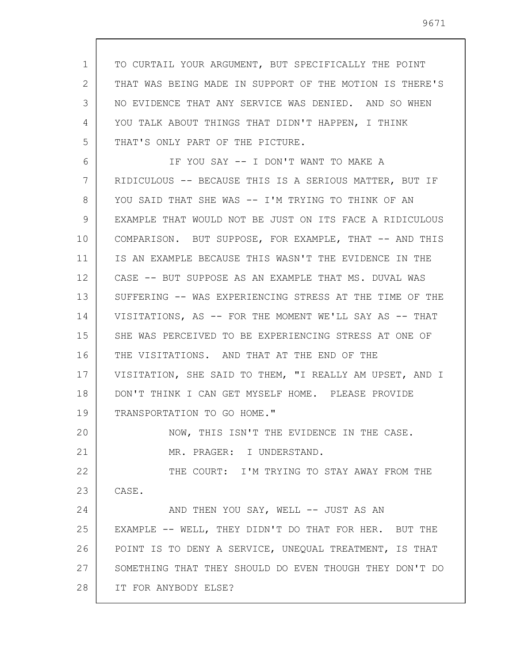3 4 5 NO EVIDENCE THAT ANY SERVICE WAS DENIED. AND SO WHEN YOU TALK ABOUT THINGS THAT DIDN'T HAPPEN, I THINK THAT'S ONLY PART OF THE PICTURE.

1

2

20

21

6 7 8 9 10 11 12 13 14 15 16 17 18 19 IF YOU SAY -- I DON'T WANT TO MAKE A RIDICULOUS -- BECAUSE THIS IS A SERIOUS MATTER, BUT IF YOU SAID THAT SHE WAS -- I'M TRYING TO THINK OF AN EXAMPLE THAT WOULD NOT BE JUST ON ITS FACE A RIDICULOUS COMPARISON. BUT SUPPOSE, FOR EXAMPLE, THAT -- AND THIS IS AN EXAMPLE BECAUSE THIS WASN'T THE EVIDENCE IN THE CASE -- BUT SUPPOSE AS AN EXAMPLE THAT MS. DUVAL WAS SUFFERING -- WAS EXPERIENCING STRESS AT THE TIME OF THE VISITATIONS, AS -- FOR THE MOMENT WE'LL SAY AS -- THAT SHE WAS PERCEIVED TO BE EXPERIENCING STRESS AT ONE OF THE VISITATIONS. AND THAT AT THE END OF THE VISITATION, SHE SAID TO THEM, "I REALLY AM UPSET, AND I DON'T THINK I CAN GET MYSELF HOME. PLEASE PROVIDE TRANSPORTATION TO GO HOME."

NOW, THIS ISN'T THE EVIDENCE IN THE CASE.

MR. PRAGER: I UNDERSTAND.

22 23 THE COURT: I'M TRYING TO STAY AWAY FROM THE CASE.

24 25 26 27 28 AND THEN YOU SAY, WELL -- JUST AS AN EXAMPLE -- WELL, THEY DIDN'T DO THAT FOR HER. BUT THE POINT IS TO DENY A SERVICE, UNEQUAL TREATMENT, IS THAT SOMETHING THAT THEY SHOULD DO EVEN THOUGH THEY DON'T DO IT FOR ANYBODY ELSE?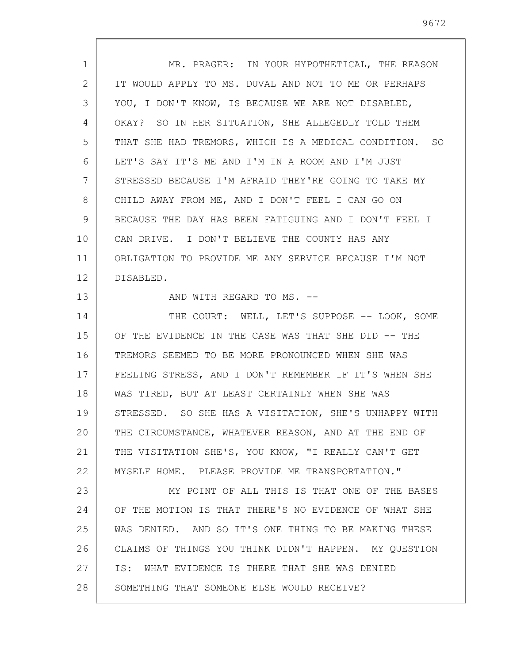| $\mathbf 1$ | MR. PRAGER: IN YOUR HYPOTHETICAL, THE REASON           |
|-------------|--------------------------------------------------------|
| 2           | IT WOULD APPLY TO MS. DUVAL AND NOT TO ME OR PERHAPS   |
| 3           | YOU, I DON'T KNOW, IS BECAUSE WE ARE NOT DISABLED,     |
| 4           | OKAY? SO IN HER SITUATION, SHE ALLEGEDLY TOLD THEM     |
| 5           | THAT SHE HAD TREMORS, WHICH IS A MEDICAL CONDITION. SO |
| 6           | LET'S SAY IT'S ME AND I'M IN A ROOM AND I'M JUST       |
| 7           | STRESSED BECAUSE I'M AFRAID THEY'RE GOING TO TAKE MY   |
| 8           | CHILD AWAY FROM ME, AND I DON'T FEEL I CAN GO ON       |
| 9           | BECAUSE THE DAY HAS BEEN FATIGUING AND I DON'T FEEL I  |
| 10          | CAN DRIVE. I DON'T BELIEVE THE COUNTY HAS ANY          |
| 11          | OBLIGATION TO PROVIDE ME ANY SERVICE BECAUSE I'M NOT   |
| 12          | DISABLED.                                              |
| 13          | AND WITH REGARD TO MS. --                              |
| 14          | THE COURT: WELL, LET'S SUPPOSE -- LOOK, SOME           |
| 15          | OF THE EVIDENCE IN THE CASE WAS THAT SHE DID -- THE    |
| 16          | TREMORS SEEMED TO BE MORE PRONOUNCED WHEN SHE WAS      |
| 17          | FEELING STRESS, AND I DON'T REMEMBER IF IT'S WHEN SHE  |
| 18          | WAS TIRED, BUT AT LEAST CERTAINLY WHEN SHE WAS         |
| 19          | STRESSED. SO SHE HAS A VISITATION, SHE'S UNHAPPY WITH  |
| 20          | THE CIRCUMSTANCE, WHATEVER REASON, AND AT THE END OF   |
| 21          | THE VISITATION SHE'S, YOU KNOW, "I REALLY CAN'T GET    |
| 22          | MYSELF HOME. PLEASE PROVIDE ME TRANSPORTATION."        |
| 23          | MY POINT OF ALL THIS IS THAT ONE OF THE BASES          |
| 24          | OF THE MOTION IS THAT THERE'S NO EVIDENCE OF WHAT SHE  |
| 25          | WAS DENIED. AND SO IT'S ONE THING TO BE MAKING THESE   |
| 26          | CLAIMS OF THINGS YOU THINK DIDN'T HAPPEN. MY QUESTION  |
| 27          | IS: WHAT EVIDENCE IS THERE THAT SHE WAS DENIED         |
| 28          | SOMETHING THAT SOMEONE ELSE WOULD RECEIVE?             |
|             |                                                        |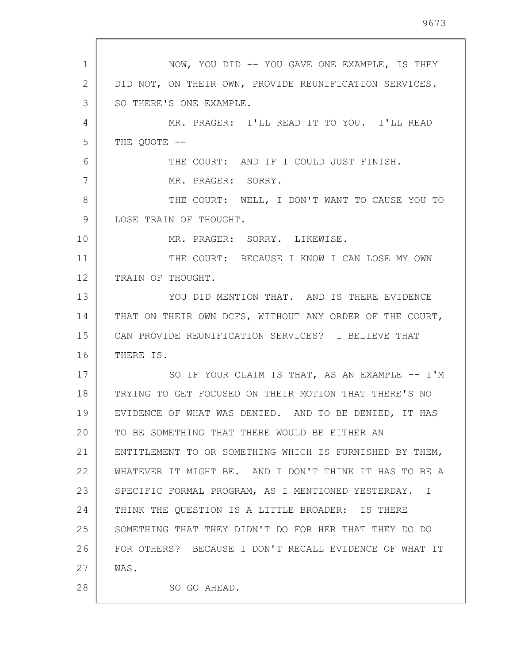| $\mathbf 1$    | NOW, YOU DID -- YOU GAVE ONE EXAMPLE, IS THEY           |
|----------------|---------------------------------------------------------|
| $\overline{2}$ | DID NOT, ON THEIR OWN, PROVIDE REUNIFICATION SERVICES.  |
| 3              | SO THERE'S ONE EXAMPLE.                                 |
| 4              | MR. PRAGER: I'LL READ IT TO YOU. I'LL READ              |
| 5              | THE QUOTE --                                            |
| 6              | THE COURT: AND IF I COULD JUST FINISH.                  |
| 7              | MR. PRAGER: SORRY.                                      |
| 8              | THE COURT: WELL, I DON'T WANT TO CAUSE YOU TO           |
| 9              | LOSE TRAIN OF THOUGHT.                                  |
| 10             | MR. PRAGER: SORRY. LIKEWISE.                            |
| 11             | THE COURT: BECAUSE I KNOW I CAN LOSE MY OWN             |
| 12             | TRAIN OF THOUGHT.                                       |
| 13             | YOU DID MENTION THAT. AND IS THERE EVIDENCE             |
| 14             | THAT ON THEIR OWN DCFS, WITHOUT ANY ORDER OF THE COURT, |
| 15             | CAN PROVIDE REUNIFICATION SERVICES? I BELIEVE THAT      |
| 16             | THERE IS.                                               |
| 17             | SO IF YOUR CLAIM IS THAT, AS AN EXAMPLE -- I'M          |
| 18             | TRYING TO GET FOCUSED ON THEIR MOTION THAT THERE'S NO   |
| 19             | EVIDENCE OF WHAT WAS DENIED. AND TO BE DENIED, IT HAS   |
| 20             | TO BE SOMETHING THAT THERE WOULD BE EITHER AN           |
| 21             | ENTITLEMENT TO OR SOMETHING WHICH IS FURNISHED BY THEM, |
| 22             | WHATEVER IT MIGHT BE. AND I DON'T THINK IT HAS TO BE A  |
| 23             | SPECIFIC FORMAL PROGRAM, AS I MENTIONED YESTERDAY. I    |
| 24             | THINK THE QUESTION IS A LITTLE BROADER: IS THERE        |
| 25             | SOMETHING THAT THEY DIDN'T DO FOR HER THAT THEY DO DO   |
| 26             | FOR OTHERS? BECAUSE I DON'T RECALL EVIDENCE OF WHAT IT  |
| 27             | WAS.                                                    |
| 28             | SO GO AHEAD.                                            |

 $\sqrt{ }$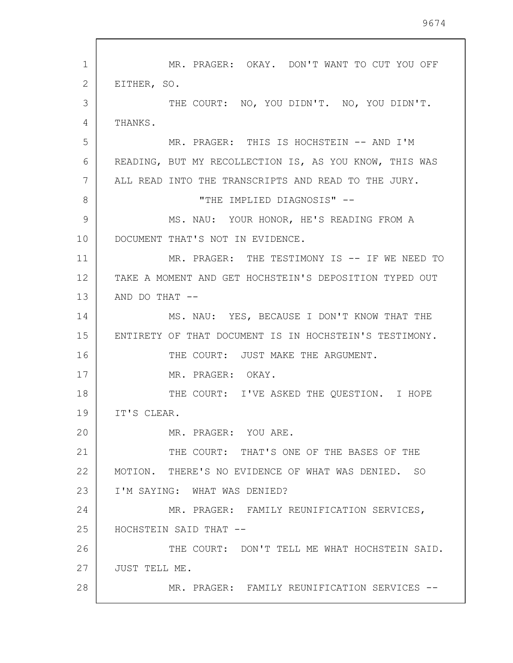1 2 3 4 5 6 7 8 9 10 11 12 13 14 15 16 17 18 19 20 21 22 23 24 25 26 27 28 MR. PRAGER: OKAY. DON'T WANT TO CUT YOU OFF EITHER, SO. THE COURT: NO, YOU DIDN'T. NO, YOU DIDN'T. THANKS. MR. PRAGER: THIS IS HOCHSTEIN -- AND I'M READING, BUT MY RECOLLECTION IS, AS YOU KNOW, THIS WAS ALL READ INTO THE TRANSCRIPTS AND READ TO THE JURY. "THE IMPLIED DIAGNOSIS" -- MS. NAU: YOUR HONOR, HE'S READING FROM A DOCUMENT THAT'S NOT IN EVIDENCE. MR. PRAGER: THE TESTIMONY IS -- IF WE NEED TO TAKE A MOMENT AND GET HOCHSTEIN'S DEPOSITION TYPED OUT AND DO THAT -- MS. NAU: YES, BECAUSE I DON'T KNOW THAT THE ENTIRETY OF THAT DOCUMENT IS IN HOCHSTEIN'S TESTIMONY. THE COURT: JUST MAKE THE ARGUMENT. MR. PRAGER: OKAY. THE COURT: I'VE ASKED THE QUESTION. I HOPE IT'S CLEAR. MR. PRAGER: YOU ARE. THE COURT: THAT'S ONE OF THE BASES OF THE MOTION. THERE'S NO EVIDENCE OF WHAT WAS DENIED. SO I'M SAYING: WHAT WAS DENIED? MR. PRAGER: FAMILY REUNIFICATION SERVICES, HOCHSTEIN SAID THAT -- THE COURT: DON'T TELL ME WHAT HOCHSTEIN SAID. JUST TELL ME. MR. PRAGER: FAMILY REUNIFICATION SERVICES --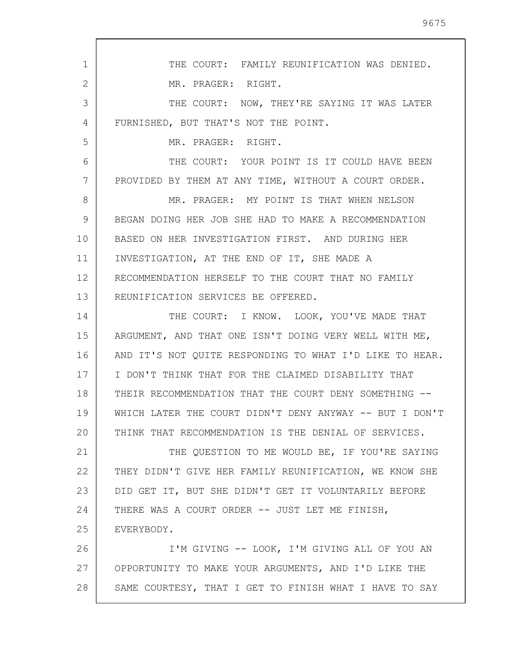1 2 3 4 5 6 7 8 9 10 11 12 13 14 15 16 17 18 19 20 21 22 23 24 25 26 27 28 THE COURT: FAMILY REUNIFICATION WAS DENIED. MR. PRAGER: RIGHT. THE COURT: NOW, THEY'RE SAYING IT WAS LATER FURNISHED, BUT THAT'S NOT THE POINT. MR. PRAGER: RIGHT. THE COURT: YOUR POINT IS IT COULD HAVE BEEN PROVIDED BY THEM AT ANY TIME, WITHOUT A COURT ORDER. MR. PRAGER: MY POINT IS THAT WHEN NELSON BEGAN DOING HER JOB SHE HAD TO MAKE A RECOMMENDATION BASED ON HER INVESTIGATION FIRST. AND DURING HER INVESTIGATION, AT THE END OF IT, SHE MADE A RECOMMENDATION HERSELF TO THE COURT THAT NO FAMILY REUNIFICATION SERVICES BE OFFERED. THE COURT: I KNOW. LOOK, YOU'VE MADE THAT ARGUMENT, AND THAT ONE ISN'T DOING VERY WELL WITH ME, AND IT'S NOT QUITE RESPONDING TO WHAT I'D LIKE TO HEAR. I DON'T THINK THAT FOR THE CLAIMED DISABILITY THAT THEIR RECOMMENDATION THAT THE COURT DENY SOMETHING -- WHICH LATER THE COURT DIDN'T DENY ANYWAY -- BUT I DON'T THINK THAT RECOMMENDATION IS THE DENIAL OF SERVICES. THE QUESTION TO ME WOULD BE, IF YOU'RE SAYING THEY DIDN'T GIVE HER FAMILY REUNIFICATION, WE KNOW SHE DID GET IT, BUT SHE DIDN'T GET IT VOLUNTARILY BEFORE THERE WAS A COURT ORDER -- JUST LET ME FINISH, EVERYBODY. I'M GIVING -- LOOK, I'M GIVING ALL OF YOU AN OPPORTUNITY TO MAKE YOUR ARGUMENTS, AND I'D LIKE THE SAME COURTESY, THAT I GET TO FINISH WHAT I HAVE TO SAY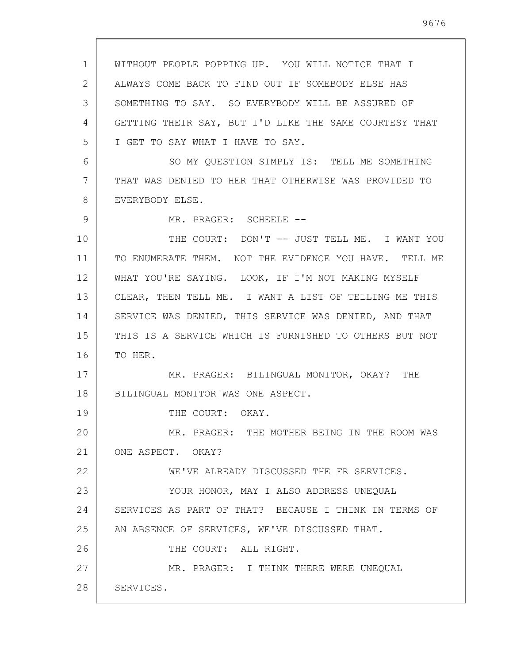1 2 3 4 5 6 7 8 9 10 11 12 13 14 15 16 17 18 19 20 21 22 23 24 25 26 27 28 WITHOUT PEOPLE POPPING UP. YOU WILL NOTICE THAT I ALWAYS COME BACK TO FIND OUT IF SOMEBODY ELSE HAS SOMETHING TO SAY. SO EVERYBODY WILL BE ASSURED OF GETTING THEIR SAY, BUT I'D LIKE THE SAME COURTESY THAT I GET TO SAY WHAT I HAVE TO SAY. SO MY QUESTION SIMPLY IS: TELL ME SOMETHING THAT WAS DENIED TO HER THAT OTHERWISE WAS PROVIDED TO EVERYBODY ELSE. MR. PRAGER: SCHEELE --THE COURT: DON'T -- JUST TELL ME. I WANT YOU TO ENUMERATE THEM. NOT THE EVIDENCE YOU HAVE. TELL ME WHAT YOU'RE SAYING. LOOK, IF I'M NOT MAKING MYSELF CLEAR, THEN TELL ME. I WANT A LIST OF TELLING ME THIS SERVICE WAS DENIED, THIS SERVICE WAS DENIED, AND THAT THIS IS A SERVICE WHICH IS FURNISHED TO OTHERS BUT NOT TO HER. MR. PRAGER: BILINGUAL MONITOR, OKAY? THE BILINGUAL MONITOR WAS ONE ASPECT. THE COURT: OKAY. MR. PRAGER: THE MOTHER BEING IN THE ROOM WAS ONE ASPECT. OKAY? WE'VE ALREADY DISCUSSED THE FR SERVICES. YOUR HONOR, MAY I ALSO ADDRESS UNEQUAL SERVICES AS PART OF THAT? BECAUSE I THINK IN TERMS OF AN ABSENCE OF SERVICES, WE'VE DISCUSSED THAT. THE COURT: ALL RIGHT. MR. PRAGER: I THINK THERE WERE UNEQUAL SERVICES.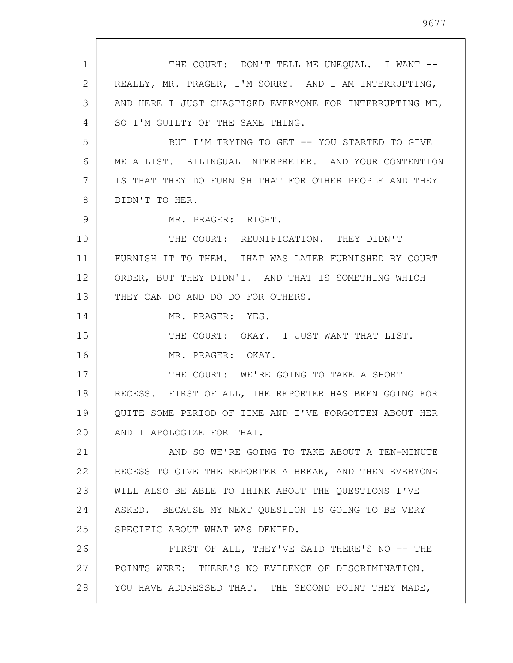1 2 3 4 5 6 7 8 9 10 11 12 13 14 15 16 17 18 19 20 21 22 23 24 25 26 27 28 THE COURT: DON'T TELL ME UNEQUAL. I WANT --REALLY, MR. PRAGER, I'M SORRY. AND I AM INTERRUPTING, AND HERE I JUST CHASTISED EVERYONE FOR INTERRUPTING ME, SO I'M GUILTY OF THE SAME THING. BUT I'M TRYING TO GET -- YOU STARTED TO GIVE ME A LIST. BILINGUAL INTERPRETER. AND YOUR CONTENTION IS THAT THEY DO FURNISH THAT FOR OTHER PEOPLE AND THEY DIDN'T TO HER. MR. PRAGER: RIGHT. THE COURT: REUNIFICATION. THEY DIDN'T FURNISH IT TO THEM. THAT WAS LATER FURNISHED BY COURT ORDER, BUT THEY DIDN'T. AND THAT IS SOMETHING WHICH THEY CAN DO AND DO DO FOR OTHERS. MR. PRAGER: YES. THE COURT: OKAY. I JUST WANT THAT LIST. MR. PRAGER: OKAY. THE COURT: WE'RE GOING TO TAKE A SHORT RECESS. FIRST OF ALL, THE REPORTER HAS BEEN GOING FOR QUITE SOME PERIOD OF TIME AND I'VE FORGOTTEN ABOUT HER AND I APOLOGIZE FOR THAT. AND SO WE'RE GOING TO TAKE ABOUT A TEN-MINUTE RECESS TO GIVE THE REPORTER A BREAK, AND THEN EVERYONE WILL ALSO BE ABLE TO THINK ABOUT THE QUESTIONS I'VE ASKED. BECAUSE MY NEXT QUESTION IS GOING TO BE VERY SPECIFIC ABOUT WHAT WAS DENIED. FIRST OF ALL, THEY'VE SAID THERE'S NO -- THE POINTS WERE: THERE'S NO EVIDENCE OF DISCRIMINATION. YOU HAVE ADDRESSED THAT. THE SECOND POINT THEY MADE,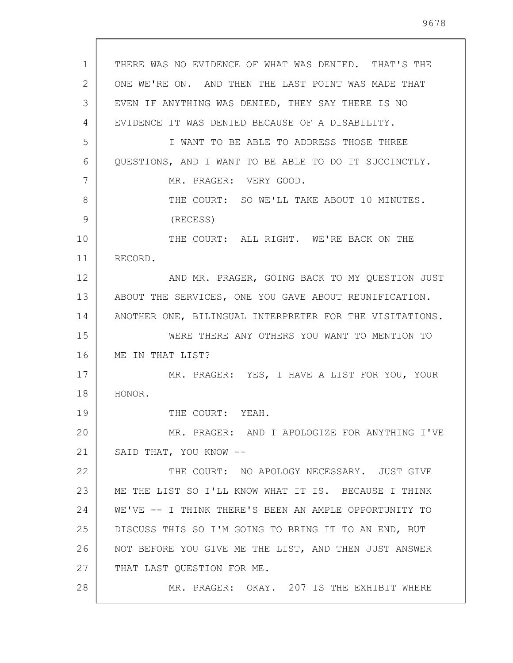| $\mathbf{1}$ | THERE WAS NO EVIDENCE OF WHAT WAS DENIED. THAT'S THE    |
|--------------|---------------------------------------------------------|
| 2            | ONE WE'RE ON. AND THEN THE LAST POINT WAS MADE THAT     |
| 3            | EVEN IF ANYTHING WAS DENIED, THEY SAY THERE IS NO       |
| 4            | EVIDENCE IT WAS DENIED BECAUSE OF A DISABILITY.         |
| 5            | I WANT TO BE ABLE TO ADDRESS THOSE THREE                |
| 6            | QUESTIONS, AND I WANT TO BE ABLE TO DO IT SUCCINCTLY.   |
| 7            | MR. PRAGER: VERY GOOD.                                  |
| 8            | THE COURT: SO WE'LL TAKE ABOUT 10 MINUTES.              |
| 9            | (RECESS)                                                |
| 10           | THE COURT: ALL RIGHT. WE'RE BACK ON THE                 |
| 11           | RECORD.                                                 |
| 12           | AND MR. PRAGER, GOING BACK TO MY QUESTION JUST          |
| 13           | ABOUT THE SERVICES, ONE YOU GAVE ABOUT REUNIFICATION.   |
| 14           | ANOTHER ONE, BILINGUAL INTERPRETER FOR THE VISITATIONS. |
| 15           | WERE THERE ANY OTHERS YOU WANT TO MENTION TO            |
| 16           | ME IN THAT LIST?                                        |
| 17           | MR. PRAGER: YES, I HAVE A LIST FOR YOU, YOUR            |
| 18           | HONOR.                                                  |
| 19           | THE COURT: YEAH.                                        |
| 20           | MR. PRAGER: AND I APOLOGIZE FOR ANYTHING I'VE           |
| 21           | SAID THAT, YOU KNOW --                                  |
| 22           | THE COURT: NO APOLOGY NECESSARY. JUST GIVE              |
| 23           | ME THE LIST SO I'LL KNOW WHAT IT IS. BECAUSE I THINK    |
| 24           | WE'VE -- I THINK THERE'S BEEN AN AMPLE OPPORTUNITY TO   |
| 25           | DISCUSS THIS SO I'M GOING TO BRING IT TO AN END, BUT    |
| 26           | NOT BEFORE YOU GIVE ME THE LIST, AND THEN JUST ANSWER   |
| 27           | THAT LAST QUESTION FOR ME.                              |
| 28           | MR. PRAGER: OKAY. 207 IS THE EXHIBIT WHERE              |
|              |                                                         |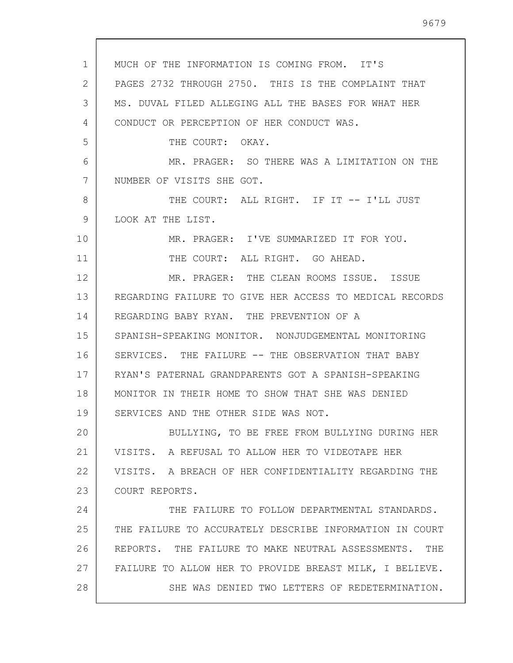1 2 3 4 5 6 7 8 9 10 11 12 13 14 15 16 17 18 19 20 21 22 23 24 25 26 27 28 MUCH OF THE INFORMATION IS COMING FROM. IT'S PAGES 2732 THROUGH 2750. THIS IS THE COMPLAINT THAT MS. DUVAL FILED ALLEGING ALL THE BASES FOR WHAT HER CONDUCT OR PERCEPTION OF HER CONDUCT WAS. THE COURT: OKAY. MR. PRAGER: SO THERE WAS A LIMITATION ON THE NUMBER OF VISITS SHE GOT. THE COURT: ALL RIGHT. IF IT -- I'LL JUST LOOK AT THE LIST. MR. PRAGER: I'VE SUMMARIZED IT FOR YOU. THE COURT: ALL RIGHT. GO AHEAD. MR. PRAGER: THE CLEAN ROOMS ISSUE. ISSUE REGARDING FAILURE TO GIVE HER ACCESS TO MEDICAL RECORDS REGARDING BABY RYAN. THE PREVENTION OF A SPANISH-SPEAKING MONITOR. NONJUDGEMENTAL MONITORING SERVICES. THE FAILURE -- THE OBSERVATION THAT BABY RYAN'S PATERNAL GRANDPARENTS GOT A SPANISH-SPEAKING MONITOR IN THEIR HOME TO SHOW THAT SHE WAS DENIED SERVICES AND THE OTHER SIDE WAS NOT. BULLYING, TO BE FREE FROM BULLYING DURING HER VISITS. A REFUSAL TO ALLOW HER TO VIDEOTAPE HER VISITS. A BREACH OF HER CONFIDENTIALITY REGARDING THE COURT REPORTS. THE FAILURE TO FOLLOW DEPARTMENTAL STANDARDS. THE FAILURE TO ACCURATELY DESCRIBE INFORMATION IN COURT REPORTS. THE FAILURE TO MAKE NEUTRAL ASSESSMENTS. THE FAILURE TO ALLOW HER TO PROVIDE BREAST MILK, I BELIEVE. SHE WAS DENIED TWO LETTERS OF REDETERMINATION.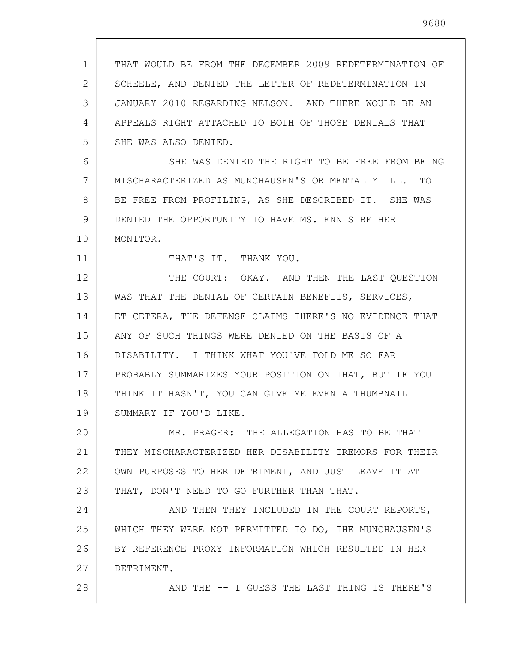| $\mathbf{1}$ | THAT WOULD BE FROM THE DECEMBER 2009 REDETERMINATION OF |
|--------------|---------------------------------------------------------|
| $\mathbf{2}$ | SCHEELE, AND DENIED THE LETTER OF REDETERMINATION IN    |
| 3            | JANUARY 2010 REGARDING NELSON. AND THERE WOULD BE AN    |
| 4            | APPEALS RIGHT ATTACHED TO BOTH OF THOSE DENIALS THAT    |
| 5            | SHE WAS ALSO DENIED.                                    |
| 6            | SHE WAS DENIED THE RIGHT TO BE FREE FROM BEING          |
| 7            | MISCHARACTERIZED AS MUNCHAUSEN'S OR MENTALLY ILL. TO    |
| 8            | BE FREE FROM PROFILING, AS SHE DESCRIBED IT. SHE WAS    |
| 9            | DENIED THE OPPORTUNITY TO HAVE MS. ENNIS BE HER         |
| 10           | MONITOR.                                                |
| 11           | THAT'S IT. THANK YOU.                                   |
| 12           | THE COURT: OKAY. AND THEN THE LAST QUESTION             |
| 13           | WAS THAT THE DENIAL OF CERTAIN BENEFITS, SERVICES,      |
| 14           | ET CETERA, THE DEFENSE CLAIMS THERE'S NO EVIDENCE THAT  |
| 15           | ANY OF SUCH THINGS WERE DENIED ON THE BASIS OF A        |
| 16           | DISABILITY. I THINK WHAT YOU'VE TOLD ME SO FAR          |
| 17           | PROBABLY SUMMARIZES YOUR POSITION ON THAT, BUT IF YOU   |
| 18           | THINK IT HASN'T, YOU CAN GIVE ME EVEN A THUMBNAIL       |
| 19           | SUMMARY IF YOU'D LIKE.                                  |
| 20           | MR. PRAGER: THE ALLEGATION HAS TO BE THAT               |
| 21           | THEY MISCHARACTERIZED HER DISABILITY TREMORS FOR THEIR  |
| 22           | OWN PURPOSES TO HER DETRIMENT, AND JUST LEAVE IT AT     |
| 23           | THAT, DON'T NEED TO GO FURTHER THAN THAT.               |
| 24           | AND THEN THEY INCLUDED IN THE COURT REPORTS,            |
| 25           | WHICH THEY WERE NOT PERMITTED TO DO, THE MUNCHAUSEN'S   |
| 26           | BY REFERENCE PROXY INFORMATION WHICH RESULTED IN HER    |
| 27           | DETRIMENT.                                              |
| 28           | AND THE -- I GUESS THE LAST THING IS THERE'S            |

 $\sqrt{ }$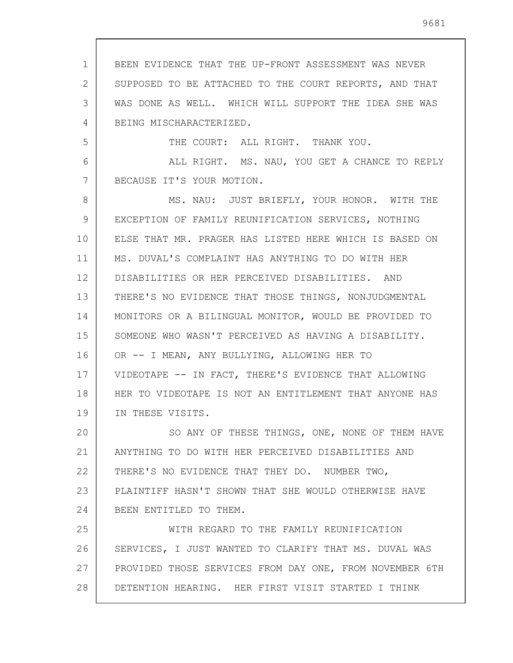1 2 3 4 5 6 7 8 9 10 BEEN EVIDENCE THAT THE UP-FRONT ASSESSMENT WAS NEVER SUPPOSED TO BE ATTACHED TO THE COURT REPORTS, AND THAT WAS DONE AS WELL. WHICH WILL SUPPORT THE IDEA SHE WAS BEING MISCHARACTERIZED. THE COURT: ALL RIGHT. THANK YOU. ALL RIGHT. MS. NAU, YOU GET A CHANCE TO REPLY BECAUSE IT'S YOUR MOTION. MS. NAU: JUST BRIEFLY, YOUR HONOR. WITH THE EXCEPTION OF FAMILY REUNIFICATION SERVICES, NOTHING ELSE THAT MR. PRAGER HAS LISTED HERE WHICH IS BASED ON

11 12 13 14 15 16 17 18 19 MS. DUVAL'S COMPLAINT HAS ANYTHING TO DO WITH HER DISABILITIES OR HER PERCEIVED DISABILITIES. AND THERE'S NO EVIDENCE THAT THOSE THINGS, NONJUDGMENTAL MONITORS OR A BILINGUAL MONITOR, WOULD BE PROVIDED TO SOMEONE WHO WASN'T PERCEIVED AS HAVING A DISABILITY. OR -- I MEAN, ANY BULLYING, ALLOWING HER TO VIDEOTAPE -- IN FACT, THERE'S EVIDENCE THAT ALLOWING HER TO VIDEOTAPE IS NOT AN ENTITLEMENT THAT ANYONE HAS IN THESE VISITS.

20 21 22 23 24 SO ANY OF THESE THINGS, ONE, NONE OF THEM HAVE ANYTHING TO DO WITH HER PERCEIVED DISABILITIES AND THERE'S NO EVIDENCE THAT THEY DO. NUMBER TWO, PLAINTIFF HASN'T SHOWN THAT SHE WOULD OTHERWISE HAVE BEEN ENTITLED TO THEM.

25 26 27 28 WITH REGARD TO THE FAMILY REUNIFICATION SERVICES, I JUST WANTED TO CLARIFY THAT MS. DUVAL WAS PROVIDED THOSE SERVICES FROM DAY ONE, FROM NOVEMBER 6TH DETENTION HEARING. HER FIRST VISIT STARTED I THINK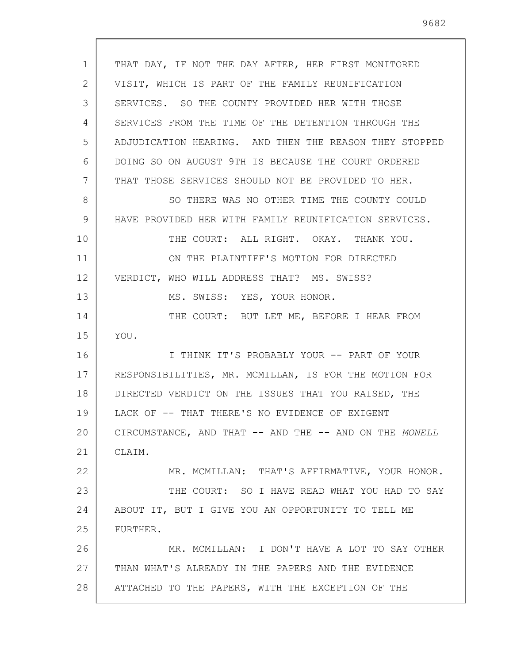1 2 3 4 5 6 7 8 9 10 11 12 13 14 15 16 17 18 19 20 21 22 23 24 25 26 27 28 THAT DAY, IF NOT THE DAY AFTER, HER FIRST MONITORED VISIT, WHICH IS PART OF THE FAMILY REUNIFICATION SERVICES. SO THE COUNTY PROVIDED HER WITH THOSE SERVICES FROM THE TIME OF THE DETENTION THROUGH THE ADJUDICATION HEARING. AND THEN THE REASON THEY STOPPED DOING SO ON AUGUST 9TH IS BECAUSE THE COURT ORDERED THAT THOSE SERVICES SHOULD NOT BE PROVIDED TO HER. SO THERE WAS NO OTHER TIME THE COUNTY COULD HAVE PROVIDED HER WITH FAMILY REUNIFICATION SERVICES. THE COURT: ALL RIGHT. OKAY. THANK YOU. ON THE PLAINTIFF'S MOTION FOR DIRECTED VERDICT, WHO WILL ADDRESS THAT? MS. SWISS? MS. SWISS: YES, YOUR HONOR. THE COURT: BUT LET ME, BEFORE I HEAR FROM YOU. I THINK IT'S PROBABLY YOUR -- PART OF YOUR RESPONSIBILITIES, MR. MCMILLAN, IS FOR THE MOTION FOR DIRECTED VERDICT ON THE ISSUES THAT YOU RAISED, THE LACK OF -- THAT THERE'S NO EVIDENCE OF EXIGENT CIRCUMSTANCE, AND THAT -- AND THE -- AND ON THE MONELL CLAIM. MR. MCMILLAN: THAT'S AFFIRMATIVE, YOUR HONOR. THE COURT: SO I HAVE READ WHAT YOU HAD TO SAY ABOUT IT, BUT I GIVE YOU AN OPPORTUNITY TO TELL ME FURTHER. MR. MCMILLAN: I DON'T HAVE A LOT TO SAY OTHER THAN WHAT'S ALREADY IN THE PAPERS AND THE EVIDENCE ATTACHED TO THE PAPERS, WITH THE EXCEPTION OF THE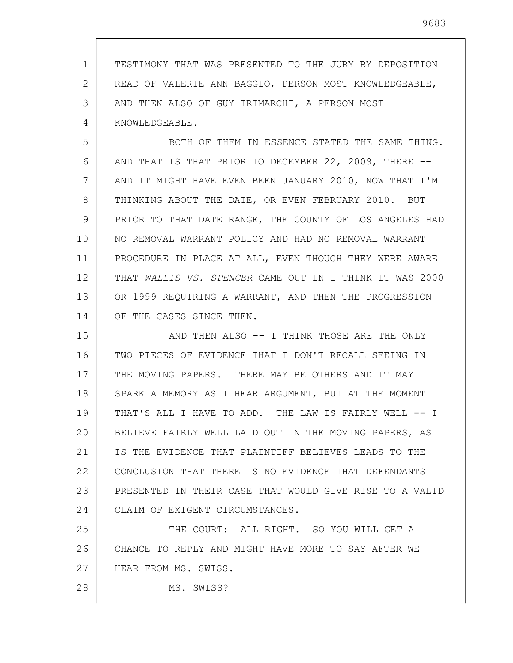1 2 3 4 TESTIMONY THAT WAS PRESENTED TO THE JURY BY DEPOSITION READ OF VALERIE ANN BAGGIO, PERSON MOST KNOWLEDGEABLE, AND THEN ALSO OF GUY TRIMARCHI, A PERSON MOST KNOWLEDGEABLE.

5 6 7 8 9 10 11 12 13 14 BOTH OF THEM IN ESSENCE STATED THE SAME THING. AND THAT IS THAT PRIOR TO DECEMBER 22, 2009, THERE -- AND IT MIGHT HAVE EVEN BEEN JANUARY 2010, NOW THAT I'M THINKING ABOUT THE DATE, OR EVEN FEBRUARY 2010. BUT PRIOR TO THAT DATE RANGE, THE COUNTY OF LOS ANGELES HAD NO REMOVAL WARRANT POLICY AND HAD NO REMOVAL WARRANT PROCEDURE IN PLACE AT ALL, EVEN THOUGH THEY WERE AWARE THAT WALLIS VS. SPENCER CAME OUT IN I THINK IT WAS 2000 OR 1999 REQUIRING A WARRANT, AND THEN THE PROGRESSION OF THE CASES SINCE THEN.

15 16 17 18 19 20 21 22 23 24 AND THEN ALSO -- I THINK THOSE ARE THE ONLY TWO PIECES OF EVIDENCE THAT I DON'T RECALL SEEING IN THE MOVING PAPERS. THERE MAY BE OTHERS AND IT MAY SPARK A MEMORY AS I HEAR ARGUMENT, BUT AT THE MOMENT THAT'S ALL I HAVE TO ADD. THE LAW IS FAIRLY WELL -- I BELIEVE FAIRLY WELL LAID OUT IN THE MOVING PAPERS, AS IS THE EVIDENCE THAT PLAINTIFF BELIEVES LEADS TO THE CONCLUSION THAT THERE IS NO EVIDENCE THAT DEFENDANTS PRESENTED IN THEIR CASE THAT WOULD GIVE RISE TO A VALID CLAIM OF EXIGENT CIRCUMSTANCES.

25 26 27 THE COURT: ALL RIGHT. SO YOU WILL GET A CHANCE TO REPLY AND MIGHT HAVE MORE TO SAY AFTER WE HEAR FROM MS. SWISS.

MS. SWISS?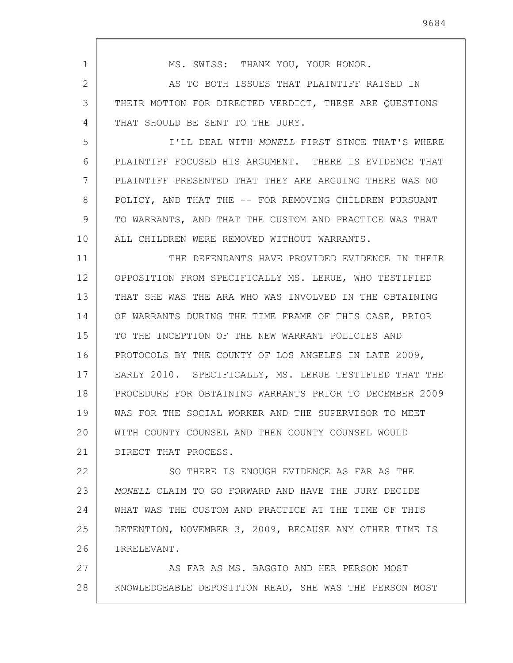1 2 3 4 5 6 7 8 9 10 11 12 13 14 15 16 17 18 19 20 21 22 23 24 25 26 27 28 MS. SWISS: THANK YOU, YOUR HONOR. AS TO BOTH ISSUES THAT PLAINTIFF RAISED IN THEIR MOTION FOR DIRECTED VERDICT, THESE ARE QUESTIONS THAT SHOULD BE SENT TO THE JURY. I'LL DEAL WITH MONELL FIRST SINCE THAT'S WHERE PLAINTIFF FOCUSED HIS ARGUMENT. THERE IS EVIDENCE THAT PLAINTIFF PRESENTED THAT THEY ARE ARGUING THERE WAS NO POLICY, AND THAT THE -- FOR REMOVING CHILDREN PURSUANT TO WARRANTS, AND THAT THE CUSTOM AND PRACTICE WAS THAT ALL CHILDREN WERE REMOVED WITHOUT WARRANTS. THE DEFENDANTS HAVE PROVIDED EVIDENCE IN THEIR OPPOSITION FROM SPECIFICALLY MS. LERUE, WHO TESTIFIED THAT SHE WAS THE ARA WHO WAS INVOLVED IN THE OBTAINING OF WARRANTS DURING THE TIME FRAME OF THIS CASE, PRIOR TO THE INCEPTION OF THE NEW WARRANT POLICIES AND PROTOCOLS BY THE COUNTY OF LOS ANGELES IN LATE 2009, EARLY 2010. SPECIFICALLY, MS. LERUE TESTIFIED THAT THE PROCEDURE FOR OBTAINING WARRANTS PRIOR TO DECEMBER 2009 WAS FOR THE SOCIAL WORKER AND THE SUPERVISOR TO MEET WITH COUNTY COUNSEL AND THEN COUNTY COUNSEL WOULD DIRECT THAT PROCESS. SO THERE IS ENOUGH EVIDENCE AS FAR AS THE MONELL CLAIM TO GO FORWARD AND HAVE THE JURY DECIDE WHAT WAS THE CUSTOM AND PRACTICE AT THE TIME OF THIS DETENTION, NOVEMBER 3, 2009, BECAUSE ANY OTHER TIME IS IRRELEVANT. AS FAR AS MS. BAGGIO AND HER PERSON MOST KNOWLEDGEABLE DEPOSITION READ, SHE WAS THE PERSON MOST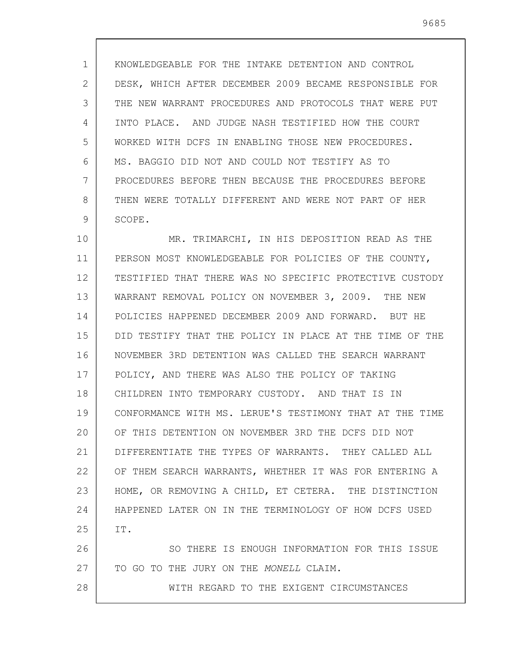1 2 3 4 5 6 7 8 9 KNOWLEDGEABLE FOR THE INTAKE DETENTION AND CONTROL DESK, WHICH AFTER DECEMBER 2009 BECAME RESPONSIBLE FOR THE NEW WARRANT PROCEDURES AND PROTOCOLS THAT WERE PUT INTO PLACE. AND JUDGE NASH TESTIFIED HOW THE COURT WORKED WITH DCFS IN ENABLING THOSE NEW PROCEDURES. MS. BAGGIO DID NOT AND COULD NOT TESTIFY AS TO PROCEDURES BEFORE THEN BECAUSE THE PROCEDURES BEFORE THEN WERE TOTALLY DIFFERENT AND WERE NOT PART OF HER SCOPE.

10 11 12 13 14 15 16 17 18 19 20 21 22 23 24 25 26 MR. TRIMARCHI, IN HIS DEPOSITION READ AS THE PERSON MOST KNOWLEDGEABLE FOR POLICIES OF THE COUNTY, TESTIFIED THAT THERE WAS NO SPECIFIC PROTECTIVE CUSTODY WARRANT REMOVAL POLICY ON NOVEMBER 3, 2009. THE NEW POLICIES HAPPENED DECEMBER 2009 AND FORWARD. BUT HE DID TESTIFY THAT THE POLICY IN PLACE AT THE TIME OF THE NOVEMBER 3RD DETENTION WAS CALLED THE SEARCH WARRANT POLICY, AND THERE WAS ALSO THE POLICY OF TAKING CHILDREN INTO TEMPORARY CUSTODY. AND THAT IS IN CONFORMANCE WITH MS. LERUE'S TESTIMONY THAT AT THE TIME OF THIS DETENTION ON NOVEMBER 3RD THE DCFS DID NOT DIFFERENTIATE THE TYPES OF WARRANTS. THEY CALLED ALL OF THEM SEARCH WARRANTS, WHETHER IT WAS FOR ENTERING A HOME, OR REMOVING A CHILD, ET CETERA. THE DISTINCTION HAPPENED LATER ON IN THE TERMINOLOGY OF HOW DCFS USED IT. SO THERE IS ENOUGH INFORMATION FOR THIS ISSUE

27 TO GO TO THE JURY ON THE MONELL CLAIM.

28

WITH REGARD TO THE EXIGENT CIRCUMSTANCES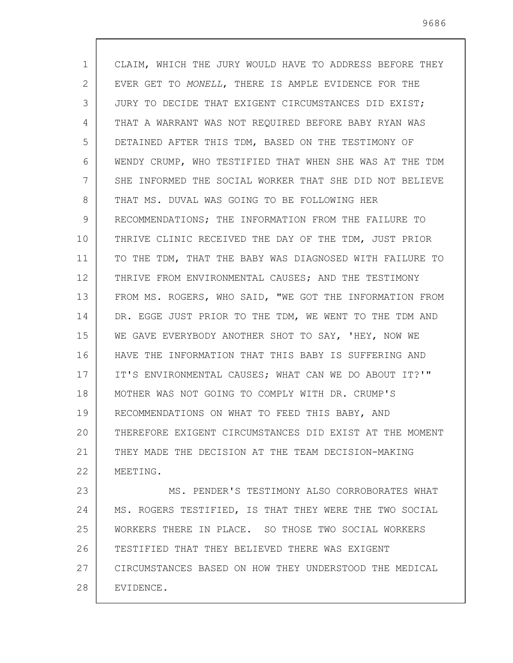1 2 3 4 5 6 7 8 9 10 11 12 13 14 15 16 17 18 19 20 21 22 23 CLAIM, WHICH THE JURY WOULD HAVE TO ADDRESS BEFORE THEY EVER GET TO MONELL, THERE IS AMPLE EVIDENCE FOR THE JURY TO DECIDE THAT EXIGENT CIRCUMSTANCES DID EXIST; THAT A WARRANT WAS NOT REQUIRED BEFORE BABY RYAN WAS DETAINED AFTER THIS TDM, BASED ON THE TESTIMONY OF WENDY CRUMP, WHO TESTIFIED THAT WHEN SHE WAS AT THE TDM SHE INFORMED THE SOCIAL WORKER THAT SHE DID NOT BELIEVE THAT MS. DUVAL WAS GOING TO BE FOLLOWING HER RECOMMENDATIONS; THE INFORMATION FROM THE FAILURE TO THRIVE CLINIC RECEIVED THE DAY OF THE TDM, JUST PRIOR TO THE TDM, THAT THE BABY WAS DIAGNOSED WITH FAILURE TO THRIVE FROM ENVIRONMENTAL CAUSES; AND THE TESTIMONY FROM MS. ROGERS, WHO SAID, "WE GOT THE INFORMATION FROM DR. EGGE JUST PRIOR TO THE TDM, WE WENT TO THE TDM AND WE GAVE EVERYBODY ANOTHER SHOT TO SAY, 'HEY, NOW WE HAVE THE INFORMATION THAT THIS BABY IS SUFFERING AND IT'S ENVIRONMENTAL CAUSES; WHAT CAN WE DO ABOUT IT?'" MOTHER WAS NOT GOING TO COMPLY WITH DR. CRUMP'S RECOMMENDATIONS ON WHAT TO FEED THIS BABY, AND THEREFORE EXIGENT CIRCUMSTANCES DID EXIST AT THE MOMENT THEY MADE THE DECISION AT THE TEAM DECISION-MAKING MEETING. MS. PENDER'S TESTIMONY ALSO CORROBORATES WHAT

24 25 26 27 28 MS. ROGERS TESTIFIED, IS THAT THEY WERE THE TWO SOCIAL WORKERS THERE IN PLACE. SO THOSE TWO SOCIAL WORKERS TESTIFIED THAT THEY BELIEVED THERE WAS EXIGENT CIRCUMSTANCES BASED ON HOW THEY UNDERSTOOD THE MEDICAL EVIDENCE.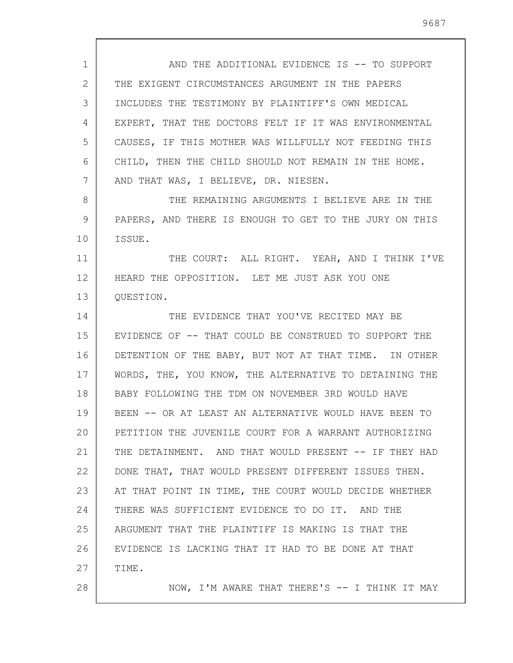1 2 3 4 5 6 7 8 9 10 11 12 13 14 15 16 17 18 19 20 21 22 23 24 25 26 27 28 AND THE ADDITIONAL EVIDENCE IS -- TO SUPPORT THE EXIGENT CIRCUMSTANCES ARGUMENT IN THE PAPERS INCLUDES THE TESTIMONY BY PLAINTIFF'S OWN MEDICAL EXPERT, THAT THE DOCTORS FELT IF IT WAS ENVIRONMENTAL CAUSES, IF THIS MOTHER WAS WILLFULLY NOT FEEDING THIS CHILD, THEN THE CHILD SHOULD NOT REMAIN IN THE HOME. AND THAT WAS, I BELIEVE, DR. NIESEN. THE REMAINING ARGUMENTS I BELIEVE ARE IN THE PAPERS, AND THERE IS ENOUGH TO GET TO THE JURY ON THIS ISSUE. THE COURT: ALL RIGHT. YEAH, AND I THINK I'VE HEARD THE OPPOSITION. LET ME JUST ASK YOU ONE QUESTION. THE EVIDENCE THAT YOU'VE RECITED MAY BE EVIDENCE OF -- THAT COULD BE CONSTRUED TO SUPPORT THE DETENTION OF THE BABY, BUT NOT AT THAT TIME. IN OTHER WORDS, THE, YOU KNOW, THE ALTERNATIVE TO DETAINING THE BABY FOLLOWING THE TDM ON NOVEMBER 3RD WOULD HAVE BEEN -- OR AT LEAST AN ALTERNATIVE WOULD HAVE BEEN TO PETITION THE JUVENILE COURT FOR A WARRANT AUTHORIZING THE DETAINMENT. AND THAT WOULD PRESENT -- IF THEY HAD DONE THAT, THAT WOULD PRESENT DIFFERENT ISSUES THEN. AT THAT POINT IN TIME, THE COURT WOULD DECIDE WHETHER THERE WAS SUFFICIENT EVIDENCE TO DO IT. AND THE ARGUMENT THAT THE PLAINTIFF IS MAKING IS THAT THE EVIDENCE IS LACKING THAT IT HAD TO BE DONE AT THAT TIME. NOW, I'M AWARE THAT THERE'S -- I THINK IT MAY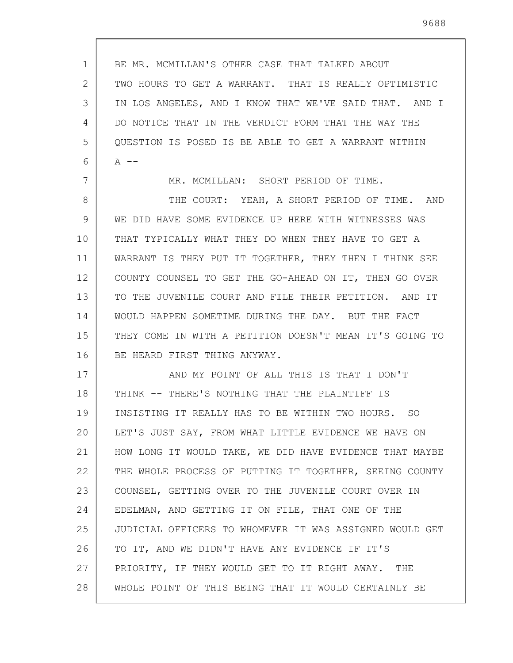1 2 3 4 5 6 7 8 9 10 11 12 13 14 15 16 17 18 19 20 21 22 23 24 25 26 27 28 BE MR. MCMILLAN'S OTHER CASE THAT TALKED ABOUT TWO HOURS TO GET A WARRANT. THAT IS REALLY OPTIMISTIC IN LOS ANGELES, AND I KNOW THAT WE'VE SAID THAT. AND I DO NOTICE THAT IN THE VERDICT FORM THAT THE WAY THE QUESTION IS POSED IS BE ABLE TO GET A WARRANT WITHIN  $A$   $-$ MR. MCMILLAN: SHORT PERIOD OF TIME. THE COURT: YEAH, A SHORT PERIOD OF TIME. AND WE DID HAVE SOME EVIDENCE UP HERE WITH WITNESSES WAS THAT TYPICALLY WHAT THEY DO WHEN THEY HAVE TO GET A WARRANT IS THEY PUT IT TOGETHER, THEY THEN I THINK SEE COUNTY COUNSEL TO GET THE GO-AHEAD ON IT, THEN GO OVER TO THE JUVENILE COURT AND FILE THEIR PETITION. AND IT WOULD HAPPEN SOMETIME DURING THE DAY. BUT THE FACT THEY COME IN WITH A PETITION DOESN'T MEAN IT'S GOING TO BE HEARD FIRST THING ANYWAY. AND MY POINT OF ALL THIS IS THAT I DON'T THINK -- THERE'S NOTHING THAT THE PLAINTIFF IS INSISTING IT REALLY HAS TO BE WITHIN TWO HOURS. SO LET'S JUST SAY, FROM WHAT LITTLE EVIDENCE WE HAVE ON HOW LONG IT WOULD TAKE, WE DID HAVE EVIDENCE THAT MAYBE THE WHOLE PROCESS OF PUTTING IT TOGETHER, SEEING COUNTY COUNSEL, GETTING OVER TO THE JUVENILE COURT OVER IN EDELMAN, AND GETTING IT ON FILE, THAT ONE OF THE JUDICIAL OFFICERS TO WHOMEVER IT WAS ASSIGNED WOULD GET TO IT, AND WE DIDN'T HAVE ANY EVIDENCE IF IT'S PRIORITY, IF THEY WOULD GET TO IT RIGHT AWAY. THE WHOLE POINT OF THIS BEING THAT IT WOULD CERTAINLY BE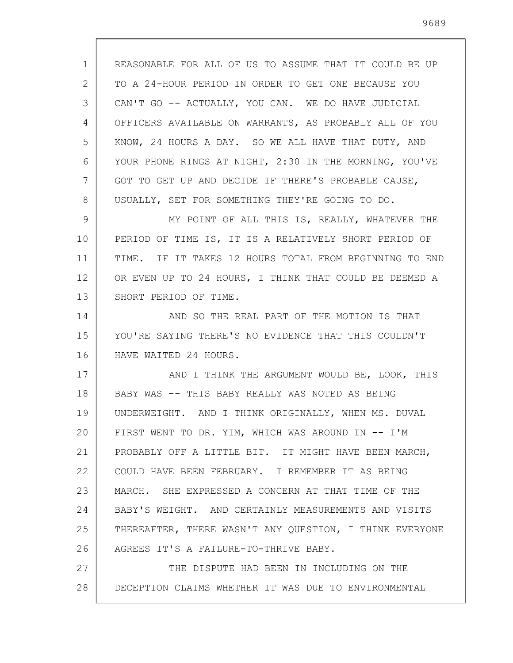1 2 3 4 5 6 7 8 9 10 11 12 13 14 15 16 17 18 19 REASONABLE FOR ALL OF US TO ASSUME THAT IT COULD BE UP TO A 24-HOUR PERIOD IN ORDER TO GET ONE BECAUSE YOU CAN'T GO -- ACTUALLY, YOU CAN. WE DO HAVE JUDICIAL OFFICERS AVAILABLE ON WARRANTS, AS PROBABLY ALL OF YOU KNOW, 24 HOURS A DAY. SO WE ALL HAVE THAT DUTY, AND YOUR PHONE RINGS AT NIGHT, 2:30 IN THE MORNING, YOU'VE GOT TO GET UP AND DECIDE IF THERE'S PROBABLE CAUSE, USUALLY, SET FOR SOMETHING THEY'RE GOING TO DO. MY POINT OF ALL THIS IS, REALLY, WHATEVER THE PERIOD OF TIME IS, IT IS A RELATIVELY SHORT PERIOD OF TIME. IF IT TAKES 12 HOURS TOTAL FROM BEGINNING TO END OR EVEN UP TO 24 HOURS, I THINK THAT COULD BE DEEMED A SHORT PERIOD OF TIME. AND SO THE REAL PART OF THE MOTION IS THAT YOU'RE SAYING THERE'S NO EVIDENCE THAT THIS COULDN'T HAVE WAITED 24 HOURS. AND I THINK THE ARGUMENT WOULD BE, LOOK, THIS BABY WAS -- THIS BABY REALLY WAS NOTED AS BEING UNDERWEIGHT. AND I THINK ORIGINALLY, WHEN MS. DUVAL

20 21 22 23 24 25 26 27 FIRST WENT TO DR. YIM, WHICH WAS AROUND IN -- I'M PROBABLY OFF A LITTLE BIT. IT MIGHT HAVE BEEN MARCH, COULD HAVE BEEN FEBRUARY. I REMEMBER IT AS BEING MARCH. SHE EXPRESSED A CONCERN AT THAT TIME OF THE BABY'S WEIGHT. AND CERTAINLY MEASUREMENTS AND VISITS THEREAFTER, THERE WASN'T ANY QUESTION, I THINK EVERYONE AGREES IT'S A FAILURE-TO-THRIVE BABY. THE DISPUTE HAD BEEN IN INCLUDING ON THE

28 DECEPTION CLAIMS WHETHER IT WAS DUE TO ENVIRONMENTAL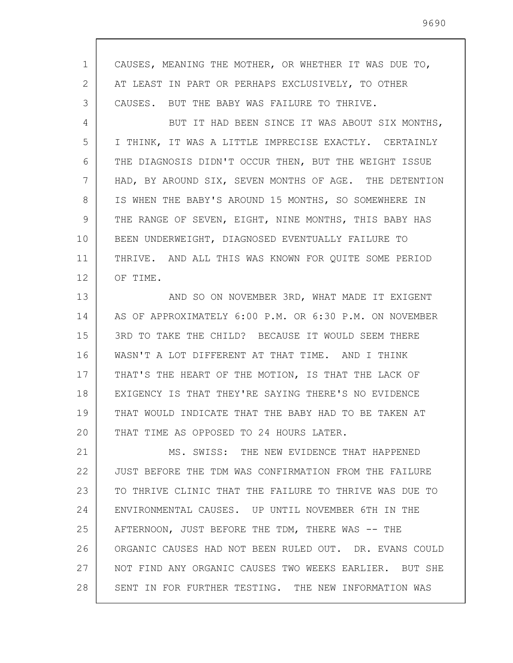| 1  | CAUSES, MEANING THE MOTHER, OR WHETHER IT WAS DUE TO,  |
|----|--------------------------------------------------------|
| 2  | AT LEAST IN PART OR PERHAPS EXCLUSIVELY, TO OTHER      |
| 3  | CAUSES. BUT THE BABY WAS FAILURE TO THRIVE.            |
| 4  | BUT IT HAD BEEN SINCE IT WAS ABOUT SIX MONTHS,         |
| 5  | I THINK, IT WAS A LITTLE IMPRECISE EXACTLY. CERTAINLY  |
| 6  | THE DIAGNOSIS DIDN'T OCCUR THEN, BUT THE WEIGHT ISSUE  |
| 7  | HAD, BY AROUND SIX, SEVEN MONTHS OF AGE. THE DETENTION |
| 8  | IS WHEN THE BABY'S AROUND 15 MONTHS, SO SOMEWHERE IN   |
| 9  | THE RANGE OF SEVEN, EIGHT, NINE MONTHS, THIS BABY HAS  |
| 10 | BEEN UNDERWEIGHT, DIAGNOSED EVENTUALLY FAILURE TO      |
| 11 | THRIVE. AND ALL THIS WAS KNOWN FOR QUITE SOME PERIOD   |
| 12 | OF TIME.                                               |
| 13 | AND SO ON NOVEMBER 3RD, WHAT MADE IT EXIGENT           |
| 14 | AS OF APPROXIMATELY 6:00 P.M. OR 6:30 P.M. ON NOVEMBER |
| 15 | 3RD TO TAKE THE CHILD? BECAUSE IT WOULD SEEM THERE     |
| 16 | WASN'T A LOT DIFFERENT AT THAT TIME. AND I THINK       |
| 17 | THAT'S THE HEART OF THE MOTION, IS THAT THE LACK OF    |
| 18 | EXIGENCY IS THAT THEY'RE SAYING THERE'S NO EVIDENCE    |
| 19 | THAT WOULD INDICATE THAT THE BABY HAD TO BE TAKEN AT   |
| 20 | THAT TIME AS OPPOSED TO 24 HOURS LATER.                |
| 21 | MS. SWISS: THE NEW EVIDENCE THAT HAPPENED              |
| 22 | JUST BEFORE THE TDM WAS CONFIRMATION FROM THE FAILURE  |
| 23 | TO THRIVE CLINIC THAT THE FAILURE TO THRIVE WAS DUE TO |
| 24 | ENVIRONMENTAL CAUSES. UP UNTIL NOVEMBER 6TH IN THE     |
| 25 | AFTERNOON, JUST BEFORE THE TDM, THERE WAS -- THE       |
| 26 | ORGANIC CAUSES HAD NOT BEEN RULED OUT. DR. EVANS COULD |
| 27 | NOT FIND ANY ORGANIC CAUSES TWO WEEKS EARLIER. BUT SHE |
| 28 | SENT IN FOR FURTHER TESTING. THE NEW INFORMATION WAS   |

 $\sqrt{ }$ 

 $\overline{\phantom{a}}$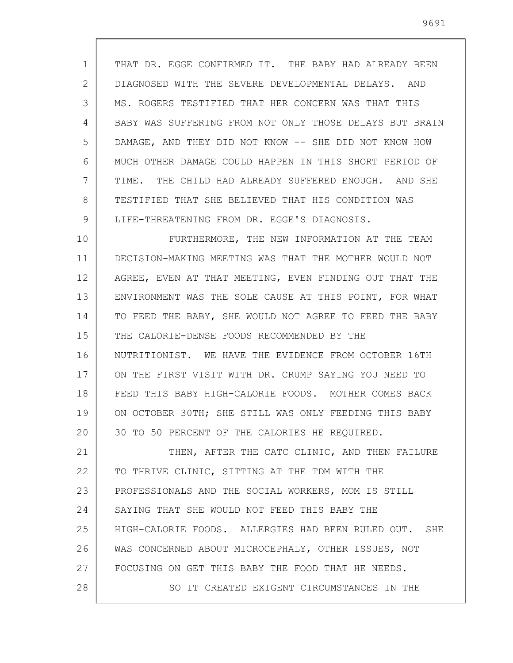1 2 3 4 5 6 7 8 9 THAT DR. EGGE CONFIRMED IT. THE BABY HAD ALREADY BEEN DIAGNOSED WITH THE SEVERE DEVELOPMENTAL DELAYS. AND MS. ROGERS TESTIFIED THAT HER CONCERN WAS THAT THIS BABY WAS SUFFERING FROM NOT ONLY THOSE DELAYS BUT BRAIN DAMAGE, AND THEY DID NOT KNOW -- SHE DID NOT KNOW HOW MUCH OTHER DAMAGE COULD HAPPEN IN THIS SHORT PERIOD OF TIME. THE CHILD HAD ALREADY SUFFERED ENOUGH. AND SHE TESTIFIED THAT SHE BELIEVED THAT HIS CONDITION WAS LIFE-THREATENING FROM DR. EGGE'S DIAGNOSIS.

10 11 12 13 14 15 16 17 18 19 20 FURTHERMORE, THE NEW INFORMATION AT THE TEAM DECISION-MAKING MEETING WAS THAT THE MOTHER WOULD NOT AGREE, EVEN AT THAT MEETING, EVEN FINDING OUT THAT THE ENVIRONMENT WAS THE SOLE CAUSE AT THIS POINT, FOR WHAT TO FEED THE BABY, SHE WOULD NOT AGREE TO FEED THE BABY THE CALORIE-DENSE FOODS RECOMMENDED BY THE NUTRITIONIST. WE HAVE THE EVIDENCE FROM OCTOBER 16TH ON THE FIRST VISIT WITH DR. CRUMP SAYING YOU NEED TO FEED THIS BABY HIGH-CALORIE FOODS. MOTHER COMES BACK ON OCTOBER 30TH; SHE STILL WAS ONLY FEEDING THIS BABY 30 TO 50 PERCENT OF THE CALORIES HE REQUIRED.

21 22 23 24 25 26 27 28 THEN, AFTER THE CATC CLINIC, AND THEN FAILURE TO THRIVE CLINIC, SITTING AT THE TDM WITH THE PROFESSIONALS AND THE SOCIAL WORKERS, MOM IS STILL SAYING THAT SHE WOULD NOT FEED THIS BABY THE HIGH-CALORIE FOODS. ALLERGIES HAD BEEN RULED OUT. SHE WAS CONCERNED ABOUT MICROCEPHALY, OTHER ISSUES, NOT FOCUSING ON GET THIS BABY THE FOOD THAT HE NEEDS. SO IT CREATED EXIGENT CIRCUMSTANCES IN THE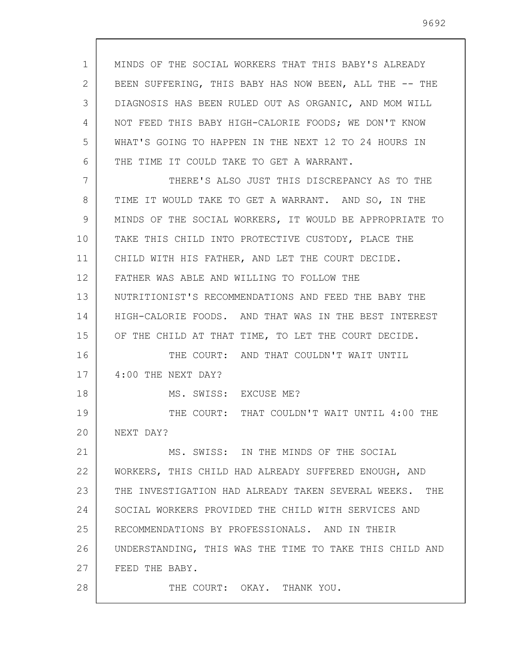1 2 3 4 5 6 7 8 9 10 11 12 13 14 15 16 17 18 19 20 21 22 23 24 25 26 27 28 MINDS OF THE SOCIAL WORKERS THAT THIS BABY'S ALREADY BEEN SUFFERING, THIS BABY HAS NOW BEEN, ALL THE -- THE DIAGNOSIS HAS BEEN RULED OUT AS ORGANIC, AND MOM WILL NOT FEED THIS BABY HIGH-CALORIE FOODS; WE DON'T KNOW WHAT'S GOING TO HAPPEN IN THE NEXT 12 TO 24 HOURS IN THE TIME IT COULD TAKE TO GET A WARRANT. THERE'S ALSO JUST THIS DISCREPANCY AS TO THE TIME IT WOULD TAKE TO GET A WARRANT. AND SO, IN THE MINDS OF THE SOCIAL WORKERS, IT WOULD BE APPROPRIATE TO TAKE THIS CHILD INTO PROTECTIVE CUSTODY, PLACE THE CHILD WITH HIS FATHER, AND LET THE COURT DECIDE. FATHER WAS ABLE AND WILLING TO FOLLOW THE NUTRITIONIST'S RECOMMENDATIONS AND FEED THE BABY THE HIGH-CALORIE FOODS. AND THAT WAS IN THE BEST INTEREST OF THE CHILD AT THAT TIME, TO LET THE COURT DECIDE. THE COURT: AND THAT COULDN'T WAIT UNTIL 4:00 THE NEXT DAY? MS. SWISS: EXCUSE ME? THE COURT: THAT COULDN'T WAIT UNTIL 4:00 THE NEXT DAY? MS. SWISS: IN THE MINDS OF THE SOCIAL WORKERS, THIS CHILD HAD ALREADY SUFFERED ENOUGH, AND THE INVESTIGATION HAD ALREADY TAKEN SEVERAL WEEKS. THE SOCIAL WORKERS PROVIDED THE CHILD WITH SERVICES AND RECOMMENDATIONS BY PROFESSIONALS. AND IN THEIR UNDERSTANDING, THIS WAS THE TIME TO TAKE THIS CHILD AND FEED THE BABY. THE COURT: OKAY. THANK YOU.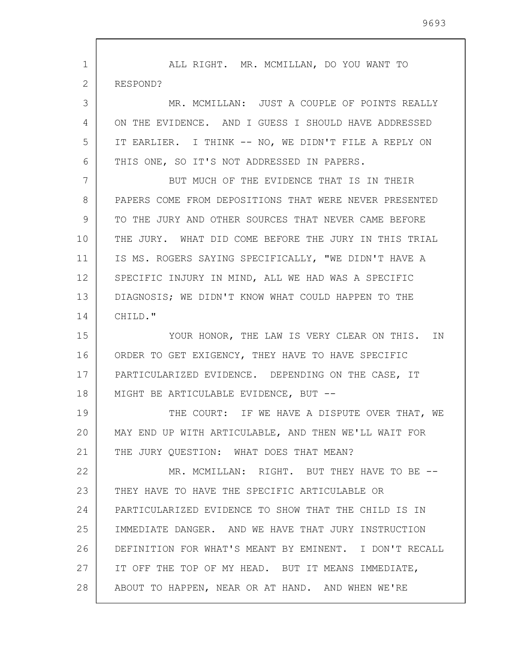| 1  | ALL RIGHT. MR. MCMILLAN, DO YOU WANT TO                |
|----|--------------------------------------------------------|
| 2  | RESPOND?                                               |
| 3  | MR. MCMILLAN: JUST A COUPLE OF POINTS REALLY           |
| 4  | ON THE EVIDENCE. AND I GUESS I SHOULD HAVE ADDRESSED   |
| 5  | IT EARLIER. I THINK -- NO, WE DIDN'T FILE A REPLY ON   |
| 6  | THIS ONE, SO IT'S NOT ADDRESSED IN PAPERS.             |
| 7  | BUT MUCH OF THE EVIDENCE THAT IS IN THEIR              |
| 8  | PAPERS COME FROM DEPOSITIONS THAT WERE NEVER PRESENTED |
| 9  | TO THE JURY AND OTHER SOURCES THAT NEVER CAME BEFORE   |
| 10 | THE JURY. WHAT DID COME BEFORE THE JURY IN THIS TRIAL  |
| 11 | IS MS. ROGERS SAYING SPECIFICALLY, "WE DIDN'T HAVE A   |
| 12 | SPECIFIC INJURY IN MIND, ALL WE HAD WAS A SPECIFIC     |
| 13 | DIAGNOSIS; WE DIDN'T KNOW WHAT COULD HAPPEN TO THE     |
| 14 | CHILD."                                                |
| 15 | YOUR HONOR, THE LAW IS VERY CLEAR ON THIS. IN          |
| 16 | ORDER TO GET EXIGENCY, THEY HAVE TO HAVE SPECIFIC      |
| 17 | PARTICULARIZED EVIDENCE. DEPENDING ON THE CASE, IT     |
| 18 | MIGHT BE ARTICULABLE EVIDENCE, BUT --                  |
| 19 | THE COURT: IF WE HAVE A DISPUTE OVER THAT, WE          |
| 20 | MAY END UP WITH ARTICULABLE, AND THEN WE'LL WAIT FOR   |
| 21 | THE JURY QUESTION: WHAT DOES THAT MEAN?                |
| 22 | MR. MCMILLAN: RIGHT. BUT THEY HAVE TO BE --            |
| 23 | THEY HAVE TO HAVE THE SPECIFIC ARTICULABLE OR          |
| 24 | PARTICULARIZED EVIDENCE TO SHOW THAT THE CHILD IS IN   |
| 25 | IMMEDIATE DANGER. AND WE HAVE THAT JURY INSTRUCTION    |
| 26 | DEFINITION FOR WHAT'S MEANT BY EMINENT. I DON'T RECALL |
| 27 | IT OFF THE TOP OF MY HEAD. BUT IT MEANS IMMEDIATE,     |
| 28 | ABOUT TO HAPPEN, NEAR OR AT HAND. AND WHEN WE'RE       |

 $\mathbf{I}$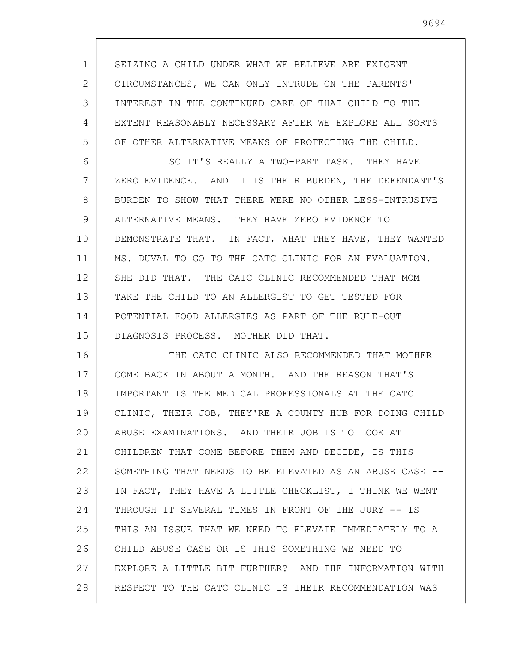1 2 3 4 5 6 7 8 9 10 11 12 13 SEIZING A CHILD UNDER WHAT WE BELIEVE ARE EXIGENT CIRCUMSTANCES, WE CAN ONLY INTRUDE ON THE PARENTS' INTEREST IN THE CONTINUED CARE OF THAT CHILD TO THE EXTENT REASONABLY NECESSARY AFTER WE EXPLORE ALL SORTS OF OTHER ALTERNATIVE MEANS OF PROTECTING THE CHILD. SO IT'S REALLY A TWO-PART TASK. THEY HAVE ZERO EVIDENCE. AND IT IS THEIR BURDEN, THE DEFENDANT'S BURDEN TO SHOW THAT THERE WERE NO OTHER LESS-INTRUSIVE ALTERNATIVE MEANS. THEY HAVE ZERO EVIDENCE TO DEMONSTRATE THAT. IN FACT, WHAT THEY HAVE, THEY WANTED MS. DUVAL TO GO TO THE CATC CLINIC FOR AN EVALUATION. SHE DID THAT. THE CATC CLINIC RECOMMENDED THAT MOM TAKE THE CHILD TO AN ALLERGIST TO GET TESTED FOR

14 15 POTENTIAL FOOD ALLERGIES AS PART OF THE RULE-OUT DIAGNOSIS PROCESS. MOTHER DID THAT.

16 17 18 19 20 21 22 23 24 25 26 27 28 THE CATC CLINIC ALSO RECOMMENDED THAT MOTHER COME BACK IN ABOUT A MONTH. AND THE REASON THAT'S IMPORTANT IS THE MEDICAL PROFESSIONALS AT THE CATC CLINIC, THEIR JOB, THEY'RE A COUNTY HUB FOR DOING CHILD ABUSE EXAMINATIONS. AND THEIR JOB IS TO LOOK AT CHILDREN THAT COME BEFORE THEM AND DECIDE, IS THIS SOMETHING THAT NEEDS TO BE ELEVATED AS AN ABUSE CASE -- IN FACT, THEY HAVE A LITTLE CHECKLIST, I THINK WE WENT THROUGH IT SEVERAL TIMES IN FRONT OF THE JURY -- IS THIS AN ISSUE THAT WE NEED TO ELEVATE IMMEDIATELY TO A CHILD ABUSE CASE OR IS THIS SOMETHING WE NEED TO EXPLORE A LITTLE BIT FURTHER? AND THE INFORMATION WITH RESPECT TO THE CATC CLINIC IS THEIR RECOMMENDATION WAS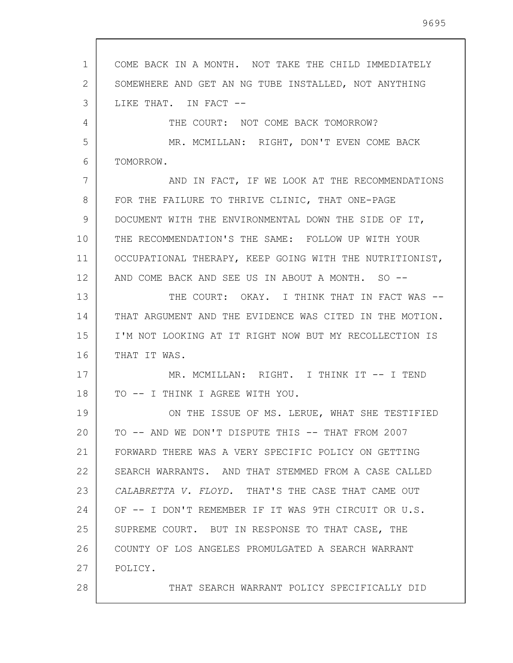| 1  | COME BACK IN A MONTH. NOT TAKE THE CHILD IMMEDIATELY    |
|----|---------------------------------------------------------|
| 2  | SOMEWHERE AND GET AN NG TUBE INSTALLED, NOT ANYTHING    |
| 3  | LIKE THAT. IN FACT --                                   |
| 4  | THE COURT: NOT COME BACK TOMORROW?                      |
| 5  | MR. MCMILLAN: RIGHT, DON'T EVEN COME BACK               |
| 6  | TOMORROW.                                               |
| 7  | AND IN FACT, IF WE LOOK AT THE RECOMMENDATIONS          |
| 8  | FOR THE FAILURE TO THRIVE CLINIC, THAT ONE-PAGE         |
| 9  | DOCUMENT WITH THE ENVIRONMENTAL DOWN THE SIDE OF IT,    |
| 10 | THE RECOMMENDATION'S THE SAME: FOLLOW UP WITH YOUR      |
| 11 | OCCUPATIONAL THERAPY, KEEP GOING WITH THE NUTRITIONIST, |
| 12 | AND COME BACK AND SEE US IN ABOUT A MONTH. SO --        |
| 13 | THE COURT: OKAY. I THINK THAT IN FACT WAS --            |
| 14 | THAT ARGUMENT AND THE EVIDENCE WAS CITED IN THE MOTION. |
| 15 | I'M NOT LOOKING AT IT RIGHT NOW BUT MY RECOLLECTION IS  |
| 16 | THAT IT WAS.                                            |
| 17 | MR. MCMILLAN: RIGHT. I THINK IT -- I TEND               |
| 18 | TO -- I THINK I AGREE WITH YOU.                         |
| 19 | ON THE ISSUE OF MS. LERUE, WHAT SHE TESTIFIED           |
| 20 | TO -- AND WE DON'T DISPUTE THIS -- THAT FROM 2007       |
| 21 | FORWARD THERE WAS A VERY SPECIFIC POLICY ON GETTING     |
| 22 | SEARCH WARRANTS. AND THAT STEMMED FROM A CASE CALLED    |
| 23 | CALABRETTA V. FLOYD. THAT'S THE CASE THAT CAME OUT      |
| 24 | OF -- I DON'T REMEMBER IF IT WAS 9TH CIRCUIT OR U.S.    |
| 25 | SUPREME COURT. BUT IN RESPONSE TO THAT CASE, THE        |
| 26 | COUNTY OF LOS ANGELES PROMULGATED A SEARCH WARRANT      |
| 27 | POLICY.                                                 |
| 28 | THAT SEARCH WARRANT POLICY SPECIFICALLY DID             |
|    |                                                         |

 $\sqrt{ }$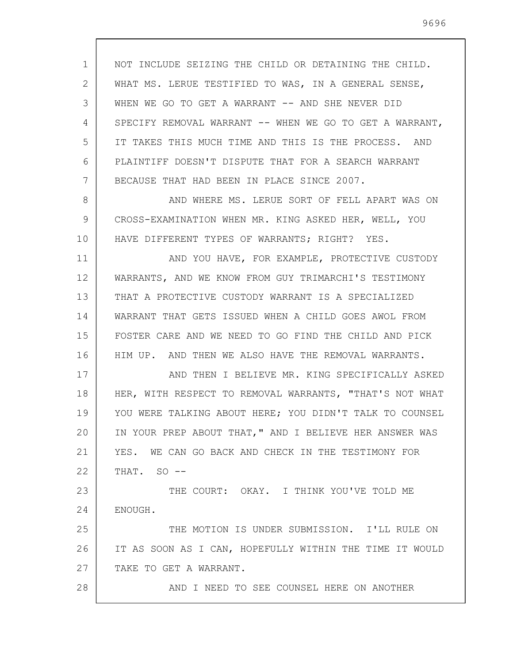1 2 3 4 5 6 7 8 9 10 11 12 13 14 15 16 17 18 NOT INCLUDE SEIZING THE CHILD OR DETAINING THE CHILD. WHAT MS. LERUE TESTIFIED TO WAS, IN A GENERAL SENSE, WHEN WE GO TO GET A WARRANT -- AND SHE NEVER DID SPECIFY REMOVAL WARRANT -- WHEN WE GO TO GET A WARRANT, IT TAKES THIS MUCH TIME AND THIS IS THE PROCESS. AND PLAINTIFF DOESN'T DISPUTE THAT FOR A SEARCH WARRANT BECAUSE THAT HAD BEEN IN PLACE SINCE 2007. AND WHERE MS. LERUE SORT OF FELL APART WAS ON CROSS-EXAMINATION WHEN MR. KING ASKED HER, WELL, YOU HAVE DIFFERENT TYPES OF WARRANTS; RIGHT? YES. AND YOU HAVE, FOR EXAMPLE, PROTECTIVE CUSTODY WARRANTS, AND WE KNOW FROM GUY TRIMARCHI'S TESTIMONY THAT A PROTECTIVE CUSTODY WARRANT IS A SPECIALIZED WARRANT THAT GETS ISSUED WHEN A CHILD GOES AWOL FROM FOSTER CARE AND WE NEED TO GO FIND THE CHILD AND PICK HIM UP. AND THEN WE ALSO HAVE THE REMOVAL WARRANTS. AND THEN I BELIEVE MR. KING SPECIFICALLY ASKED

19 20 21 22 HER, WITH RESPECT TO REMOVAL WARRANTS, "THAT'S NOT WHAT YOU WERE TALKING ABOUT HERE; YOU DIDN'T TALK TO COUNSEL IN YOUR PREP ABOUT THAT," AND I BELIEVE HER ANSWER WAS YES. WE CAN GO BACK AND CHECK IN THE TESTIMONY FOR THAT. SO --

23 24 THE COURT: OKAY. I THINK YOU'VE TOLD ME ENOUGH.

28

25 26 27 THE MOTION IS UNDER SUBMISSION. I'LL RULE ON IT AS SOON AS I CAN, HOPEFULLY WITHIN THE TIME IT WOULD TAKE TO GET A WARRANT.

AND I NEED TO SEE COUNSEL HERE ON ANOTHER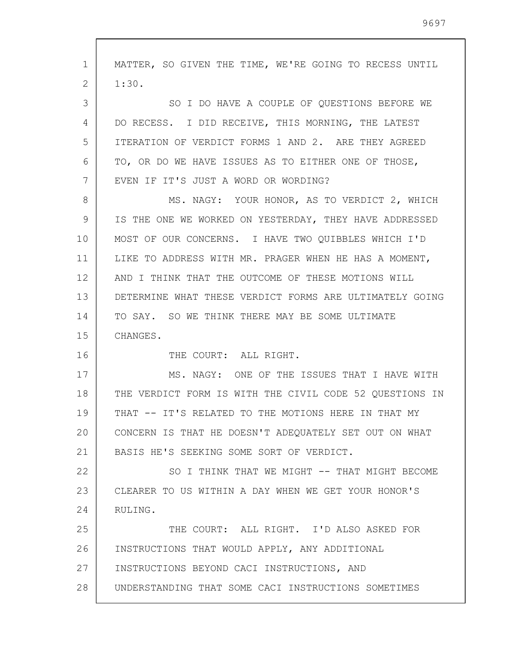| 1  | MATTER, SO GIVEN THE TIME, WE'RE GOING TO RECESS UNTIL  |
|----|---------------------------------------------------------|
| 2  | 1:30.                                                   |
| 3  | SO I DO HAVE A COUPLE OF QUESTIONS BEFORE WE            |
| 4  | DO RECESS. I DID RECEIVE, THIS MORNING, THE LATEST      |
| 5  | ITERATION OF VERDICT FORMS 1 AND 2. ARE THEY AGREED     |
| 6  | TO, OR DO WE HAVE ISSUES AS TO EITHER ONE OF THOSE,     |
| 7  | EVEN IF IT'S JUST A WORD OR WORDING?                    |
| 8  | MS. NAGY: YOUR HONOR, AS TO VERDICT 2, WHICH            |
| 9  | IS THE ONE WE WORKED ON YESTERDAY, THEY HAVE ADDRESSED  |
| 10 | MOST OF OUR CONCERNS. I HAVE TWO QUIBBLES WHICH I'D     |
| 11 | LIKE TO ADDRESS WITH MR. PRAGER WHEN HE HAS A MOMENT,   |
| 12 | AND I THINK THAT THE OUTCOME OF THESE MOTIONS WILL      |
| 13 | DETERMINE WHAT THESE VERDICT FORMS ARE ULTIMATELY GOING |
| 14 | TO SAY. SO WE THINK THERE MAY BE SOME ULTIMATE          |
| 15 | CHANGES.                                                |
| 16 | THE COURT: ALL RIGHT.                                   |
| 17 | MS. NAGY: ONE OF THE ISSUES THAT I HAVE WITH            |
| 18 | THE VERDICT FORM IS WITH THE CIVIL CODE 52 QUESTIONS IN |
| 19 | THAT -- IT'S RELATED TO THE MOTIONS HERE IN THAT MY     |
| 20 | CONCERN IS THAT HE DOESN'T ADEQUATELY SET OUT ON WHAT   |
| 21 | BASIS HE'S SEEKING SOME SORT OF VERDICT.                |
| 22 | SO I THINK THAT WE MIGHT -- THAT MIGHT BECOME           |
| 23 | CLEARER TO US WITHIN A DAY WHEN WE GET YOUR HONOR'S     |
| 24 | RULING.                                                 |
| 25 | THE COURT: ALL RIGHT. I'D ALSO ASKED FOR                |
| 26 | INSTRUCTIONS THAT WOULD APPLY, ANY ADDITIONAL           |
| 27 | INSTRUCTIONS BEYOND CACI INSTRUCTIONS, AND              |
| 28 | UNDERSTANDING THAT SOME CACI INSTRUCTIONS SOMETIMES     |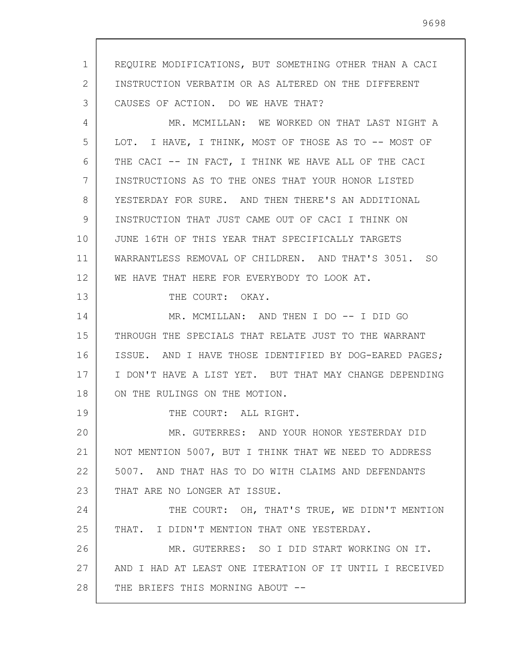1 2 3 4 5 6 7 8 9 10 11 12 13 14 15 16 17 18 19 20 21 22 23 24 25 26 27 28 REQUIRE MODIFICATIONS, BUT SOMETHING OTHER THAN A CACI INSTRUCTION VERBATIM OR AS ALTERED ON THE DIFFERENT CAUSES OF ACTION. DO WE HAVE THAT? MR. MCMILLAN: WE WORKED ON THAT LAST NIGHT A LOT. I HAVE, I THINK, MOST OF THOSE AS TO -- MOST OF THE CACI -- IN FACT, I THINK WE HAVE ALL OF THE CACI INSTRUCTIONS AS TO THE ONES THAT YOUR HONOR LISTED YESTERDAY FOR SURE. AND THEN THERE'S AN ADDITIONAL INSTRUCTION THAT JUST CAME OUT OF CACI I THINK ON JUNE 16TH OF THIS YEAR THAT SPECIFICALLY TARGETS WARRANTLESS REMOVAL OF CHILDREN. AND THAT'S 3051. SO WE HAVE THAT HERE FOR EVERYBODY TO LOOK AT. THE COURT: OKAY. MR. MCMILLAN: AND THEN I DO -- I DID GO THROUGH THE SPECIALS THAT RELATE JUST TO THE WARRANT ISSUE. AND I HAVE THOSE IDENTIFIED BY DOG-EARED PAGES; I DON'T HAVE A LIST YET. BUT THAT MAY CHANGE DEPENDING ON THE RULINGS ON THE MOTION. THE COURT: ALL RIGHT. MR. GUTERRES: AND YOUR HONOR YESTERDAY DID NOT MENTION 5007, BUT I THINK THAT WE NEED TO ADDRESS 5007. AND THAT HAS TO DO WITH CLAIMS AND DEFENDANTS THAT ARE NO LONGER AT ISSUE. THE COURT: OH, THAT'S TRUE, WE DIDN'T MENTION THAT. I DIDN'T MENTION THAT ONE YESTERDAY. MR. GUTERRES: SO I DID START WORKING ON IT. AND I HAD AT LEAST ONE ITERATION OF IT UNTIL I RECEIVED THE BRIEFS THIS MORNING ABOUT --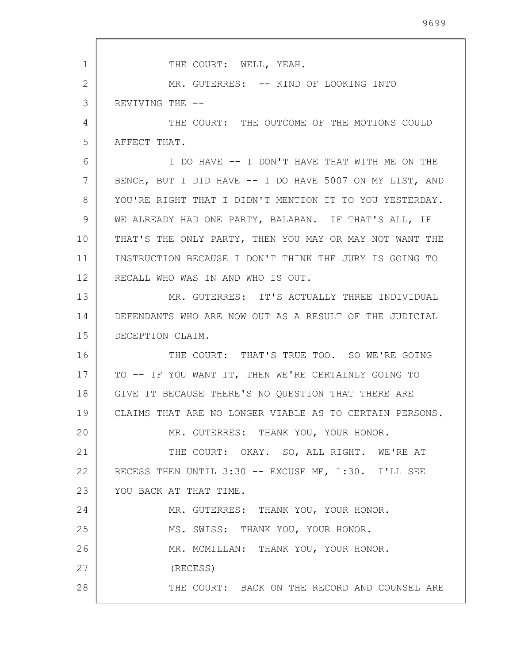1 2 3 4 5 6 7 8 9 10 11 12 13 14 15 16 17 18 19 20 21 22 23 24 25 26 27 28 THE COURT: WELL, YEAH. MR. GUTERRES: -- KIND OF LOOKING INTO REVIVING THE -- THE COURT: THE OUTCOME OF THE MOTIONS COULD AFFECT THAT. I DO HAVE -- I DON'T HAVE THAT WITH ME ON THE BENCH, BUT I DID HAVE -- I DO HAVE 5007 ON MY LIST, AND YOU'RE RIGHT THAT I DIDN'T MENTION IT TO YOU YESTERDAY. WE ALREADY HAD ONE PARTY, BALABAN. IF THAT'S ALL, IF THAT'S THE ONLY PARTY, THEN YOU MAY OR MAY NOT WANT THE INSTRUCTION BECAUSE I DON'T THINK THE JURY IS GOING TO RECALL WHO WAS IN AND WHO IS OUT. MR. GUTERRES: IT'S ACTUALLY THREE INDIVIDUAL DEFENDANTS WHO ARE NOW OUT AS A RESULT OF THE JUDICIAL DECEPTION CLAIM. THE COURT: THAT'S TRUE TOO. SO WE'RE GOING TO -- IF YOU WANT IT, THEN WE'RE CERTAINLY GOING TO GIVE IT BECAUSE THERE'S NO QUESTION THAT THERE ARE CLAIMS THAT ARE NO LONGER VIABLE AS TO CERTAIN PERSONS. MR. GUTERRES: THANK YOU, YOUR HONOR. THE COURT: OKAY. SO, ALL RIGHT. WE'RE AT RECESS THEN UNTIL 3:30 -- EXCUSE ME, 1:30. I'LL SEE YOU BACK AT THAT TIME. MR. GUTERRES: THANK YOU, YOUR HONOR. MS. SWISS: THANK YOU, YOUR HONOR. MR. MCMILLAN: THANK YOU, YOUR HONOR. (RECESS) THE COURT: BACK ON THE RECORD AND COUNSEL ARE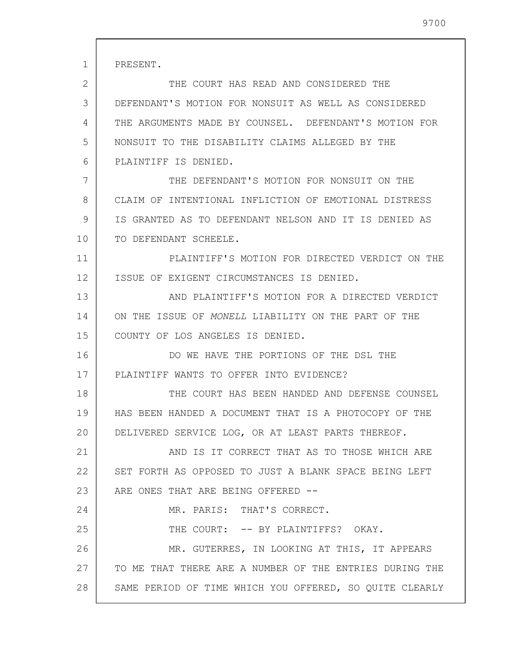1 2 3 4 5 6 7 8 9 10 11 12 13 14 15 16 17 18 19 20 21 22 23 24 25 26 27 28 PRESENT. THE COURT HAS READ AND CONSIDERED THE DEFENDANT'S MOTION FOR NONSUIT AS WELL AS CONSIDERED THE ARGUMENTS MADE BY COUNSEL. DEFENDANT'S MOTION FOR NONSUIT TO THE DISABILITY CLAIMS ALLEGED BY THE PLAINTIFF IS DENIED. THE DEFENDANT'S MOTION FOR NONSUIT ON THE CLAIM OF INTENTIONAL INFLICTION OF EMOTIONAL DISTRESS IS GRANTED AS TO DEFENDANT NELSON AND IT IS DENIED AS TO DEFENDANT SCHEELE. PLAINTIFF'S MOTION FOR DIRECTED VERDICT ON THE ISSUE OF EXIGENT CIRCUMSTANCES IS DENIED. AND PLAINTIFF'S MOTION FOR A DIRECTED VERDICT ON THE ISSUE OF MONELL LIABILITY ON THE PART OF THE COUNTY OF LOS ANGELES IS DENIED. DO WE HAVE THE PORTIONS OF THE DSL THE PLAINTIFF WANTS TO OFFER INTO EVIDENCE? THE COURT HAS BEEN HANDED AND DEFENSE COUNSEL HAS BEEN HANDED A DOCUMENT THAT IS A PHOTOCOPY OF THE DELIVERED SERVICE LOG, OR AT LEAST PARTS THEREOF. AND IS IT CORRECT THAT AS TO THOSE WHICH ARE SET FORTH AS OPPOSED TO JUST A BLANK SPACE BEING LEFT ARE ONES THAT ARE BEING OFFERED -- MR. PARIS: THAT'S CORRECT. THE COURT: -- BY PLAINTIFFS? OKAY. MR. GUTERRES, IN LOOKING AT THIS, IT APPEARS TO ME THAT THERE ARE A NUMBER OF THE ENTRIES DURING THE SAME PERIOD OF TIME WHICH YOU OFFERED, SO QUITE CLEARLY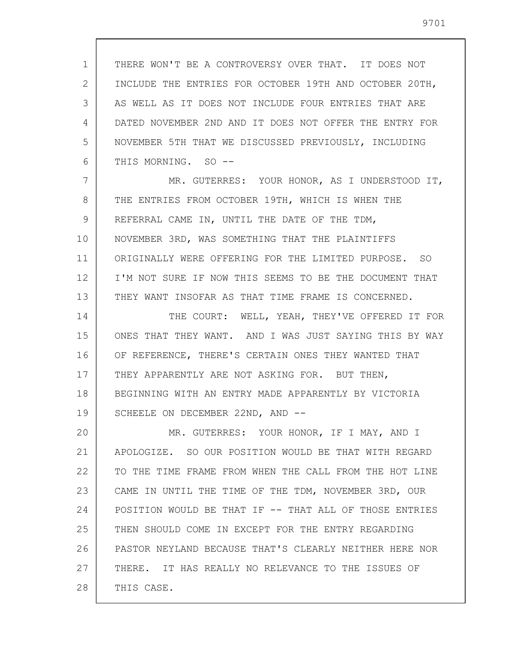1 2 3 4 5 6 THERE WON'T BE A CONTROVERSY OVER THAT. IT DOES NOT INCLUDE THE ENTRIES FOR OCTOBER 19TH AND OCTOBER 20TH, AS WELL AS IT DOES NOT INCLUDE FOUR ENTRIES THAT ARE DATED NOVEMBER 2ND AND IT DOES NOT OFFER THE ENTRY FOR NOVEMBER 5TH THAT WE DISCUSSED PREVIOUSLY, INCLUDING THIS MORNING. SO --

7 8 9 10 11 12 13 MR. GUTERRES: YOUR HONOR, AS I UNDERSTOOD IT, THE ENTRIES FROM OCTOBER 19TH, WHICH IS WHEN THE REFERRAL CAME IN, UNTIL THE DATE OF THE TDM, NOVEMBER 3RD, WAS SOMETHING THAT THE PLAINTIFFS ORIGINALLY WERE OFFERING FOR THE LIMITED PURPOSE. SO I'M NOT SURE IF NOW THIS SEEMS TO BE THE DOCUMENT THAT THEY WANT INSOFAR AS THAT TIME FRAME IS CONCERNED.

14 15 16 17 18 19 THE COURT: WELL, YEAH, THEY'VE OFFERED IT FOR ONES THAT THEY WANT. AND I WAS JUST SAYING THIS BY WAY OF REFERENCE, THERE'S CERTAIN ONES THEY WANTED THAT THEY APPARENTLY ARE NOT ASKING FOR. BUT THEN, BEGINNING WITH AN ENTRY MADE APPARENTLY BY VICTORIA SCHEELE ON DECEMBER 22ND, AND --

20 21 22 23 24 25 26 27 28 MR. GUTERRES: YOUR HONOR, IF I MAY, AND I APOLOGIZE. SO OUR POSITION WOULD BE THAT WITH REGARD TO THE TIME FRAME FROM WHEN THE CALL FROM THE HOT LINE CAME IN UNTIL THE TIME OF THE TDM, NOVEMBER 3RD, OUR POSITION WOULD BE THAT IF -- THAT ALL OF THOSE ENTRIES THEN SHOULD COME IN EXCEPT FOR THE ENTRY REGARDING PASTOR NEYLAND BECAUSE THAT'S CLEARLY NEITHER HERE NOR THERE. IT HAS REALLY NO RELEVANCE TO THE ISSUES OF THIS CASE.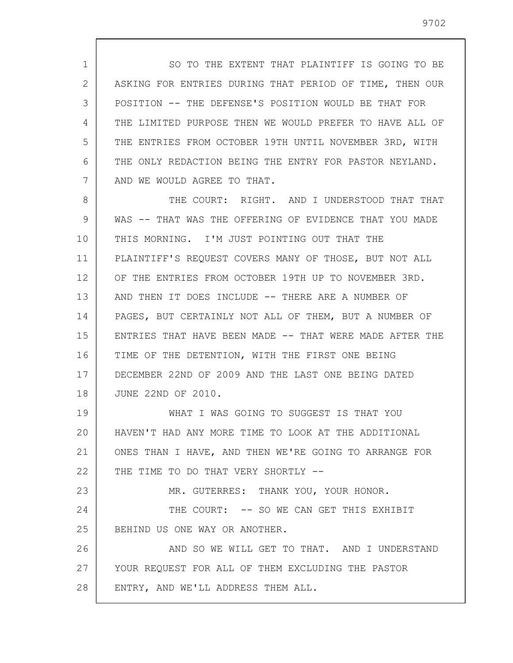1 2 3 4 5 6 7 SO TO THE EXTENT THAT PLAINTIFF IS GOING TO BE ASKING FOR ENTRIES DURING THAT PERIOD OF TIME, THEN OUR POSITION -- THE DEFENSE'S POSITION WOULD BE THAT FOR THE LIMITED PURPOSE THEN WE WOULD PREFER TO HAVE ALL OF THE ENTRIES FROM OCTOBER 19TH UNTIL NOVEMBER 3RD, WITH THE ONLY REDACTION BEING THE ENTRY FOR PASTOR NEYLAND. AND WE WOULD AGREE TO THAT.

8 9 10 11 12 13 14 15 16 17 18 THE COURT: RIGHT. AND I UNDERSTOOD THAT THAT WAS -- THAT WAS THE OFFERING OF EVIDENCE THAT YOU MADE THIS MORNING. I'M JUST POINTING OUT THAT THE PLAINTIFF'S REQUEST COVERS MANY OF THOSE, BUT NOT ALL OF THE ENTRIES FROM OCTOBER 19TH UP TO NOVEMBER 3RD. AND THEN IT DOES INCLUDE -- THERE ARE A NUMBER OF PAGES, BUT CERTAINLY NOT ALL OF THEM, BUT A NUMBER OF ENTRIES THAT HAVE BEEN MADE -- THAT WERE MADE AFTER THE TIME OF THE DETENTION, WITH THE FIRST ONE BEING DECEMBER 22ND OF 2009 AND THE LAST ONE BEING DATED JUNE 22ND OF 2010.

19 20 21 22 WHAT I WAS GOING TO SUGGEST IS THAT YOU HAVEN'T HAD ANY MORE TIME TO LOOK AT THE ADDITIONAL ONES THAN I HAVE, AND THEN WE'RE GOING TO ARRANGE FOR THE TIME TO DO THAT VERY SHORTLY --

23 24 25 MR. GUTERRES: THANK YOU, YOUR HONOR. THE COURT: -- SO WE CAN GET THIS EXHIBIT BEHIND US ONE WAY OR ANOTHER.

26 27 28 AND SO WE WILL GET TO THAT. AND I UNDERSTAND YOUR REQUEST FOR ALL OF THEM EXCLUDING THE PASTOR ENTRY, AND WE'LL ADDRESS THEM ALL.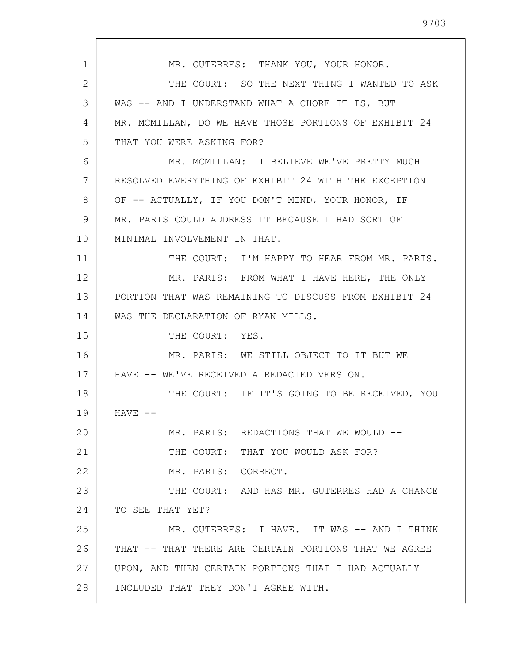1 2 3 4 5 6 7 8 9 10 11 12 13 14 15 16 17 18 19 20 21 22 23 24 25 26 27 28 MR. GUTERRES: THANK YOU, YOUR HONOR. THE COURT: SO THE NEXT THING I WANTED TO ASK WAS -- AND I UNDERSTAND WHAT A CHORE IT IS, BUT MR. MCMILLAN, DO WE HAVE THOSE PORTIONS OF EXHIBIT 24 THAT YOU WERE ASKING FOR? MR. MCMILLAN: I BELIEVE WE'VE PRETTY MUCH RESOLVED EVERYTHING OF EXHIBIT 24 WITH THE EXCEPTION OF -- ACTUALLY, IF YOU DON'T MIND, YOUR HONOR, IF MR. PARIS COULD ADDRESS IT BECAUSE I HAD SORT OF MINIMAL INVOLVEMENT IN THAT. THE COURT: I'M HAPPY TO HEAR FROM MR. PARIS. MR. PARIS: FROM WHAT I HAVE HERE, THE ONLY PORTION THAT WAS REMAINING TO DISCUSS FROM EXHIBIT 24 WAS THE DECLARATION OF RYAN MILLS. THE COURT: YES. MR. PARIS: WE STILL OBJECT TO IT BUT WE HAVE -- WE'VE RECEIVED A REDACTED VERSION. THE COURT: IF IT'S GOING TO BE RECEIVED, YOU  $HAVE$   $--$ MR. PARIS: REDACTIONS THAT WE WOULD --THE COURT: THAT YOU WOULD ASK FOR? MR. PARIS: CORRECT. THE COURT: AND HAS MR. GUTERRES HAD A CHANCE TO SEE THAT YET? MR. GUTERRES: I HAVE. IT WAS -- AND I THINK THAT -- THAT THERE ARE CERTAIN PORTIONS THAT WE AGREE UPON, AND THEN CERTAIN PORTIONS THAT I HAD ACTUALLY INCLUDED THAT THEY DON'T AGREE WITH.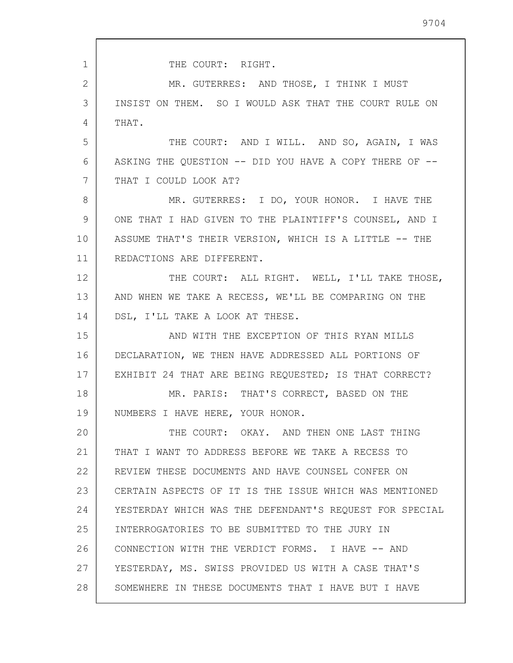1 2 3 4 5 6 7 8 9 10 11 12 13 14 15 16 17 18 19 20 21 22 23 24 25 26 27 28 THE COURT: RIGHT. MR. GUTERRES: AND THOSE, I THINK I MUST INSIST ON THEM. SO I WOULD ASK THAT THE COURT RULE ON THAT. THE COURT: AND I WILL. AND SO, AGAIN, I WAS ASKING THE QUESTION -- DID YOU HAVE A COPY THERE OF -- THAT I COULD LOOK AT? MR. GUTERRES: I DO, YOUR HONOR. I HAVE THE ONE THAT I HAD GIVEN TO THE PLAINTIFF'S COUNSEL, AND I ASSUME THAT'S THEIR VERSION, WHICH IS A LITTLE -- THE REDACTIONS ARE DIFFERENT. THE COURT: ALL RIGHT. WELL, I'LL TAKE THOSE, AND WHEN WE TAKE A RECESS, WE'LL BE COMPARING ON THE DSL, I'LL TAKE A LOOK AT THESE. AND WITH THE EXCEPTION OF THIS RYAN MILLS DECLARATION, WE THEN HAVE ADDRESSED ALL PORTIONS OF EXHIBIT 24 THAT ARE BEING REQUESTED; IS THAT CORRECT? MR. PARIS: THAT'S CORRECT, BASED ON THE NUMBERS I HAVE HERE, YOUR HONOR. THE COURT: OKAY. AND THEN ONE LAST THING THAT I WANT TO ADDRESS BEFORE WE TAKE A RECESS TO REVIEW THESE DOCUMENTS AND HAVE COUNSEL CONFER ON CERTAIN ASPECTS OF IT IS THE ISSUE WHICH WAS MENTIONED YESTERDAY WHICH WAS THE DEFENDANT'S REQUEST FOR SPECIAL INTERROGATORIES TO BE SUBMITTED TO THE JURY IN CONNECTION WITH THE VERDICT FORMS. I HAVE -- AND YESTERDAY, MS. SWISS PROVIDED US WITH A CASE THAT'S SOMEWHERE IN THESE DOCUMENTS THAT I HAVE BUT I HAVE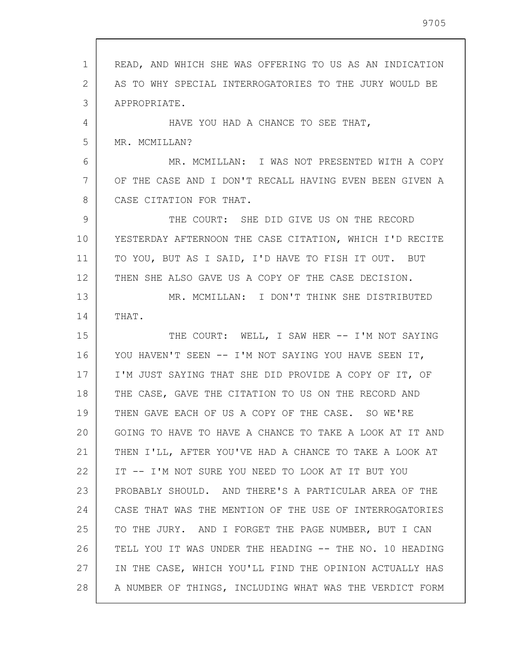1 2 3 4 5 6 7 8 9 10 11 12 13 14 15 16 17 18 19 20 21 22 23 24 25 26 27 28 READ, AND WHICH SHE WAS OFFERING TO US AS AN INDICATION AS TO WHY SPECIAL INTERROGATORIES TO THE JURY WOULD BE APPROPRIATE. HAVE YOU HAD A CHANCE TO SEE THAT, MR. MCMILLAN? MR. MCMILLAN: I WAS NOT PRESENTED WITH A COPY OF THE CASE AND I DON'T RECALL HAVING EVEN BEEN GIVEN A CASE CITATION FOR THAT. THE COURT: SHE DID GIVE US ON THE RECORD YESTERDAY AFTERNOON THE CASE CITATION, WHICH I'D RECITE TO YOU, BUT AS I SAID, I'D HAVE TO FISH IT OUT. BUT THEN SHE ALSO GAVE US A COPY OF THE CASE DECISION. MR. MCMILLAN: I DON'T THINK SHE DISTRIBUTED THAT. THE COURT: WELL, I SAW HER -- I'M NOT SAYING YOU HAVEN'T SEEN -- I'M NOT SAYING YOU HAVE SEEN IT, I'M JUST SAYING THAT SHE DID PROVIDE A COPY OF IT, OF THE CASE, GAVE THE CITATION TO US ON THE RECORD AND THEN GAVE EACH OF US A COPY OF THE CASE. SO WE'RE GOING TO HAVE TO HAVE A CHANCE TO TAKE A LOOK AT IT AND THEN I'LL, AFTER YOU'VE HAD A CHANCE TO TAKE A LOOK AT IT -- I'M NOT SURE YOU NEED TO LOOK AT IT BUT YOU PROBABLY SHOULD. AND THERE'S A PARTICULAR AREA OF THE CASE THAT WAS THE MENTION OF THE USE OF INTERROGATORIES TO THE JURY. AND I FORGET THE PAGE NUMBER, BUT I CAN TELL YOU IT WAS UNDER THE HEADING -- THE NO. 10 HEADING IN THE CASE, WHICH YOU'LL FIND THE OPINION ACTUALLY HAS A NUMBER OF THINGS, INCLUDING WHAT WAS THE VERDICT FORM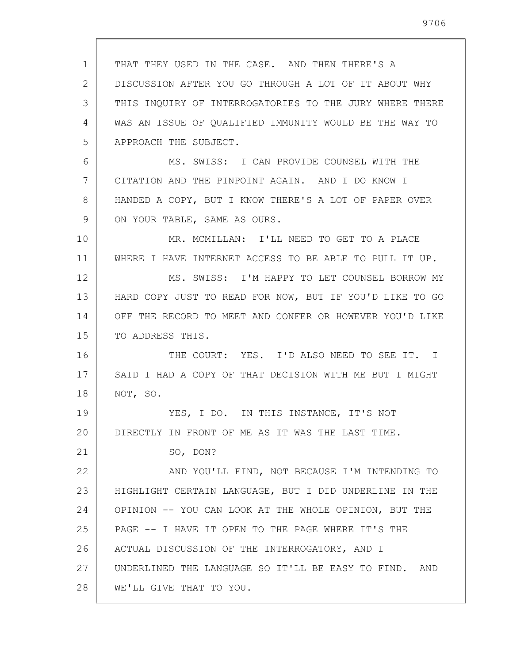1 2 3 4 5 6 7 8 9 10 11 12 13 14 15 16 17 18 19 20 21 22 23 24 25 26 27 28 THAT THEY USED IN THE CASE. AND THEN THERE'S A DISCUSSION AFTER YOU GO THROUGH A LOT OF IT ABOUT WHY THIS INQUIRY OF INTERROGATORIES TO THE JURY WHERE THERE WAS AN ISSUE OF QUALIFIED IMMUNITY WOULD BE THE WAY TO APPROACH THE SUBJECT. MS. SWISS: I CAN PROVIDE COUNSEL WITH THE CITATION AND THE PINPOINT AGAIN. AND I DO KNOW I HANDED A COPY, BUT I KNOW THERE'S A LOT OF PAPER OVER ON YOUR TABLE, SAME AS OURS. MR. MCMILLAN: I'LL NEED TO GET TO A PLACE WHERE I HAVE INTERNET ACCESS TO BE ABLE TO PULL IT UP. MS. SWISS: I'M HAPPY TO LET COUNSEL BORROW MY HARD COPY JUST TO READ FOR NOW, BUT IF YOU'D LIKE TO GO OFF THE RECORD TO MEET AND CONFER OR HOWEVER YOU'D LIKE TO ADDRESS THIS. THE COURT: YES. I'D ALSO NEED TO SEE IT. I SAID I HAD A COPY OF THAT DECISION WITH ME BUT I MIGHT NOT, SO. YES, I DO. IN THIS INSTANCE, IT'S NOT DIRECTLY IN FRONT OF ME AS IT WAS THE LAST TIME. SO, DON? AND YOU'LL FIND, NOT BECAUSE I'M INTENDING TO HIGHLIGHT CERTAIN LANGUAGE, BUT I DID UNDERLINE IN THE OPINION -- YOU CAN LOOK AT THE WHOLE OPINION, BUT THE PAGE -- I HAVE IT OPEN TO THE PAGE WHERE IT'S THE ACTUAL DISCUSSION OF THE INTERROGATORY, AND I UNDERLINED THE LANGUAGE SO IT'LL BE EASY TO FIND. AND WE'LL GIVE THAT TO YOU.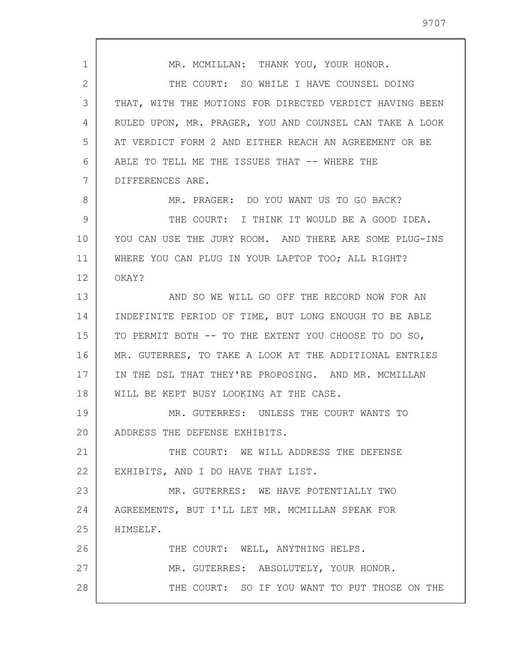| 1  | MR. MCMILLAN: THANK YOU, YOUR HONOR.                    |
|----|---------------------------------------------------------|
| 2  | THE COURT: SO WHILE I HAVE COUNSEL DOING                |
| 3  | THAT, WITH THE MOTIONS FOR DIRECTED VERDICT HAVING BEEN |
| 4  | RULED UPON, MR. PRAGER, YOU AND COUNSEL CAN TAKE A LOOK |
|    |                                                         |
| 5  | AT VERDICT FORM 2 AND EITHER REACH AN AGREEMENT OR BE   |
| 6  | ABLE TO TELL ME THE ISSUES THAT -- WHERE THE            |
| 7  | DIFFERENCES ARE.                                        |
| 8  | MR. PRAGER: DO YOU WANT US TO GO BACK?                  |
| 9  | THE COURT: I THINK IT WOULD BE A GOOD IDEA.             |
| 10 | YOU CAN USE THE JURY ROOM. AND THERE ARE SOME PLUG-INS  |
| 11 | WHERE YOU CAN PLUG IN YOUR LAPTOP TOO; ALL RIGHT?       |
| 12 | OKAY?                                                   |
| 13 | AND SO WE WILL GO OFF THE RECORD NOW FOR AN             |
| 14 | INDEFINITE PERIOD OF TIME, BUT LONG ENOUGH TO BE ABLE   |
| 15 | TO PERMIT BOTH -- TO THE EXTENT YOU CHOOSE TO DO SO,    |
| 16 | MR. GUTERRES, TO TAKE A LOOK AT THE ADDITIONAL ENTRIES  |
| 17 | IN THE DSL THAT THEY'RE PROPOSING. AND MR. MCMILLAN     |
| 18 | WILL BE KEPT BUSY LOOKING AT THE CASE.                  |
| 19 | MR. GUTERRES: UNLESS THE COURT WANTS TO                 |
| 20 | ADDRESS THE DEFENSE EXHIBITS.                           |
| 21 | THE COURT: WE WILL ADDRESS THE DEFENSE                  |
| 22 | EXHIBITS, AND I DO HAVE THAT LIST.                      |
| 23 | MR. GUTERRES: WE HAVE POTENTIALLY TWO                   |
| 24 | AGREEMENTS, BUT I'LL LET MR. MCMILLAN SPEAK FOR         |
| 25 | HIMSELF.                                                |
| 26 | THE COURT: WELL, ANYTHING HELPS.                        |
| 27 | MR. GUTERRES: ABSOLUTELY, YOUR HONOR.                   |
| 28 | THE COURT: SO IF YOU WANT TO PUT THOSE ON THE           |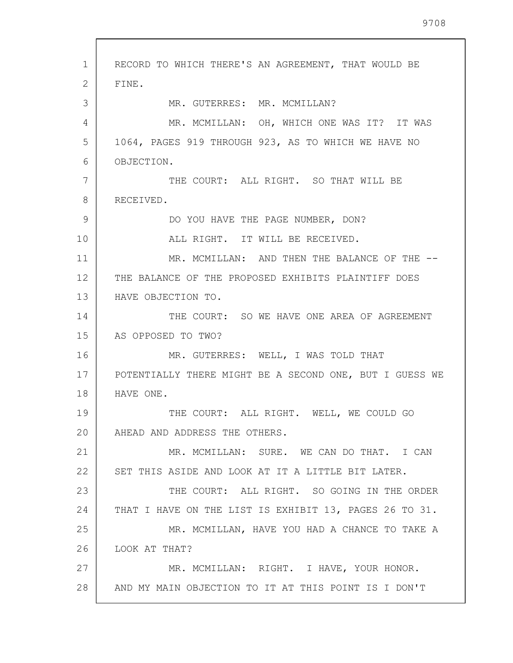1 2 3 4 5 6 7 8 9 10 11 12 13 14 15 16 17 18 19 20 21 22 23 24 25 26 27 28 RECORD TO WHICH THERE'S AN AGREEMENT, THAT WOULD BE FINE. MR. GUTERRES: MR. MCMILLAN? MR. MCMILLAN: OH, WHICH ONE WAS IT? IT WAS 1064, PAGES 919 THROUGH 923, AS TO WHICH WE HAVE NO OBJECTION. THE COURT: ALL RIGHT. SO THAT WILL BE RECEIVED. DO YOU HAVE THE PAGE NUMBER, DON? ALL RIGHT. IT WILL BE RECEIVED. MR. MCMILLAN: AND THEN THE BALANCE OF THE --THE BALANCE OF THE PROPOSED EXHIBITS PLAINTIFF DOES HAVE OBJECTION TO. THE COURT: SO WE HAVE ONE AREA OF AGREEMENT AS OPPOSED TO TWO? MR. GUTERRES: WELL, I WAS TOLD THAT POTENTIALLY THERE MIGHT BE A SECOND ONE, BUT I GUESS WE HAVE ONE. THE COURT: ALL RIGHT. WELL, WE COULD GO AHEAD AND ADDRESS THE OTHERS. MR. MCMILLAN: SURE. WE CAN DO THAT. I CAN SET THIS ASIDE AND LOOK AT IT A LITTLE BIT LATER. THE COURT: ALL RIGHT. SO GOING IN THE ORDER THAT I HAVE ON THE LIST IS EXHIBIT 13, PAGES 26 TO 31. MR. MCMILLAN, HAVE YOU HAD A CHANCE TO TAKE A LOOK AT THAT? MR. MCMILLAN: RIGHT. I HAVE, YOUR HONOR. AND MY MAIN OBJECTION TO IT AT THIS POINT IS I DON'T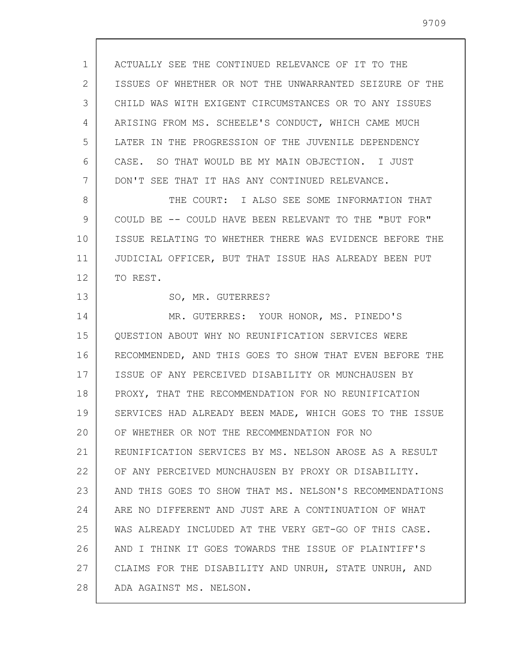1 2 3 4 5 6 7 8 9 10 11 12 13 14 15 16 17 18 19 20 21 22 23 24 25 26 27 28 ACTUALLY SEE THE CONTINUED RELEVANCE OF IT TO THE ISSUES OF WHETHER OR NOT THE UNWARRANTED SEIZURE OF THE CHILD WAS WITH EXIGENT CIRCUMSTANCES OR TO ANY ISSUES ARISING FROM MS. SCHEELE'S CONDUCT, WHICH CAME MUCH LATER IN THE PROGRESSION OF THE JUVENILE DEPENDENCY CASE. SO THAT WOULD BE MY MAIN OBJECTION. I JUST DON'T SEE THAT IT HAS ANY CONTINUED RELEVANCE. THE COURT: I ALSO SEE SOME INFORMATION THAT COULD BE -- COULD HAVE BEEN RELEVANT TO THE "BUT FOR" ISSUE RELATING TO WHETHER THERE WAS EVIDENCE BEFORE THE JUDICIAL OFFICER, BUT THAT ISSUE HAS ALREADY BEEN PUT TO REST. SO, MR. GUTERRES? MR. GUTERRES: YOUR HONOR, MS. PINEDO'S QUESTION ABOUT WHY NO REUNIFICATION SERVICES WERE RECOMMENDED, AND THIS GOES TO SHOW THAT EVEN BEFORE THE ISSUE OF ANY PERCEIVED DISABILITY OR MUNCHAUSEN BY PROXY, THAT THE RECOMMENDATION FOR NO REUNIFICATION SERVICES HAD ALREADY BEEN MADE, WHICH GOES TO THE ISSUE OF WHETHER OR NOT THE RECOMMENDATION FOR NO REUNIFICATION SERVICES BY MS. NELSON AROSE AS A RESULT OF ANY PERCEIVED MUNCHAUSEN BY PROXY OR DISABILITY. AND THIS GOES TO SHOW THAT MS. NELSON'S RECOMMENDATIONS ARE NO DIFFERENT AND JUST ARE A CONTINUATION OF WHAT WAS ALREADY INCLUDED AT THE VERY GET-GO OF THIS CASE. AND I THINK IT GOES TOWARDS THE ISSUE OF PLAINTIFF'S CLAIMS FOR THE DISABILITY AND UNRUH, STATE UNRUH, AND ADA AGAINST MS. NELSON.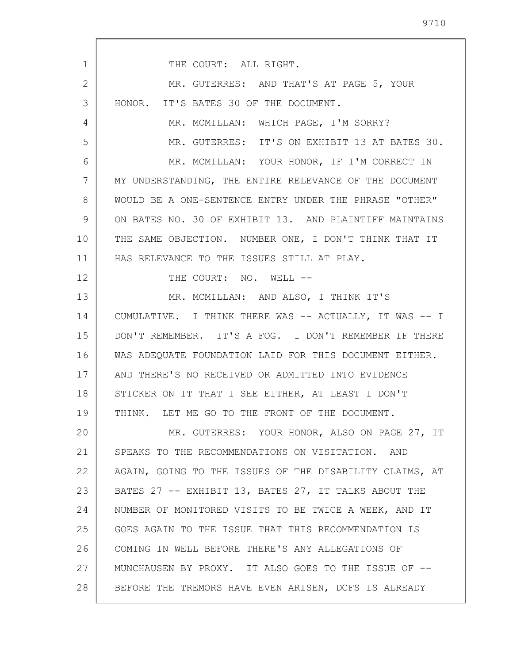1 2 3 4 5 6 7 8 9 10 11 12 13 14 15 16 17 18 19 20 21 22 23 24 25 26 27 28 THE COURT: ALL RIGHT. MR. GUTERRES: AND THAT'S AT PAGE 5, YOUR HONOR. IT'S BATES 30 OF THE DOCUMENT. MR. MCMILLAN: WHICH PAGE, I'M SORRY? MR. GUTERRES: IT'S ON EXHIBIT 13 AT BATES 30. MR. MCMILLAN: YOUR HONOR, IF I'M CORRECT IN MY UNDERSTANDING, THE ENTIRE RELEVANCE OF THE DOCUMENT WOULD BE A ONE-SENTENCE ENTRY UNDER THE PHRASE "OTHER" ON BATES NO. 30 OF EXHIBIT 13. AND PLAINTIFF MAINTAINS THE SAME OBJECTION. NUMBER ONE, I DON'T THINK THAT IT HAS RELEVANCE TO THE ISSUES STILL AT PLAY. THE COURT: NO. WELL --MR. MCMILLAN: AND ALSO, I THINK IT'S CUMULATIVE. I THINK THERE WAS -- ACTUALLY, IT WAS -- I DON'T REMEMBER. IT'S A FOG. I DON'T REMEMBER IF THERE WAS ADEQUATE FOUNDATION LAID FOR THIS DOCUMENT EITHER. AND THERE'S NO RECEIVED OR ADMITTED INTO EVIDENCE STICKER ON IT THAT I SEE EITHER, AT LEAST I DON'T THINK. LET ME GO TO THE FRONT OF THE DOCUMENT. MR. GUTERRES: YOUR HONOR, ALSO ON PAGE 27, IT SPEAKS TO THE RECOMMENDATIONS ON VISITATION. AND AGAIN, GOING TO THE ISSUES OF THE DISABILITY CLAIMS, AT BATES 27 -- EXHIBIT 13, BATES 27, IT TALKS ABOUT THE NUMBER OF MONITORED VISITS TO BE TWICE A WEEK, AND IT GOES AGAIN TO THE ISSUE THAT THIS RECOMMENDATION IS COMING IN WELL BEFORE THERE'S ANY ALLEGATIONS OF MUNCHAUSEN BY PROXY. IT ALSO GOES TO THE ISSUE OF -- BEFORE THE TREMORS HAVE EVEN ARISEN, DCFS IS ALREADY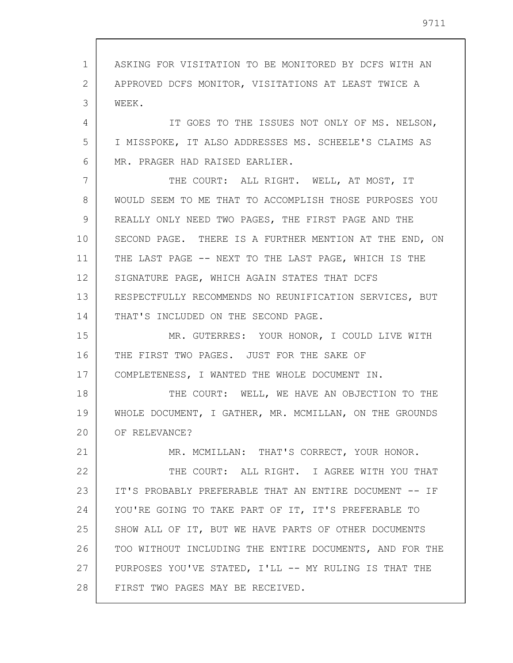1 2 3 4 5 6 7 8 9 10 11 12 13 14 15 16 17 18 19 20 21 22 23 24 25 26 27 28 ASKING FOR VISITATION TO BE MONITORED BY DCFS WITH AN APPROVED DCFS MONITOR, VISITATIONS AT LEAST TWICE A WEEK. IT GOES TO THE ISSUES NOT ONLY OF MS. NELSON, I MISSPOKE, IT ALSO ADDRESSES MS. SCHEELE'S CLAIMS AS MR. PRAGER HAD RAISED EARLIER. THE COURT: ALL RIGHT. WELL, AT MOST, IT WOULD SEEM TO ME THAT TO ACCOMPLISH THOSE PURPOSES YOU REALLY ONLY NEED TWO PAGES, THE FIRST PAGE AND THE SECOND PAGE. THERE IS A FURTHER MENTION AT THE END, ON THE LAST PAGE -- NEXT TO THE LAST PAGE, WHICH IS THE SIGNATURE PAGE, WHICH AGAIN STATES THAT DCFS RESPECTFULLY RECOMMENDS NO REUNIFICATION SERVICES, BUT THAT'S INCLUDED ON THE SECOND PAGE. MR. GUTERRES: YOUR HONOR, I COULD LIVE WITH THE FIRST TWO PAGES. JUST FOR THE SAKE OF COMPLETENESS, I WANTED THE WHOLE DOCUMENT IN. THE COURT: WELL, WE HAVE AN OBJECTION TO THE WHOLE DOCUMENT, I GATHER, MR. MCMILLAN, ON THE GROUNDS OF RELEVANCE? MR. MCMILLAN: THAT'S CORRECT, YOUR HONOR. THE COURT: ALL RIGHT. I AGREE WITH YOU THAT IT'S PROBABLY PREFERABLE THAT AN ENTIRE DOCUMENT -- IF YOU'RE GOING TO TAKE PART OF IT, IT'S PREFERABLE TO SHOW ALL OF IT, BUT WE HAVE PARTS OF OTHER DOCUMENTS TOO WITHOUT INCLUDING THE ENTIRE DOCUMENTS, AND FOR THE PURPOSES YOU'VE STATED, I'LL -- MY RULING IS THAT THE FIRST TWO PAGES MAY BE RECEIVED.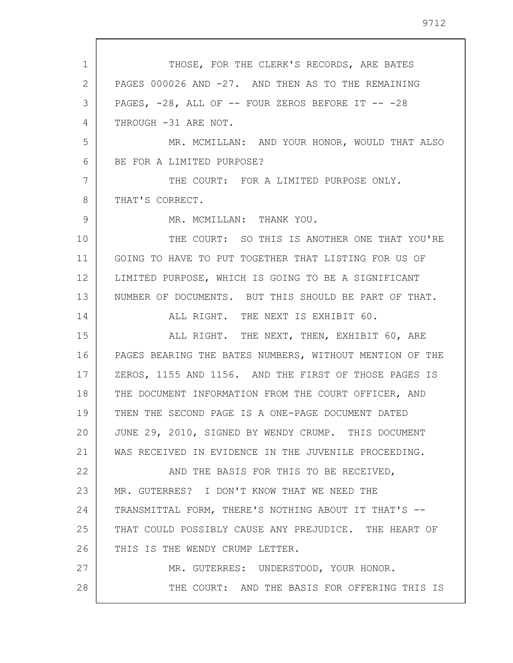1 2 3 4 5 6 7 8 9 10 11 12 13 14 15 16 17 18 19 20 21 22 23 24 25 26 27 28 THOSE, FOR THE CLERK'S RECORDS, ARE BATES PAGES 000026 AND -27. AND THEN AS TO THE REMAINING PAGES, -28, ALL OF -- FOUR ZEROS BEFORE IT -- -28 THROUGH -31 ARE NOT. MR. MCMILLAN: AND YOUR HONOR, WOULD THAT ALSO BE FOR A LIMITED PURPOSE? THE COURT: FOR A LIMITED PURPOSE ONLY. THAT'S CORRECT. MR. MCMILLAN: THANK YOU. THE COURT: SO THIS IS ANOTHER ONE THAT YOU'RE GOING TO HAVE TO PUT TOGETHER THAT LISTING FOR US OF LIMITED PURPOSE, WHICH IS GOING TO BE A SIGNIFICANT NUMBER OF DOCUMENTS. BUT THIS SHOULD BE PART OF THAT. ALL RIGHT. THE NEXT IS EXHIBIT 60. ALL RIGHT. THE NEXT, THEN, EXHIBIT 60, ARE PAGES BEARING THE BATES NUMBERS, WITHOUT MENTION OF THE ZEROS, 1155 AND 1156. AND THE FIRST OF THOSE PAGES IS THE DOCUMENT INFORMATION FROM THE COURT OFFICER, AND THEN THE SECOND PAGE IS A ONE-PAGE DOCUMENT DATED JUNE 29, 2010, SIGNED BY WENDY CRUMP. THIS DOCUMENT WAS RECEIVED IN EVIDENCE IN THE JUVENILE PROCEEDING. AND THE BASIS FOR THIS TO BE RECEIVED, MR. GUTERRES? I DON'T KNOW THAT WE NEED THE TRANSMITTAL FORM, THERE'S NOTHING ABOUT IT THAT'S -- THAT COULD POSSIBLY CAUSE ANY PREJUDICE. THE HEART OF THIS IS THE WENDY CRUMP LETTER. MR. GUTERRES: UNDERSTOOD, YOUR HONOR. THE COURT: AND THE BASIS FOR OFFERING THIS IS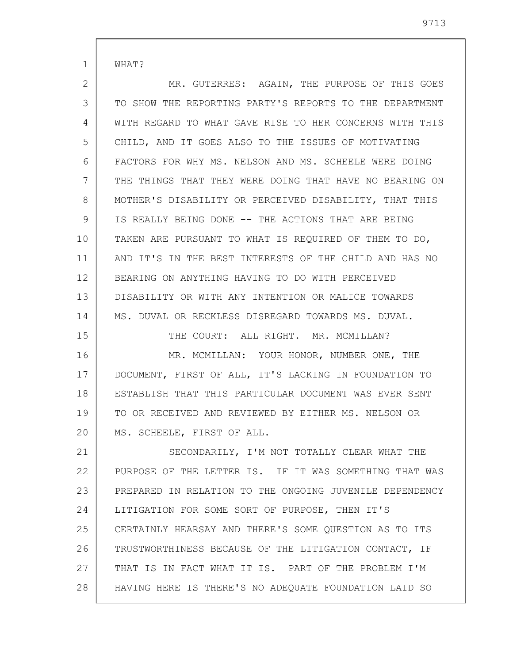| $\mathbf{1}$ | WHAT?                                                   |
|--------------|---------------------------------------------------------|
| 2            | MR. GUTERRES: AGAIN, THE PURPOSE OF THIS GOES           |
| 3            | TO SHOW THE REPORTING PARTY'S REPORTS TO THE DEPARTMENT |
| 4            | WITH REGARD TO WHAT GAVE RISE TO HER CONCERNS WITH THIS |
| 5            | CHILD, AND IT GOES ALSO TO THE ISSUES OF MOTIVATING     |
| 6            | FACTORS FOR WHY MS. NELSON AND MS. SCHEELE WERE DOING   |
| 7            | THE THINGS THAT THEY WERE DOING THAT HAVE NO BEARING ON |
| 8            | MOTHER'S DISABILITY OR PERCEIVED DISABILITY, THAT THIS  |
| 9            | IS REALLY BEING DONE -- THE ACTIONS THAT ARE BEING      |
| 10           | TAKEN ARE PURSUANT TO WHAT IS REQUIRED OF THEM TO DO,   |
| 11           | AND IT'S IN THE BEST INTERESTS OF THE CHILD AND HAS NO  |
| 12           | BEARING ON ANYTHING HAVING TO DO WITH PERCEIVED         |
| 13           | DISABILITY OR WITH ANY INTENTION OR MALICE TOWARDS      |
| 14           | MS. DUVAL OR RECKLESS DISREGARD TOWARDS MS. DUVAL.      |
| 15           | THE COURT: ALL RIGHT. MR. MCMILLAN?                     |
| 16           | MR. MCMILLAN: YOUR HONOR, NUMBER ONE, THE               |
| 17           | DOCUMENT, FIRST OF ALL, IT'S LACKING IN FOUNDATION TO   |
| 18           | ESTABLISH THAT THIS PARTICULAR DOCUMENT WAS EVER SENT   |
| 19           | TO OR RECEIVED AND REVIEWED BY EITHER MS. NELSON OR     |
| 20           | MS. SCHEELE, FIRST OF ALL.                              |
| 21           | SECONDARILY, I'M NOT TOTALLY CLEAR WHAT THE             |
| 22           | PURPOSE OF THE LETTER IS. IF IT WAS SOMETHING THAT WAS  |
| 23           | PREPARED IN RELATION TO THE ONGOING JUVENILE DEPENDENCY |
| 24           | LITIGATION FOR SOME SORT OF PURPOSE, THEN IT'S          |
| 25           | CERTAINLY HEARSAY AND THERE'S SOME QUESTION AS TO ITS   |
| 26           | TRUSTWORTHINESS BECAUSE OF THE LITIGATION CONTACT, IF   |
| 27           | THAT IS IN FACT WHAT IT IS. PART OF THE PROBLEM I'M     |
| 28           | HAVING HERE IS THERE'S NO ADEQUATE FOUNDATION LAID SO   |

 $\sqrt{ }$ 

 $\overline{\phantom{a}}$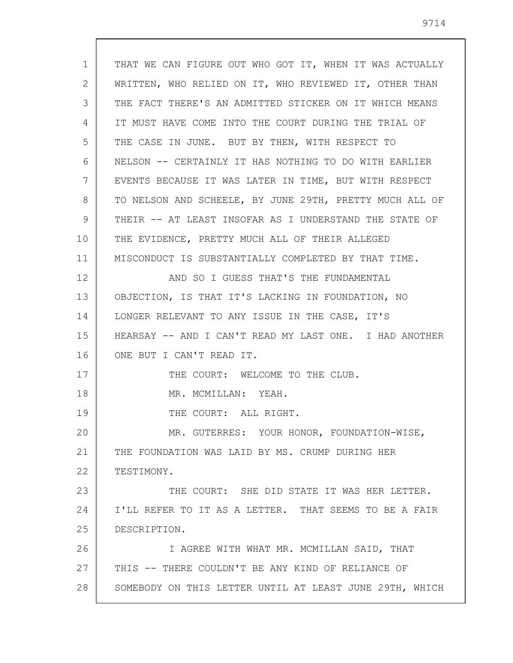| 1  | THAT WE CAN FIGURE OUT WHO GOT IT, WHEN IT WAS ACTUALLY |
|----|---------------------------------------------------------|
| 2  | WRITTEN, WHO RELIED ON IT, WHO REVIEWED IT, OTHER THAN  |
| 3  | THE FACT THERE'S AN ADMITTED STICKER ON IT WHICH MEANS  |
| 4  | IT MUST HAVE COME INTO THE COURT DURING THE TRIAL OF    |
| 5  | THE CASE IN JUNE. BUT BY THEN, WITH RESPECT TO          |
| 6  | NELSON -- CERTAINLY IT HAS NOTHING TO DO WITH EARLIER   |
| 7  | EVENTS BECAUSE IT WAS LATER IN TIME, BUT WITH RESPECT   |
| 8  | TO NELSON AND SCHEELE, BY JUNE 29TH, PRETTY MUCH ALL OF |
| 9  | THEIR -- AT LEAST INSOFAR AS I UNDERSTAND THE STATE OF  |
| 10 | THE EVIDENCE, PRETTY MUCH ALL OF THEIR ALLEGED          |
| 11 | MISCONDUCT IS SUBSTANTIALLY COMPLETED BY THAT TIME.     |
| 12 | AND SO I GUESS THAT'S THE FUNDAMENTAL                   |
| 13 | OBJECTION, IS THAT IT'S LACKING IN FOUNDATION, NO       |
| 14 | LONGER RELEVANT TO ANY ISSUE IN THE CASE, IT'S          |
| 15 | HEARSAY -- AND I CAN'T READ MY LAST ONE. I HAD ANOTHER  |
| 16 | ONE BUT I CAN'T READ IT.                                |
| 17 | THE COURT: WELCOME TO THE CLUB.                         |
| 18 | MR. MCMILLAN: YEAH.                                     |
| 19 | THE COURT: ALL RIGHT.                                   |
| 20 | MR. GUTERRES: YOUR HONOR, FOUNDATION-WISE,              |
| 21 | THE FOUNDATION WAS LAID BY MS. CRUMP DURING HER         |
| 22 | TESTIMONY.                                              |
| 23 | THE COURT: SHE DID STATE IT WAS HER LETTER.             |
| 24 | I'LL REFER TO IT AS A LETTER. THAT SEEMS TO BE A FAIR   |
| 25 | DESCRIPTION.                                            |
| 26 | I AGREE WITH WHAT MR. MCMILLAN SAID, THAT               |
| 27 | THIS -- THERE COULDN'T BE ANY KIND OF RELIANCE OF       |
| 28 | SOMEBODY ON THIS LETTER UNTIL AT LEAST JUNE 29TH, WHICH |

 $\overline{\phantom{a}}$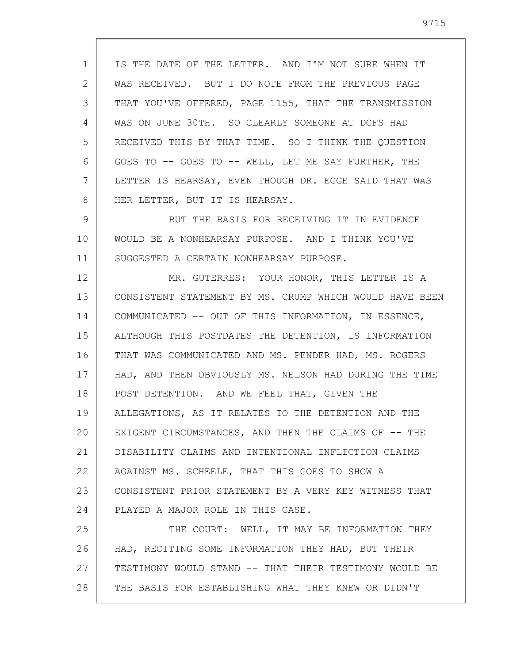1 2 3 4 5 6 7 8 IS THE DATE OF THE LETTER. AND I'M NOT SURE WHEN IT WAS RECEIVED. BUT I DO NOTE FROM THE PREVIOUS PAGE THAT YOU'VE OFFERED, PAGE 1155, THAT THE TRANSMISSION WAS ON JUNE 30TH. SO CLEARLY SOMEONE AT DCFS HAD RECEIVED THIS BY THAT TIME. SO I THINK THE QUESTION GOES TO -- GOES TO -- WELL, LET ME SAY FURTHER, THE LETTER IS HEARSAY, EVEN THOUGH DR. EGGE SAID THAT WAS HER LETTER, BUT IT IS HEARSAY.

9 10 11 BUT THE BASIS FOR RECEIVING IT IN EVIDENCE WOULD BE A NONHEARSAY PURPOSE. AND I THINK YOU'VE SUGGESTED A CERTAIN NONHEARSAY PURPOSE.

12 13 14 15 16 17 18 19 20 21 22 23 24 MR. GUTERRES: YOUR HONOR, THIS LETTER IS A CONSISTENT STATEMENT BY MS. CRUMP WHICH WOULD HAVE BEEN COMMUNICATED -- OUT OF THIS INFORMATION, IN ESSENCE, ALTHOUGH THIS POSTDATES THE DETENTION, IS INFORMATION THAT WAS COMMUNICATED AND MS. PENDER HAD, MS. ROGERS HAD, AND THEN OBVIOUSLY MS. NELSON HAD DURING THE TIME POST DETENTION. AND WE FEEL THAT, GIVEN THE ALLEGATIONS, AS IT RELATES TO THE DETENTION AND THE EXIGENT CIRCUMSTANCES, AND THEN THE CLAIMS OF -- THE DISABILITY CLAIMS AND INTENTIONAL INFLICTION CLAIMS AGAINST MS. SCHEELE, THAT THIS GOES TO SHOW A CONSISTENT PRIOR STATEMENT BY A VERY KEY WITNESS THAT PLAYED A MAJOR ROLE IN THIS CASE.

25 26 27 28 THE COURT: WELL, IT MAY BE INFORMATION THEY HAD, RECITING SOME INFORMATION THEY HAD, BUT THEIR TESTIMONY WOULD STAND -- THAT THEIR TESTIMONY WOULD BE THE BASIS FOR ESTABLISHING WHAT THEY KNEW OR DIDN'T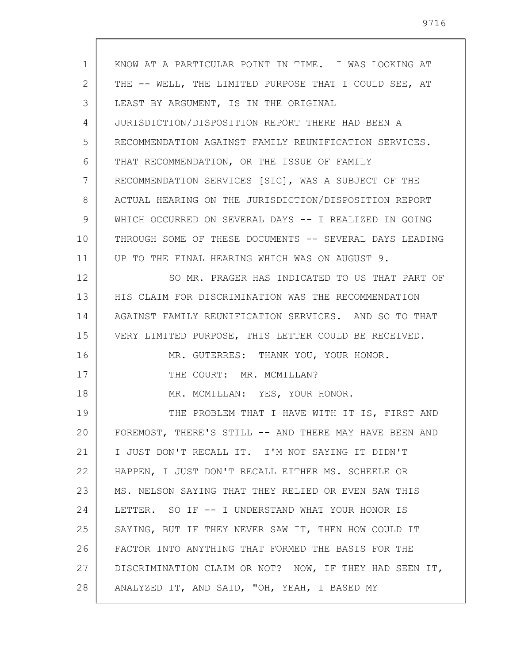| $\mathbf{1}$ | KNOW AT A PARTICULAR POINT IN TIME. I WAS LOOKING AT    |
|--------------|---------------------------------------------------------|
| 2            | THE -- WELL, THE LIMITED PURPOSE THAT I COULD SEE, AT   |
| 3            | LEAST BY ARGUMENT, IS IN THE ORIGINAL                   |
| 4            | JURISDICTION/DISPOSITION REPORT THERE HAD BEEN A        |
| 5            | RECOMMENDATION AGAINST FAMILY REUNIFICATION SERVICES.   |
| 6            | THAT RECOMMENDATION, OR THE ISSUE OF FAMILY             |
| 7            | RECOMMENDATION SERVICES [SIC], WAS A SUBJECT OF THE     |
| 8            | ACTUAL HEARING ON THE JURISDICTION/DISPOSITION REPORT   |
| 9            | WHICH OCCURRED ON SEVERAL DAYS -- I REALIZED IN GOING   |
| 10           | THROUGH SOME OF THESE DOCUMENTS -- SEVERAL DAYS LEADING |
| 11           | UP TO THE FINAL HEARING WHICH WAS ON AUGUST 9.          |
| 12           | SO MR. PRAGER HAS INDICATED TO US THAT PART OF          |
| 13           | HIS CLAIM FOR DISCRIMINATION WAS THE RECOMMENDATION     |
| 14           | AGAINST FAMILY REUNIFICATION SERVICES. AND SO TO THAT   |
| 15           | VERY LIMITED PURPOSE, THIS LETTER COULD BE RECEIVED.    |
| 16           | MR. GUTERRES: THANK YOU, YOUR HONOR.                    |
| 17           | THE COURT: MR. MCMILLAN?                                |
| 18           | MR. MCMILLAN: YES, YOUR HONOR.                          |
| 19           | THE PROBLEM THAT I HAVE WITH IT IS, FIRST AND           |
| 20           | FOREMOST, THERE'S STILL -- AND THERE MAY HAVE BEEN AND  |
| 21           | I JUST DON'T RECALL IT. I'M NOT SAYING IT DIDN'T        |
| 22           | HAPPEN, I JUST DON'T RECALL EITHER MS. SCHEELE OR       |
| 23           | MS. NELSON SAYING THAT THEY RELIED OR EVEN SAW THIS     |
| 24           | LETTER. SO IF -- I UNDERSTAND WHAT YOUR HONOR IS        |
| 25           | SAYING, BUT IF THEY NEVER SAW IT, THEN HOW COULD IT     |
| 26           | FACTOR INTO ANYTHING THAT FORMED THE BASIS FOR THE      |
| 27           | DISCRIMINATION CLAIM OR NOT? NOW, IF THEY HAD SEEN IT,  |
| 28           | ANALYZED IT, AND SAID, "OH, YEAH, I BASED MY            |

 $\overline{\phantom{a}}$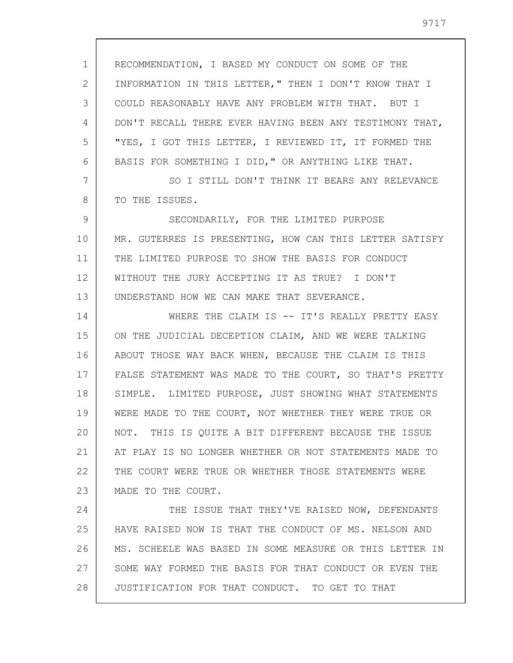1 2 3 4 5 6 7 8 9 10 11 12 13 14 15 16 17 18 19 20 21 22 23 24 25 26 27 28 RECOMMENDATION, I BASED MY CONDUCT ON SOME OF THE INFORMATION IN THIS LETTER," THEN I DON'T KNOW THAT I COULD REASONABLY HAVE ANY PROBLEM WITH THAT. BUT I DON'T RECALL THERE EVER HAVING BEEN ANY TESTIMONY THAT, "YES, I GOT THIS LETTER, I REVIEWED IT, IT FORMED THE BASIS FOR SOMETHING I DID," OR ANYTHING LIKE THAT. SO I STILL DON'T THINK IT BEARS ANY RELEVANCE TO THE ISSUES. SECONDARILY, FOR THE LIMITED PURPOSE MR. GUTERRES IS PRESENTING, HOW CAN THIS LETTER SATISFY THE LIMITED PURPOSE TO SHOW THE BASIS FOR CONDUCT WITHOUT THE JURY ACCEPTING IT AS TRUE? I DON'T UNDERSTAND HOW WE CAN MAKE THAT SEVERANCE. WHERE THE CLAIM IS -- IT'S REALLY PRETTY EASY ON THE JUDICIAL DECEPTION CLAIM, AND WE WERE TALKING ABOUT THOSE WAY BACK WHEN, BECAUSE THE CLAIM IS THIS FALSE STATEMENT WAS MADE TO THE COURT, SO THAT'S PRETTY SIMPLE. LIMITED PURPOSE, JUST SHOWING WHAT STATEMENTS WERE MADE TO THE COURT, NOT WHETHER THEY WERE TRUE OR NOT. THIS IS QUITE A BIT DIFFERENT BECAUSE THE ISSUE AT PLAY IS NO LONGER WHETHER OR NOT STATEMENTS MADE TO THE COURT WERE TRUE OR WHETHER THOSE STATEMENTS WERE MADE TO THE COURT. THE ISSUE THAT THEY'VE RAISED NOW, DEFENDANTS HAVE RAISED NOW IS THAT THE CONDUCT OF MS. NELSON AND MS. SCHEELE WAS BASED IN SOME MEASURE OR THIS LETTER IN SOME WAY FORMED THE BASIS FOR THAT CONDUCT OR EVEN THE JUSTIFICATION FOR THAT CONDUCT. TO GET TO THAT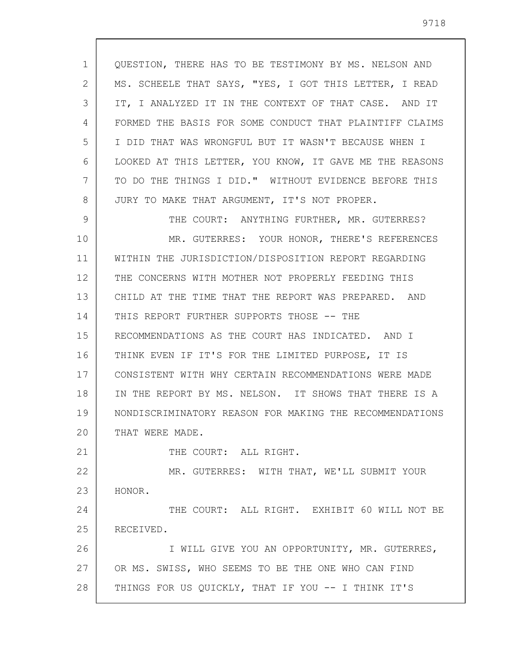1 2 3 4 5 6 7 8 QUESTION, THERE HAS TO BE TESTIMONY BY MS. NELSON AND MS. SCHEELE THAT SAYS, "YES, I GOT THIS LETTER, I READ IT, I ANALYZED IT IN THE CONTEXT OF THAT CASE. AND IT FORMED THE BASIS FOR SOME CONDUCT THAT PLAINTIFF CLAIMS I DID THAT WAS WRONGFUL BUT IT WASN'T BECAUSE WHEN I LOOKED AT THIS LETTER, YOU KNOW, IT GAVE ME THE REASONS TO DO THE THINGS I DID." WITHOUT EVIDENCE BEFORE THIS JURY TO MAKE THAT ARGUMENT, IT'S NOT PROPER.

9 10 11 12 13 14 15 16 17 18 19 20 THE COURT: ANYTHING FURTHER, MR. GUTERRES? MR. GUTERRES: YOUR HONOR, THERE'S REFERENCES WITHIN THE JURISDICTION/DISPOSITION REPORT REGARDING THE CONCERNS WITH MOTHER NOT PROPERLY FEEDING THIS CHILD AT THE TIME THAT THE REPORT WAS PREPARED. AND THIS REPORT FURTHER SUPPORTS THOSE -- THE RECOMMENDATIONS AS THE COURT HAS INDICATED. AND I THINK EVEN IF IT'S FOR THE LIMITED PURPOSE, IT IS CONSISTENT WITH WHY CERTAIN RECOMMENDATIONS WERE MADE IN THE REPORT BY MS. NELSON. IT SHOWS THAT THERE IS A NONDISCRIMINATORY REASON FOR MAKING THE RECOMMENDATIONS THAT WERE MADE.

THE COURT: ALL RIGHT.

21

22 23 MR. GUTERRES: WITH THAT, WE'LL SUBMIT YOUR HONOR.

24 25 THE COURT: ALL RIGHT. EXHIBIT 60 WILL NOT BE RECEIVED.

26 27 28 I WILL GIVE YOU AN OPPORTUNITY, MR. GUTERRES, OR MS. SWISS, WHO SEEMS TO BE THE ONE WHO CAN FIND THINGS FOR US QUICKLY, THAT IF YOU -- I THINK IT'S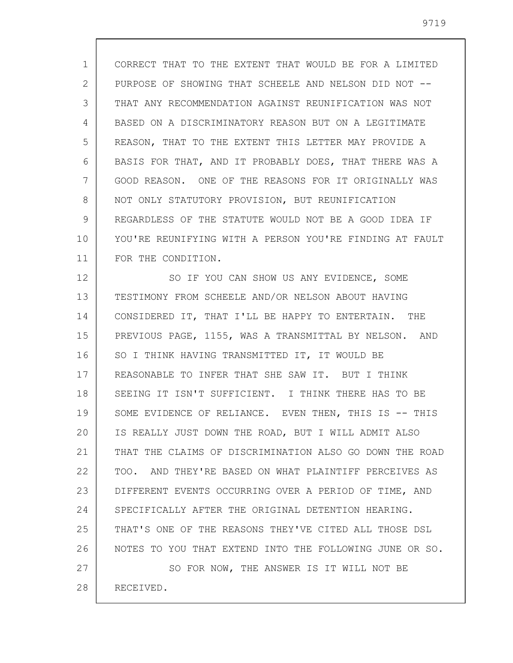1 2 3 4 5 6 7 8 9 10 11 CORRECT THAT TO THE EXTENT THAT WOULD BE FOR A LIMITED PURPOSE OF SHOWING THAT SCHEELE AND NELSON DID NOT -- THAT ANY RECOMMENDATION AGAINST REUNIFICATION WAS NOT BASED ON A DISCRIMINATORY REASON BUT ON A LEGITIMATE REASON, THAT TO THE EXTENT THIS LETTER MAY PROVIDE A BASIS FOR THAT, AND IT PROBABLY DOES, THAT THERE WAS A GOOD REASON. ONE OF THE REASONS FOR IT ORIGINALLY WAS NOT ONLY STATUTORY PROVISION, BUT REUNIFICATION REGARDLESS OF THE STATUTE WOULD NOT BE A GOOD IDEA IF YOU'RE REUNIFYING WITH A PERSON YOU'RE FINDING AT FAULT FOR THE CONDITION.

12 13 14 15 16 17 18 19 20 21 22 23 24 25 26 27 28 SO IF YOU CAN SHOW US ANY EVIDENCE, SOME TESTIMONY FROM SCHEELE AND/OR NELSON ABOUT HAVING CONSIDERED IT, THAT I'LL BE HAPPY TO ENTERTAIN. THE PREVIOUS PAGE, 1155, WAS A TRANSMITTAL BY NELSON. AND SO I THINK HAVING TRANSMITTED IT, IT WOULD BE REASONABLE TO INFER THAT SHE SAW IT. BUT I THINK SEEING IT ISN'T SUFFICIENT. I THINK THERE HAS TO BE SOME EVIDENCE OF RELIANCE. EVEN THEN, THIS IS -- THIS IS REALLY JUST DOWN THE ROAD, BUT I WILL ADMIT ALSO THAT THE CLAIMS OF DISCRIMINATION ALSO GO DOWN THE ROAD TOO. AND THEY'RE BASED ON WHAT PLAINTIFF PERCEIVES AS DIFFERENT EVENTS OCCURRING OVER A PERIOD OF TIME, AND SPECIFICALLY AFTER THE ORIGINAL DETENTION HEARING. THAT'S ONE OF THE REASONS THEY'VE CITED ALL THOSE DSL NOTES TO YOU THAT EXTEND INTO THE FOLLOWING JUNE OR SO. SO FOR NOW, THE ANSWER IS IT WILL NOT BE RECEIVED.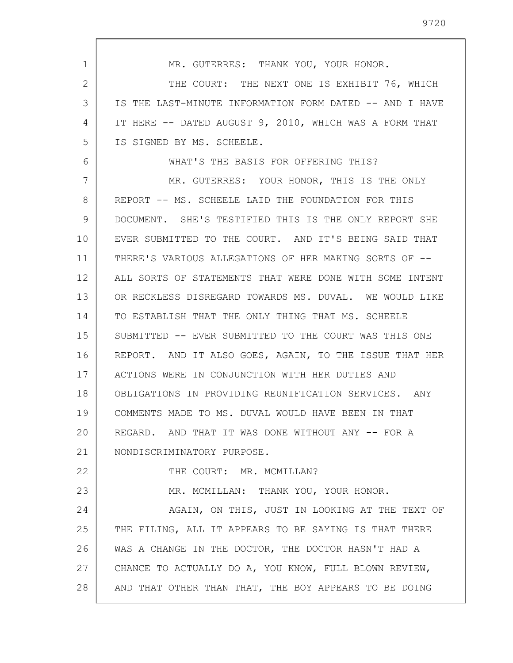1 2 3 4 5 6 7 8 9 10 11 12 13 14 15 16 17 18 19 20 21 22 23 24 25 26 27 28 MR. GUTERRES: THANK YOU, YOUR HONOR. THE COURT: THE NEXT ONE IS EXHIBIT 76, WHICH IS THE LAST-MINUTE INFORMATION FORM DATED -- AND I HAVE IT HERE -- DATED AUGUST 9, 2010, WHICH WAS A FORM THAT IS SIGNED BY MS. SCHEELE. WHAT'S THE BASIS FOR OFFERING THIS? MR. GUTERRES: YOUR HONOR, THIS IS THE ONLY REPORT -- MS. SCHEELE LAID THE FOUNDATION FOR THIS DOCUMENT. SHE'S TESTIFIED THIS IS THE ONLY REPORT SHE EVER SUBMITTED TO THE COURT. AND IT'S BEING SAID THAT THERE'S VARIOUS ALLEGATIONS OF HER MAKING SORTS OF -- ALL SORTS OF STATEMENTS THAT WERE DONE WITH SOME INTENT OR RECKLESS DISREGARD TOWARDS MS. DUVAL. WE WOULD LIKE TO ESTABLISH THAT THE ONLY THING THAT MS. SCHEELE SUBMITTED -- EVER SUBMITTED TO THE COURT WAS THIS ONE REPORT. AND IT ALSO GOES, AGAIN, TO THE ISSUE THAT HER ACTIONS WERE IN CONJUNCTION WITH HER DUTIES AND OBLIGATIONS IN PROVIDING REUNIFICATION SERVICES. ANY COMMENTS MADE TO MS. DUVAL WOULD HAVE BEEN IN THAT REGARD. AND THAT IT WAS DONE WITHOUT ANY -- FOR A NONDISCRIMINATORY PURPOSE. THE COURT: MR. MCMILLAN? MR. MCMILLAN: THANK YOU, YOUR HONOR. AGAIN, ON THIS, JUST IN LOOKING AT THE TEXT OF THE FILING, ALL IT APPEARS TO BE SAYING IS THAT THERE WAS A CHANGE IN THE DOCTOR, THE DOCTOR HASN'T HAD A CHANCE TO ACTUALLY DO A, YOU KNOW, FULL BLOWN REVIEW, AND THAT OTHER THAN THAT, THE BOY APPEARS TO BE DOING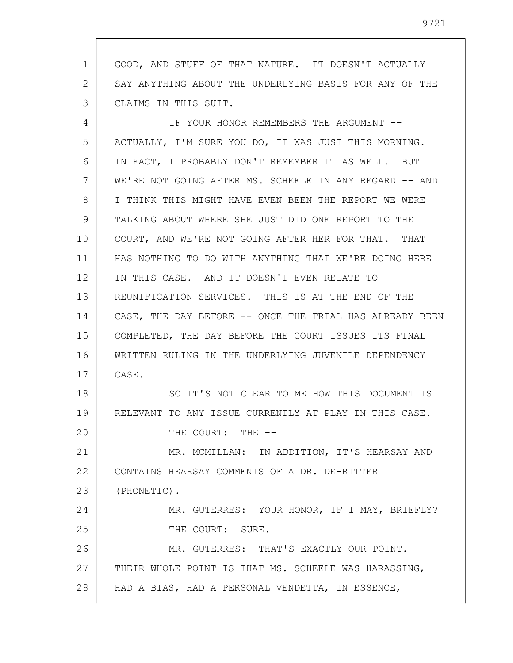1 2 3 4 5 6 7 8 9 10 11 12 13 14 15 16 17 18 19 20 21 22 23 24 25 26 27 28 GOOD, AND STUFF OF THAT NATURE. IT DOESN'T ACTUALLY SAY ANYTHING ABOUT THE UNDERLYING BASIS FOR ANY OF THE CLAIMS IN THIS SUIT. IF YOUR HONOR REMEMBERS THE ARGUMENT -- ACTUALLY, I'M SURE YOU DO, IT WAS JUST THIS MORNING. IN FACT, I PROBABLY DON'T REMEMBER IT AS WELL. BUT WE'RE NOT GOING AFTER MS. SCHEELE IN ANY REGARD -- AND I THINK THIS MIGHT HAVE EVEN BEEN THE REPORT WE WERE TALKING ABOUT WHERE SHE JUST DID ONE REPORT TO THE COURT, AND WE'RE NOT GOING AFTER HER FOR THAT. THAT HAS NOTHING TO DO WITH ANYTHING THAT WE'RE DOING HERE IN THIS CASE. AND IT DOESN'T EVEN RELATE TO REUNIFICATION SERVICES. THIS IS AT THE END OF THE CASE, THE DAY BEFORE -- ONCE THE TRIAL HAS ALREADY BEEN COMPLETED, THE DAY BEFORE THE COURT ISSUES ITS FINAL WRITTEN RULING IN THE UNDERLYING JUVENILE DEPENDENCY CASE. SO IT'S NOT CLEAR TO ME HOW THIS DOCUMENT IS RELEVANT TO ANY ISSUE CURRENTLY AT PLAY IN THIS CASE. THE COURT: THE --MR. MCMILLAN: IN ADDITION, IT'S HEARSAY AND CONTAINS HEARSAY COMMENTS OF A DR. DE-RITTER (PHONETIC). MR. GUTERRES: YOUR HONOR, IF I MAY, BRIEFLY? THE COURT: SURE. MR. GUTERRES: THAT'S EXACTLY OUR POINT. THEIR WHOLE POINT IS THAT MS. SCHEELE WAS HARASSING, HAD A BIAS, HAD A PERSONAL VENDETTA, IN ESSENCE,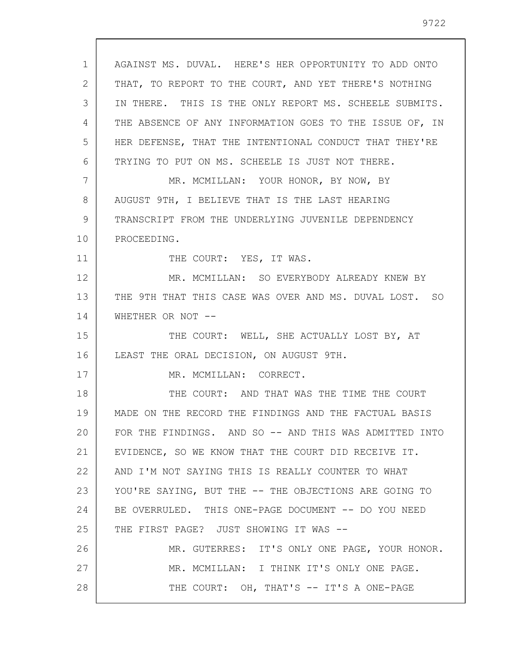| $\mathbf{1}$ | AGAINST MS. DUVAL. HERE'S HER OPPORTUNITY TO ADD ONTO   |
|--------------|---------------------------------------------------------|
| 2.           | THAT, TO REPORT TO THE COURT, AND YET THERE'S NOTHING   |
| 3            | IN THERE. THIS IS THE ONLY REPORT MS. SCHEELE SUBMITS.  |
| 4            | THE ABSENCE OF ANY INFORMATION GOES TO THE ISSUE OF, IN |
| 5            | HER DEFENSE, THAT THE INTENTIONAL CONDUCT THAT THEY'RE  |
| 6            | TRYING TO PUT ON MS. SCHEELE IS JUST NOT THERE.         |
| 7            | MR. MCMILLAN: YOUR HONOR, BY NOW, BY                    |
| 8            | AUGUST 9TH, I BELIEVE THAT IS THE LAST HEARING          |
| 9            | TRANSCRIPT FROM THE UNDERLYING JUVENILE DEPENDENCY      |
| 10           | PROCEEDING.                                             |
| 11           | THE COURT: YES, IT WAS.                                 |
| 12           | MR. MCMILLAN: SO EVERYBODY ALREADY KNEW BY              |
| 13           | THE 9TH THAT THIS CASE WAS OVER AND MS. DUVAL LOST. SO  |
| 14           | WHETHER OR NOT --                                       |
| 15           | THE COURT: WELL, SHE ACTUALLY LOST BY, AT               |
| 16           | LEAST THE ORAL DECISION, ON AUGUST 9TH.                 |
| 17           | MR. MCMILLAN: CORRECT.                                  |
| 18           | THE COURT: AND THAT WAS THE TIME THE COURT              |
| 19           | MADE ON THE RECORD THE FINDINGS AND THE FACTUAL BASIS   |
| 20           | FOR THE FINDINGS. AND SO -- AND THIS WAS ADMITTED INTO  |
| 21           | EVIDENCE, SO WE KNOW THAT THE COURT DID RECEIVE IT.     |
| 22           | AND I'M NOT SAYING THIS IS REALLY COUNTER TO WHAT       |
| 23           | YOU'RE SAYING, BUT THE -- THE OBJECTIONS ARE GOING TO   |
| 24           | BE OVERRULED. THIS ONE-PAGE DOCUMENT -- DO YOU NEED     |
| 25           | THE FIRST PAGE? JUST SHOWING IT WAS --                  |
| 26           | MR. GUTERRES: IT'S ONLY ONE PAGE, YOUR HONOR.           |
| 27           | MR. MCMILLAN: I THINK IT'S ONLY ONE PAGE.               |
| 28           | THE COURT: OH, THAT'S -- IT'S A ONE-PAGE                |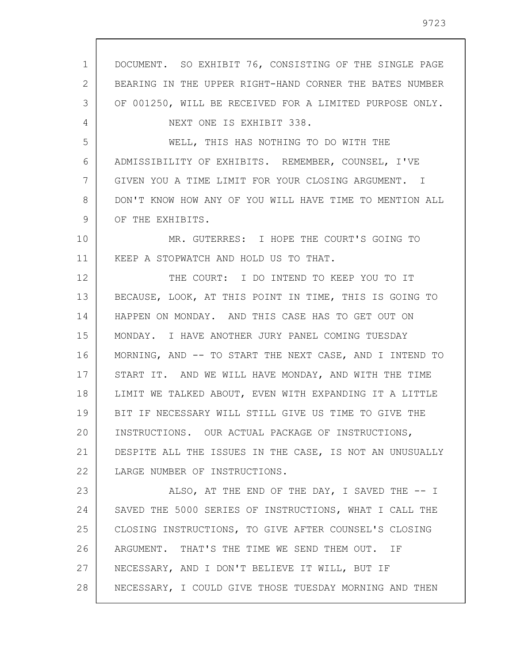| 1. | DOCUMENT. SO EXHIBIT 76, CONSISTING OF THE SINGLE PAGE  |
|----|---------------------------------------------------------|
| 2  | BEARING IN THE UPPER RIGHT-HAND CORNER THE BATES NUMBER |
| 3  | OF 001250, WILL BE RECEIVED FOR A LIMITED PURPOSE ONLY. |
| 4  | NEXT ONE IS EXHIBIT 338.                                |
| 5  | WELL, THIS HAS NOTHING TO DO WITH THE                   |
| 6  | ADMISSIBILITY OF EXHIBITS. REMEMBER, COUNSEL, I'VE      |
| 7  | GIVEN YOU A TIME LIMIT FOR YOUR CLOSING ARGUMENT. I     |
| 8  | DON'T KNOW HOW ANY OF YOU WILL HAVE TIME TO MENTION ALL |
| 9  | OF THE EXHIBITS.                                        |
| 10 | MR. GUTERRES: I HOPE THE COURT'S GOING TO               |
| 11 | KEEP A STOPWATCH AND HOLD US TO THAT.                   |
| 12 | THE COURT: I DO INTEND TO KEEP YOU TO IT                |
| 13 | BECAUSE, LOOK, AT THIS POINT IN TIME, THIS IS GOING TO  |
| 14 | HAPPEN ON MONDAY. AND THIS CASE HAS TO GET OUT ON       |
| 15 | MONDAY. I HAVE ANOTHER JURY PANEL COMING TUESDAY        |
| 16 | MORNING, AND -- TO START THE NEXT CASE, AND I INTEND TO |
| 17 | START IT. AND WE WILL HAVE MONDAY, AND WITH THE TIME    |
| 18 | LIMIT WE TALKED ABOUT, EVEN WITH EXPANDING IT A LITTLE  |
| 19 | BIT IF NECESSARY WILL STILL GIVE US TIME TO GIVE THE    |
| 20 | INSTRUCTIONS. OUR ACTUAL PACKAGE OF INSTRUCTIONS,       |
| 21 | DESPITE ALL THE ISSUES IN THE CASE, IS NOT AN UNUSUALLY |
| 22 | LARGE NUMBER OF INSTRUCTIONS.                           |
| 23 | ALSO, AT THE END OF THE DAY, I SAVED THE -- I           |
| 24 | SAVED THE 5000 SERIES OF INSTRUCTIONS, WHAT I CALL THE  |
| 25 | CLOSING INSTRUCTIONS, TO GIVE AFTER COUNSEL'S CLOSING   |
| 26 | ARGUMENT. THAT'S THE TIME WE SEND THEM OUT. IF          |
| 27 | NECESSARY, AND I DON'T BELIEVE IT WILL, BUT IF          |
| 28 | NECESSARY, I COULD GIVE THOSE TUESDAY MORNING AND THEN  |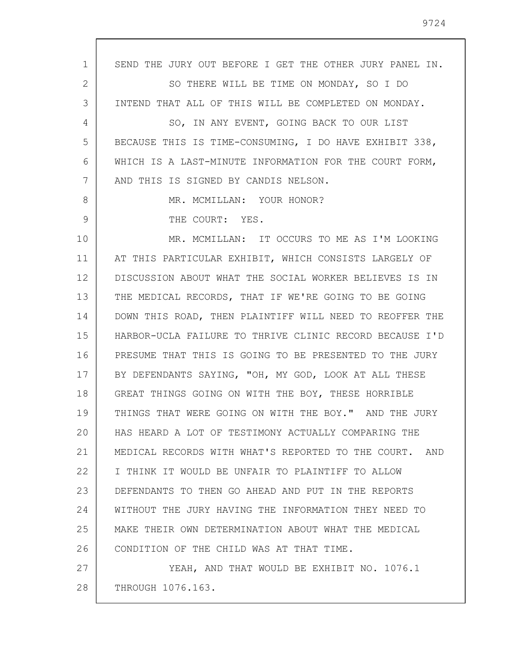1 2 3 4 5 6 7 8 9 10 11 12 13 14 15 16 17 18 19 20 21 22 23 24 25 26 27 28 SEND THE JURY OUT BEFORE I GET THE OTHER JURY PANEL IN. SO THERE WILL BE TIME ON MONDAY, SO I DO INTEND THAT ALL OF THIS WILL BE COMPLETED ON MONDAY. SO, IN ANY EVENT, GOING BACK TO OUR LIST BECAUSE THIS IS TIME-CONSUMING, I DO HAVE EXHIBIT 338, WHICH IS A LAST-MINUTE INFORMATION FOR THE COURT FORM, AND THIS IS SIGNED BY CANDIS NELSON. MR. MCMILLAN: YOUR HONOR? THE COURT: YES. MR. MCMILLAN: IT OCCURS TO ME AS I'M LOOKING AT THIS PARTICULAR EXHIBIT, WHICH CONSISTS LARGELY OF DISCUSSION ABOUT WHAT THE SOCIAL WORKER BELIEVES IS IN THE MEDICAL RECORDS, THAT IF WE'RE GOING TO BE GOING DOWN THIS ROAD, THEN PLAINTIFF WILL NEED TO REOFFER THE HARBOR-UCLA FAILURE TO THRIVE CLINIC RECORD BECAUSE I'D PRESUME THAT THIS IS GOING TO BE PRESENTED TO THE JURY BY DEFENDANTS SAYING, "OH, MY GOD, LOOK AT ALL THESE GREAT THINGS GOING ON WITH THE BOY, THESE HORRIBLE THINGS THAT WERE GOING ON WITH THE BOY." AND THE JURY HAS HEARD A LOT OF TESTIMONY ACTUALLY COMPARING THE MEDICAL RECORDS WITH WHAT'S REPORTED TO THE COURT. AND I THINK IT WOULD BE UNFAIR TO PLAINTIFF TO ALLOW DEFENDANTS TO THEN GO AHEAD AND PUT IN THE REPORTS WITHOUT THE JURY HAVING THE INFORMATION THEY NEED TO MAKE THEIR OWN DETERMINATION ABOUT WHAT THE MEDICAL CONDITION OF THE CHILD WAS AT THAT TIME. YEAH, AND THAT WOULD BE EXHIBIT NO. 1076.1 THROUGH 1076.163.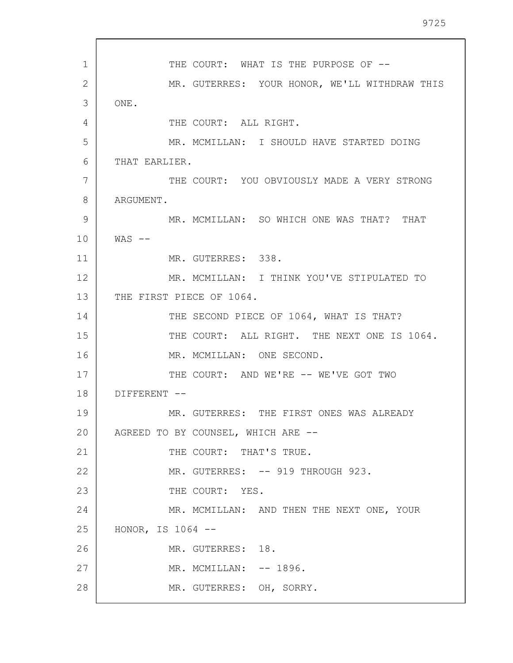1 2 3 4 5 6 7 8 9 10 11 12 13 14 15 16 17 18 19 20 21 22 23 24 25 26 27 28 THE COURT: WHAT IS THE PURPOSE OF --MR. GUTERRES: YOUR HONOR, WE'LL WITHDRAW THIS ONE. THE COURT: ALL RIGHT. MR. MCMILLAN: I SHOULD HAVE STARTED DOING THAT EARLIER. THE COURT: YOU OBVIOUSLY MADE A VERY STRONG ARGUMENT. MR. MCMILLAN: SO WHICH ONE WAS THAT? THAT  $WAS$   $--$ MR. GUTERRES: 338. MR. MCMILLAN: I THINK YOU'VE STIPULATED TO THE FIRST PIECE OF 1064. THE SECOND PIECE OF 1064, WHAT IS THAT? THE COURT: ALL RIGHT. THE NEXT ONE IS 1064. MR. MCMILLAN: ONE SECOND. THE COURT: AND WE'RE -- WE'VE GOT TWO DIFFERENT -- MR. GUTERRES: THE FIRST ONES WAS ALREADY AGREED TO BY COUNSEL, WHICH ARE -- THE COURT: THAT'S TRUE. MR. GUTERRES: -- 919 THROUGH 923. THE COURT: YES. MR. MCMILLAN: AND THEN THE NEXT ONE, YOUR HONOR, IS 1064 -- MR. GUTERRES: 18. MR. MCMILLAN: -- 1896. MR. GUTERRES: OH, SORRY.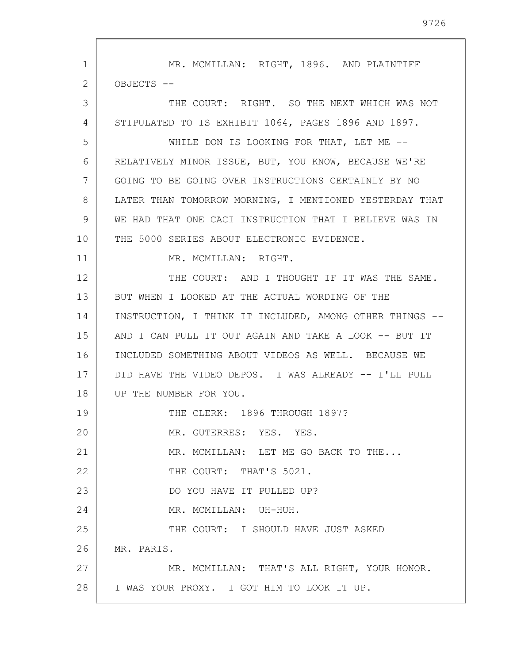1 2 3 4 5 6 7 8 9 10 11 12 13 14 15 16 17 18 19 20 21 22 23 24 25 26 27 28 MR. MCMILLAN: RIGHT, 1896. AND PLAINTIFF OBJECTS -- THE COURT: RIGHT. SO THE NEXT WHICH WAS NOT STIPULATED TO IS EXHIBIT 1064, PAGES 1896 AND 1897. WHILE DON IS LOOKING FOR THAT, LET ME -- RELATIVELY MINOR ISSUE, BUT, YOU KNOW, BECAUSE WE'RE GOING TO BE GOING OVER INSTRUCTIONS CERTAINLY BY NO LATER THAN TOMORROW MORNING, I MENTIONED YESTERDAY THAT WE HAD THAT ONE CACI INSTRUCTION THAT I BELIEVE WAS IN THE 5000 SERIES ABOUT ELECTRONIC EVIDENCE. MR. MCMILLAN: RIGHT. THE COURT: AND I THOUGHT IF IT WAS THE SAME. BUT WHEN I LOOKED AT THE ACTUAL WORDING OF THE INSTRUCTION, I THINK IT INCLUDED, AMONG OTHER THINGS -- AND I CAN PULL IT OUT AGAIN AND TAKE A LOOK -- BUT IT INCLUDED SOMETHING ABOUT VIDEOS AS WELL. BECAUSE WE DID HAVE THE VIDEO DEPOS. I WAS ALREADY -- I'LL PULL UP THE NUMBER FOR YOU. THE CLERK: 1896 THROUGH 1897? MR. GUTERRES: YES. YES. MR. MCMILLAN: LET ME GO BACK TO THE... THE COURT: THAT'S 5021. DO YOU HAVE IT PULLED UP? MR. MCMILLAN: UH-HUH. THE COURT: I SHOULD HAVE JUST ASKED MR. PARIS. MR. MCMILLAN: THAT'S ALL RIGHT, YOUR HONOR. I WAS YOUR PROXY. I GOT HIM TO LOOK IT UP.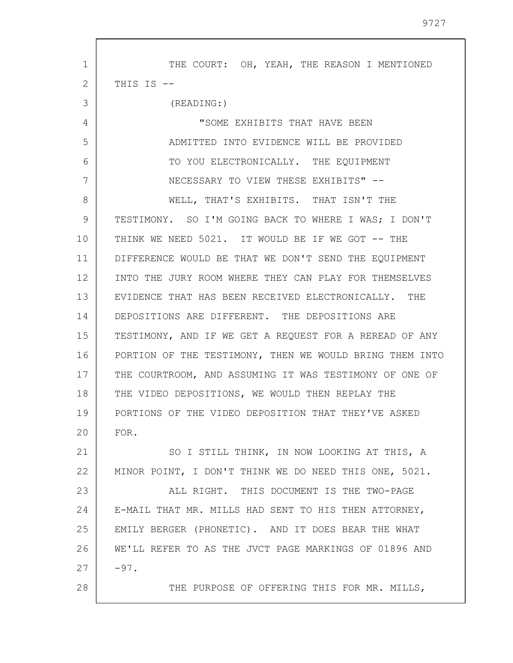1 2 3 4 5 6 7 8 9 10 11 12 13 14 15 16 17 18 19 20 21 22 23 24 25 26 27 28 THE COURT: OH, YEAH, THE REASON I MENTIONED THIS IS -- (READING:) "SOME EXHIBITS THAT HAVE BEEN ADMITTED INTO EVIDENCE WILL BE PROVIDED TO YOU ELECTRONICALLY. THE EQUIPMENT NECESSARY TO VIEW THESE EXHIBITS" -- WELL, THAT'S EXHIBITS. THAT ISN'T THE TESTIMONY. SO I'M GOING BACK TO WHERE I WAS; I DON'T THINK WE NEED 5021. IT WOULD BE IF WE GOT -- THE DIFFERENCE WOULD BE THAT WE DON'T SEND THE EQUIPMENT INTO THE JURY ROOM WHERE THEY CAN PLAY FOR THEMSELVES EVIDENCE THAT HAS BEEN RECEIVED ELECTRONICALLY. THE DEPOSITIONS ARE DIFFERENT. THE DEPOSITIONS ARE TESTIMONY, AND IF WE GET A REQUEST FOR A REREAD OF ANY PORTION OF THE TESTIMONY, THEN WE WOULD BRING THEM INTO THE COURTROOM, AND ASSUMING IT WAS TESTIMONY OF ONE OF THE VIDEO DEPOSITIONS, WE WOULD THEN REPLAY THE PORTIONS OF THE VIDEO DEPOSITION THAT THEY'VE ASKED FOR. SO I STILL THINK, IN NOW LOOKING AT THIS, A MINOR POINT, I DON'T THINK WE DO NEED THIS ONE, 5021. ALL RIGHT. THIS DOCUMENT IS THE TWO-PAGE E-MAIL THAT MR. MILLS HAD SENT TO HIS THEN ATTORNEY, EMILY BERGER (PHONETIC). AND IT DOES BEAR THE WHAT WE'LL REFER TO AS THE JVCT PAGE MARKINGS OF 01896 AND  $-97.$ THE PURPOSE OF OFFERING THIS FOR MR. MILLS,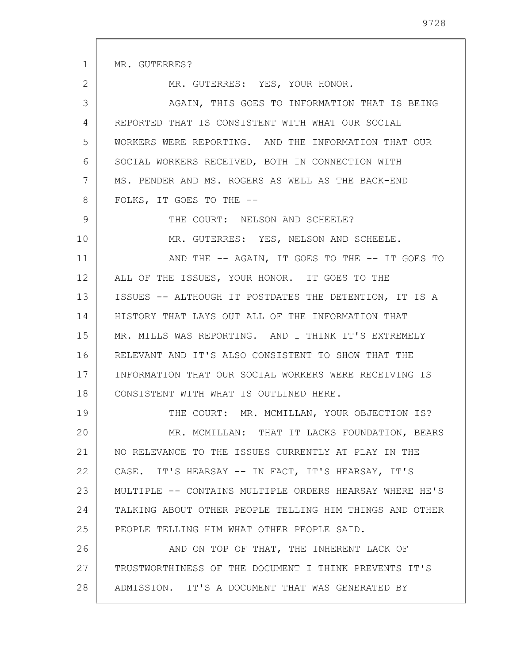1 2 3 4 5 6 7 8 9 10 11 12 13 14 15 16 17 18 19 20 21 22 23 24 25 26 27 28 MR. GUTERRES? MR. GUTERRES: YES, YOUR HONOR. AGAIN, THIS GOES TO INFORMATION THAT IS BEING REPORTED THAT IS CONSISTENT WITH WHAT OUR SOCIAL WORKERS WERE REPORTING. AND THE INFORMATION THAT OUR SOCIAL WORKERS RECEIVED, BOTH IN CONNECTION WITH MS. PENDER AND MS. ROGERS AS WELL AS THE BACK-END FOLKS, IT GOES TO THE -- THE COURT: NELSON AND SCHEELE? MR. GUTERRES: YES, NELSON AND SCHEELE. AND THE -- AGAIN, IT GOES TO THE -- IT GOES TO ALL OF THE ISSUES, YOUR HONOR. IT GOES TO THE ISSUES -- ALTHOUGH IT POSTDATES THE DETENTION, IT IS A HISTORY THAT LAYS OUT ALL OF THE INFORMATION THAT MR. MILLS WAS REPORTING. AND I THINK IT'S EXTREMELY RELEVANT AND IT'S ALSO CONSISTENT TO SHOW THAT THE INFORMATION THAT OUR SOCIAL WORKERS WERE RECEIVING IS CONSISTENT WITH WHAT IS OUTLINED HERE. THE COURT: MR. MCMILLAN, YOUR OBJECTION IS? MR. MCMILLAN: THAT IT LACKS FOUNDATION, BEARS NO RELEVANCE TO THE ISSUES CURRENTLY AT PLAY IN THE CASE. IT'S HEARSAY -- IN FACT, IT'S HEARSAY, IT'S MULTIPLE -- CONTAINS MULTIPLE ORDERS HEARSAY WHERE HE'S TALKING ABOUT OTHER PEOPLE TELLING HIM THINGS AND OTHER PEOPLE TELLING HIM WHAT OTHER PEOPLE SAID. AND ON TOP OF THAT, THE INHERENT LACK OF TRUSTWORTHINESS OF THE DOCUMENT I THINK PREVENTS IT'S ADMISSION. IT'S A DOCUMENT THAT WAS GENERATED BY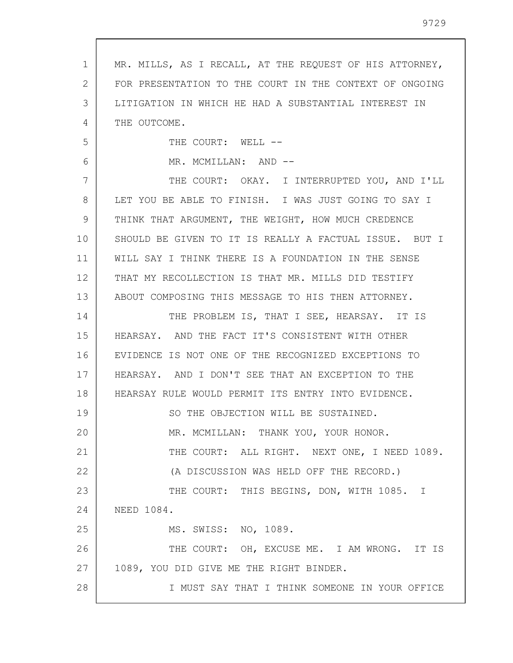| $\mathbf 1$    | MR. MILLS, AS I RECALL, AT THE REQUEST OF HIS ATTORNEY, |
|----------------|---------------------------------------------------------|
| $\overline{2}$ | FOR PRESENTATION TO THE COURT IN THE CONTEXT OF ONGOING |
| 3              | LITIGATION IN WHICH HE HAD A SUBSTANTIAL INTEREST IN    |
| 4              | THE OUTCOME.                                            |
| 5              | THE COURT: WELL --                                      |
| 6              | MR. MCMILLAN: AND --                                    |
| 7              | THE COURT: OKAY. I INTERRUPTED YOU, AND I'LL            |
| 8              | LET YOU BE ABLE TO FINISH. I WAS JUST GOING TO SAY I    |
| $\mathcal{G}$  | THINK THAT ARGUMENT, THE WEIGHT, HOW MUCH CREDENCE      |
| 10             | SHOULD BE GIVEN TO IT IS REALLY A FACTUAL ISSUE. BUT I  |
| 11             | WILL SAY I THINK THERE IS A FOUNDATION IN THE SENSE     |
| 12             | THAT MY RECOLLECTION IS THAT MR. MILLS DID TESTIFY      |
| 13             | ABOUT COMPOSING THIS MESSAGE TO HIS THEN ATTORNEY.      |
| 14             | THE PROBLEM IS, THAT I SEE, HEARSAY. IT IS              |
| 15             | HEARSAY. AND THE FACT IT'S CONSISTENT WITH OTHER        |
| 16             | EVIDENCE IS NOT ONE OF THE RECOGNIZED EXCEPTIONS TO     |
| 17             | HEARSAY. AND I DON'T SEE THAT AN EXCEPTION TO THE       |
| 18             | HEARSAY RULE WOULD PERMIT ITS ENTRY INTO EVIDENCE.      |
| 19             | SO THE OBJECTION WILL BE SUSTAINED.                     |
| 20             | MR. MCMILLAN: THANK YOU, YOUR HONOR.                    |
| 21             | THE COURT: ALL RIGHT. NEXT ONE, I NEED 1089.            |
| 22             | (A DISCUSSION WAS HELD OFF THE RECORD.)                 |
| 23             | THE COURT: THIS BEGINS, DON, WITH 1085. I               |
| 24             | NEED 1084.                                              |
| 25             | MS. SWISS: NO, 1089.                                    |
| 26             | THE COURT: OH, EXCUSE ME. I AM WRONG. IT IS             |
| 27             | 1089, YOU DID GIVE ME THE RIGHT BINDER.                 |
| 28             | I MUST SAY THAT I THINK SOMEONE IN YOUR OFFICE          |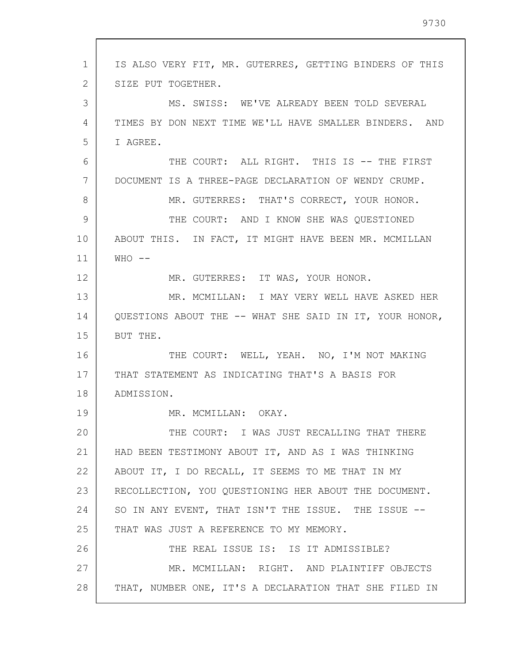| 1  | IS ALSO VERY FIT, MR. GUTERRES, GETTING BINDERS OF THIS |
|----|---------------------------------------------------------|
| 2  | SIZE PUT TOGETHER.                                      |
| 3  | MS. SWISS: WE'VE ALREADY BEEN TOLD SEVERAL              |
| 4  | TIMES BY DON NEXT TIME WE'LL HAVE SMALLER BINDERS. AND  |
| 5  | I AGREE.                                                |
| 6  | THE COURT: ALL RIGHT. THIS IS -- THE FIRST              |
| 7  | DOCUMENT IS A THREE-PAGE DECLARATION OF WENDY CRUMP.    |
| 8  | MR. GUTERRES: THAT'S CORRECT, YOUR HONOR.               |
| 9  | THE COURT: AND I KNOW SHE WAS QUESTIONED                |
| 10 | ABOUT THIS. IN FACT, IT MIGHT HAVE BEEN MR. MCMILLAN    |
| 11 | $WHO$ $---$                                             |
| 12 | MR. GUTERRES: IT WAS, YOUR HONOR.                       |
| 13 | MR. MCMILLAN: I MAY VERY WELL HAVE ASKED HER            |
| 14 | QUESTIONS ABOUT THE -- WHAT SHE SAID IN IT, YOUR HONOR, |
| 15 | BUT THE.                                                |
| 16 | THE COURT: WELL, YEAH. NO, I'M NOT MAKING               |
| 17 | THAT STATEMENT AS INDICATING THAT'S A BASIS FOR         |
| 18 | ADMISSION.                                              |
| 19 | MR. MCMILLAN: OKAY.                                     |
| 20 | THE COURT: I WAS JUST RECALLING THAT THERE              |
| 21 | HAD BEEN TESTIMONY ABOUT IT, AND AS I WAS THINKING      |
| 22 | ABOUT IT, I DO RECALL, IT SEEMS TO ME THAT IN MY        |
| 23 | RECOLLECTION, YOU QUESTIONING HER ABOUT THE DOCUMENT.   |
| 24 | SO IN ANY EVENT, THAT ISN'T THE ISSUE. THE ISSUE --     |
| 25 | THAT WAS JUST A REFERENCE TO MY MEMORY.                 |
| 26 | THE REAL ISSUE IS: IS IT ADMISSIBLE?                    |
| 27 | MR. MCMILLAN: RIGHT. AND PLAINTIFF OBJECTS              |
| 28 | THAT, NUMBER ONE, IT'S A DECLARATION THAT SHE FILED IN  |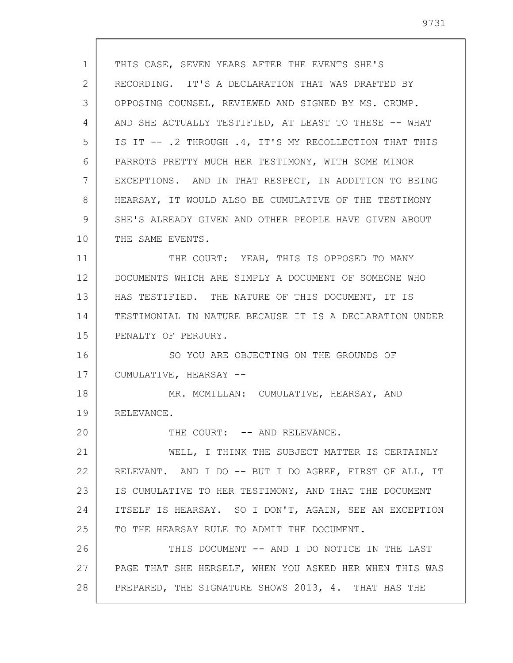1 2 3 4 5 6 7 8 9 10 11 12 13 14 15 16 17 18 19 20 21 22 23 24 25 26 27 28 THIS CASE, SEVEN YEARS AFTER THE EVENTS SHE'S RECORDING. IT'S A DECLARATION THAT WAS DRAFTED BY OPPOSING COUNSEL, REVIEWED AND SIGNED BY MS. CRUMP. AND SHE ACTUALLY TESTIFIED, AT LEAST TO THESE -- WHAT IS IT -- .2 THROUGH .4, IT'S MY RECOLLECTION THAT THIS PARROTS PRETTY MUCH HER TESTIMONY, WITH SOME MINOR EXCEPTIONS. AND IN THAT RESPECT, IN ADDITION TO BEING HEARSAY, IT WOULD ALSO BE CUMULATIVE OF THE TESTIMONY SHE'S ALREADY GIVEN AND OTHER PEOPLE HAVE GIVEN ABOUT THE SAME EVENTS. THE COURT: YEAH, THIS IS OPPOSED TO MANY DOCUMENTS WHICH ARE SIMPLY A DOCUMENT OF SOMEONE WHO HAS TESTIFIED. THE NATURE OF THIS DOCUMENT, IT IS TESTIMONIAL IN NATURE BECAUSE IT IS A DECLARATION UNDER PENALTY OF PERJURY. SO YOU ARE OBJECTING ON THE GROUNDS OF CUMULATIVE, HEARSAY -- MR. MCMILLAN: CUMULATIVE, HEARSAY, AND RELEVANCE. THE COURT: -- AND RELEVANCE. WELL, I THINK THE SUBJECT MATTER IS CERTAINLY RELEVANT. AND I DO -- BUT I DO AGREE, FIRST OF ALL, IT IS CUMULATIVE TO HER TESTIMONY, AND THAT THE DOCUMENT ITSELF IS HEARSAY. SO I DON'T, AGAIN, SEE AN EXCEPTION TO THE HEARSAY RULE TO ADMIT THE DOCUMENT. THIS DOCUMENT -- AND I DO NOTICE IN THE LAST PAGE THAT SHE HERSELF, WHEN YOU ASKED HER WHEN THIS WAS PREPARED, THE SIGNATURE SHOWS 2013, 4. THAT HAS THE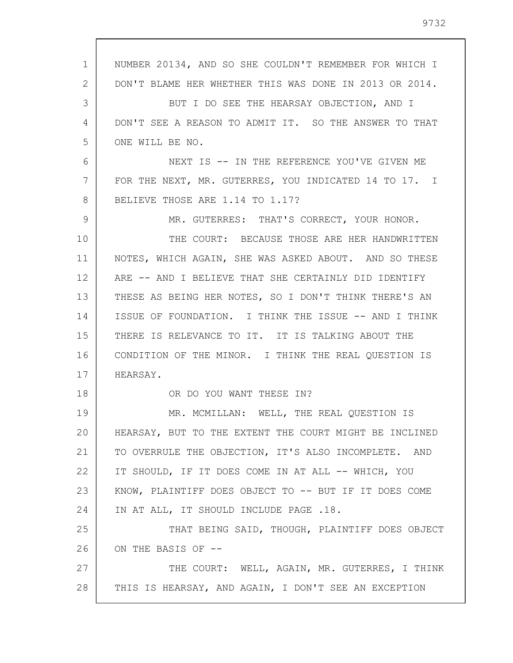| $\mathbf{1}$ | NUMBER 20134, AND SO SHE COULDN'T REMEMBER FOR WHICH I |
|--------------|--------------------------------------------------------|
| 2            | DON'T BLAME HER WHETHER THIS WAS DONE IN 2013 OR 2014. |
| 3            | BUT I DO SEE THE HEARSAY OBJECTION, AND I              |
| 4            | DON'T SEE A REASON TO ADMIT IT. SO THE ANSWER TO THAT  |
| 5            | ONE WILL BE NO.                                        |
| 6            | NEXT IS -- IN THE REFERENCE YOU'VE GIVEN ME            |
| 7            | FOR THE NEXT, MR. GUTERRES, YOU INDICATED 14 TO 17. I  |
| 8            | BELIEVE THOSE ARE 1.14 TO 1.17?                        |
| 9            | MR. GUTERRES: THAT'S CORRECT, YOUR HONOR.              |
| 10           | THE COURT: BECAUSE THOSE ARE HER HANDWRITTEN           |
| 11           | NOTES, WHICH AGAIN, SHE WAS ASKED ABOUT. AND SO THESE  |
| 12           | ARE -- AND I BELIEVE THAT SHE CERTAINLY DID IDENTIFY   |
| 13           | THESE AS BEING HER NOTES, SO I DON'T THINK THERE'S AN  |
| 14           | ISSUE OF FOUNDATION. I THINK THE ISSUE -- AND I THINK  |
| 15           | THERE IS RELEVANCE TO IT. IT IS TALKING ABOUT THE      |
| 16           | CONDITION OF THE MINOR. I THINK THE REAL QUESTION IS   |
| 17           | HEARSAY.                                               |
| 18           | OR DO YOU WANT THESE IN?                               |
| 19           | MR. MCMILLAN: WELL, THE REAL QUESTION IS               |
| 20           | HEARSAY, BUT TO THE EXTENT THE COURT MIGHT BE INCLINED |
| 21           | TO OVERRULE THE OBJECTION, IT'S ALSO INCOMPLETE. AND   |
| 22           | IT SHOULD, IF IT DOES COME IN AT ALL -- WHICH, YOU     |
| 23           | KNOW, PLAINTIFF DOES OBJECT TO -- BUT IF IT DOES COME  |
| 24           | IN AT ALL, IT SHOULD INCLUDE PAGE .18.                 |
| 25           | THAT BEING SAID, THOUGH, PLAINTIFF DOES OBJECT         |
| 26           | ON THE BASIS OF --                                     |
| 27           | THE COURT: WELL, AGAIN, MR. GUTERRES, I THINK          |
| 28           | THIS IS HEARSAY, AND AGAIN, I DON'T SEE AN EXCEPTION   |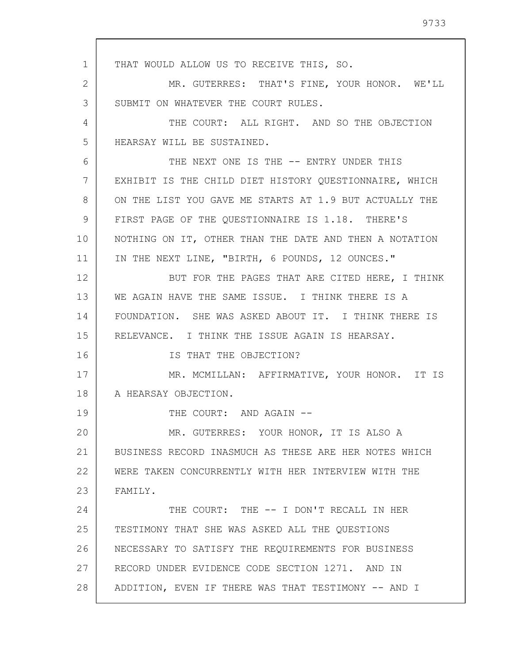1 2 3 4 5 6 7 8 9 10 11 12 13 14 15 16 17 18 19 20 21 22 23 24 25 26 27 28 THAT WOULD ALLOW US TO RECEIVE THIS, SO. MR. GUTERRES: THAT'S FINE, YOUR HONOR. WE'LL SUBMIT ON WHATEVER THE COURT RULES. THE COURT: ALL RIGHT. AND SO THE OBJECTION HEARSAY WILL BE SUSTAINED. THE NEXT ONE IS THE -- ENTRY UNDER THIS EXHIBIT IS THE CHILD DIET HISTORY QUESTIONNAIRE, WHICH ON THE LIST YOU GAVE ME STARTS AT 1.9 BUT ACTUALLY THE FIRST PAGE OF THE QUESTIONNAIRE IS 1.18. THERE'S NOTHING ON IT, OTHER THAN THE DATE AND THEN A NOTATION IN THE NEXT LINE, "BIRTH, 6 POUNDS, 12 OUNCES." BUT FOR THE PAGES THAT ARE CITED HERE, I THINK WE AGAIN HAVE THE SAME ISSUE. I THINK THERE IS A FOUNDATION. SHE WAS ASKED ABOUT IT. I THINK THERE IS RELEVANCE. I THINK THE ISSUE AGAIN IS HEARSAY. IS THAT THE OBJECTION? MR. MCMILLAN: AFFIRMATIVE, YOUR HONOR. IT IS A HEARSAY OBJECTION. THE COURT: AND AGAIN --MR. GUTERRES: YOUR HONOR, IT IS ALSO A BUSINESS RECORD INASMUCH AS THESE ARE HER NOTES WHICH WERE TAKEN CONCURRENTLY WITH HER INTERVIEW WITH THE FAMILY. THE COURT: THE -- I DON'T RECALL IN HER TESTIMONY THAT SHE WAS ASKED ALL THE QUESTIONS NECESSARY TO SATISFY THE REQUIREMENTS FOR BUSINESS RECORD UNDER EVIDENCE CODE SECTION 1271. AND IN ADDITION, EVEN IF THERE WAS THAT TESTIMONY -- AND I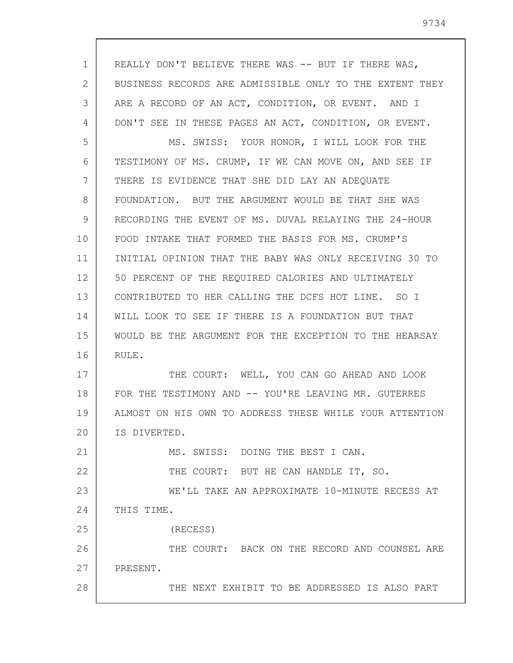1 2 3 4 5 6 7 8 9 10 11 12 13 14 15 16 17 18 19 20 21 22 23 24 25 26 27 28 REALLY DON'T BELIEVE THERE WAS -- BUT IF THERE WAS, BUSINESS RECORDS ARE ADMISSIBLE ONLY TO THE EXTENT THEY ARE A RECORD OF AN ACT, CONDITION, OR EVENT. AND I DON'T SEE IN THESE PAGES AN ACT, CONDITION, OR EVENT. MS. SWISS: YOUR HONOR, I WILL LOOK FOR THE TESTIMONY OF MS. CRUMP, IF WE CAN MOVE ON, AND SEE IF THERE IS EVIDENCE THAT SHE DID LAY AN ADEQUATE FOUNDATION. BUT THE ARGUMENT WOULD BE THAT SHE WAS RECORDING THE EVENT OF MS. DUVAL RELAYING THE 24-HOUR FOOD INTAKE THAT FORMED THE BASIS FOR MS. CRUMP'S INITIAL OPINION THAT THE BABY WAS ONLY RECEIVING 30 TO 50 PERCENT OF THE REQUIRED CALORIES AND ULTIMATELY CONTRIBUTED TO HER CALLING THE DCFS HOT LINE. SO I WILL LOOK TO SEE IF THERE IS A FOUNDATION BUT THAT WOULD BE THE ARGUMENT FOR THE EXCEPTION TO THE HEARSAY RULE. THE COURT: WELL, YOU CAN GO AHEAD AND LOOK FOR THE TESTIMONY AND -- YOU'RE LEAVING MR. GUTERRES ALMOST ON HIS OWN TO ADDRESS THESE WHILE YOUR ATTENTION IS DIVERTED. MS. SWISS: DOING THE BEST I CAN. THE COURT: BUT HE CAN HANDLE IT, SO. WE'LL TAKE AN APPROXIMATE 10-MINUTE RECESS AT THIS TIME. (RECESS) THE COURT: BACK ON THE RECORD AND COUNSEL ARE PRESENT. THE NEXT EXHIBIT TO BE ADDRESSED IS ALSO PART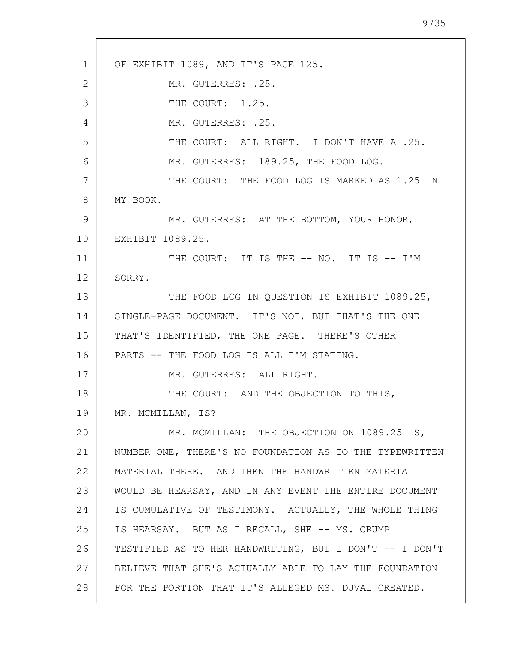1 2 3 4 5 6 7 8 9 10 11 12 13 14 15 16 17 18 19 20 21 22 23 24 25 26 27 28 OF EXHIBIT 1089, AND IT'S PAGE 125. MR. GUTERRES: .25. THE COURT: 1.25. MR. GUTERRES: .25. THE COURT: ALL RIGHT. I DON'T HAVE A .25. MR. GUTERRES: 189.25, THE FOOD LOG. THE COURT: THE FOOD LOG IS MARKED AS 1.25 IN MY BOOK. MR. GUTERRES: AT THE BOTTOM, YOUR HONOR, EXHIBIT 1089.25. THE COURT: IT IS THE -- NO. IT IS -- I'M SORRY. THE FOOD LOG IN QUESTION IS EXHIBIT 1089.25, SINGLE-PAGE DOCUMENT. IT'S NOT, BUT THAT'S THE ONE THAT'S IDENTIFIED, THE ONE PAGE. THERE'S OTHER PARTS -- THE FOOD LOG IS ALL I'M STATING. MR. GUTERRES: ALL RIGHT. THE COURT: AND THE OBJECTION TO THIS, MR. MCMILLAN, IS? MR. MCMILLAN: THE OBJECTION ON 1089.25 IS, NUMBER ONE, THERE'S NO FOUNDATION AS TO THE TYPEWRITTEN MATERIAL THERE. AND THEN THE HANDWRITTEN MATERIAL WOULD BE HEARSAY, AND IN ANY EVENT THE ENTIRE DOCUMENT IS CUMULATIVE OF TESTIMONY. ACTUALLY, THE WHOLE THING IS HEARSAY. BUT AS I RECALL, SHE -- MS. CRUMP TESTIFIED AS TO HER HANDWRITING, BUT I DON'T -- I DON'T BELIEVE THAT SHE'S ACTUALLY ABLE TO LAY THE FOUNDATION FOR THE PORTION THAT IT'S ALLEGED MS. DUVAL CREATED.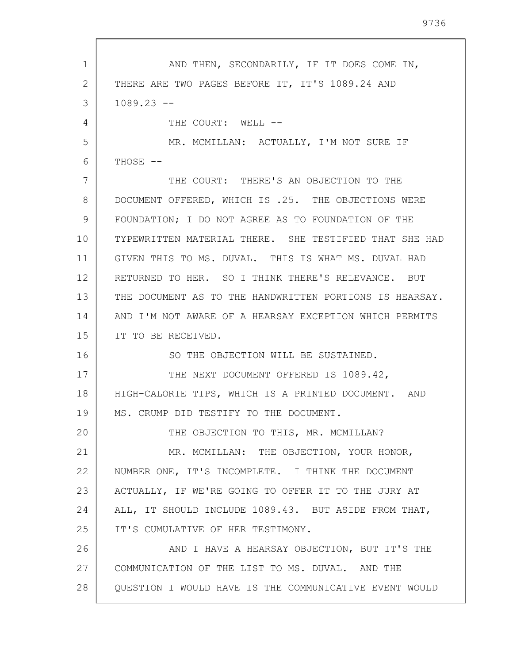1 2 3 4 5 6 7 8 9 10 11 12 13 14 15 16 17 18 19 20 21 22 23 24 25 26 27 28 AND THEN, SECONDARILY, IF IT DOES COME IN, THERE ARE TWO PAGES BEFORE IT, IT'S 1089.24 AND  $1089.23 - -$ THE COURT: WELL --MR. MCMILLAN: ACTUALLY, I'M NOT SURE IF THOSE -- THE COURT: THERE'S AN OBJECTION TO THE DOCUMENT OFFERED, WHICH IS .25. THE OBJECTIONS WERE FOUNDATION; I DO NOT AGREE AS TO FOUNDATION OF THE TYPEWRITTEN MATERIAL THERE. SHE TESTIFIED THAT SHE HAD GIVEN THIS TO MS. DUVAL. THIS IS WHAT MS. DUVAL HAD RETURNED TO HER. SO I THINK THERE'S RELEVANCE. BUT THE DOCUMENT AS TO THE HANDWRITTEN PORTIONS IS HEARSAY. AND I'M NOT AWARE OF A HEARSAY EXCEPTION WHICH PERMITS IT TO BE RECEIVED. SO THE OBJECTION WILL BE SUSTAINED. THE NEXT DOCUMENT OFFERED IS 1089.42, HIGH-CALORIE TIPS, WHICH IS A PRINTED DOCUMENT. AND MS. CRUMP DID TESTIFY TO THE DOCUMENT. THE OBJECTION TO THIS, MR. MCMILLAN? MR. MCMILLAN: THE OBJECTION, YOUR HONOR, NUMBER ONE, IT'S INCOMPLETE. I THINK THE DOCUMENT ACTUALLY, IF WE'RE GOING TO OFFER IT TO THE JURY AT ALL, IT SHOULD INCLUDE 1089.43. BUT ASIDE FROM THAT, IT'S CUMULATIVE OF HER TESTIMONY. AND I HAVE A HEARSAY OBJECTION, BUT IT'S THE COMMUNICATION OF THE LIST TO MS. DUVAL. AND THE QUESTION I WOULD HAVE IS THE COMMUNICATIVE EVENT WOULD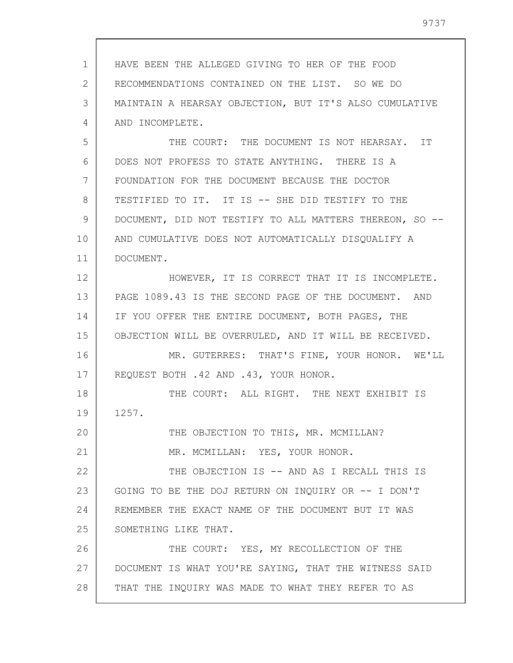| 1. | HAVE BEEN THE ALLEGED GIVING TO HER OF THE FOOD        |
|----|--------------------------------------------------------|
| 2  | RECOMMENDATIONS CONTAINED ON THE LIST. SO WE DO        |
| 3  | MAINTAIN A HEARSAY OBJECTION, BUT IT'S ALSO CUMULATIVE |
| 4  | AND INCOMPLETE.                                        |
| 5  | THE COURT: THE DOCUMENT IS NOT HEARSAY. IT             |
| 6  | DOES NOT PROFESS TO STATE ANYTHING. THERE IS A         |
| 7  | FOUNDATION FOR THE DOCUMENT BECAUSE THE DOCTOR         |
| 8  | TESTIFIED TO IT. IT IS -- SHE DID TESTIFY TO THE       |
| 9  | DOCUMENT, DID NOT TESTIFY TO ALL MATTERS THEREON, SO - |
| 10 | AND CUMULATIVE DOES NOT AUTOMATICALLY DISQUALIFY A     |
| 11 | DOCUMENT.                                              |
| 12 | HOWEVER, IT IS CORRECT THAT IT IS INCOMPLETE.          |
| 13 | PAGE 1089.43 IS THE SECOND PAGE OF THE DOCUMENT. AND   |
| 14 | IF YOU OFFER THE ENTIRE DOCUMENT, BOTH PAGES, THE      |
| 15 | OBJECTION WILL BE OVERRULED, AND IT WILL BE RECEIVED.  |
| 16 | MR. GUTERRES: THAT'S FINE, YOUR HONOR. WE'LL           |
| 17 | REQUEST BOTH . 42 AND . 43, YOUR HONOR.                |
| 18 | THE COURT: ALL RIGHT. THE NEXT EXHIBIT IS              |
| 19 | 1257.                                                  |
| 20 | THE OBJECTION TO THIS, MR. MCMILLAN?                   |
| 21 | MR. MCMILLAN: YES, YOUR HONOR.                         |
| 22 | THE OBJECTION IS -- AND AS I RECALL THIS IS            |
| 23 | GOING TO BE THE DOJ RETURN ON INQUIRY OR -- I DON'T    |
| 24 | REMEMBER THE EXACT NAME OF THE DOCUMENT BUT IT WAS     |
| 25 | SOMETHING LIKE THAT.                                   |
| 26 | THE COURT: YES, MY RECOLLECTION OF THE                 |
| 27 | DOCUMENT IS WHAT YOU'RE SAYING, THAT THE WITNESS SAID  |
| 28 | THAT THE INQUIRY WAS MADE TO WHAT THEY REFER TO AS     |

 $\overline{\phantom{a}}$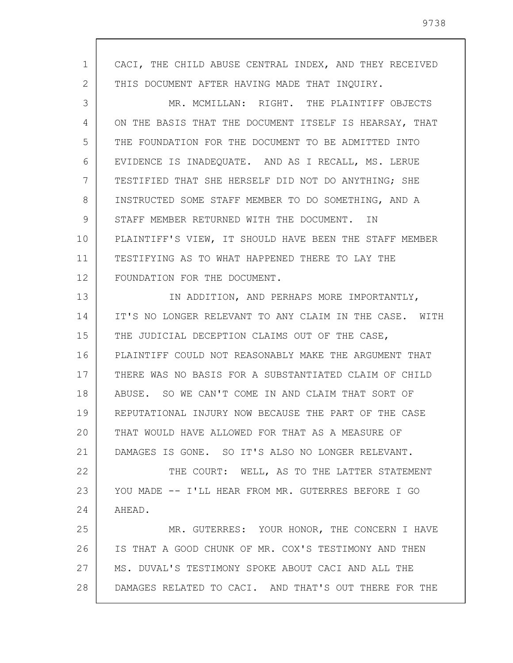1 2 3 4 5 6 7 8 9 10 11 12 13 14 15 16 17 18 19 20 21 22 23 24 25 26 27 28 CACI, THE CHILD ABUSE CENTRAL INDEX, AND THEY RECEIVED THIS DOCUMENT AFTER HAVING MADE THAT INQUIRY. MR. MCMILLAN: RIGHT. THE PLAINTIFF OBJECTS ON THE BASIS THAT THE DOCUMENT ITSELF IS HEARSAY, THAT THE FOUNDATION FOR THE DOCUMENT TO BE ADMITTED INTO EVIDENCE IS INADEQUATE. AND AS I RECALL, MS. LERUE TESTIFIED THAT SHE HERSELF DID NOT DO ANYTHING; SHE INSTRUCTED SOME STAFF MEMBER TO DO SOMETHING, AND A STAFF MEMBER RETURNED WITH THE DOCUMENT. IN PLAINTIFF'S VIEW, IT SHOULD HAVE BEEN THE STAFF MEMBER TESTIFYING AS TO WHAT HAPPENED THERE TO LAY THE FOUNDATION FOR THE DOCUMENT. IN ADDITION, AND PERHAPS MORE IMPORTANTLY, IT'S NO LONGER RELEVANT TO ANY CLAIM IN THE CASE. WITH THE JUDICIAL DECEPTION CLAIMS OUT OF THE CASE, PLAINTIFF COULD NOT REASONABLY MAKE THE ARGUMENT THAT THERE WAS NO BASIS FOR A SUBSTANTIATED CLAIM OF CHILD ABUSE. SO WE CAN'T COME IN AND CLAIM THAT SORT OF REPUTATIONAL INJURY NOW BECAUSE THE PART OF THE CASE THAT WOULD HAVE ALLOWED FOR THAT AS A MEASURE OF DAMAGES IS GONE. SO IT'S ALSO NO LONGER RELEVANT. THE COURT: WELL, AS TO THE LATTER STATEMENT YOU MADE -- I'LL HEAR FROM MR. GUTERRES BEFORE I GO AHEAD. MR. GUTERRES: YOUR HONOR, THE CONCERN I HAVE IS THAT A GOOD CHUNK OF MR. COX'S TESTIMONY AND THEN MS. DUVAL'S TESTIMONY SPOKE ABOUT CACI AND ALL THE DAMAGES RELATED TO CACI. AND THAT'S OUT THERE FOR THE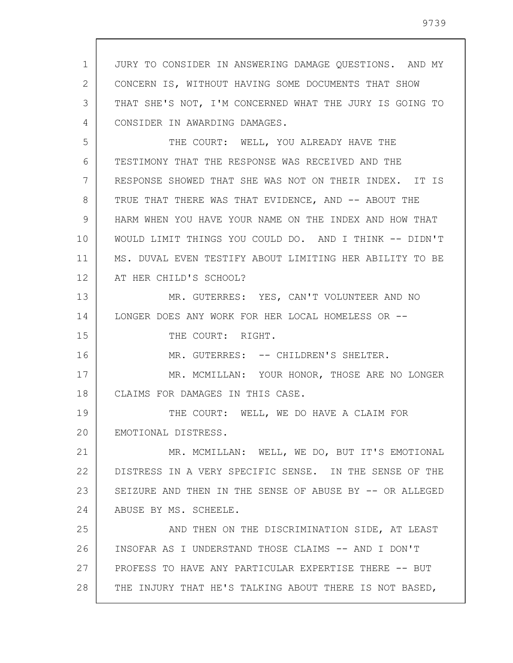1 2 3 4 5 6 7 8 9 10 11 12 13 14 15 16 17 18 19 20 21 22 23 24 25 26 27 28 JURY TO CONSIDER IN ANSWERING DAMAGE QUESTIONS. AND MY CONCERN IS, WITHOUT HAVING SOME DOCUMENTS THAT SHOW THAT SHE'S NOT, I'M CONCERNED WHAT THE JURY IS GOING TO CONSIDER IN AWARDING DAMAGES. THE COURT: WELL, YOU ALREADY HAVE THE TESTIMONY THAT THE RESPONSE WAS RECEIVED AND THE RESPONSE SHOWED THAT SHE WAS NOT ON THEIR INDEX. IT IS TRUE THAT THERE WAS THAT EVIDENCE, AND -- ABOUT THE HARM WHEN YOU HAVE YOUR NAME ON THE INDEX AND HOW THAT WOULD LIMIT THINGS YOU COULD DO. AND I THINK -- DIDN'T MS. DUVAL EVEN TESTIFY ABOUT LIMITING HER ABILITY TO BE AT HER CHILD'S SCHOOL? MR. GUTERRES: YES, CAN'T VOLUNTEER AND NO LONGER DOES ANY WORK FOR HER LOCAL HOMELESS OR -- THE COURT: RIGHT. MR. GUTERRES: -- CHILDREN'S SHELTER. MR. MCMILLAN: YOUR HONOR, THOSE ARE NO LONGER CLAIMS FOR DAMAGES IN THIS CASE. THE COURT: WELL, WE DO HAVE A CLAIM FOR EMOTIONAL DISTRESS. MR. MCMILLAN: WELL, WE DO, BUT IT'S EMOTIONAL DISTRESS IN A VERY SPECIFIC SENSE. IN THE SENSE OF THE SEIZURE AND THEN IN THE SENSE OF ABUSE BY -- OR ALLEGED ABUSE BY MS. SCHEELE. AND THEN ON THE DISCRIMINATION SIDE, AT LEAST INSOFAR AS I UNDERSTAND THOSE CLAIMS -- AND I DON'T PROFESS TO HAVE ANY PARTICULAR EXPERTISE THERE -- BUT THE INJURY THAT HE'S TALKING ABOUT THERE IS NOT BASED,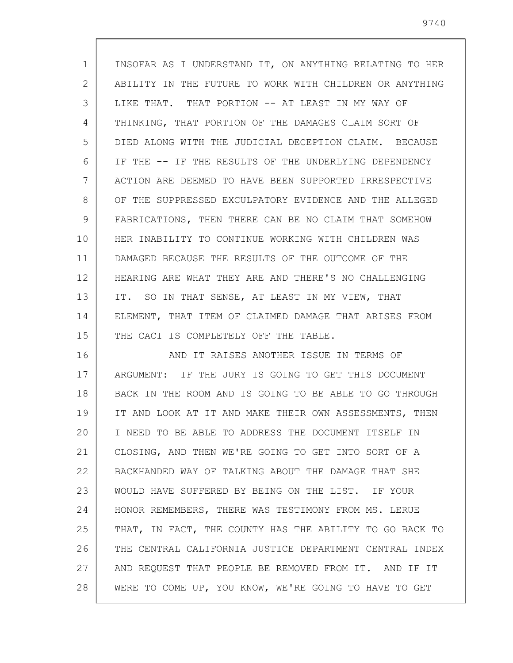| $\mathbf 1$ | INSOFAR AS I UNDERSTAND IT, ON ANYTHING RELATING TO HER |
|-------------|---------------------------------------------------------|
| 2           | ABILITY IN THE FUTURE TO WORK WITH CHILDREN OR ANYTHING |
| 3           | LIKE THAT. THAT PORTION -- AT LEAST IN MY WAY OF        |
| 4           | THINKING, THAT PORTION OF THE DAMAGES CLAIM SORT OF     |
| 5           | DIED ALONG WITH THE JUDICIAL DECEPTION CLAIM. BECAUSE   |
| 6           | IF THE -- IF THE RESULTS OF THE UNDERLYING DEPENDENCY   |
| 7           | ACTION ARE DEEMED TO HAVE BEEN SUPPORTED IRRESPECTIVE   |
| 8           | OF THE SUPPRESSED EXCULPATORY EVIDENCE AND THE ALLEGED  |
| 9           | FABRICATIONS, THEN THERE CAN BE NO CLAIM THAT SOMEHOW   |
| 10          | HER INABILITY TO CONTINUE WORKING WITH CHILDREN WAS     |
| 11          | DAMAGED BECAUSE THE RESULTS OF THE OUTCOME OF THE       |
| 12          | HEARING ARE WHAT THEY ARE AND THERE'S NO CHALLENGING    |
| 13          | IT. SO IN THAT SENSE, AT LEAST IN MY VIEW, THAT         |
| 14          | ELEMENT, THAT ITEM OF CLAIMED DAMAGE THAT ARISES FROM   |
| 15          | THE CACI IS COMPLETELY OFF THE TABLE.                   |
| 16          | AND IT RAISES ANOTHER ISSUE IN TERMS OF                 |
| 17          | ARGUMENT: IF THE JURY IS GOING TO GET THIS DOCUMENT     |
| 18          | BACK IN THE ROOM AND IS GOING TO BE ABLE TO GO THROUGH  |
| 19          | IT AND LOOK AT IT AND MAKE THEIR OWN ASSESSMENTS, THEN  |
| 20          | I NEED TO BE ABLE TO ADDRESS THE DOCUMENT ITSELF IN     |
| 21          | CLOSING, AND THEN WE'RE GOING TO GET INTO SORT OF A     |
| 22          | BACKHANDED WAY OF TALKING ABOUT THE DAMAGE THAT SHE     |
| 23          | WOULD HAVE SUFFERED BY BEING ON THE LIST. IF YOUR       |
| 24          | HONOR REMEMBERS, THERE WAS TESTIMONY FROM MS. LERUE     |
| 25          | THAT, IN FACT, THE COUNTY HAS THE ABILITY TO GO BACK TO |
| 26          | THE CENTRAL CALIFORNIA JUSTICE DEPARTMENT CENTRAL INDEX |
| 27          | AND REQUEST THAT PEOPLE BE REMOVED FROM IT. AND IF IT   |
| 28          | WERE TO COME UP, YOU KNOW, WE'RE GOING TO HAVE TO GET   |

 $\mathsf{l}$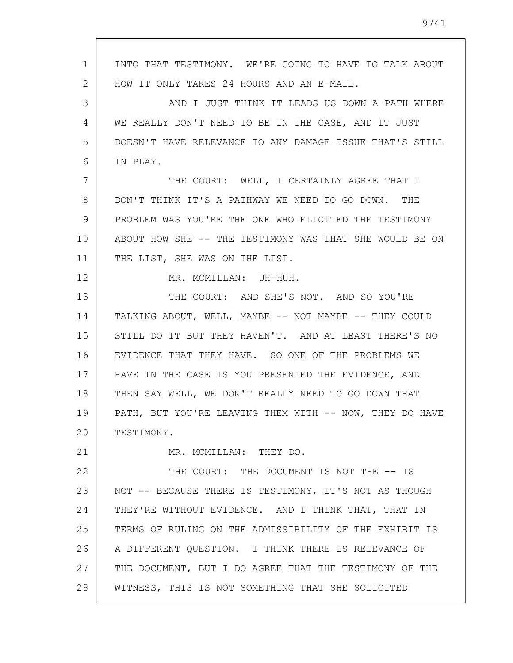| INTO THAT TESTIMONY. WE'RE GOING TO HAVE TO TALK ABOUT<br>1<br>2<br>HOW IT ONLY TAKES 24 HOURS AND AN E-MAIL.<br>3<br>AND I JUST THINK IT LEADS US DOWN A PATH WHERE<br>WE REALLY DON'T NEED TO BE IN THE CASE, AND IT JUST<br>4<br>5<br>DOESN'T HAVE RELEVANCE TO ANY DAMAGE ISSUE THAT'S STILL<br>6<br>IN PLAY.<br>7<br>THE COURT: WELL, I CERTAINLY AGREE THAT I<br>8<br>DON'T THINK IT'S A PATHWAY WE NEED TO GO DOWN. THE<br>9<br>PROBLEM WAS YOU'RE THE ONE WHO ELICITED THE TESTIMONY<br>10<br>ABOUT HOW SHE -- THE TESTIMONY WAS THAT SHE WOULD BE ON<br>11<br>THE LIST, SHE WAS ON THE LIST.<br>12<br>MR. MCMILLAN: UH-HUH.<br>13<br>THE COURT: AND SHE'S NOT. AND SO YOU'RE<br>14<br>TALKING ABOUT, WELL, MAYBE -- NOT MAYBE -- THEY COULD<br>15<br>STILL DO IT BUT THEY HAVEN'T. AND AT LEAST THERE'S NO<br>16<br>EVIDENCE THAT THEY HAVE. SO ONE OF THE PROBLEMS WE<br>17<br>HAVE IN THE CASE IS YOU PRESENTED THE EVIDENCE, AND<br>18<br>THEN SAY WELL, WE DON'T REALLY NEED TO GO DOWN THAT<br>19<br>PATH, BUT YOU'RE LEAVING THEM WITH -- NOW, THEY DO HAVE<br>20<br>TESTIMONY.<br>21<br>MR. MCMILLAN: THEY DO.<br>22<br>THE COURT: THE DOCUMENT IS NOT THE -- IS<br>23<br>NOT -- BECAUSE THERE IS TESTIMONY, IT'S NOT AS THOUGH<br>24<br>THEY'RE WITHOUT EVIDENCE. AND I THINK THAT, THAT IN<br>25<br>TERMS OF RULING ON THE ADMISSIBILITY OF THE EXHIBIT IS<br>26<br>A DIFFERENT QUESTION. I THINK THERE IS RELEVANCE OF<br>27<br>THE DOCUMENT, BUT I DO AGREE THAT THE TESTIMONY OF THE<br>28<br>WITNESS, THIS IS NOT SOMETHING THAT SHE SOLICITED |  |
|----------------------------------------------------------------------------------------------------------------------------------------------------------------------------------------------------------------------------------------------------------------------------------------------------------------------------------------------------------------------------------------------------------------------------------------------------------------------------------------------------------------------------------------------------------------------------------------------------------------------------------------------------------------------------------------------------------------------------------------------------------------------------------------------------------------------------------------------------------------------------------------------------------------------------------------------------------------------------------------------------------------------------------------------------------------------------------------------------------------------------------------------------------------------------------------------------------------------------------------------------------------------------------------------------------------------------------------------------------------------------------------------------------------------------------------------------------------------------------------------------------------------------------------------------------------------|--|
|                                                                                                                                                                                                                                                                                                                                                                                                                                                                                                                                                                                                                                                                                                                                                                                                                                                                                                                                                                                                                                                                                                                                                                                                                                                                                                                                                                                                                                                                                                                                                                      |  |
|                                                                                                                                                                                                                                                                                                                                                                                                                                                                                                                                                                                                                                                                                                                                                                                                                                                                                                                                                                                                                                                                                                                                                                                                                                                                                                                                                                                                                                                                                                                                                                      |  |
|                                                                                                                                                                                                                                                                                                                                                                                                                                                                                                                                                                                                                                                                                                                                                                                                                                                                                                                                                                                                                                                                                                                                                                                                                                                                                                                                                                                                                                                                                                                                                                      |  |
|                                                                                                                                                                                                                                                                                                                                                                                                                                                                                                                                                                                                                                                                                                                                                                                                                                                                                                                                                                                                                                                                                                                                                                                                                                                                                                                                                                                                                                                                                                                                                                      |  |
|                                                                                                                                                                                                                                                                                                                                                                                                                                                                                                                                                                                                                                                                                                                                                                                                                                                                                                                                                                                                                                                                                                                                                                                                                                                                                                                                                                                                                                                                                                                                                                      |  |
|                                                                                                                                                                                                                                                                                                                                                                                                                                                                                                                                                                                                                                                                                                                                                                                                                                                                                                                                                                                                                                                                                                                                                                                                                                                                                                                                                                                                                                                                                                                                                                      |  |
|                                                                                                                                                                                                                                                                                                                                                                                                                                                                                                                                                                                                                                                                                                                                                                                                                                                                                                                                                                                                                                                                                                                                                                                                                                                                                                                                                                                                                                                                                                                                                                      |  |
|                                                                                                                                                                                                                                                                                                                                                                                                                                                                                                                                                                                                                                                                                                                                                                                                                                                                                                                                                                                                                                                                                                                                                                                                                                                                                                                                                                                                                                                                                                                                                                      |  |
|                                                                                                                                                                                                                                                                                                                                                                                                                                                                                                                                                                                                                                                                                                                                                                                                                                                                                                                                                                                                                                                                                                                                                                                                                                                                                                                                                                                                                                                                                                                                                                      |  |
|                                                                                                                                                                                                                                                                                                                                                                                                                                                                                                                                                                                                                                                                                                                                                                                                                                                                                                                                                                                                                                                                                                                                                                                                                                                                                                                                                                                                                                                                                                                                                                      |  |
|                                                                                                                                                                                                                                                                                                                                                                                                                                                                                                                                                                                                                                                                                                                                                                                                                                                                                                                                                                                                                                                                                                                                                                                                                                                                                                                                                                                                                                                                                                                                                                      |  |
|                                                                                                                                                                                                                                                                                                                                                                                                                                                                                                                                                                                                                                                                                                                                                                                                                                                                                                                                                                                                                                                                                                                                                                                                                                                                                                                                                                                                                                                                                                                                                                      |  |
|                                                                                                                                                                                                                                                                                                                                                                                                                                                                                                                                                                                                                                                                                                                                                                                                                                                                                                                                                                                                                                                                                                                                                                                                                                                                                                                                                                                                                                                                                                                                                                      |  |
|                                                                                                                                                                                                                                                                                                                                                                                                                                                                                                                                                                                                                                                                                                                                                                                                                                                                                                                                                                                                                                                                                                                                                                                                                                                                                                                                                                                                                                                                                                                                                                      |  |
|                                                                                                                                                                                                                                                                                                                                                                                                                                                                                                                                                                                                                                                                                                                                                                                                                                                                                                                                                                                                                                                                                                                                                                                                                                                                                                                                                                                                                                                                                                                                                                      |  |
|                                                                                                                                                                                                                                                                                                                                                                                                                                                                                                                                                                                                                                                                                                                                                                                                                                                                                                                                                                                                                                                                                                                                                                                                                                                                                                                                                                                                                                                                                                                                                                      |  |
|                                                                                                                                                                                                                                                                                                                                                                                                                                                                                                                                                                                                                                                                                                                                                                                                                                                                                                                                                                                                                                                                                                                                                                                                                                                                                                                                                                                                                                                                                                                                                                      |  |
|                                                                                                                                                                                                                                                                                                                                                                                                                                                                                                                                                                                                                                                                                                                                                                                                                                                                                                                                                                                                                                                                                                                                                                                                                                                                                                                                                                                                                                                                                                                                                                      |  |
|                                                                                                                                                                                                                                                                                                                                                                                                                                                                                                                                                                                                                                                                                                                                                                                                                                                                                                                                                                                                                                                                                                                                                                                                                                                                                                                                                                                                                                                                                                                                                                      |  |
|                                                                                                                                                                                                                                                                                                                                                                                                                                                                                                                                                                                                                                                                                                                                                                                                                                                                                                                                                                                                                                                                                                                                                                                                                                                                                                                                                                                                                                                                                                                                                                      |  |
|                                                                                                                                                                                                                                                                                                                                                                                                                                                                                                                                                                                                                                                                                                                                                                                                                                                                                                                                                                                                                                                                                                                                                                                                                                                                                                                                                                                                                                                                                                                                                                      |  |
|                                                                                                                                                                                                                                                                                                                                                                                                                                                                                                                                                                                                                                                                                                                                                                                                                                                                                                                                                                                                                                                                                                                                                                                                                                                                                                                                                                                                                                                                                                                                                                      |  |
|                                                                                                                                                                                                                                                                                                                                                                                                                                                                                                                                                                                                                                                                                                                                                                                                                                                                                                                                                                                                                                                                                                                                                                                                                                                                                                                                                                                                                                                                                                                                                                      |  |
|                                                                                                                                                                                                                                                                                                                                                                                                                                                                                                                                                                                                                                                                                                                                                                                                                                                                                                                                                                                                                                                                                                                                                                                                                                                                                                                                                                                                                                                                                                                                                                      |  |
|                                                                                                                                                                                                                                                                                                                                                                                                                                                                                                                                                                                                                                                                                                                                                                                                                                                                                                                                                                                                                                                                                                                                                                                                                                                                                                                                                                                                                                                                                                                                                                      |  |
|                                                                                                                                                                                                                                                                                                                                                                                                                                                                                                                                                                                                                                                                                                                                                                                                                                                                                                                                                                                                                                                                                                                                                                                                                                                                                                                                                                                                                                                                                                                                                                      |  |
|                                                                                                                                                                                                                                                                                                                                                                                                                                                                                                                                                                                                                                                                                                                                                                                                                                                                                                                                                                                                                                                                                                                                                                                                                                                                                                                                                                                                                                                                                                                                                                      |  |
|                                                                                                                                                                                                                                                                                                                                                                                                                                                                                                                                                                                                                                                                                                                                                                                                                                                                                                                                                                                                                                                                                                                                                                                                                                                                                                                                                                                                                                                                                                                                                                      |  |
|                                                                                                                                                                                                                                                                                                                                                                                                                                                                                                                                                                                                                                                                                                                                                                                                                                                                                                                                                                                                                                                                                                                                                                                                                                                                                                                                                                                                                                                                                                                                                                      |  |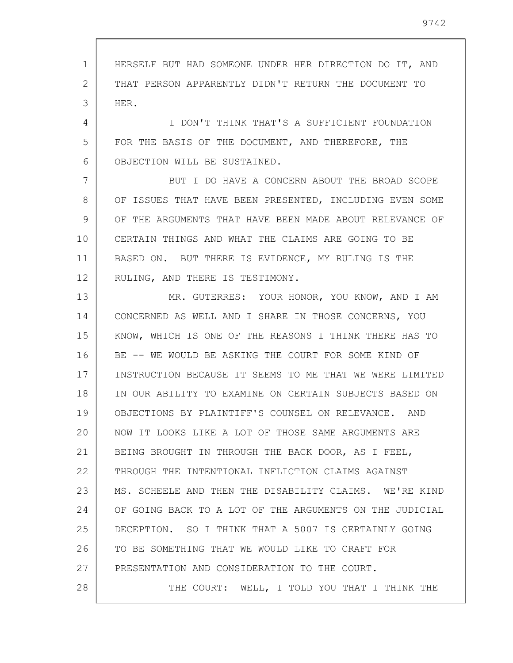1 2 3 HERSELF BUT HAD SOMEONE UNDER HER DIRECTION DO IT, AND THAT PERSON APPARENTLY DIDN'T RETURN THE DOCUMENT TO HER.

4 5 6 I DON'T THINK THAT'S A SUFFICIENT FOUNDATION FOR THE BASIS OF THE DOCUMENT, AND THEREFORE, THE OBJECTION WILL BE SUSTAINED.

7 8 9 10 11 12 BUT I DO HAVE A CONCERN ABOUT THE BROAD SCOPE OF ISSUES THAT HAVE BEEN PRESENTED, INCLUDING EVEN SOME OF THE ARGUMENTS THAT HAVE BEEN MADE ABOUT RELEVANCE OF CERTAIN THINGS AND WHAT THE CLAIMS ARE GOING TO BE BASED ON. BUT THERE IS EVIDENCE, MY RULING IS THE RULING, AND THERE IS TESTIMONY.

13 14 15 16 17 18 19 20 21 22 23 24 25 26 27 28 MR. GUTERRES: YOUR HONOR, YOU KNOW, AND I AM CONCERNED AS WELL AND I SHARE IN THOSE CONCERNS, YOU KNOW, WHICH IS ONE OF THE REASONS I THINK THERE HAS TO BE -- WE WOULD BE ASKING THE COURT FOR SOME KIND OF INSTRUCTION BECAUSE IT SEEMS TO ME THAT WE WERE LIMITED IN OUR ABILITY TO EXAMINE ON CERTAIN SUBJECTS BASED ON OBJECTIONS BY PLAINTIFF'S COUNSEL ON RELEVANCE. AND NOW IT LOOKS LIKE A LOT OF THOSE SAME ARGUMENTS ARE BEING BROUGHT IN THROUGH THE BACK DOOR, AS I FEEL, THROUGH THE INTENTIONAL INFLICTION CLAIMS AGAINST MS. SCHEELE AND THEN THE DISABILITY CLAIMS. WE'RE KIND OF GOING BACK TO A LOT OF THE ARGUMENTS ON THE JUDICIAL DECEPTION. SO I THINK THAT A 5007 IS CERTAINLY GOING TO BE SOMETHING THAT WE WOULD LIKE TO CRAFT FOR PRESENTATION AND CONSIDERATION TO THE COURT. THE COURT: WELL, I TOLD YOU THAT I THINK THE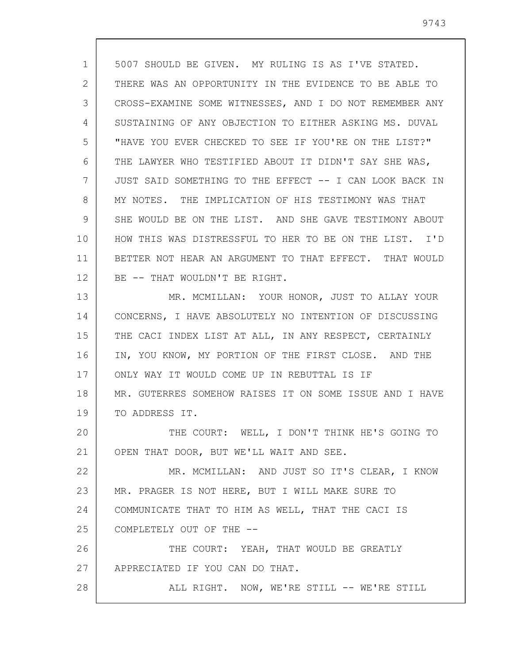1 2 3 4 5 6 7 8 9 10 11 12 13 14 15 16 17 5007 SHOULD BE GIVEN. MY RULING IS AS I'VE STATED. THERE WAS AN OPPORTUNITY IN THE EVIDENCE TO BE ABLE TO CROSS-EXAMINE SOME WITNESSES, AND I DO NOT REMEMBER ANY SUSTAINING OF ANY OBJECTION TO EITHER ASKING MS. DUVAL "HAVE YOU EVER CHECKED TO SEE IF YOU'RE ON THE LIST?" THE LAWYER WHO TESTIFIED ABOUT IT DIDN'T SAY SHE WAS, JUST SAID SOMETHING TO THE EFFECT -- I CAN LOOK BACK IN MY NOTES. THE IMPLICATION OF HIS TESTIMONY WAS THAT SHE WOULD BE ON THE LIST. AND SHE GAVE TESTIMONY ABOUT HOW THIS WAS DISTRESSFUL TO HER TO BE ON THE LIST. I'D BETTER NOT HEAR AN ARGUMENT TO THAT EFFECT. THAT WOULD BE -- THAT WOULDN'T BE RIGHT. MR. MCMILLAN: YOUR HONOR, JUST TO ALLAY YOUR CONCERNS, I HAVE ABSOLUTELY NO INTENTION OF DISCUSSING THE CACI INDEX LIST AT ALL, IN ANY RESPECT, CERTAINLY IN, YOU KNOW, MY PORTION OF THE FIRST CLOSE. AND THE ONLY WAY IT WOULD COME UP IN REBUTTAL IS IF

18 19 MR. GUTERRES SOMEHOW RAISES IT ON SOME ISSUE AND I HAVE TO ADDRESS IT.

20 21 THE COURT: WELL, I DON'T THINK HE'S GOING TO OPEN THAT DOOR, BUT WE'LL WAIT AND SEE.

22 23 24 25 MR. MCMILLAN: AND JUST SO IT'S CLEAR, I KNOW MR. PRAGER IS NOT HERE, BUT I WILL MAKE SURE TO COMMUNICATE THAT TO HIM AS WELL, THAT THE CACI IS COMPLETELY OUT OF THE --

26 27 THE COURT: YEAH, THAT WOULD BE GREATLY APPRECIATED IF YOU CAN DO THAT.

28

ALL RIGHT. NOW, WE'RE STILL -- WE'RE STILL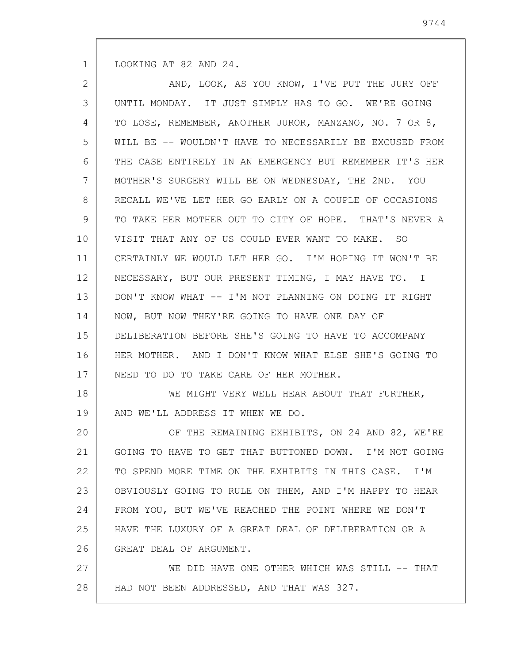LOOKING AT 82 AND 24.

| 2  | AND, LOOK, AS YOU KNOW, I'VE PUT THE JURY OFF           |
|----|---------------------------------------------------------|
| 3  | UNTIL MONDAY. IT JUST SIMPLY HAS TO GO. WE'RE GOING     |
| 4  | TO LOSE, REMEMBER, ANOTHER JUROR, MANZANO, NO. 7 OR 8,  |
| 5  | WILL BE -- WOULDN'T HAVE TO NECESSARILY BE EXCUSED FROM |
| 6  | THE CASE ENTIRELY IN AN EMERGENCY BUT REMEMBER IT'S HER |
| 7  | MOTHER'S SURGERY WILL BE ON WEDNESDAY, THE 2ND. YOU     |
| 8  | RECALL WE'VE LET HER GO EARLY ON A COUPLE OF OCCASIONS  |
| 9  | TO TAKE HER MOTHER OUT TO CITY OF HOPE. THAT'S NEVER A  |
| 10 | VISIT THAT ANY OF US COULD EVER WANT TO MAKE. SO        |
| 11 | CERTAINLY WE WOULD LET HER GO. I'M HOPING IT WON'T BE   |
| 12 | NECESSARY, BUT OUR PRESENT TIMING, I MAY HAVE TO. I     |
| 13 | DON'T KNOW WHAT -- I'M NOT PLANNING ON DOING IT RIGHT   |
| 14 | NOW, BUT NOW THEY'RE GOING TO HAVE ONE DAY OF           |
| 15 | DELIBERATION BEFORE SHE'S GOING TO HAVE TO ACCOMPANY    |
| 16 | HER MOTHER. AND I DON'T KNOW WHAT ELSE SHE'S GOING TO   |
| 17 | NEED TO DO TO TAKE CARE OF HER MOTHER.                  |
| 18 | WE MIGHT VERY WELL HEAR ABOUT THAT FURTHER,             |
| 19 | AND WE'LL ADDRESS IT WHEN WE DO.                        |
| 20 | OF THE REMAINING EXHIBITS, ON 24 AND 82, WE'RE          |
| 21 | GOING TO HAVE TO GET THAT BUTTONED DOWN. I'M NOT GOING  |
| 22 | TO SPEND MORE TIME ON THE EXHIBITS IN THIS CASE. I'M    |
| 23 | OBVIOUSLY GOING TO RULE ON THEM, AND I'M HAPPY TO HEAR  |
| 24 | FROM YOU, BUT WE'VE REACHED THE POINT WHERE WE DON'T    |
| 25 | HAVE THE LUXURY OF A GREAT DEAL OF DELIBERATION OR A    |
| 26 | GREAT DEAL OF ARGUMENT.                                 |
| 27 | WE DID HAVE ONE OTHER WHICH WAS STILL -- THAT           |
| 28 | HAD NOT BEEN ADDRESSED, AND THAT WAS 327.               |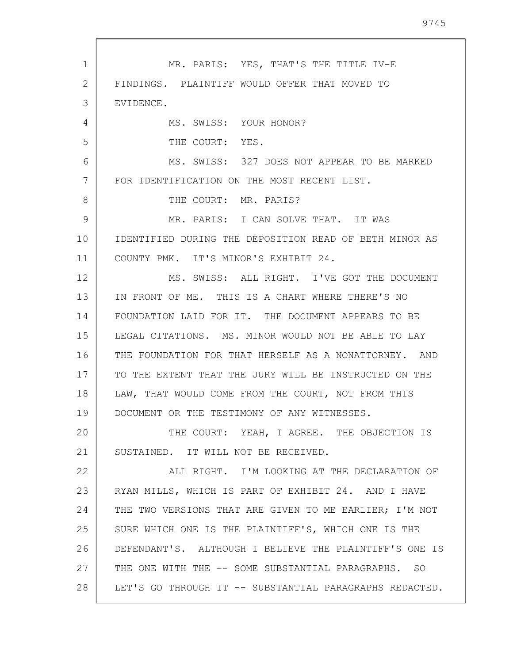1 2 3 4 5 6 7 8 9 10 11 12 13 14 15 16 17 18 19 20 21 22 23 24 25 26 27 28 MR. PARIS: YES, THAT'S THE TITLE IV-E FINDINGS. PLAINTIFF WOULD OFFER THAT MOVED TO EVIDENCE. MS. SWISS: YOUR HONOR? THE COURT: YES. MS. SWISS: 327 DOES NOT APPEAR TO BE MARKED FOR IDENTIFICATION ON THE MOST RECENT LIST. THE COURT: MR. PARIS? MR. PARIS: I CAN SOLVE THAT. IT WAS IDENTIFIED DURING THE DEPOSITION READ OF BETH MINOR AS COUNTY PMK. IT'S MINOR'S EXHIBIT 24. MS. SWISS: ALL RIGHT. I'VE GOT THE DOCUMENT IN FRONT OF ME. THIS IS A CHART WHERE THERE'S NO FOUNDATION LAID FOR IT. THE DOCUMENT APPEARS TO BE LEGAL CITATIONS. MS. MINOR WOULD NOT BE ABLE TO LAY THE FOUNDATION FOR THAT HERSELF AS A NONATTORNEY. AND TO THE EXTENT THAT THE JURY WILL BE INSTRUCTED ON THE LAW, THAT WOULD COME FROM THE COURT, NOT FROM THIS DOCUMENT OR THE TESTIMONY OF ANY WITNESSES. THE COURT: YEAH, I AGREE. THE OBJECTION IS SUSTAINED. IT WILL NOT BE RECEIVED. ALL RIGHT. I'M LOOKING AT THE DECLARATION OF RYAN MILLS, WHICH IS PART OF EXHIBIT 24. AND I HAVE THE TWO VERSIONS THAT ARE GIVEN TO ME EARLIER; I'M NOT SURE WHICH ONE IS THE PLAINTIFF'S, WHICH ONE IS THE DEFENDANT'S. ALTHOUGH I BELIEVE THE PLAINTIFF'S ONE IS THE ONE WITH THE -- SOME SUBSTANTIAL PARAGRAPHS. SO LET'S GO THROUGH IT -- SUBSTANTIAL PARAGRAPHS REDACTED.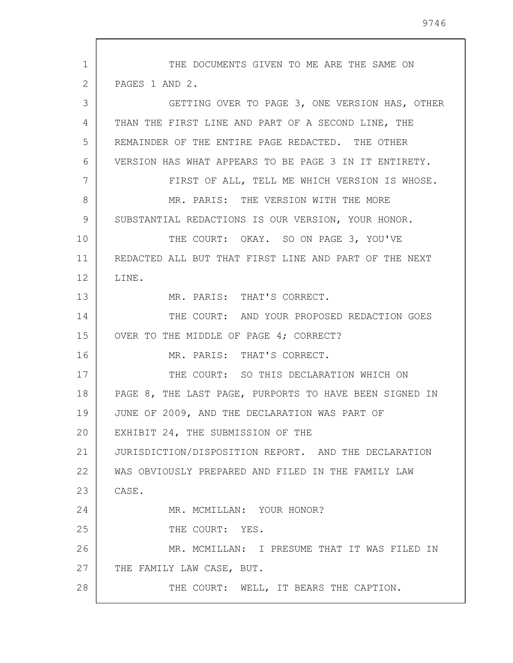1 2 3 4 5 6 7 8 9 10 11 12 13 14 15 16 17 18 19 20 21 22 23 24 25 26 27 28 THE DOCUMENTS GIVEN TO ME ARE THE SAME ON PAGES 1 AND 2. GETTING OVER TO PAGE 3, ONE VERSION HAS, OTHER THAN THE FIRST LINE AND PART OF A SECOND LINE, THE REMAINDER OF THE ENTIRE PAGE REDACTED. THE OTHER VERSION HAS WHAT APPEARS TO BE PAGE 3 IN IT ENTIRETY. FIRST OF ALL, TELL ME WHICH VERSION IS WHOSE. MR. PARIS: THE VERSION WITH THE MORE SUBSTANTIAL REDACTIONS IS OUR VERSION, YOUR HONOR. THE COURT: OKAY. SO ON PAGE 3, YOU'VE REDACTED ALL BUT THAT FIRST LINE AND PART OF THE NEXT LINE. MR. PARIS: THAT'S CORRECT. THE COURT: AND YOUR PROPOSED REDACTION GOES OVER TO THE MIDDLE OF PAGE 4; CORRECT? MR. PARIS: THAT'S CORRECT. THE COURT: SO THIS DECLARATION WHICH ON PAGE 8, THE LAST PAGE, PURPORTS TO HAVE BEEN SIGNED IN JUNE OF 2009, AND THE DECLARATION WAS PART OF EXHIBIT 24, THE SUBMISSION OF THE JURISDICTION/DISPOSITION REPORT. AND THE DECLARATION WAS OBVIOUSLY PREPARED AND FILED IN THE FAMILY LAW CASE. MR. MCMILLAN: YOUR HONOR? THE COURT: YES. MR. MCMILLAN: I PRESUME THAT IT WAS FILED IN THE FAMILY LAW CASE, BUT. THE COURT: WELL, IT BEARS THE CAPTION.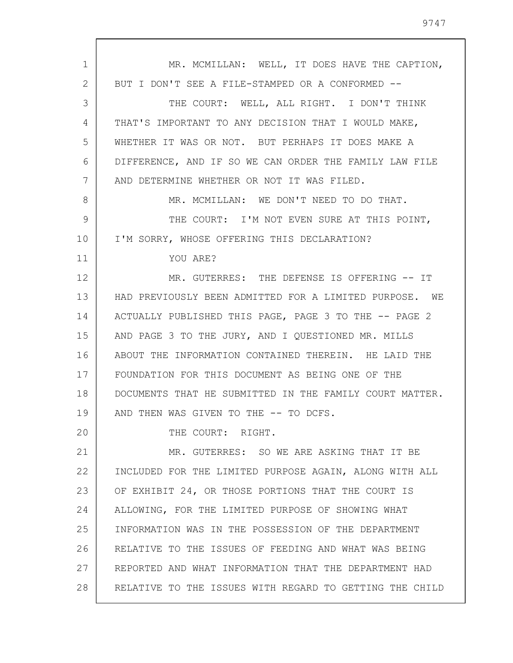1 2 3 4 5 6 7 8 9 10 11 12 13 14 15 16 17 18 19 20 21 22 23 24 25 26 27 28 MR. MCMILLAN: WELL, IT DOES HAVE THE CAPTION, BUT I DON'T SEE A FILE-STAMPED OR A CONFORMED -- THE COURT: WELL, ALL RIGHT. I DON'T THINK THAT'S IMPORTANT TO ANY DECISION THAT I WOULD MAKE, WHETHER IT WAS OR NOT. BUT PERHAPS IT DOES MAKE A DIFFERENCE, AND IF SO WE CAN ORDER THE FAMILY LAW FILE AND DETERMINE WHETHER OR NOT IT WAS FILED. MR. MCMILLAN: WE DON'T NEED TO DO THAT. THE COURT: I'M NOT EVEN SURE AT THIS POINT, I'M SORRY, WHOSE OFFERING THIS DECLARATION? YOU ARE? MR. GUTERRES: THE DEFENSE IS OFFERING -- IT HAD PREVIOUSLY BEEN ADMITTED FOR A LIMITED PURPOSE. WE ACTUALLY PUBLISHED THIS PAGE, PAGE 3 TO THE -- PAGE 2 AND PAGE 3 TO THE JURY, AND I QUESTIONED MR. MILLS ABOUT THE INFORMATION CONTAINED THEREIN. HE LAID THE FOUNDATION FOR THIS DOCUMENT AS BEING ONE OF THE DOCUMENTS THAT HE SUBMITTED IN THE FAMILY COURT MATTER. AND THEN WAS GIVEN TO THE -- TO DCFS. THE COURT: RIGHT. MR. GUTERRES: SO WE ARE ASKING THAT IT BE INCLUDED FOR THE LIMITED PURPOSE AGAIN, ALONG WITH ALL OF EXHIBIT 24, OR THOSE PORTIONS THAT THE COURT IS ALLOWING, FOR THE LIMITED PURPOSE OF SHOWING WHAT INFORMATION WAS IN THE POSSESSION OF THE DEPARTMENT RELATIVE TO THE ISSUES OF FEEDING AND WHAT WAS BEING REPORTED AND WHAT INFORMATION THAT THE DEPARTMENT HAD RELATIVE TO THE ISSUES WITH REGARD TO GETTING THE CHILD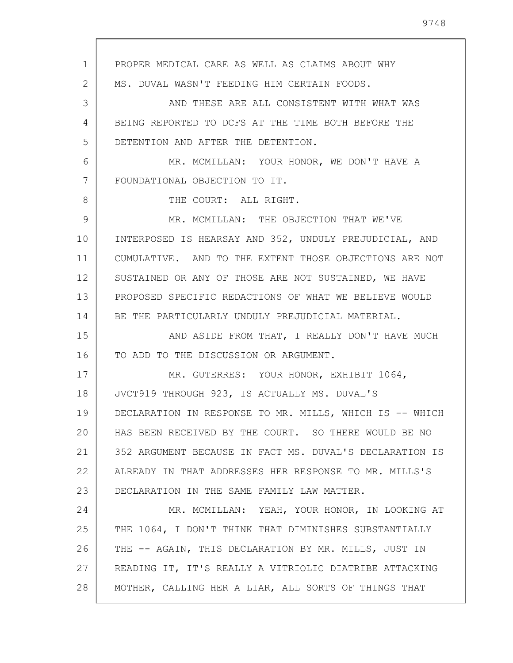1 2 3 4 5 6 7 8 9 10 11 12 13 14 15 16 17 18 19 20 21 22 23 24 25 26 27 28 PROPER MEDICAL CARE AS WELL AS CLAIMS ABOUT WHY MS. DUVAL WASN'T FEEDING HIM CERTAIN FOODS. AND THESE ARE ALL CONSISTENT WITH WHAT WAS BEING REPORTED TO DCFS AT THE TIME BOTH BEFORE THE DETENTION AND AFTER THE DETENTION. MR. MCMILLAN: YOUR HONOR, WE DON'T HAVE A FOUNDATIONAL OBJECTION TO IT. THE COURT: ALL RIGHT. MR. MCMILLAN: THE OBJECTION THAT WE'VE INTERPOSED IS HEARSAY AND 352, UNDULY PREJUDICIAL, AND CUMULATIVE. AND TO THE EXTENT THOSE OBJECTIONS ARE NOT SUSTAINED OR ANY OF THOSE ARE NOT SUSTAINED, WE HAVE PROPOSED SPECIFIC REDACTIONS OF WHAT WE BELIEVE WOULD BE THE PARTICULARLY UNDULY PREJUDICIAL MATERIAL. AND ASIDE FROM THAT, I REALLY DON'T HAVE MUCH TO ADD TO THE DISCUSSION OR ARGUMENT. MR. GUTERRES: YOUR HONOR, EXHIBIT 1064, JVCT919 THROUGH 923, IS ACTUALLY MS. DUVAL'S DECLARATION IN RESPONSE TO MR. MILLS, WHICH IS -- WHICH HAS BEEN RECEIVED BY THE COURT. SO THERE WOULD BE NO 352 ARGUMENT BECAUSE IN FACT MS. DUVAL'S DECLARATION IS ALREADY IN THAT ADDRESSES HER RESPONSE TO MR. MILLS'S DECLARATION IN THE SAME FAMILY LAW MATTER. MR. MCMILLAN: YEAH, YOUR HONOR, IN LOOKING AT THE 1064, I DON'T THINK THAT DIMINISHES SUBSTANTIALLY THE -- AGAIN, THIS DECLARATION BY MR. MILLS, JUST IN READING IT, IT'S REALLY A VITRIOLIC DIATRIBE ATTACKING MOTHER, CALLING HER A LIAR, ALL SORTS OF THINGS THAT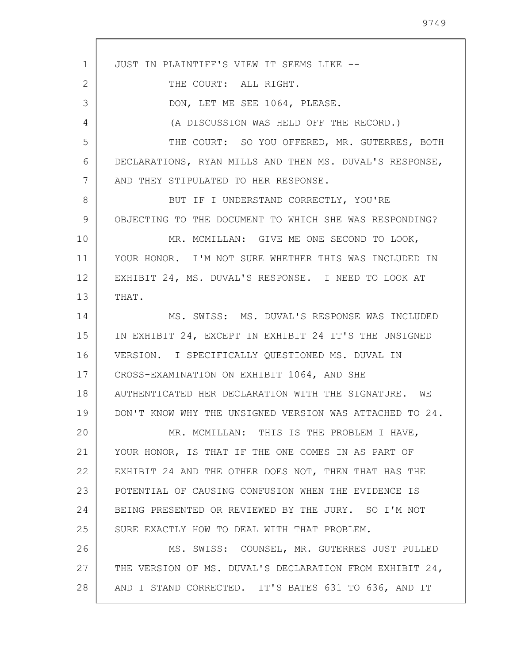1 2 3 4 5 6 7 8 9 10 11 12 13 14 15 16 17 18 19 20 21 22 23 24 25 26 27 28 JUST IN PLAINTIFF'S VIEW IT SEEMS LIKE -- THE COURT: ALL RIGHT. DON, LET ME SEE 1064, PLEASE. (A DISCUSSION WAS HELD OFF THE RECORD.) THE COURT: SO YOU OFFERED, MR. GUTERRES, BOTH DECLARATIONS, RYAN MILLS AND THEN MS. DUVAL'S RESPONSE, AND THEY STIPULATED TO HER RESPONSE. BUT IF I UNDERSTAND CORRECTLY, YOU'RE OBJECTING TO THE DOCUMENT TO WHICH SHE WAS RESPONDING? MR. MCMILLAN: GIVE ME ONE SECOND TO LOOK, YOUR HONOR. I'M NOT SURE WHETHER THIS WAS INCLUDED IN EXHIBIT 24, MS. DUVAL'S RESPONSE. I NEED TO LOOK AT THAT. MS. SWISS: MS. DUVAL'S RESPONSE WAS INCLUDED IN EXHIBIT 24, EXCEPT IN EXHIBIT 24 IT'S THE UNSIGNED VERSION. I SPECIFICALLY QUESTIONED MS. DUVAL IN CROSS-EXAMINATION ON EXHIBIT 1064, AND SHE AUTHENTICATED HER DECLARATION WITH THE SIGNATURE. WE DON'T KNOW WHY THE UNSIGNED VERSION WAS ATTACHED TO 24. MR. MCMILLAN: THIS IS THE PROBLEM I HAVE, YOUR HONOR, IS THAT IF THE ONE COMES IN AS PART OF EXHIBIT 24 AND THE OTHER DOES NOT, THEN THAT HAS THE POTENTIAL OF CAUSING CONFUSION WHEN THE EVIDENCE IS BEING PRESENTED OR REVIEWED BY THE JURY. SO I'M NOT SURE EXACTLY HOW TO DEAL WITH THAT PROBLEM. MS. SWISS: COUNSEL, MR. GUTERRES JUST PULLED THE VERSION OF MS. DUVAL'S DECLARATION FROM EXHIBIT 24, AND I STAND CORRECTED. IT'S BATES 631 TO 636, AND IT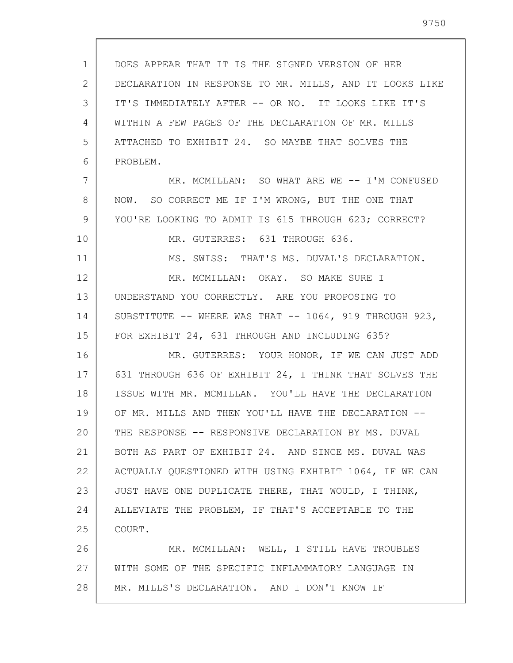9750

| 1  | DOES APPEAR THAT IT IS THE SIGNED VERSION OF HER           |
|----|------------------------------------------------------------|
| 2  | DECLARATION IN RESPONSE TO MR. MILLS, AND IT LOOKS LIKE    |
| 3  | IT'S IMMEDIATELY AFTER -- OR NO. IT LOOKS LIKE IT'S        |
| 4  | WITHIN A FEW PAGES OF THE DECLARATION OF MR. MILLS         |
| 5  | ATTACHED TO EXHIBIT 24. SO MAYBE THAT SOLVES THE           |
| 6  | PROBLEM.                                                   |
| 7  | MR. MCMILLAN: SO WHAT ARE WE -- I'M CONFUSED               |
| 8  | NOW. SO CORRECT ME IF I'M WRONG, BUT THE ONE THAT          |
| 9  | YOU'RE LOOKING TO ADMIT IS 615 THROUGH 623; CORRECT?       |
| 10 | MR. GUTERRES: 631 THROUGH 636.                             |
| 11 | MS. SWISS: THAT'S MS. DUVAL'S DECLARATION.                 |
| 12 | MR. MCMILLAN: OKAY. SO MAKE SURE I                         |
| 13 | UNDERSTAND YOU CORRECTLY. ARE YOU PROPOSING TO             |
| 14 | SUBSTITUTE $--$ WHERE WAS THAT $--$ 1064, 919 THROUGH 923, |
| 15 | FOR EXHIBIT 24, 631 THROUGH AND INCLUDING 635?             |
| 16 | MR. GUTERRES: YOUR HONOR, IF WE CAN JUST ADD               |
| 17 | 631 THROUGH 636 OF EXHIBIT 24, I THINK THAT SOLVES THE     |
| 18 | ISSUE WITH MR. MCMILLAN. YOU'LL HAVE THE DECLARATION       |
| 19 | OF MR. MILLS AND THEN YOU'LL HAVE THE DECLARATION --       |
| 20 | THE RESPONSE -- RESPONSIVE DECLARATION BY MS. DUVAL        |
| 21 | BOTH AS PART OF EXHIBIT 24. AND SINCE MS. DUVAL WAS        |
| 22 | ACTUALLY QUESTIONED WITH USING EXHIBIT 1064, IF WE CAN     |
| 23 | JUST HAVE ONE DUPLICATE THERE, THAT WOULD, I THINK,        |
| 24 | ALLEVIATE THE PROBLEM, IF THAT'S ACCEPTABLE TO THE         |
| 25 | COURT.                                                     |
| 26 | MR. MCMILLAN: WELL, I STILL HAVE TROUBLES                  |
| 27 | WITH SOME OF THE SPECIFIC INFLAMMATORY LANGUAGE IN         |
| 28 | MR. MILLS'S DECLARATION. AND I DON'T KNOW IF               |
|    |                                                            |

 $\sqrt{ }$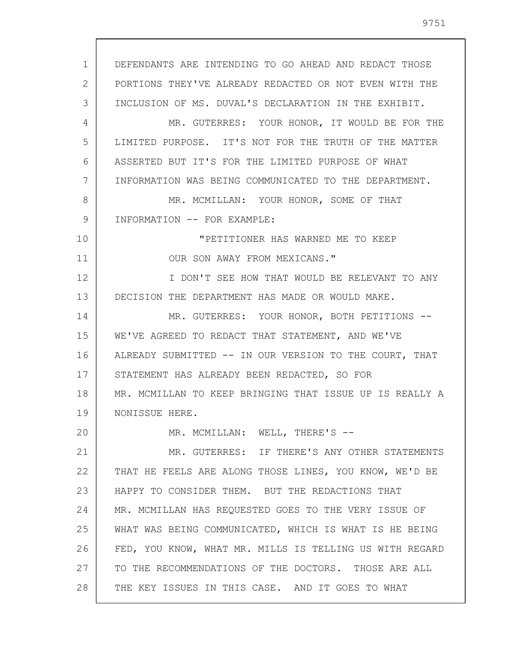1 2 3 4 5 6 7 8 9 10 11 12 13 14 15 16 17 18 19 20 21 22 23 24 25 26 27 28 DEFENDANTS ARE INTENDING TO GO AHEAD AND REDACT THOSE PORTIONS THEY'VE ALREADY REDACTED OR NOT EVEN WITH THE INCLUSION OF MS. DUVAL'S DECLARATION IN THE EXHIBIT. MR. GUTERRES: YOUR HONOR, IT WOULD BE FOR THE LIMITED PURPOSE. IT'S NOT FOR THE TRUTH OF THE MATTER ASSERTED BUT IT'S FOR THE LIMITED PURPOSE OF WHAT INFORMATION WAS BEING COMMUNICATED TO THE DEPARTMENT. MR. MCMILLAN: YOUR HONOR, SOME OF THAT INFORMATION -- FOR EXAMPLE: "PETITIONER HAS WARNED ME TO KEEP OUR SON AWAY FROM MEXICANS." I DON'T SEE HOW THAT WOULD BE RELEVANT TO ANY DECISION THE DEPARTMENT HAS MADE OR WOULD MAKE. MR. GUTERRES: YOUR HONOR, BOTH PETITIONS --WE'VE AGREED TO REDACT THAT STATEMENT, AND WE'VE ALREADY SUBMITTED -- IN OUR VERSION TO THE COURT, THAT STATEMENT HAS ALREADY BEEN REDACTED, SO FOR MR. MCMILLAN TO KEEP BRINGING THAT ISSUE UP IS REALLY A NONISSUE HERE. MR. MCMILLAN: WELL, THERE'S --MR. GUTERRES: IF THERE'S ANY OTHER STATEMENTS THAT HE FEELS ARE ALONG THOSE LINES, YOU KNOW, WE'D BE HAPPY TO CONSIDER THEM. BUT THE REDACTIONS THAT MR. MCMILLAN HAS REQUESTED GOES TO THE VERY ISSUE OF WHAT WAS BEING COMMUNICATED, WHICH IS WHAT IS HE BEING FED, YOU KNOW, WHAT MR. MILLS IS TELLING US WITH REGARD TO THE RECOMMENDATIONS OF THE DOCTORS. THOSE ARE ALL THE KEY ISSUES IN THIS CASE. AND IT GOES TO WHAT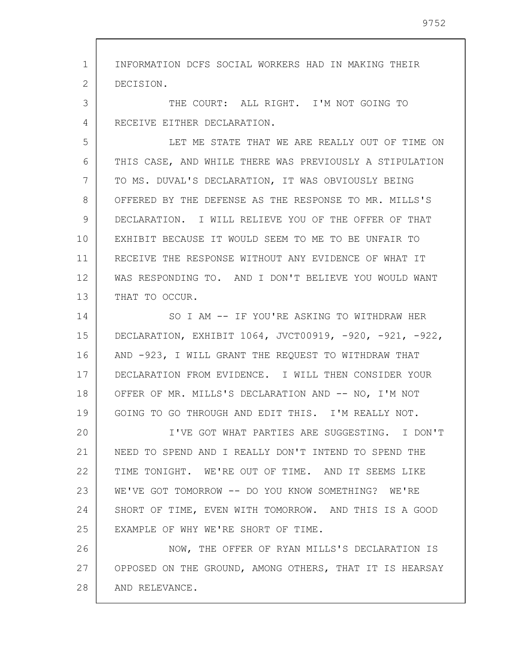1 2 3 4 5 6 7 8 9 10 11 12 13 14 15 16 17 18 19 20 21 22 23 24 25 26 27 28 INFORMATION DCFS SOCIAL WORKERS HAD IN MAKING THEIR DECISION. THE COURT: ALL RIGHT. I'M NOT GOING TO RECEIVE EITHER DECLARATION. LET ME STATE THAT WE ARE REALLY OUT OF TIME ON THIS CASE, AND WHILE THERE WAS PREVIOUSLY A STIPULATION TO MS. DUVAL'S DECLARATION, IT WAS OBVIOUSLY BEING OFFERED BY THE DEFENSE AS THE RESPONSE TO MR. MILLS'S DECLARATION. I WILL RELIEVE YOU OF THE OFFER OF THAT EXHIBIT BECAUSE IT WOULD SEEM TO ME TO BE UNFAIR TO RECEIVE THE RESPONSE WITHOUT ANY EVIDENCE OF WHAT IT WAS RESPONDING TO. AND I DON'T BELIEVE YOU WOULD WANT THAT TO OCCUR. SO I AM -- IF YOU'RE ASKING TO WITHDRAW HER DECLARATION, EXHIBIT 1064, JVCT00919, -920, -921, -922, AND -923, I WILL GRANT THE REQUEST TO WITHDRAW THAT DECLARATION FROM EVIDENCE. I WILL THEN CONSIDER YOUR OFFER OF MR. MILLS'S DECLARATION AND -- NO, I'M NOT GOING TO GO THROUGH AND EDIT THIS. I'M REALLY NOT. I'VE GOT WHAT PARTIES ARE SUGGESTING. I DON'T NEED TO SPEND AND I REALLY DON'T INTEND TO SPEND THE TIME TONIGHT. WE'RE OUT OF TIME. AND IT SEEMS LIKE WE'VE GOT TOMORROW -- DO YOU KNOW SOMETHING? WE'RE SHORT OF TIME, EVEN WITH TOMORROW. AND THIS IS A GOOD EXAMPLE OF WHY WE'RE SHORT OF TIME. NOW, THE OFFER OF RYAN MILLS'S DECLARATION IS OPPOSED ON THE GROUND, AMONG OTHERS, THAT IT IS HEARSAY AND RELEVANCE.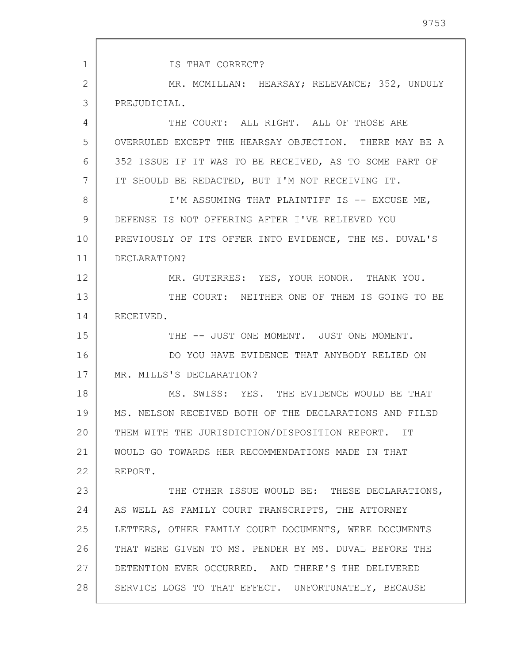| 1. | IS THAT CORRECT?                                       |
|----|--------------------------------------------------------|
| 2  | MR. MCMILLAN: HEARSAY; RELEVANCE; 352, UNDULY          |
| 3  | PREJUDICIAL.                                           |
| 4  | THE COURT: ALL RIGHT. ALL OF THOSE ARE                 |
| 5  | OVERRULED EXCEPT THE HEARSAY OBJECTION. THERE MAY BE A |
| 6  | 352 ISSUE IF IT WAS TO BE RECEIVED, AS TO SOME PART OF |
| 7  | IT SHOULD BE REDACTED, BUT I'M NOT RECEIVING IT.       |
| 8  | I'M ASSUMING THAT PLAINTIFF IS -- EXCUSE ME,           |
| 9  | DEFENSE IS NOT OFFERING AFTER I'VE RELIEVED YOU        |
| 10 | PREVIOUSLY OF ITS OFFER INTO EVIDENCE, THE MS. DUVAL'S |
| 11 | DECLARATION?                                           |
| 12 | MR. GUTERRES: YES, YOUR HONOR. THANK YOU.              |
| 13 | THE COURT: NEITHER ONE OF THEM IS GOING TO BE          |
| 14 | RECEIVED.                                              |
| 15 | THE -- JUST ONE MOMENT. JUST ONE MOMENT.               |
| 16 | DO YOU HAVE EVIDENCE THAT ANYBODY RELIED ON            |
| 17 | MR. MILLS'S DECLARATION?                               |
| 18 | MS. SWISS: YES. THE EVIDENCE WOULD BE THAT             |
| 19 | MS. NELSON RECEIVED BOTH OF THE DECLARATIONS AND FILED |
| 20 | THEM WITH THE JURISDICTION/DISPOSITION REPORT. IT      |
| 21 | WOULD GO TOWARDS HER RECOMMENDATIONS MADE IN THAT      |
| 22 | REPORT.                                                |
| 23 | THE OTHER ISSUE WOULD BE: THESE DECLARATIONS,          |
| 24 | AS WELL AS FAMILY COURT TRANSCRIPTS, THE ATTORNEY      |
| 25 | LETTERS, OTHER FAMILY COURT DOCUMENTS, WERE DOCUMENTS  |
| 26 | THAT WERE GIVEN TO MS. PENDER BY MS. DUVAL BEFORE THE  |
| 27 | DETENTION EVER OCCURRED. AND THERE'S THE DELIVERED     |
| 28 | SERVICE LOGS TO THAT EFFECT. UNFORTUNATELY, BECAUSE    |
|    |                                                        |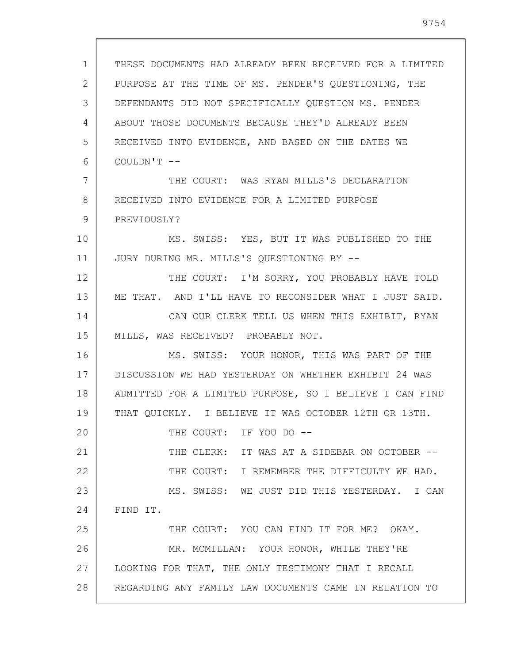| $\mathbf 1$  | THESE DOCUMENTS HAD ALREADY BEEN RECEIVED FOR A LIMITED |
|--------------|---------------------------------------------------------|
| $\mathbf{2}$ | PURPOSE AT THE TIME OF MS. PENDER'S QUESTIONING, THE    |
| 3            | DEFENDANTS DID NOT SPECIFICALLY QUESTION MS. PENDER     |
| 4            | ABOUT THOSE DOCUMENTS BECAUSE THEY'D ALREADY BEEN       |
| 5            | RECEIVED INTO EVIDENCE, AND BASED ON THE DATES WE       |
| 6            | COULDN'T --                                             |
| 7            | THE COURT: WAS RYAN MILLS'S DECLARATION                 |
| 8            | RECEIVED INTO EVIDENCE FOR A LIMITED PURPOSE            |
| 9            | PREVIOUSLY?                                             |
| 10           | MS. SWISS: YES, BUT IT WAS PUBLISHED TO THE             |
| 11           | JURY DURING MR. MILLS'S QUESTIONING BY --               |
| 12           | THE COURT: I'M SORRY, YOU PROBABLY HAVE TOLD            |
| 13           | ME THAT. AND I'LL HAVE TO RECONSIDER WHAT I JUST SAID.  |
| 14           | CAN OUR CLERK TELL US WHEN THIS EXHIBIT, RYAN           |
| 15           | MILLS, WAS RECEIVED? PROBABLY NOT.                      |
| 16           | MS. SWISS: YOUR HONOR, THIS WAS PART OF THE             |
| 17           | DISCUSSION WE HAD YESTERDAY ON WHETHER EXHIBIT 24 WAS   |
| 18           | ADMITTED FOR A LIMITED PURPOSE, SO I BELIEVE I CAN FIND |
| 19           | THAT QUICKLY. I BELIEVE IT WAS OCTOBER 12TH OR 13TH.    |
| 20           | THE COURT: IF YOU DO --                                 |
| 21           | THE CLERK: IT WAS AT A SIDEBAR ON OCTOBER --            |
| 22           | THE COURT: I REMEMBER THE DIFFICULTY WE HAD.            |
| 23           | MS. SWISS: WE JUST DID THIS YESTERDAY. I CAN            |
| 24           | FIND IT.                                                |
| 25           | THE COURT: YOU CAN FIND IT FOR ME? OKAY.                |
| 26           | MR. MCMILLAN: YOUR HONOR, WHILE THEY'RE                 |
| 27           | LOOKING FOR THAT, THE ONLY TESTIMONY THAT I RECALL      |
| 28           | REGARDING ANY FAMILY LAW DOCUMENTS CAME IN RELATION TO  |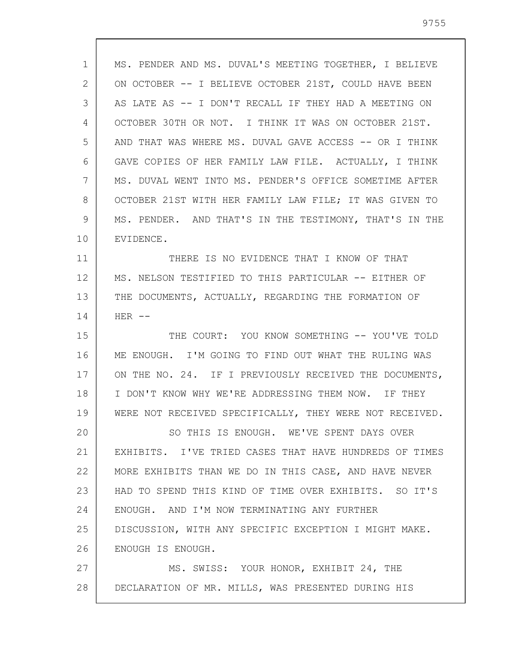1 2 3 4 5 6 7 8 9 10 11 12 13 14 15 16 17 18 19 20 21 22 23 24 25 26 27 28 MS. PENDER AND MS. DUVAL'S MEETING TOGETHER, I BELIEVE ON OCTOBER -- I BELIEVE OCTOBER 21ST, COULD HAVE BEEN AS LATE AS -- I DON'T RECALL IF THEY HAD A MEETING ON OCTOBER 30TH OR NOT. I THINK IT WAS ON OCTOBER 21ST. AND THAT WAS WHERE MS. DUVAL GAVE ACCESS -- OR I THINK GAVE COPIES OF HER FAMILY LAW FILE. ACTUALLY, I THINK MS. DUVAL WENT INTO MS. PENDER'S OFFICE SOMETIME AFTER OCTOBER 21ST WITH HER FAMILY LAW FILE; IT WAS GIVEN TO MS. PENDER. AND THAT'S IN THE TESTIMONY, THAT'S IN THE EVIDENCE. THERE IS NO EVIDENCE THAT I KNOW OF THAT MS. NELSON TESTIFIED TO THIS PARTICULAR -- EITHER OF THE DOCUMENTS, ACTUALLY, REGARDING THE FORMATION OF  $HER$   $--$ THE COURT: YOU KNOW SOMETHING -- YOU'VE TOLD ME ENOUGH. I'M GOING TO FIND OUT WHAT THE RULING WAS ON THE NO. 24. IF I PREVIOUSLY RECEIVED THE DOCUMENTS, I DON'T KNOW WHY WE'RE ADDRESSING THEM NOW. IF THEY WERE NOT RECEIVED SPECIFICALLY, THEY WERE NOT RECEIVED. SO THIS IS ENOUGH. WE'VE SPENT DAYS OVER EXHIBITS. I'VE TRIED CASES THAT HAVE HUNDREDS OF TIMES MORE EXHIBITS THAN WE DO IN THIS CASE, AND HAVE NEVER HAD TO SPEND THIS KIND OF TIME OVER EXHIBITS. SO IT'S ENOUGH. AND I'M NOW TERMINATING ANY FURTHER DISCUSSION, WITH ANY SPECIFIC EXCEPTION I MIGHT MAKE. ENOUGH IS ENOUGH. MS. SWISS: YOUR HONOR, EXHIBIT 24, THE DECLARATION OF MR. MILLS, WAS PRESENTED DURING HIS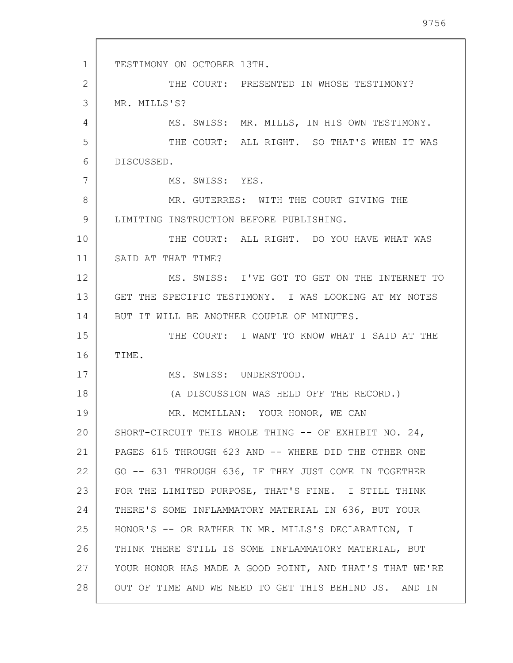1 2 3 4 5 6 7 8 9 10 11 12 13 14 15 16 17 18 19 20 21 22 23 24 25 26 27 28 TESTIMONY ON OCTOBER 13TH. THE COURT: PRESENTED IN WHOSE TESTIMONY? MR. MILLS'S? MS. SWISS: MR. MILLS, IN HIS OWN TESTIMONY. THE COURT: ALL RIGHT. SO THAT'S WHEN IT WAS DISCUSSED. MS. SWISS: YES. MR. GUTERRES: WITH THE COURT GIVING THE LIMITING INSTRUCTION BEFORE PUBLISHING. THE COURT: ALL RIGHT. DO YOU HAVE WHAT WAS SAID AT THAT TIME? MS. SWISS: I'VE GOT TO GET ON THE INTERNET TO GET THE SPECIFIC TESTIMONY. I WAS LOOKING AT MY NOTES BUT IT WILL BE ANOTHER COUPLE OF MINUTES. THE COURT: I WANT TO KNOW WHAT I SAID AT THE TIME. MS. SWISS: UNDERSTOOD. (A DISCUSSION WAS HELD OFF THE RECORD.) MR. MCMILLAN: YOUR HONOR, WE CAN SHORT-CIRCUIT THIS WHOLE THING -- OF EXHIBIT NO. 24, PAGES 615 THROUGH 623 AND -- WHERE DID THE OTHER ONE GO -- 631 THROUGH 636, IF THEY JUST COME IN TOGETHER FOR THE LIMITED PURPOSE, THAT'S FINE. I STILL THINK THERE'S SOME INFLAMMATORY MATERIAL IN 636, BUT YOUR HONOR'S -- OR RATHER IN MR. MILLS'S DECLARATION, I THINK THERE STILL IS SOME INFLAMMATORY MATERIAL, BUT YOUR HONOR HAS MADE A GOOD POINT, AND THAT'S THAT WE'RE OUT OF TIME AND WE NEED TO GET THIS BEHIND US. AND IN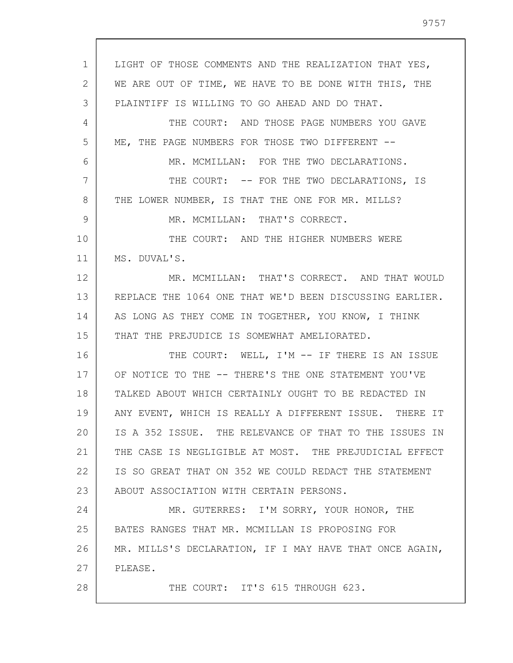1 2 3 4 5 6 7 8 9 10 11 12 13 14 15 16 17 18 19 20 21 22 23 24 25 26 27 28 LIGHT OF THOSE COMMENTS AND THE REALIZATION THAT YES, WE ARE OUT OF TIME, WE HAVE TO BE DONE WITH THIS, THE PLAINTIFF IS WILLING TO GO AHEAD AND DO THAT. THE COURT: AND THOSE PAGE NUMBERS YOU GAVE ME, THE PAGE NUMBERS FOR THOSE TWO DIFFERENT --MR. MCMILLAN: FOR THE TWO DECLARATIONS. THE COURT: -- FOR THE TWO DECLARATIONS, IS THE LOWER NUMBER, IS THAT THE ONE FOR MR. MILLS? MR. MCMILLAN: THAT'S CORRECT. THE COURT: AND THE HIGHER NUMBERS WERE MS. DUVAL'S. MR. MCMILLAN: THAT'S CORRECT. AND THAT WOULD REPLACE THE 1064 ONE THAT WE'D BEEN DISCUSSING EARLIER. AS LONG AS THEY COME IN TOGETHER, YOU KNOW, I THINK THAT THE PREJUDICE IS SOMEWHAT AMELIORATED. THE COURT: WELL, I'M -- IF THERE IS AN ISSUE OF NOTICE TO THE -- THERE'S THE ONE STATEMENT YOU'VE TALKED ABOUT WHICH CERTAINLY OUGHT TO BE REDACTED IN ANY EVENT, WHICH IS REALLY A DIFFERENT ISSUE. THERE IT IS A 352 ISSUE. THE RELEVANCE OF THAT TO THE ISSUES IN THE CASE IS NEGLIGIBLE AT MOST. THE PREJUDICIAL EFFECT IS SO GREAT THAT ON 352 WE COULD REDACT THE STATEMENT ABOUT ASSOCIATION WITH CERTAIN PERSONS. MR. GUTERRES: I'M SORRY, YOUR HONOR, THE BATES RANGES THAT MR. MCMILLAN IS PROPOSING FOR MR. MILLS'S DECLARATION, IF I MAY HAVE THAT ONCE AGAIN, PLEASE.

THE COURT: IT'S 615 THROUGH 623.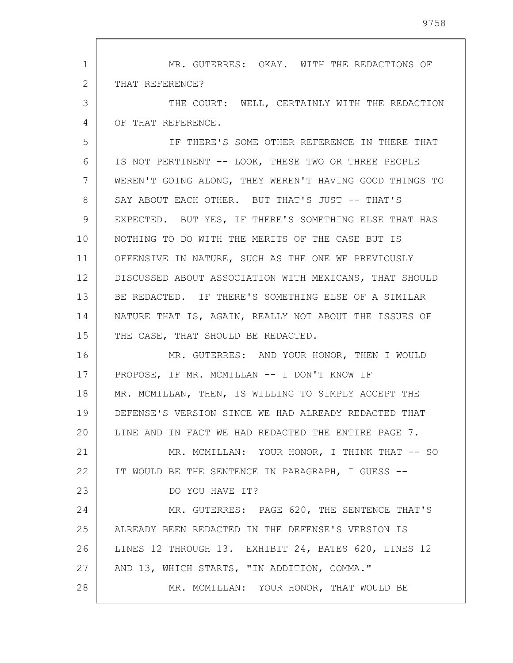1 2 3 4 5 6 7 8 9 10 11 12 13 14 15 16 17 18 19 20 21 22 23 24 25 26 27 28 MR. GUTERRES: OKAY. WITH THE REDACTIONS OF THAT REFERENCE? THE COURT: WELL, CERTAINLY WITH THE REDACTION OF THAT REFERENCE. IF THERE'S SOME OTHER REFERENCE IN THERE THAT IS NOT PERTINENT -- LOOK, THESE TWO OR THREE PEOPLE WEREN'T GOING ALONG, THEY WEREN'T HAVING GOOD THINGS TO SAY ABOUT EACH OTHER. BUT THAT'S JUST -- THAT'S EXPECTED. BUT YES, IF THERE'S SOMETHING ELSE THAT HAS NOTHING TO DO WITH THE MERITS OF THE CASE BUT IS OFFENSIVE IN NATURE, SUCH AS THE ONE WE PREVIOUSLY DISCUSSED ABOUT ASSOCIATION WITH MEXICANS, THAT SHOULD BE REDACTED. IF THERE'S SOMETHING ELSE OF A SIMILAR NATURE THAT IS, AGAIN, REALLY NOT ABOUT THE ISSUES OF THE CASE, THAT SHOULD BE REDACTED. MR. GUTERRES: AND YOUR HONOR, THEN I WOULD PROPOSE, IF MR. MCMILLAN -- I DON'T KNOW IF MR. MCMILLAN, THEN, IS WILLING TO SIMPLY ACCEPT THE DEFENSE'S VERSION SINCE WE HAD ALREADY REDACTED THAT LINE AND IN FACT WE HAD REDACTED THE ENTIRE PAGE 7. MR. MCMILLAN: YOUR HONOR, I THINK THAT -- SO IT WOULD BE THE SENTENCE IN PARAGRAPH, I GUESS --DO YOU HAVE IT? MR. GUTERRES: PAGE 620, THE SENTENCE THAT'S ALREADY BEEN REDACTED IN THE DEFENSE'S VERSION IS LINES 12 THROUGH 13. EXHIBIT 24, BATES 620, LINES 12 AND 13, WHICH STARTS, "IN ADDITION, COMMA." MR. MCMILLAN: YOUR HONOR, THAT WOULD BE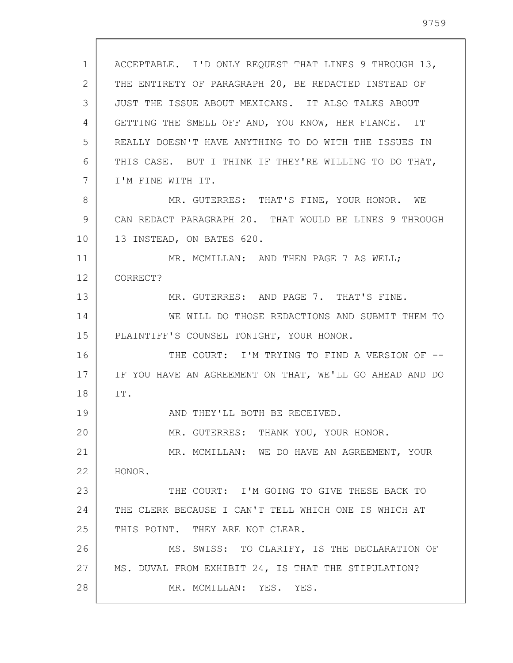| $\mathbf{1}$ | ACCEPTABLE. I'D ONLY REQUEST THAT LINES 9 THROUGH 13,   |
|--------------|---------------------------------------------------------|
| 2            | THE ENTIRETY OF PARAGRAPH 20, BE REDACTED INSTEAD OF    |
| 3            | JUST THE ISSUE ABOUT MEXICANS. IT ALSO TALKS ABOUT      |
| 4            | GETTING THE SMELL OFF AND, YOU KNOW, HER FIANCE. IT     |
| 5            | REALLY DOESN'T HAVE ANYTHING TO DO WITH THE ISSUES IN   |
| 6            | THIS CASE. BUT I THINK IF THEY'RE WILLING TO DO THAT,   |
| 7            | I'M FINE WITH IT.                                       |
| 8            | MR. GUTERRES: THAT'S FINE, YOUR HONOR. WE               |
| 9            | CAN REDACT PARAGRAPH 20. THAT WOULD BE LINES 9 THROUGH  |
| 10           | 13 INSTEAD, ON BATES 620.                               |
| 11           | MR. MCMILLAN: AND THEN PAGE 7 AS WELL;                  |
| 12           | CORRECT?                                                |
| 13           | MR. GUTERRES: AND PAGE 7. THAT'S FINE.                  |
| 14           | WE WILL DO THOSE REDACTIONS AND SUBMIT THEM TO          |
| 15           | PLAINTIFF'S COUNSEL TONIGHT, YOUR HONOR.                |
| 16           | THE COURT: I'M TRYING TO FIND A VERSION OF --           |
| 17           | IF YOU HAVE AN AGREEMENT ON THAT, WE'LL GO AHEAD AND DO |
| 18           | IT.                                                     |
| 19           | AND THEY'LL BOTH BE RECEIVED.                           |
| 20           | MR. GUTERRES: THANK YOU, YOUR HONOR.                    |
| 21           | MR. MCMILLAN: WE DO HAVE AN AGREEMENT, YOUR             |
| 22           | HONOR.                                                  |
| 23           | THE COURT: I'M GOING TO GIVE THESE BACK TO              |
| 24           | THE CLERK BECAUSE I CAN'T TELL WHICH ONE IS WHICH AT    |
| 25           | THIS POINT. THEY ARE NOT CLEAR.                         |
| 26           | MS. SWISS: TO CLARIFY, IS THE DECLARATION OF            |
| 27           | MS. DUVAL FROM EXHIBIT 24, IS THAT THE STIPULATION?     |
| 28           | MR. MCMILLAN: YES. YES.                                 |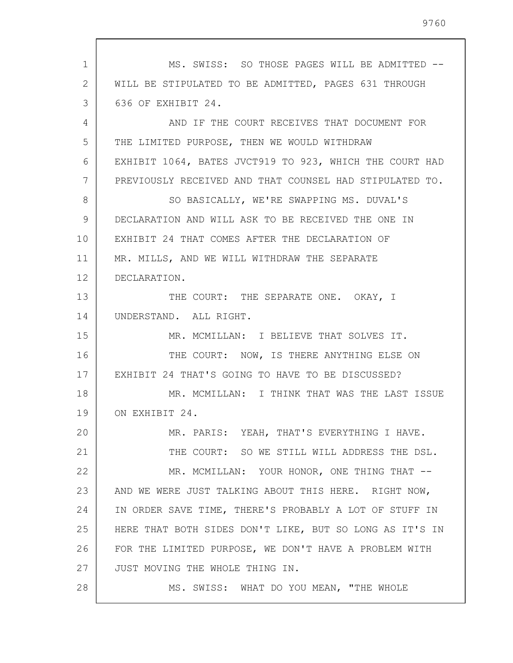1 2 3 4 5 6 7 8 9 10 11 12 13 14 15 16 17 18 19 20 21 22 23 24 25 26 27 28 MS. SWISS: SO THOSE PAGES WILL BE ADMITTED --WILL BE STIPULATED TO BE ADMITTED, PAGES 631 THROUGH 636 OF EXHIBIT 24. AND IF THE COURT RECEIVES THAT DOCUMENT FOR THE LIMITED PURPOSE, THEN WE WOULD WITHDRAW EXHIBIT 1064, BATES JVCT919 TO 923, WHICH THE COURT HAD PREVIOUSLY RECEIVED AND THAT COUNSEL HAD STIPULATED TO. SO BASICALLY, WE'RE SWAPPING MS. DUVAL'S DECLARATION AND WILL ASK TO BE RECEIVED THE ONE IN EXHIBIT 24 THAT COMES AFTER THE DECLARATION OF MR. MILLS, AND WE WILL WITHDRAW THE SEPARATE DECLARATION. THE COURT: THE SEPARATE ONE. OKAY, I UNDERSTAND. ALL RIGHT. MR. MCMILLAN: I BELIEVE THAT SOLVES IT. THE COURT: NOW, IS THERE ANYTHING ELSE ON EXHIBIT 24 THAT'S GOING TO HAVE TO BE DISCUSSED? MR. MCMILLAN: I THINK THAT WAS THE LAST ISSUE ON EXHIBIT 24. MR. PARIS: YEAH, THAT'S EVERYTHING I HAVE. THE COURT: SO WE STILL WILL ADDRESS THE DSL. MR. MCMILLAN: YOUR HONOR, ONE THING THAT --AND WE WERE JUST TALKING ABOUT THIS HERE. RIGHT NOW, IN ORDER SAVE TIME, THERE'S PROBABLY A LOT OF STUFF IN HERE THAT BOTH SIDES DON'T LIKE, BUT SO LONG AS IT'S IN FOR THE LIMITED PURPOSE, WE DON'T HAVE A PROBLEM WITH JUST MOVING THE WHOLE THING IN. MS. SWISS: WHAT DO YOU MEAN, "THE WHOLE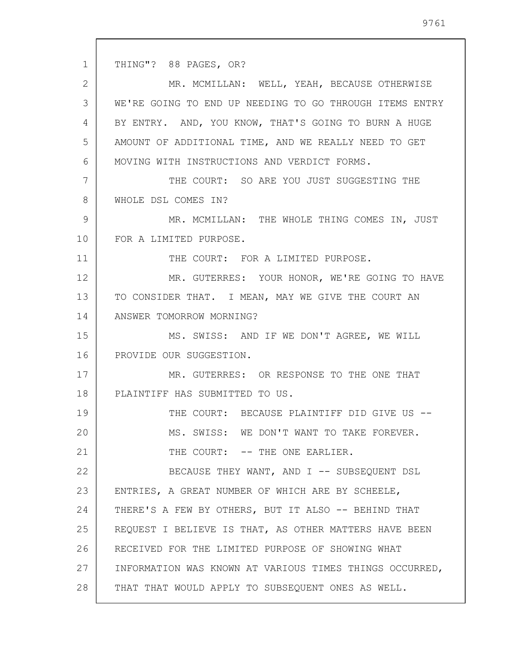1 2 3 4 5 6 7 8 9 10 11 12 13 14 15 16 17 18 19 20 21 22 23 24 25 26 27 28 THING"? 88 PAGES, OR? MR. MCMILLAN: WELL, YEAH, BECAUSE OTHERWISE WE'RE GOING TO END UP NEEDING TO GO THROUGH ITEMS ENTRY BY ENTRY. AND, YOU KNOW, THAT'S GOING TO BURN A HUGE AMOUNT OF ADDITIONAL TIME, AND WE REALLY NEED TO GET MOVING WITH INSTRUCTIONS AND VERDICT FORMS. THE COURT: SO ARE YOU JUST SUGGESTING THE WHOLE DSL COMES IN? MR. MCMILLAN: THE WHOLE THING COMES IN, JUST FOR A LIMITED PURPOSE. THE COURT: FOR A LIMITED PURPOSE. MR. GUTERRES: YOUR HONOR, WE'RE GOING TO HAVE TO CONSIDER THAT. I MEAN, MAY WE GIVE THE COURT AN ANSWER TOMORROW MORNING? MS. SWISS: AND IF WE DON'T AGREE, WE WILL PROVIDE OUR SUGGESTION. MR. GUTERRES: OR RESPONSE TO THE ONE THAT PLAINTIFF HAS SUBMITTED TO US. THE COURT: BECAUSE PLAINTIFF DID GIVE US --MS. SWISS: WE DON'T WANT TO TAKE FOREVER. THE COURT: -- THE ONE EARLIER. BECAUSE THEY WANT, AND I -- SUBSEQUENT DSL ENTRIES, A GREAT NUMBER OF WHICH ARE BY SCHEELE, THERE'S A FEW BY OTHERS, BUT IT ALSO -- BEHIND THAT REQUEST I BELIEVE IS THAT, AS OTHER MATTERS HAVE BEEN RECEIVED FOR THE LIMITED PURPOSE OF SHOWING WHAT INFORMATION WAS KNOWN AT VARIOUS TIMES THINGS OCCURRED, THAT THAT WOULD APPLY TO SUBSEQUENT ONES AS WELL.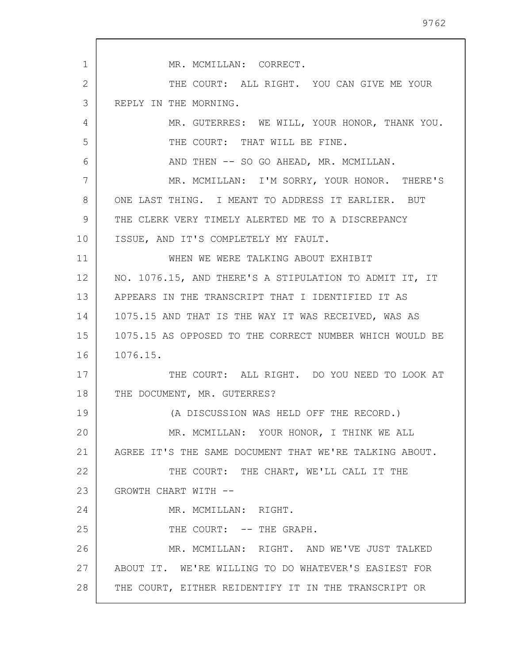1 2 3 4 5 6 7 8 9 10 11 12 13 14 15 16 17 18 19 20 21 22 23 24 25 26 27 28 MR. MCMILLAN: CORRECT. THE COURT: ALL RIGHT. YOU CAN GIVE ME YOUR REPLY IN THE MORNING. MR. GUTERRES: WE WILL, YOUR HONOR, THANK YOU. THE COURT: THAT WILL BE FINE. AND THEN -- SO GO AHEAD, MR. MCMILLAN. MR. MCMILLAN: I'M SORRY, YOUR HONOR. THERE'S ONE LAST THING. I MEANT TO ADDRESS IT EARLIER. BUT THE CLERK VERY TIMELY ALERTED ME TO A DISCREPANCY ISSUE, AND IT'S COMPLETELY MY FAULT. WHEN WE WERE TALKING ABOUT EXHIBIT NO. 1076.15, AND THERE'S A STIPULATION TO ADMIT IT, IT APPEARS IN THE TRANSCRIPT THAT I IDENTIFIED IT AS 1075.15 AND THAT IS THE WAY IT WAS RECEIVED, WAS AS 1075.15 AS OPPOSED TO THE CORRECT NUMBER WHICH WOULD BE 1076.15. THE COURT: ALL RIGHT. DO YOU NEED TO LOOK AT THE DOCUMENT, MR. GUTERRES? (A DISCUSSION WAS HELD OFF THE RECORD.) MR. MCMILLAN: YOUR HONOR, I THINK WE ALL AGREE IT'S THE SAME DOCUMENT THAT WE'RE TALKING ABOUT. THE COURT: THE CHART, WE'LL CALL IT THE GROWTH CHART WITH -- MR. MCMILLAN: RIGHT. THE COURT: -- THE GRAPH. MR. MCMILLAN: RIGHT. AND WE'VE JUST TALKED ABOUT IT. WE'RE WILLING TO DO WHATEVER'S EASIEST FOR THE COURT, EITHER REIDENTIFY IT IN THE TRANSCRIPT OR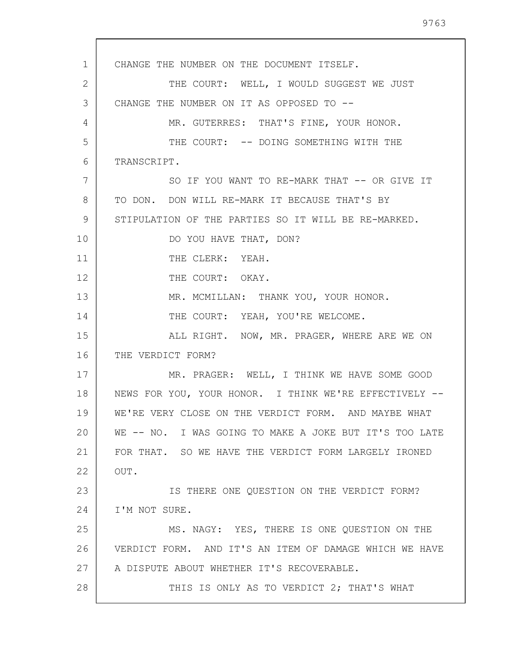1 2 3 4 5 6 7 8 9 10 11 12 13 14 15 16 17 18 19 20 21 22 23 24 25 26 27 28 CHANGE THE NUMBER ON THE DOCUMENT ITSELF. THE COURT: WELL, I WOULD SUGGEST WE JUST CHANGE THE NUMBER ON IT AS OPPOSED TO -- MR. GUTERRES: THAT'S FINE, YOUR HONOR. THE COURT: -- DOING SOMETHING WITH THE TRANSCRIPT. SO IF YOU WANT TO RE-MARK THAT -- OR GIVE IT TO DON. DON WILL RE-MARK IT BECAUSE THAT'S BY STIPULATION OF THE PARTIES SO IT WILL BE RE-MARKED. DO YOU HAVE THAT, DON? THE CLERK: YEAH. THE COURT: OKAY. MR. MCMILLAN: THANK YOU, YOUR HONOR. THE COURT: YEAH, YOU'RE WELCOME. ALL RIGHT. NOW, MR. PRAGER, WHERE ARE WE ON THE VERDICT FORM? MR. PRAGER: WELL, I THINK WE HAVE SOME GOOD NEWS FOR YOU, YOUR HONOR. I THINK WE'RE EFFECTIVELY -- WE'RE VERY CLOSE ON THE VERDICT FORM. AND MAYBE WHAT WE -- NO. I WAS GOING TO MAKE A JOKE BUT IT'S TOO LATE FOR THAT. SO WE HAVE THE VERDICT FORM LARGELY IRONED OUT. IS THERE ONE QUESTION ON THE VERDICT FORM? I'M NOT SURE. MS. NAGY: YES, THERE IS ONE QUESTION ON THE VERDICT FORM. AND IT'S AN ITEM OF DAMAGE WHICH WE HAVE A DISPUTE ABOUT WHETHER IT'S RECOVERABLE. THIS IS ONLY AS TO VERDICT 2; THAT'S WHAT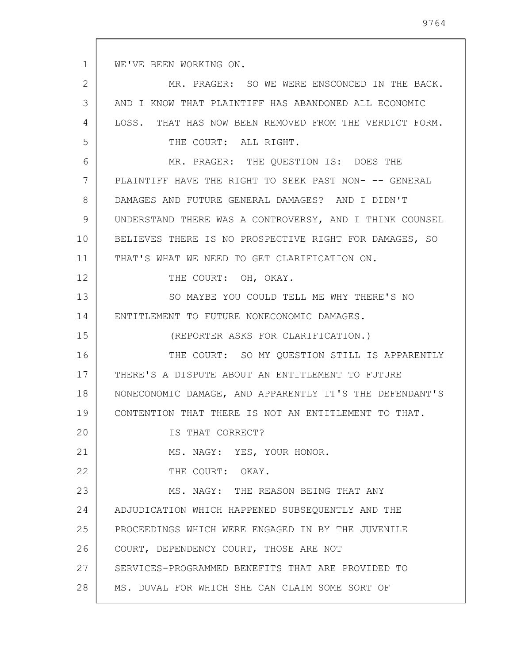1 2 3 4 5 6 7 8 9 10 11 12 13 14 15 16 17 18 19 20 21 22 23 24 25 26 27 28 WE'VE BEEN WORKING ON. MR. PRAGER: SO WE WERE ENSCONCED IN THE BACK. AND I KNOW THAT PLAINTIFF HAS ABANDONED ALL ECONOMIC LOSS. THAT HAS NOW BEEN REMOVED FROM THE VERDICT FORM. THE COURT: ALL RIGHT. MR. PRAGER: THE QUESTION IS: DOES THE PLAINTIFF HAVE THE RIGHT TO SEEK PAST NON- -- GENERAL DAMAGES AND FUTURE GENERAL DAMAGES? AND I DIDN'T UNDERSTAND THERE WAS A CONTROVERSY, AND I THINK COUNSEL BELIEVES THERE IS NO PROSPECTIVE RIGHT FOR DAMAGES, SO THAT'S WHAT WE NEED TO GET CLARIFICATION ON. THE COURT: OH, OKAY. SO MAYBE YOU COULD TELL ME WHY THERE'S NO ENTITLEMENT TO FUTURE NONECONOMIC DAMAGES. (REPORTER ASKS FOR CLARIFICATION.) THE COURT: SO MY QUESTION STILL IS APPARENTLY THERE'S A DISPUTE ABOUT AN ENTITLEMENT TO FUTURE NONECONOMIC DAMAGE, AND APPARENTLY IT'S THE DEFENDANT'S CONTENTION THAT THERE IS NOT AN ENTITLEMENT TO THAT. IS THAT CORRECT? MS. NAGY: YES, YOUR HONOR. THE COURT: OKAY. MS. NAGY: THE REASON BEING THAT ANY ADJUDICATION WHICH HAPPENED SUBSEQUENTLY AND THE PROCEEDINGS WHICH WERE ENGAGED IN BY THE JUVENILE COURT, DEPENDENCY COURT, THOSE ARE NOT SERVICES-PROGRAMMED BENEFITS THAT ARE PROVIDED TO MS. DUVAL FOR WHICH SHE CAN CLAIM SOME SORT OF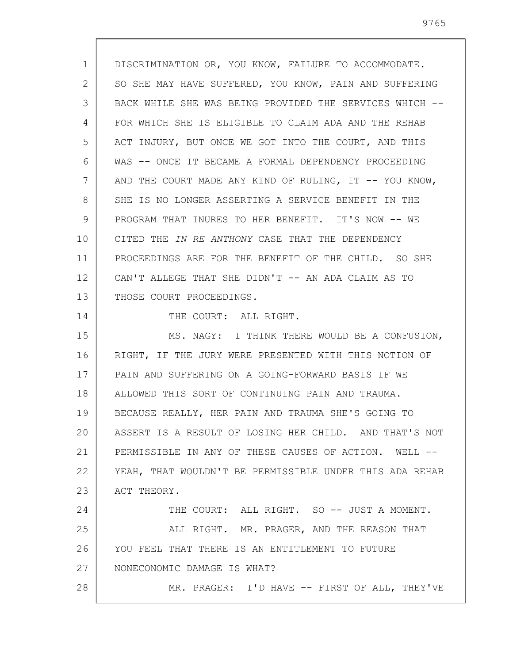1 2 3 4 5 6 7 8 9 10 11 12 13 14 15 16 17 18 19 20 21 22 23 24 25 26 27 28 DISCRIMINATION OR, YOU KNOW, FAILURE TO ACCOMMODATE. SO SHE MAY HAVE SUFFERED, YOU KNOW, PAIN AND SUFFERING BACK WHILE SHE WAS BEING PROVIDED THE SERVICES WHICH -- FOR WHICH SHE IS ELIGIBLE TO CLAIM ADA AND THE REHAB ACT INJURY, BUT ONCE WE GOT INTO THE COURT, AND THIS WAS -- ONCE IT BECAME A FORMAL DEPENDENCY PROCEEDING AND THE COURT MADE ANY KIND OF RULING, IT -- YOU KNOW, SHE IS NO LONGER ASSERTING A SERVICE BENEFIT IN THE PROGRAM THAT INURES TO HER BENEFIT. IT'S NOW -- WE CITED THE IN RE ANTHONY CASE THAT THE DEPENDENCY PROCEEDINGS ARE FOR THE BENEFIT OF THE CHILD. SO SHE CAN'T ALLEGE THAT SHE DIDN'T -- AN ADA CLAIM AS TO THOSE COURT PROCEEDINGS. THE COURT: ALL RIGHT. MS. NAGY: I THINK THERE WOULD BE A CONFUSION, RIGHT, IF THE JURY WERE PRESENTED WITH THIS NOTION OF PAIN AND SUFFERING ON A GOING-FORWARD BASIS IF WE ALLOWED THIS SORT OF CONTINUING PAIN AND TRAUMA. BECAUSE REALLY, HER PAIN AND TRAUMA SHE'S GOING TO ASSERT IS A RESULT OF LOSING HER CHILD. AND THAT'S NOT PERMISSIBLE IN ANY OF THESE CAUSES OF ACTION. WELL --YEAH, THAT WOULDN'T BE PERMISSIBLE UNDER THIS ADA REHAB ACT THEORY. THE COURT: ALL RIGHT. SO -- JUST A MOMENT. ALL RIGHT. MR. PRAGER, AND THE REASON THAT YOU FEEL THAT THERE IS AN ENTITLEMENT TO FUTURE NONECONOMIC DAMAGE IS WHAT? MR. PRAGER: I'D HAVE -- FIRST OF ALL, THEY'VE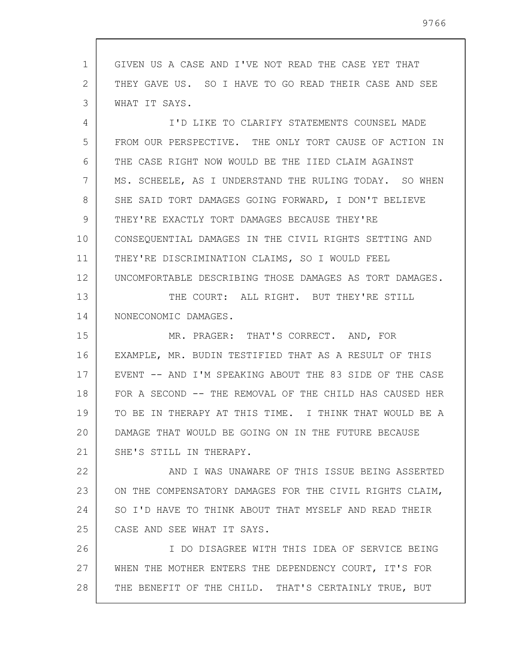1 2 3 4 5 6 7 8 9 10 11 12 13 14 15 16 17 18 19 20 21 22 23 24 25 26 27 28 GIVEN US A CASE AND I'VE NOT READ THE CASE YET THAT THEY GAVE US. SO I HAVE TO GO READ THEIR CASE AND SEE WHAT IT SAYS. I'D LIKE TO CLARIFY STATEMENTS COUNSEL MADE FROM OUR PERSPECTIVE. THE ONLY TORT CAUSE OF ACTION IN THE CASE RIGHT NOW WOULD BE THE IIED CLAIM AGAINST MS. SCHEELE, AS I UNDERSTAND THE RULING TODAY. SO WHEN SHE SAID TORT DAMAGES GOING FORWARD, I DON'T BELIEVE THEY'RE EXACTLY TORT DAMAGES BECAUSE THEY'RE CONSEQUENTIAL DAMAGES IN THE CIVIL RIGHTS SETTING AND THEY'RE DISCRIMINATION CLAIMS, SO I WOULD FEEL UNCOMFORTABLE DESCRIBING THOSE DAMAGES AS TORT DAMAGES. THE COURT: ALL RIGHT. BUT THEY'RE STILL NONECONOMIC DAMAGES. MR. PRAGER: THAT'S CORRECT. AND, FOR EXAMPLE, MR. BUDIN TESTIFIED THAT AS A RESULT OF THIS EVENT -- AND I'M SPEAKING ABOUT THE 83 SIDE OF THE CASE FOR A SECOND -- THE REMOVAL OF THE CHILD HAS CAUSED HER TO BE IN THERAPY AT THIS TIME. I THINK THAT WOULD BE A DAMAGE THAT WOULD BE GOING ON IN THE FUTURE BECAUSE SHE'S STILL IN THERAPY. AND I WAS UNAWARE OF THIS ISSUE BEING ASSERTED ON THE COMPENSATORY DAMAGES FOR THE CIVIL RIGHTS CLAIM, SO I'D HAVE TO THINK ABOUT THAT MYSELF AND READ THEIR CASE AND SEE WHAT IT SAYS. I DO DISAGREE WITH THIS IDEA OF SERVICE BEING WHEN THE MOTHER ENTERS THE DEPENDENCY COURT, IT'S FOR THE BENEFIT OF THE CHILD. THAT'S CERTAINLY TRUE, BUT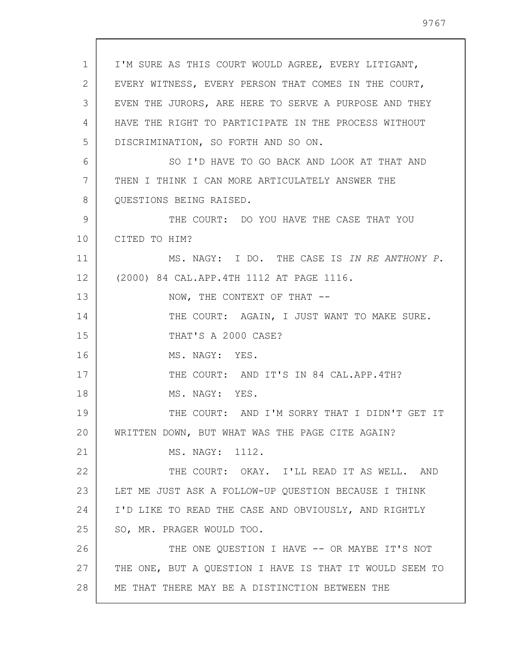1 2 3 4 5 6 7 8 9 10 11 12 13 14 15 16 17 18 19 20 21 22 23 24 25 26 27 28 I'M SURE AS THIS COURT WOULD AGREE, EVERY LITIGANT, EVERY WITNESS, EVERY PERSON THAT COMES IN THE COURT, EVEN THE JURORS, ARE HERE TO SERVE A PURPOSE AND THEY HAVE THE RIGHT TO PARTICIPATE IN THE PROCESS WITHOUT DISCRIMINATION, SO FORTH AND SO ON. SO I'D HAVE TO GO BACK AND LOOK AT THAT AND THEN I THINK I CAN MORE ARTICULATELY ANSWER THE QUESTIONS BEING RAISED. THE COURT: DO YOU HAVE THE CASE THAT YOU CITED TO HIM? MS. NAGY: I DO. THE CASE IS IN RE ANTHONY P. (2000) 84 CAL.APP.4TH 1112 AT PAGE 1116. NOW, THE CONTEXT OF THAT -- THE COURT: AGAIN, I JUST WANT TO MAKE SURE. THAT'S A 2000 CASE? MS. NAGY: YES. THE COURT: AND IT'S IN 84 CAL.APP.4TH? MS. NAGY: YES. THE COURT: AND I'M SORRY THAT I DIDN'T GET IT WRITTEN DOWN, BUT WHAT WAS THE PAGE CITE AGAIN? MS. NAGY: 1112. THE COURT: OKAY. I'LL READ IT AS WELL. AND LET ME JUST ASK A FOLLOW-UP QUESTION BECAUSE I THINK I'D LIKE TO READ THE CASE AND OBVIOUSLY, AND RIGHTLY SO, MR. PRAGER WOULD TOO. THE ONE QUESTION I HAVE -- OR MAYBE IT'S NOT THE ONE, BUT A QUESTION I HAVE IS THAT IT WOULD SEEM TO ME THAT THERE MAY BE A DISTINCTION BETWEEN THE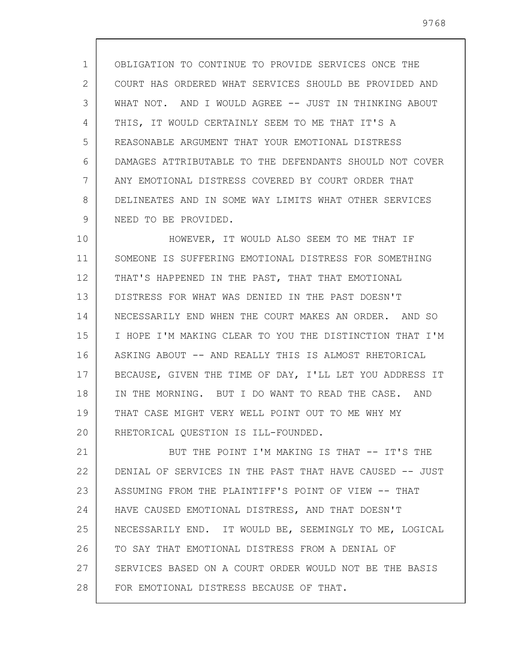1 2 3 4 5 6 7 8 9 OBLIGATION TO CONTINUE TO PROVIDE SERVICES ONCE THE COURT HAS ORDERED WHAT SERVICES SHOULD BE PROVIDED AND WHAT NOT. AND I WOULD AGREE -- JUST IN THINKING ABOUT THIS, IT WOULD CERTAINLY SEEM TO ME THAT IT'S A REASONABLE ARGUMENT THAT YOUR EMOTIONAL DISTRESS DAMAGES ATTRIBUTABLE TO THE DEFENDANTS SHOULD NOT COVER ANY EMOTIONAL DISTRESS COVERED BY COURT ORDER THAT DELINEATES AND IN SOME WAY LIMITS WHAT OTHER SERVICES NEED TO BE PROVIDED.

10 11 12 13 14 15 16 17 18 19 20 HOWEVER, IT WOULD ALSO SEEM TO ME THAT IF SOMEONE IS SUFFERING EMOTIONAL DISTRESS FOR SOMETHING THAT'S HAPPENED IN THE PAST, THAT THAT EMOTIONAL DISTRESS FOR WHAT WAS DENIED IN THE PAST DOESN'T NECESSARILY END WHEN THE COURT MAKES AN ORDER. AND SO I HOPE I'M MAKING CLEAR TO YOU THE DISTINCTION THAT I'M ASKING ABOUT -- AND REALLY THIS IS ALMOST RHETORICAL BECAUSE, GIVEN THE TIME OF DAY, I'LL LET YOU ADDRESS IT IN THE MORNING. BUT I DO WANT TO READ THE CASE. AND THAT CASE MIGHT VERY WELL POINT OUT TO ME WHY MY RHETORICAL QUESTION IS ILL-FOUNDED.

21 22 23 24 25 26 27 28 BUT THE POINT I'M MAKING IS THAT -- IT'S THE DENIAL OF SERVICES IN THE PAST THAT HAVE CAUSED -- JUST ASSUMING FROM THE PLAINTIFF'S POINT OF VIEW -- THAT HAVE CAUSED EMOTIONAL DISTRESS, AND THAT DOESN'T NECESSARILY END. IT WOULD BE, SEEMINGLY TO ME, LOGICAL TO SAY THAT EMOTIONAL DISTRESS FROM A DENIAL OF SERVICES BASED ON A COURT ORDER WOULD NOT BE THE BASIS FOR EMOTIONAL DISTRESS BECAUSE OF THAT.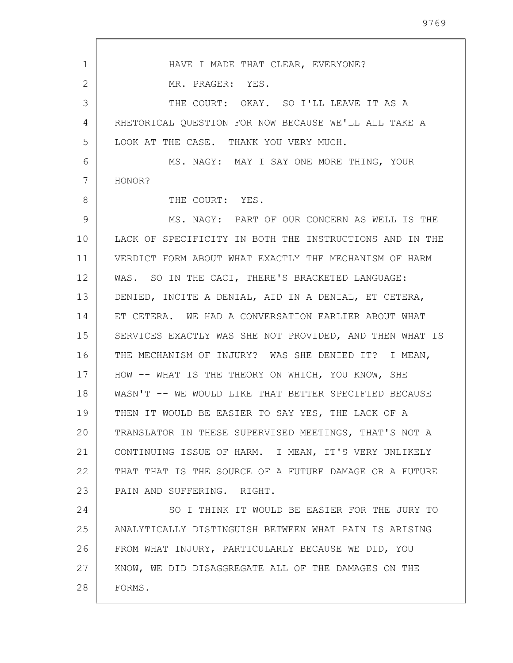1 2 3 4 5 6 7 8 9 10 11 12 13 14 15 16 17 18 19 20 21 22 23 24 25 26 27 28 HAVE I MADE THAT CLEAR, EVERYONE? MR. PRAGER: YES. THE COURT: OKAY. SO I'LL LEAVE IT AS A RHETORICAL QUESTION FOR NOW BECAUSE WE'LL ALL TAKE A LOOK AT THE CASE. THANK YOU VERY MUCH. MS. NAGY: MAY I SAY ONE MORE THING, YOUR HONOR? THE COURT: YES. MS. NAGY: PART OF OUR CONCERN AS WELL IS THE LACK OF SPECIFICITY IN BOTH THE INSTRUCTIONS AND IN THE VERDICT FORM ABOUT WHAT EXACTLY THE MECHANISM OF HARM WAS. SO IN THE CACI, THERE'S BRACKETED LANGUAGE: DENIED, INCITE A DENIAL, AID IN A DENIAL, ET CETERA, ET CETERA. WE HAD A CONVERSATION EARLIER ABOUT WHAT SERVICES EXACTLY WAS SHE NOT PROVIDED, AND THEN WHAT IS THE MECHANISM OF INJURY? WAS SHE DENIED IT? I MEAN, HOW -- WHAT IS THE THEORY ON WHICH, YOU KNOW, SHE WASN'T -- WE WOULD LIKE THAT BETTER SPECIFIED BECAUSE THEN IT WOULD BE EASIER TO SAY YES, THE LACK OF A TRANSLATOR IN THESE SUPERVISED MEETINGS, THAT'S NOT A CONTINUING ISSUE OF HARM. I MEAN, IT'S VERY UNLIKELY THAT THAT IS THE SOURCE OF A FUTURE DAMAGE OR A FUTURE PAIN AND SUFFERING. RIGHT. SO I THINK IT WOULD BE EASIER FOR THE JURY TO ANALYTICALLY DISTINGUISH BETWEEN WHAT PAIN IS ARISING FROM WHAT INJURY, PARTICULARLY BECAUSE WE DID, YOU KNOW, WE DID DISAGGREGATE ALL OF THE DAMAGES ON THE FORMS.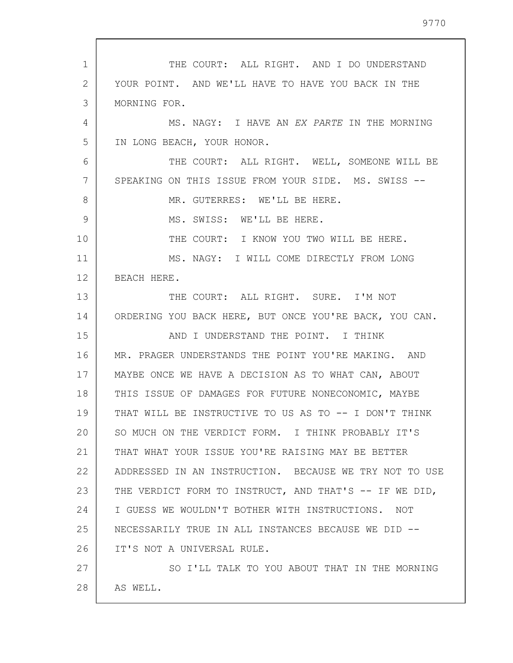1 2 3 4 5 6 7 8 9 10 11 12 13 14 15 16 17 18 19 20 21 22 23 24 25 26 27 28 THE COURT: ALL RIGHT. AND I DO UNDERSTAND YOUR POINT. AND WE'LL HAVE TO HAVE YOU BACK IN THE MORNING FOR. MS. NAGY: I HAVE AN EX PARTE IN THE MORNING IN LONG BEACH, YOUR HONOR. THE COURT: ALL RIGHT. WELL, SOMEONE WILL BE SPEAKING ON THIS ISSUE FROM YOUR SIDE. MS. SWISS -- MR. GUTERRES: WE'LL BE HERE. MS. SWISS: WE'LL BE HERE. THE COURT: I KNOW YOU TWO WILL BE HERE. MS. NAGY: I WILL COME DIRECTLY FROM LONG BEACH HERE. THE COURT: ALL RIGHT. SURE. I'M NOT ORDERING YOU BACK HERE, BUT ONCE YOU'RE BACK, YOU CAN. AND I UNDERSTAND THE POINT. I THINK MR. PRAGER UNDERSTANDS THE POINT YOU'RE MAKING. AND MAYBE ONCE WE HAVE A DECISION AS TO WHAT CAN, ABOUT THIS ISSUE OF DAMAGES FOR FUTURE NONECONOMIC, MAYBE THAT WILL BE INSTRUCTIVE TO US AS TO -- I DON'T THINK SO MUCH ON THE VERDICT FORM. I THINK PROBABLY IT'S THAT WHAT YOUR ISSUE YOU'RE RAISING MAY BE BETTER ADDRESSED IN AN INSTRUCTION. BECAUSE WE TRY NOT TO USE THE VERDICT FORM TO INSTRUCT, AND THAT'S -- IF WE DID, I GUESS WE WOULDN'T BOTHER WITH INSTRUCTIONS. NOT NECESSARILY TRUE IN ALL INSTANCES BECAUSE WE DID -- IT'S NOT A UNIVERSAL RULE. SO I'LL TALK TO YOU ABOUT THAT IN THE MORNING AS WELL.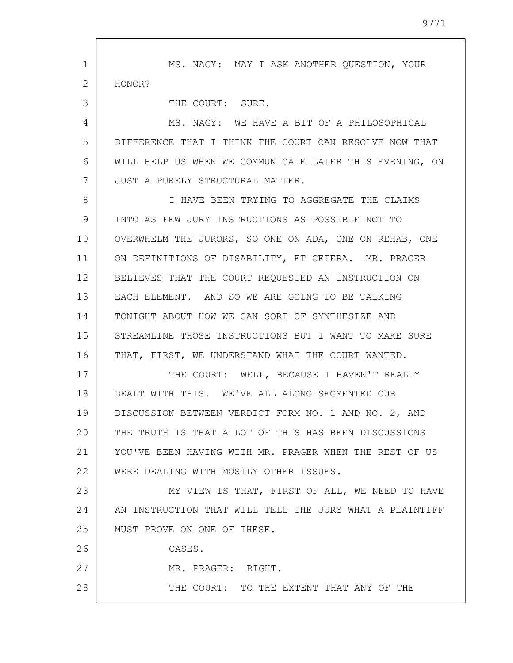1 2 3 4 5 6 7 8 9 10 11 12 13 14 15 16 17 18 19 20 21 22 23 24 25 26 27 28 MS. NAGY: MAY I ASK ANOTHER QUESTION, YOUR HONOR? THE COURT: SURE. MS. NAGY: WE HAVE A BIT OF A PHILOSOPHICAL DIFFERENCE THAT I THINK THE COURT CAN RESOLVE NOW THAT WILL HELP US WHEN WE COMMUNICATE LATER THIS EVENING, ON JUST A PURELY STRUCTURAL MATTER. I HAVE BEEN TRYING TO AGGREGATE THE CLAIMS INTO AS FEW JURY INSTRUCTIONS AS POSSIBLE NOT TO OVERWHELM THE JURORS, SO ONE ON ADA, ONE ON REHAB, ONE ON DEFINITIONS OF DISABILITY, ET CETERA. MR. PRAGER BELIEVES THAT THE COURT REQUESTED AN INSTRUCTION ON EACH ELEMENT. AND SO WE ARE GOING TO BE TALKING TONIGHT ABOUT HOW WE CAN SORT OF SYNTHESIZE AND STREAMLINE THOSE INSTRUCTIONS BUT I WANT TO MAKE SURE THAT, FIRST, WE UNDERSTAND WHAT THE COURT WANTED. THE COURT: WELL, BECAUSE I HAVEN'T REALLY DEALT WITH THIS. WE'VE ALL ALONG SEGMENTED OUR DISCUSSION BETWEEN VERDICT FORM NO. 1 AND NO. 2, AND THE TRUTH IS THAT A LOT OF THIS HAS BEEN DISCUSSIONS YOU'VE BEEN HAVING WITH MR. PRAGER WHEN THE REST OF US WERE DEALING WITH MOSTLY OTHER ISSUES. MY VIEW IS THAT, FIRST OF ALL, WE NEED TO HAVE AN INSTRUCTION THAT WILL TELL THE JURY WHAT A PLAINTIFF MUST PROVE ON ONE OF THESE. CASES. MR. PRAGER: RIGHT. THE COURT: TO THE EXTENT THAT ANY OF THE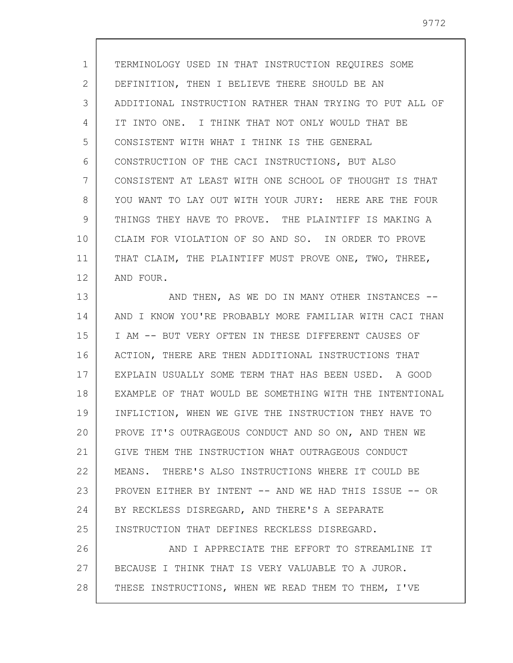1 2 3 4 5 6 7 8 9 10 11 12 TERMINOLOGY USED IN THAT INSTRUCTION REQUIRES SOME DEFINITION, THEN I BELIEVE THERE SHOULD BE AN ADDITIONAL INSTRUCTION RATHER THAN TRYING TO PUT ALL OF IT INTO ONE. I THINK THAT NOT ONLY WOULD THAT BE CONSISTENT WITH WHAT I THINK IS THE GENERAL CONSTRUCTION OF THE CACI INSTRUCTIONS, BUT ALSO CONSISTENT AT LEAST WITH ONE SCHOOL OF THOUGHT IS THAT YOU WANT TO LAY OUT WITH YOUR JURY: HERE ARE THE FOUR THINGS THEY HAVE TO PROVE. THE PLAINTIFF IS MAKING A CLAIM FOR VIOLATION OF SO AND SO. IN ORDER TO PROVE THAT CLAIM, THE PLAINTIFF MUST PROVE ONE, TWO, THREE, AND FOUR.

13 14 15 16 17 18 19 20 21 22 23 24 25 26 AND THEN, AS WE DO IN MANY OTHER INSTANCES --AND I KNOW YOU'RE PROBABLY MORE FAMILIAR WITH CACI THAN I AM -- BUT VERY OFTEN IN THESE DIFFERENT CAUSES OF ACTION, THERE ARE THEN ADDITIONAL INSTRUCTIONS THAT EXPLAIN USUALLY SOME TERM THAT HAS BEEN USED. A GOOD EXAMPLE OF THAT WOULD BE SOMETHING WITH THE INTENTIONAL INFLICTION, WHEN WE GIVE THE INSTRUCTION THEY HAVE TO PROVE IT'S OUTRAGEOUS CONDUCT AND SO ON, AND THEN WE GIVE THEM THE INSTRUCTION WHAT OUTRAGEOUS CONDUCT MEANS. THERE'S ALSO INSTRUCTIONS WHERE IT COULD BE PROVEN EITHER BY INTENT -- AND WE HAD THIS ISSUE -- OR BY RECKLESS DISREGARD, AND THERE'S A SEPARATE INSTRUCTION THAT DEFINES RECKLESS DISREGARD. AND I APPRECIATE THE EFFORT TO STREAMLINE IT

27 28 BECAUSE I THINK THAT IS VERY VALUABLE TO A JUROR. THESE INSTRUCTIONS, WHEN WE READ THEM TO THEM, I'VE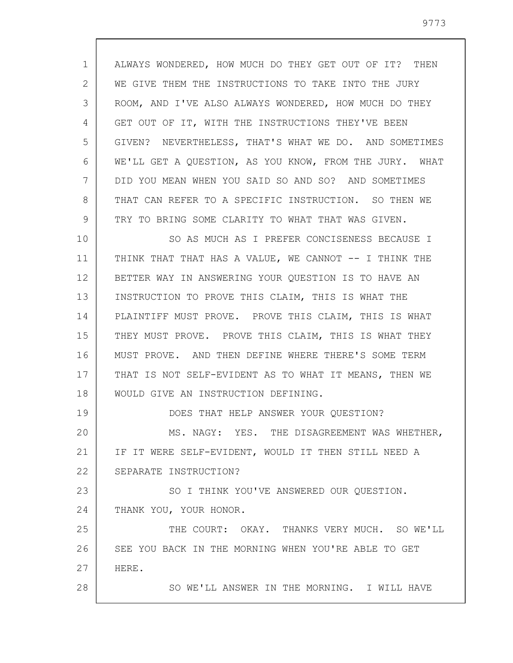1 2 3 4 5 6 7 8 9 10 11 12 13 14 15 16 17 18 19 20 21 22 23 24 25 26 27 28 ALWAYS WONDERED, HOW MUCH DO THEY GET OUT OF IT? THEN WE GIVE THEM THE INSTRUCTIONS TO TAKE INTO THE JURY ROOM, AND I'VE ALSO ALWAYS WONDERED, HOW MUCH DO THEY GET OUT OF IT, WITH THE INSTRUCTIONS THEY'VE BEEN GIVEN? NEVERTHELESS, THAT'S WHAT WE DO. AND SOMETIMES WE'LL GET A QUESTION, AS YOU KNOW, FROM THE JURY. WHAT DID YOU MEAN WHEN YOU SAID SO AND SO? AND SOMETIMES THAT CAN REFER TO A SPECIFIC INSTRUCTION. SO THEN WE TRY TO BRING SOME CLARITY TO WHAT THAT WAS GIVEN. SO AS MUCH AS I PREFER CONCISENESS BECAUSE I THINK THAT THAT HAS A VALUE, WE CANNOT -- I THINK THE BETTER WAY IN ANSWERING YOUR QUESTION IS TO HAVE AN INSTRUCTION TO PROVE THIS CLAIM, THIS IS WHAT THE PLAINTIFF MUST PROVE. PROVE THIS CLAIM, THIS IS WHAT THEY MUST PROVE. PROVE THIS CLAIM, THIS IS WHAT THEY MUST PROVE. AND THEN DEFINE WHERE THERE'S SOME TERM THAT IS NOT SELF-EVIDENT AS TO WHAT IT MEANS, THEN WE WOULD GIVE AN INSTRUCTION DEFINING. DOES THAT HELP ANSWER YOUR QUESTION? MS. NAGY: YES. THE DISAGREEMENT WAS WHETHER, IF IT WERE SELF-EVIDENT, WOULD IT THEN STILL NEED A SEPARATE INSTRUCTION? SO I THINK YOU'VE ANSWERED OUR QUESTION. THANK YOU, YOUR HONOR. THE COURT: OKAY. THANKS VERY MUCH. SO WE'LL SEE YOU BACK IN THE MORNING WHEN YOU'RE ABLE TO GET HERE. SO WE'LL ANSWER IN THE MORNING. I WILL HAVE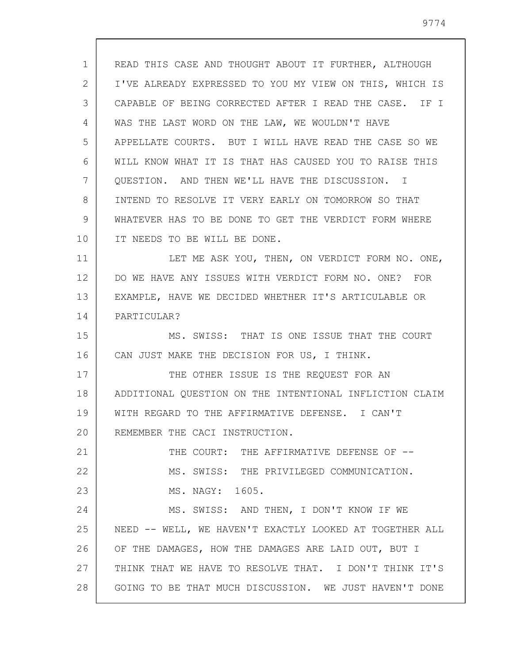1 2 3 4 5 6 7 8 9 10 11 12 13 14 15 16 17 18 19 20 21 22 23 24 25 26 27 28 READ THIS CASE AND THOUGHT ABOUT IT FURTHER, ALTHOUGH I'VE ALREADY EXPRESSED TO YOU MY VIEW ON THIS, WHICH IS CAPABLE OF BEING CORRECTED AFTER I READ THE CASE. IF I WAS THE LAST WORD ON THE LAW, WE WOULDN'T HAVE APPELLATE COURTS. BUT I WILL HAVE READ THE CASE SO WE WILL KNOW WHAT IT IS THAT HAS CAUSED YOU TO RAISE THIS QUESTION. AND THEN WE'LL HAVE THE DISCUSSION. I INTEND TO RESOLVE IT VERY EARLY ON TOMORROW SO THAT WHATEVER HAS TO BE DONE TO GET THE VERDICT FORM WHERE IT NEEDS TO BE WILL BE DONE. LET ME ASK YOU, THEN, ON VERDICT FORM NO. ONE, DO WE HAVE ANY ISSUES WITH VERDICT FORM NO. ONE? FOR EXAMPLE, HAVE WE DECIDED WHETHER IT'S ARTICULABLE OR PARTICULAR? MS. SWISS: THAT IS ONE ISSUE THAT THE COURT CAN JUST MAKE THE DECISION FOR US, I THINK. THE OTHER ISSUE IS THE REQUEST FOR AN ADDITIONAL QUESTION ON THE INTENTIONAL INFLICTION CLAIM WITH REGARD TO THE AFFIRMATIVE DEFENSE. I CAN'T REMEMBER THE CACI INSTRUCTION. THE COURT: THE AFFIRMATIVE DEFENSE OF --MS. SWISS: THE PRIVILEGED COMMUNICATION. MS. NAGY: 1605. MS. SWISS: AND THEN, I DON'T KNOW IF WE NEED -- WELL, WE HAVEN'T EXACTLY LOOKED AT TOGETHER ALL OF THE DAMAGES, HOW THE DAMAGES ARE LAID OUT, BUT I THINK THAT WE HAVE TO RESOLVE THAT. I DON'T THINK IT'S GOING TO BE THAT MUCH DISCUSSION. WE JUST HAVEN'T DONE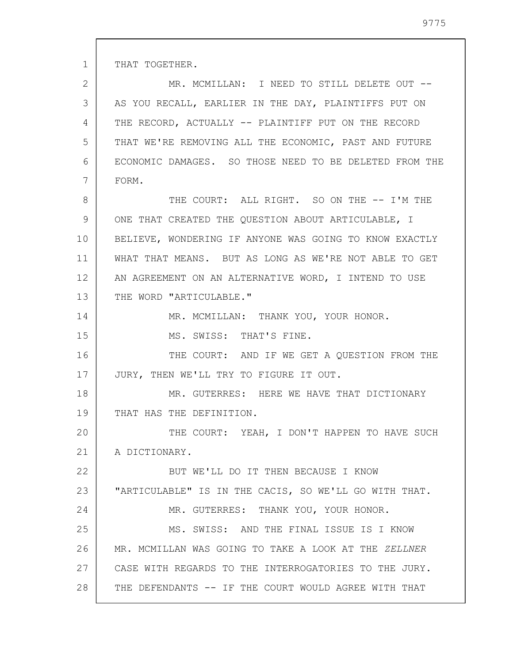1 2 3 4 5 6 7 8 9 10 11 12 13 14 15 16 17 18 19 20 21 22 23 24 25 26 27 28 THAT TOGETHER. MR. MCMILLAN: I NEED TO STILL DELETE OUT --AS YOU RECALL, EARLIER IN THE DAY, PLAINTIFFS PUT ON THE RECORD, ACTUALLY -- PLAINTIFF PUT ON THE RECORD THAT WE'RE REMOVING ALL THE ECONOMIC, PAST AND FUTURE ECONOMIC DAMAGES. SO THOSE NEED TO BE DELETED FROM THE FORM. THE COURT: ALL RIGHT. SO ON THE -- I'M THE ONE THAT CREATED THE QUESTION ABOUT ARTICULABLE, I BELIEVE, WONDERING IF ANYONE WAS GOING TO KNOW EXACTLY WHAT THAT MEANS. BUT AS LONG AS WE'RE NOT ABLE TO GET AN AGREEMENT ON AN ALTERNATIVE WORD, I INTEND TO USE THE WORD "ARTICULABLE." MR. MCMILLAN: THANK YOU, YOUR HONOR. MS. SWISS: THAT'S FINE. THE COURT: AND IF WE GET A QUESTION FROM THE JURY, THEN WE'LL TRY TO FIGURE IT OUT. MR. GUTERRES: HERE WE HAVE THAT DICTIONARY THAT HAS THE DEFINITION. THE COURT: YEAH, I DON'T HAPPEN TO HAVE SUCH A DICTIONARY. BUT WE'LL DO IT THEN BECAUSE I KNOW "ARTICULABLE" IS IN THE CACIS, SO WE'LL GO WITH THAT. MR. GUTERRES: THANK YOU, YOUR HONOR. MS. SWISS: AND THE FINAL ISSUE IS I KNOW MR. MCMILLAN WAS GOING TO TAKE A LOOK AT THE ZELLNER CASE WITH REGARDS TO THE INTERROGATORIES TO THE JURY. THE DEFENDANTS -- IF THE COURT WOULD AGREE WITH THAT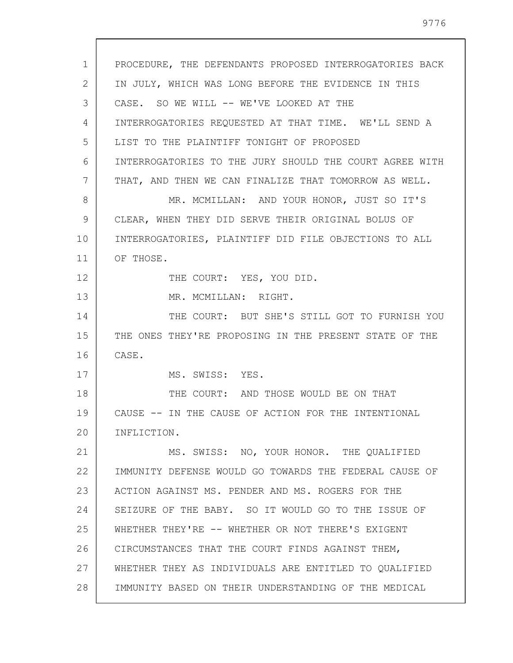| $\mathbf{1}$ | PROCEDURE, THE DEFENDANTS PROPOSED INTERROGATORIES BACK |
|--------------|---------------------------------------------------------|
| 2            | IN JULY, WHICH WAS LONG BEFORE THE EVIDENCE IN THIS     |
| 3            | CASE. SO WE WILL -- WE'VE LOOKED AT THE                 |
| 4            | INTERROGATORIES REQUESTED AT THAT TIME. WE'LL SEND A    |
| 5            | LIST TO THE PLAINTIFF TONIGHT OF PROPOSED               |
| 6            | INTERROGATORIES TO THE JURY SHOULD THE COURT AGREE WITH |
| 7            | THAT, AND THEN WE CAN FINALIZE THAT TOMORROW AS WELL.   |
| 8            | MR. MCMILLAN: AND YOUR HONOR, JUST SO IT'S              |
| 9            | CLEAR, WHEN THEY DID SERVE THEIR ORIGINAL BOLUS OF      |
| 10           | INTERROGATORIES, PLAINTIFF DID FILE OBJECTIONS TO ALL   |
| 11           | OF THOSE.                                               |
| 12           | THE COURT: YES, YOU DID.                                |
| 13           | MR. MCMILLAN: RIGHT.                                    |
| 14           | THE COURT: BUT SHE'S STILL GOT TO FURNISH YOU           |
| 15           | THE ONES THEY'RE PROPOSING IN THE PRESENT STATE OF THE  |
| 16           | CASE.                                                   |
| 17           | MS. SWISS: YES.                                         |
| 18           | THE COURT: AND THOSE WOULD BE ON THAT                   |
| 19           | CAUSE -- IN THE CAUSE OF ACTION FOR THE INTENTIONAL     |
| 20           | INFLICTION.                                             |
| 21           | MS. SWISS: NO, YOUR HONOR. THE QUALIFIED                |
| 22           | IMMUNITY DEFENSE WOULD GO TOWARDS THE FEDERAL CAUSE OF  |
| 23           | ACTION AGAINST MS. PENDER AND MS. ROGERS FOR THE        |
| 24           | SEIZURE OF THE BABY. SO IT WOULD GO TO THE ISSUE OF     |
| 25           | WHETHER THEY'RE -- WHETHER OR NOT THERE'S EXIGENT       |
| 26           | CIRCUMSTANCES THAT THE COURT FINDS AGAINST THEM,        |
| 27           | WHETHER THEY AS INDIVIDUALS ARE ENTITLED TO QUALIFIED   |
| 28           | IMMUNITY BASED ON THEIR UNDERSTANDING OF THE MEDICAL    |
|              |                                                         |